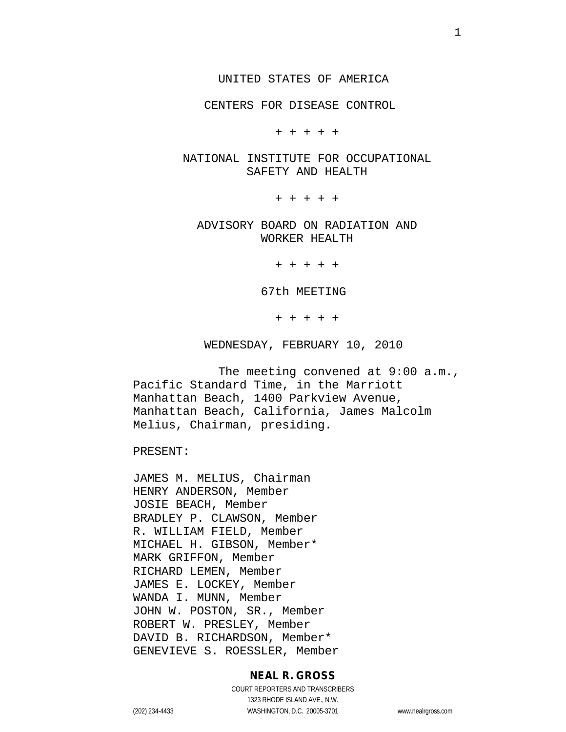#### UNITED STATES OF AMERICA

CENTERS FOR DISEASE CONTROL

+ + + + +

#### NATIONAL INSTITUTE FOR OCCUPATIONAL SAFETY AND HEALTH

+ + + + +

# ADVISORY BOARD ON RADIATION AND WORKER HEALTH

+ + + + +

67th MEETING

+ + + + +

WEDNESDAY, FEBRUARY 10, 2010

The meeting convened at 9:00 a.m., Pacific Standard Time, in the Marriott Manhattan Beach, 1400 Parkview Avenue, Manhattan Beach, California, James Malcolm Melius, Chairman, presiding.

PRESENT:

JAMES M. MELIUS, Chairman HENRY ANDERSON, Member JOSIE BEACH, Member BRADLEY P. CLAWSON, Member R. WILLIAM FIELD, Member MICHAEL H. GIBSON, Member\* MARK GRIFFON, Member RICHARD LEMEN, Member JAMES E. LOCKEY, Member WANDA I. MUNN, Member JOHN W. POSTON, SR., Member ROBERT W. PRESLEY, Member DAVID B. RICHARDSON, Member\* GENEVIEVE S. ROESSLER, Member

#### **NEAL R. GROSS**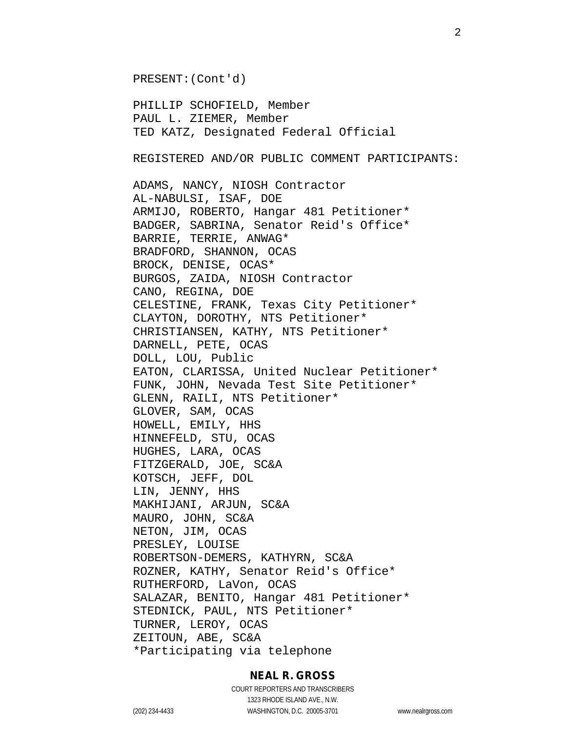PRESENT:(Cont'd) PHILLIP SCHOFIELD, Member PAUL L. ZIEMER, Member TED KATZ, Designated Federal Official REGISTERED AND/OR PUBLIC COMMENT PARTICIPANTS: ADAMS, NANCY, NIOSH Contractor AL-NABULSI, ISAF, DOE ARMIJO, ROBERTO, Hangar 481 Petitioner\* BADGER, SABRINA, Senator Reid's Office\* BARRIE, TERRIE, ANWAG\* BRADFORD, SHANNON, OCAS BROCK, DENISE, OCAS\* BURGOS, ZAIDA, NIOSH Contractor CANO, REGINA, DOE CELESTINE, FRANK, Texas City Petitioner\* CLAYTON, DOROTHY, NTS Petitioner\* CHRISTIANSEN, KATHY, NTS Petitioner\* DARNELL, PETE, OCAS DOLL, LOU, Public EATON, CLARISSA, United Nuclear Petitioner\* FUNK, JOHN, Nevada Test Site Petitioner\* GLENN, RAILI, NTS Petitioner\* GLOVER, SAM, OCAS HOWELL, EMILY, HHS HINNEFELD, STU, OCAS HUGHES, LARA, OCAS FITZGERALD, JOE, SC&A KOTSCH, JEFF, DOL LIN, JENNY, HHS MAKHIJANI, ARJUN, SC&A MAURO, JOHN, SC&A NETON, JIM, OCAS PRESLEY, LOUISE ROBERTSON-DEMERS, KATHYRN, SC&A ROZNER, KATHY, Senator Reid's Office\* RUTHERFORD, LaVon, OCAS SALAZAR, BENITO, Hangar 481 Petitioner\* STEDNICK, PAUL, NTS Petitioner\* TURNER, LEROY, OCAS ZEITOUN, ABE, SC&A \*Participating via telephone

#### **NEAL R. GROSS**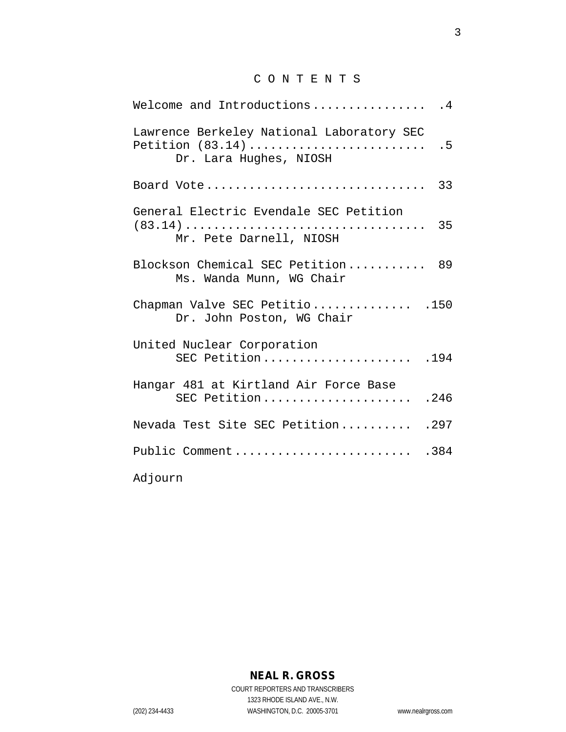# C O N T E N T S

| Welcome and Introductions<br>$\cdot$ 4                                                          |
|-------------------------------------------------------------------------------------------------|
| Lawrence Berkeley National Laboratory SEC<br>Petition $(83.14)$<br>.5<br>Dr. Lara Hughes, NIOSH |
| 33<br>Board Vote                                                                                |
| General Electric Evendale SEC Petition<br>35<br>Mr. Pete Darnell, NIOSH                         |
| Blockson Chemical SEC Petition 89<br>Ms. Wanda Munn, WG Chair                                   |
| Chapman Valve SEC Petitio .150<br>Dr. John Poston, WG Chair                                     |
| United Nuclear Corporation<br>SEC Petition<br>.194                                              |
| Hangar 481 at Kirtland Air Force Base<br>SEC Petition<br>.246                                   |
| Nevada Test Site SEC Petition<br>.297                                                           |
| Public Comment<br>.384                                                                          |
| Adjourn                                                                                         |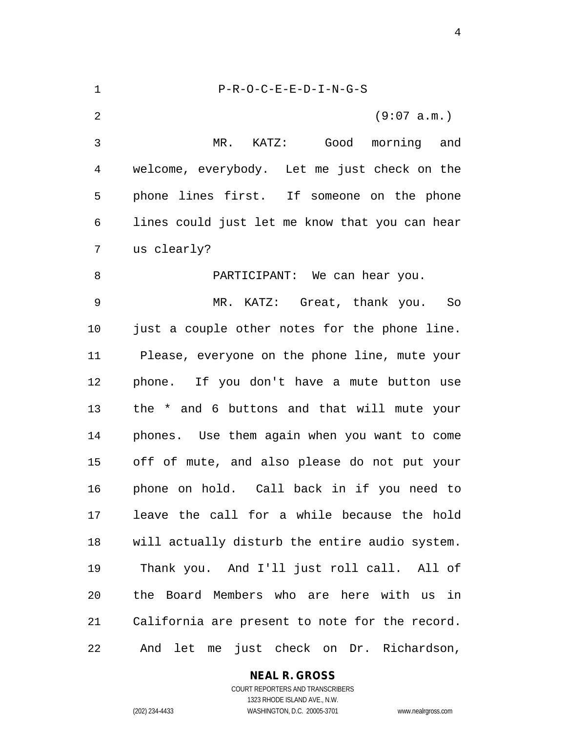| 1              | $P-R-O-C-E-E-D-I-N-G-S$                        |
|----------------|------------------------------------------------|
| $\overline{2}$ | (9:07 a.m.)                                    |
| 3              | MR. KATZ: Good morning and                     |
| 4              | welcome, everybody. Let me just check on the   |
| 5              | phone lines first. If someone on the phone     |
| 6              | lines could just let me know that you can hear |
| 7              | us clearly?                                    |
| 8              | PARTICIPANT: We can hear you.                  |
| 9              | MR. KATZ: Great, thank you. So                 |
| 10             | just a couple other notes for the phone line.  |
| 11             | Please, everyone on the phone line, mute your  |
| 12             | phone. If you don't have a mute button use     |
| 13             | the * and 6 buttons and that will mute your    |
| 14             | phones. Use them again when you want to come   |
| 15             | off of mute, and also please do not put your   |
| 16             | phone on hold. Call back in if you need to     |
| 17             | leave the call for a while because the hold    |
| 18             | will actually disturb the entire audio system. |
| 19             | Thank you. And I'll just roll call. All of     |
| 20             | the Board Members who are here with us in      |
| 21             | California are present to note for the record. |
| 22             | just check on Dr. Richardson,<br>And let<br>me |

**NEAL R. GROSS**

COURT REPORTERS AND TRANSCRIBERS 1323 RHODE ISLAND AVE., N.W. (202) 234-4433 WASHINGTON, D.C. 20005-3701 www.nealrgross.com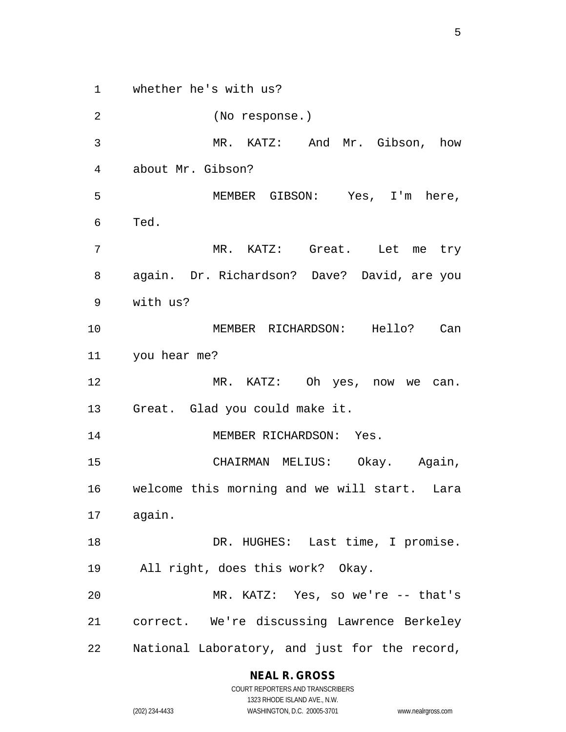whether he's with us?

 (No response.) MR. KATZ: And Mr. Gibson, how about Mr. Gibson? MEMBER GIBSON: Yes, I'm here, Ted. MR. KATZ: Great. Let me try again. Dr. Richardson? Dave? David, are you with us? MEMBER RICHARDSON: Hello? Can you hear me? MR. KATZ: Oh yes, now we can. Great. Glad you could make it. 14 MEMBER RICHARDSON: Yes. CHAIRMAN MELIUS: Okay. Again, welcome this morning and we will start. Lara again. 18 DR. HUGHES: Last time, I promise. All right, does this work? Okay. MR. KATZ: Yes, so we're -- that's correct. We're discussing Lawrence Berkeley National Laboratory, and just for the record,

**NEAL R. GROSS**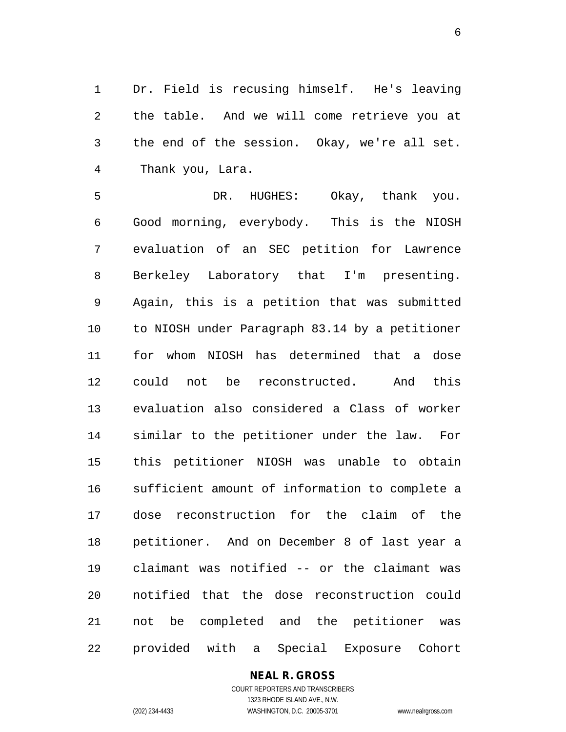Dr. Field is recusing himself. He's leaving the table. And we will come retrieve you at the end of the session. Okay, we're all set. Thank you, Lara.

 DR. HUGHES: Okay, thank you. Good morning, everybody. This is the NIOSH evaluation of an SEC petition for Lawrence Berkeley Laboratory that I'm presenting. Again, this is a petition that was submitted to NIOSH under Paragraph 83.14 by a petitioner for whom NIOSH has determined that a dose could not be reconstructed. And this evaluation also considered a Class of worker similar to the petitioner under the law. For this petitioner NIOSH was unable to obtain sufficient amount of information to complete a dose reconstruction for the claim of the petitioner. And on December 8 of last year a claimant was notified -- or the claimant was notified that the dose reconstruction could not be completed and the petitioner was provided with a Special Exposure Cohort

# **NEAL R. GROSS**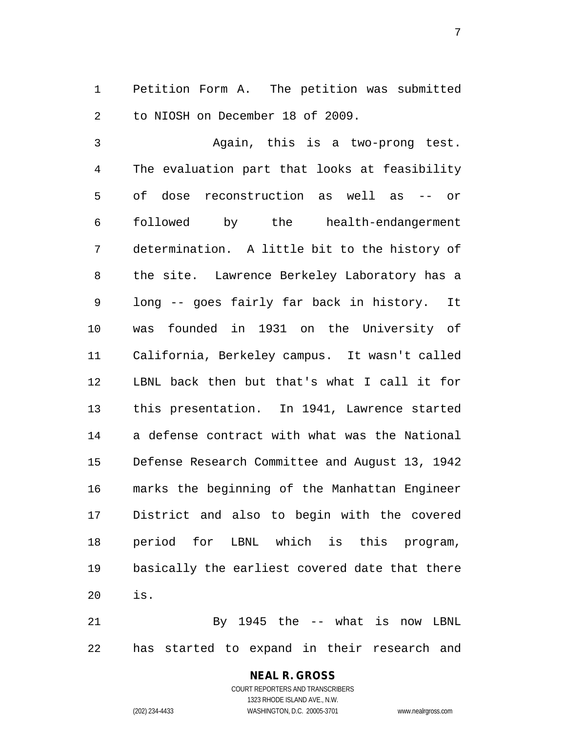Petition Form A. The petition was submitted to NIOSH on December 18 of 2009.

 Again, this is a two-prong test. The evaluation part that looks at feasibility of dose reconstruction as well as -- or followed by the health-endangerment determination. A little bit to the history of the site. Lawrence Berkeley Laboratory has a long -- goes fairly far back in history. It was founded in 1931 on the University of California, Berkeley campus. It wasn't called LBNL back then but that's what I call it for this presentation. In 1941, Lawrence started a defense contract with what was the National Defense Research Committee and August 13, 1942 marks the beginning of the Manhattan Engineer District and also to begin with the covered period for LBNL which is this program, basically the earliest covered date that there is.

 By 1945 the -- what is now LBNL has started to expand in their research and

# **NEAL R. GROSS**

COURT REPORTERS AND TRANSCRIBERS 1323 RHODE ISLAND AVE., N.W. (202) 234-4433 WASHINGTON, D.C. 20005-3701 www.nealrgross.com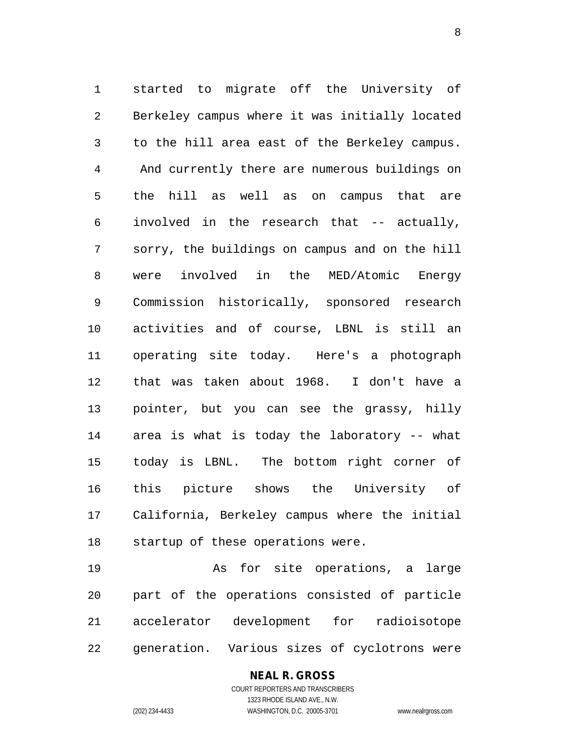started to migrate off the University of Berkeley campus where it was initially located to the hill area east of the Berkeley campus. And currently there are numerous buildings on the hill as well as on campus that are involved in the research that -- actually, sorry, the buildings on campus and on the hill were involved in the MED/Atomic Energy Commission historically, sponsored research activities and of course, LBNL is still an operating site today. Here's a photograph that was taken about 1968. I don't have a pointer, but you can see the grassy, hilly area is what is today the laboratory -- what today is LBNL. The bottom right corner of this picture shows the University of California, Berkeley campus where the initial startup of these operations were.

 As for site operations, a large part of the operations consisted of particle accelerator development for radioisotope generation. Various sizes of cyclotrons were

> COURT REPORTERS AND TRANSCRIBERS 1323 RHODE ISLAND AVE., N.W. (202) 234-4433 WASHINGTON, D.C. 20005-3701 www.nealrgross.com

**NEAL R. GROSS**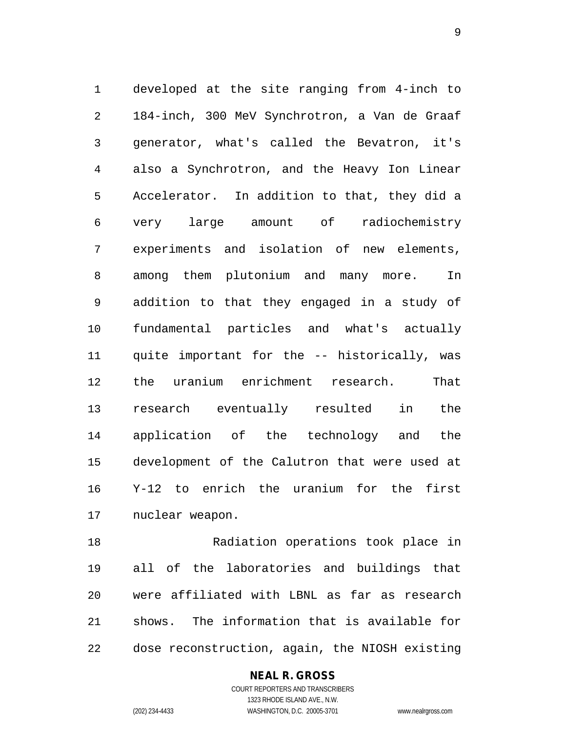developed at the site ranging from 4-inch to 184-inch, 300 MeV Synchrotron, a Van de Graaf generator, what's called the Bevatron, it's also a Synchrotron, and the Heavy Ion Linear Accelerator. In addition to that, they did a very large amount of radiochemistry experiments and isolation of new elements, among them plutonium and many more. In addition to that they engaged in a study of fundamental particles and what's actually quite important for the -- historically, was the uranium enrichment research. That research eventually resulted in the application of the technology and the development of the Calutron that were used at Y-12 to enrich the uranium for the first nuclear weapon.

 Radiation operations took place in all of the laboratories and buildings that were affiliated with LBNL as far as research shows. The information that is available for dose reconstruction, again, the NIOSH existing

#### **NEAL R. GROSS**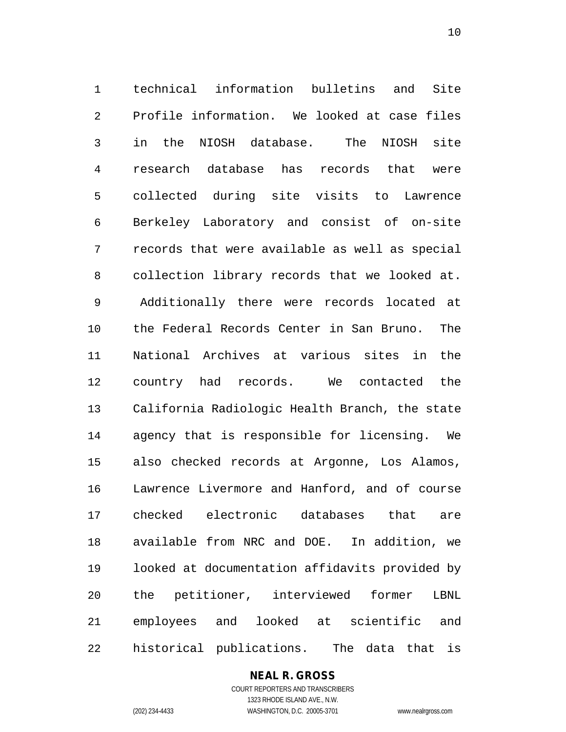technical information bulletins and Site Profile information. We looked at case files in the NIOSH database. The NIOSH site research database has records that were collected during site visits to Lawrence Berkeley Laboratory and consist of on-site records that were available as well as special collection library records that we looked at. Additionally there were records located at the Federal Records Center in San Bruno. The National Archives at various sites in the country had records. We contacted the California Radiologic Health Branch, the state agency that is responsible for licensing. We also checked records at Argonne, Los Alamos, Lawrence Livermore and Hanford, and of course checked electronic databases that are available from NRC and DOE. In addition, we looked at documentation affidavits provided by the petitioner, interviewed former LBNL employees and looked at scientific and historical publications. The data that is

# **NEAL R. GROSS**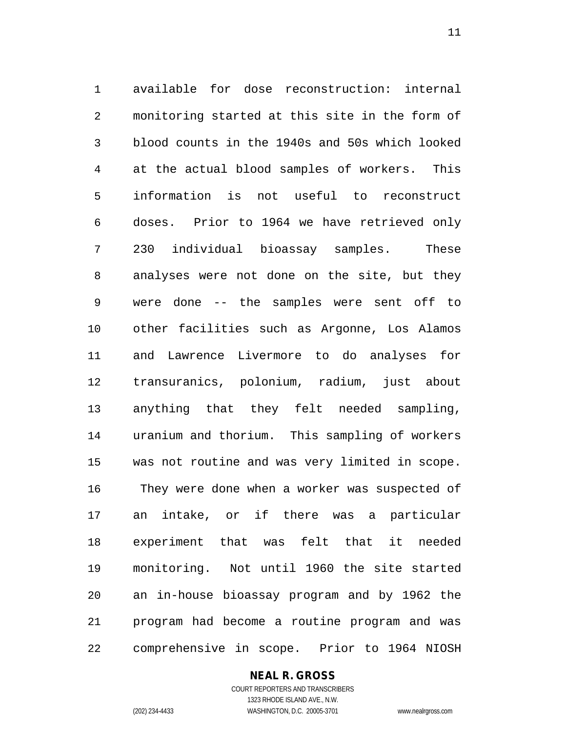available for dose reconstruction: internal monitoring started at this site in the form of blood counts in the 1940s and 50s which looked at the actual blood samples of workers. This information is not useful to reconstruct doses. Prior to 1964 we have retrieved only 230 individual bioassay samples. These analyses were not done on the site, but they were done -- the samples were sent off to other facilities such as Argonne, Los Alamos and Lawrence Livermore to do analyses for transuranics, polonium, radium, just about anything that they felt needed sampling, uranium and thorium. This sampling of workers was not routine and was very limited in scope. They were done when a worker was suspected of an intake, or if there was a particular experiment that was felt that it needed monitoring. Not until 1960 the site started an in-house bioassay program and by 1962 the program had become a routine program and was comprehensive in scope. Prior to 1964 NIOSH

#### **NEAL R. GROSS** COURT REPORTERS AND TRANSCRIBERS

1323 RHODE ISLAND AVE., N.W.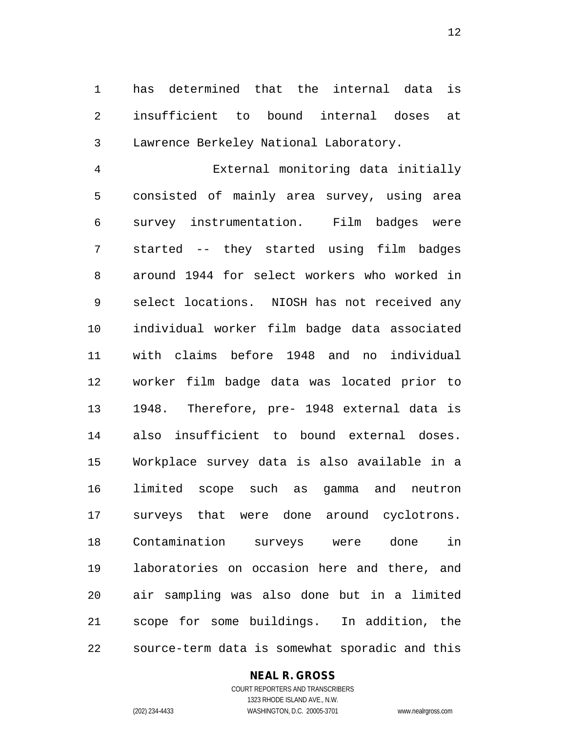has determined that the internal data is insufficient to bound internal doses at Lawrence Berkeley National Laboratory.

 External monitoring data initially consisted of mainly area survey, using area survey instrumentation. Film badges were started -- they started using film badges around 1944 for select workers who worked in select locations. NIOSH has not received any individual worker film badge data associated with claims before 1948 and no individual worker film badge data was located prior to 1948. Therefore, pre- 1948 external data is also insufficient to bound external doses. Workplace survey data is also available in a limited scope such as gamma and neutron surveys that were done around cyclotrons. Contamination surveys were done in laboratories on occasion here and there, and air sampling was also done but in a limited scope for some buildings. In addition, the source-term data is somewhat sporadic and this

#### **NEAL R. GROSS** COURT REPORTERS AND TRANSCRIBERS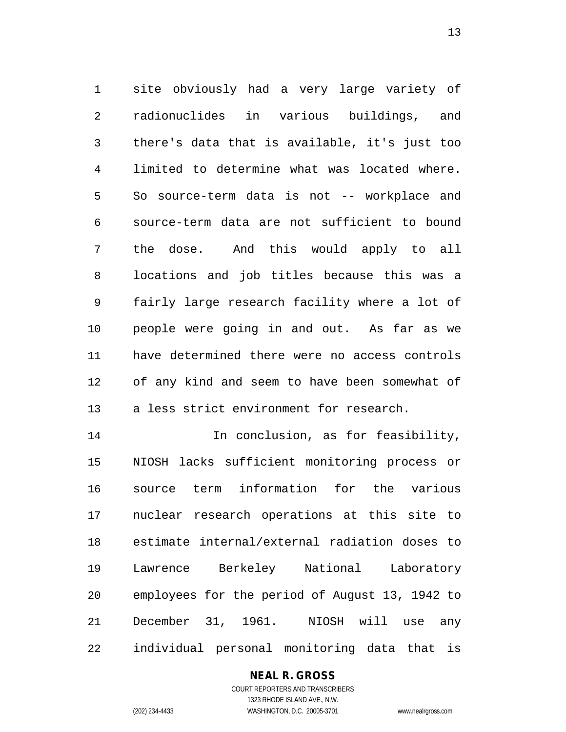site obviously had a very large variety of radionuclides in various buildings, and there's data that is available, it's just too limited to determine what was located where. So source-term data is not -- workplace and source-term data are not sufficient to bound the dose. And this would apply to all locations and job titles because this was a fairly large research facility where a lot of people were going in and out. As far as we have determined there were no access controls of any kind and seem to have been somewhat of a less strict environment for research.

 In conclusion, as for feasibility, NIOSH lacks sufficient monitoring process or source term information for the various nuclear research operations at this site to estimate internal/external radiation doses to Lawrence Berkeley National Laboratory employees for the period of August 13, 1942 to December 31, 1961. NIOSH will use any individual personal monitoring data that is

# **NEAL R. GROSS**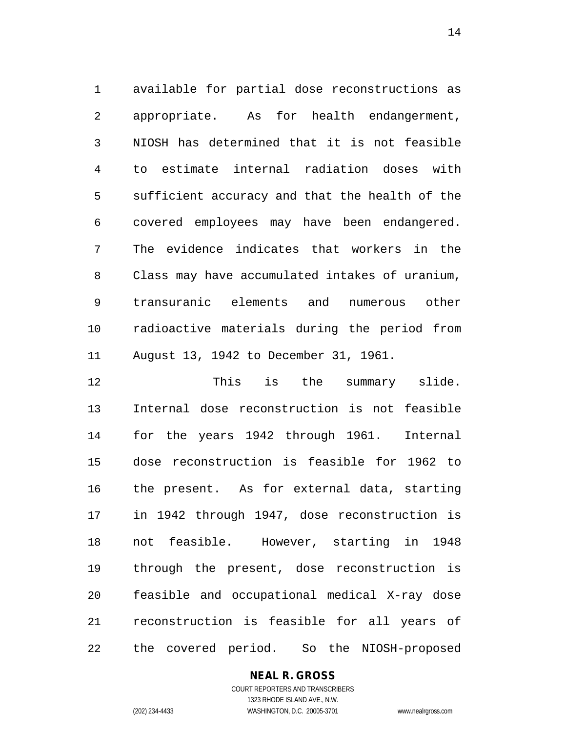available for partial dose reconstructions as appropriate. As for health endangerment, NIOSH has determined that it is not feasible to estimate internal radiation doses with sufficient accuracy and that the health of the covered employees may have been endangered. The evidence indicates that workers in the Class may have accumulated intakes of uranium, transuranic elements and numerous other radioactive materials during the period from August 13, 1942 to December 31, 1961.

 This is the summary slide. Internal dose reconstruction is not feasible for the years 1942 through 1961. Internal dose reconstruction is feasible for 1962 to the present. As for external data, starting in 1942 through 1947, dose reconstruction is not feasible. However, starting in 1948 through the present, dose reconstruction is feasible and occupational medical X-ray dose reconstruction is feasible for all years of the covered period. So the NIOSH-proposed

# **NEAL R. GROSS**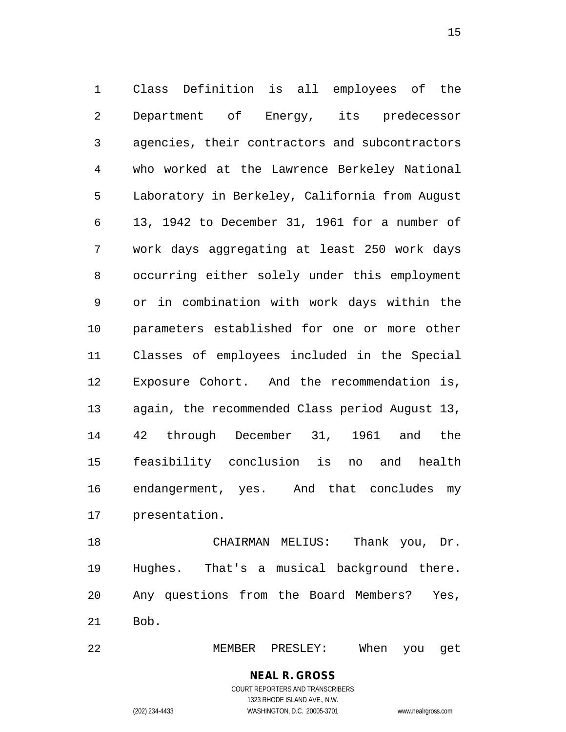Class Definition is all employees of the Department of Energy, its predecessor agencies, their contractors and subcontractors who worked at the Lawrence Berkeley National Laboratory in Berkeley, California from August 13, 1942 to December 31, 1961 for a number of work days aggregating at least 250 work days occurring either solely under this employment or in combination with work days within the parameters established for one or more other Classes of employees included in the Special Exposure Cohort. And the recommendation is, again, the recommended Class period August 13, 42 through December 31, 1961 and the feasibility conclusion is no and health endangerment, yes. And that concludes my presentation.

 CHAIRMAN MELIUS: Thank you, Dr. Hughes. That's a musical background there. Any questions from the Board Members? Yes, Bob.

MEMBER PRESLEY: When you get

(202) 234-4433 WASHINGTON, D.C. 20005-3701 www.nealrgross.com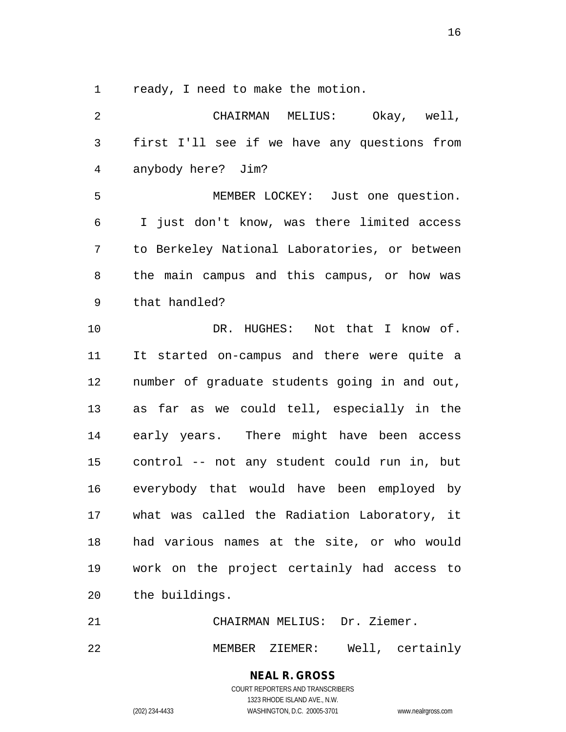ready, I need to make the motion.

| 2              | CHAIRMAN MELIUS:<br>Okay, well,               |
|----------------|-----------------------------------------------|
| 3              | first I'll see if we have any questions from  |
| $\overline{4}$ | anybody here? Jim?                            |
| 5              | MEMBER LOCKEY: Just one question.             |
| 6              | I just don't know, was there limited access   |
| 7              | to Berkeley National Laboratories, or between |
| 8              | the main campus and this campus, or how was   |
| $\mathsf 9$    | that handled?                                 |
| 10             | DR. HUGHES: Not that I know of.               |
| 11             | It started on-campus and there were quite a   |
| 12             | number of graduate students going in and out, |
| 13             | as far as we could tell, especially in the    |
| 14             | early years. There might have been access     |
| 15             | control -- not any student could run in, but  |
| 16             | everybody that would have been employed by    |
| 17             | what was called the Radiation Laboratory, it  |
| 18             | had various names at the site, or who would   |
| 19             | work on the project certainly had access to   |
| 20             | the buildings.                                |
| 21             | CHAIRMAN MELIUS: Dr. Ziemer.                  |

MEMBER ZIEMER: Well, certainly

**NEAL R. GROSS** COURT REPORTERS AND TRANSCRIBERS

1323 RHODE ISLAND AVE., N.W.

(202) 234-4433 WASHINGTON, D.C. 20005-3701 www.nealrgross.com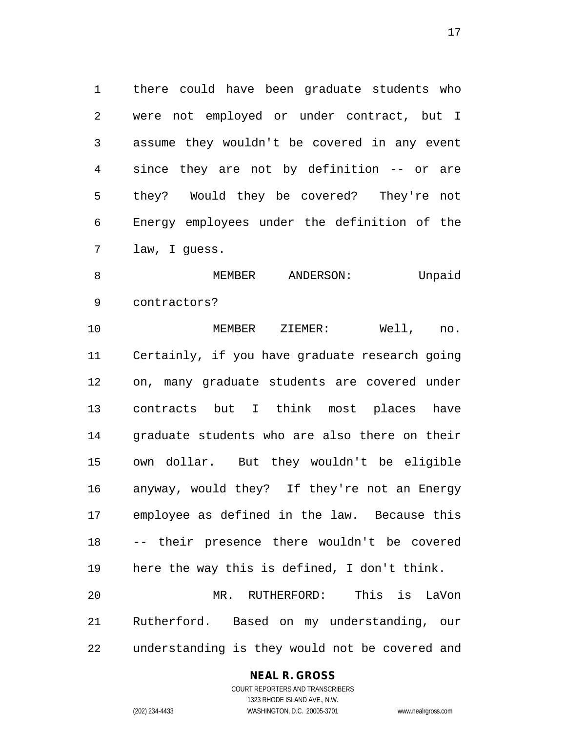there could have been graduate students who were not employed or under contract, but I assume they wouldn't be covered in any event since they are not by definition -- or are they? Would they be covered? They're not Energy employees under the definition of the law, I guess.

8 MEMBER ANDERSON: Unpaid contractors?

 MEMBER ZIEMER: Well, no. Certainly, if you have graduate research going on, many graduate students are covered under contracts but I think most places have 14 graduate students who are also there on their own dollar. But they wouldn't be eligible anyway, would they? If they're not an Energy employee as defined in the law. Because this -- their presence there wouldn't be covered here the way this is defined, I don't think. MR. RUTHERFORD: This is LaVon Rutherford. Based on my understanding, our understanding is they would not be covered and

**NEAL R. GROSS**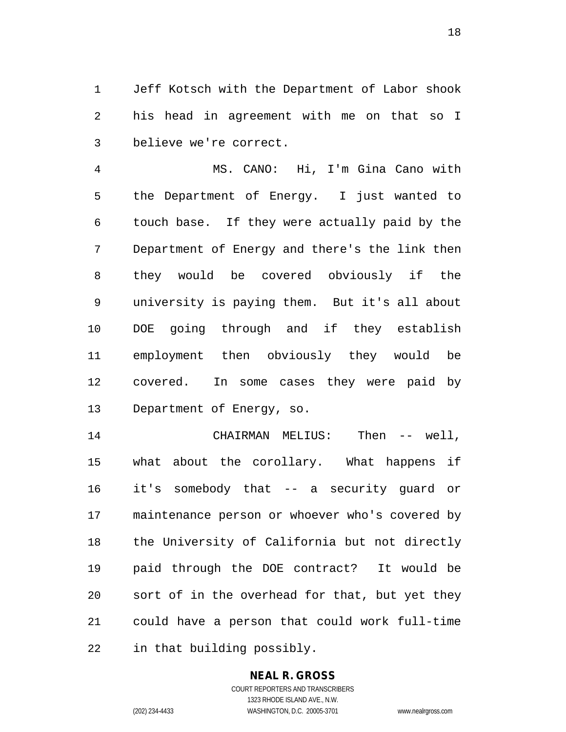Jeff Kotsch with the Department of Labor shook his head in agreement with me on that so I believe we're correct.

 MS. CANO: Hi, I'm Gina Cano with the Department of Energy. I just wanted to touch base. If they were actually paid by the Department of Energy and there's the link then they would be covered obviously if the university is paying them. But it's all about DOE going through and if they establish employment then obviously they would be covered. In some cases they were paid by Department of Energy, so.

 CHAIRMAN MELIUS: Then -- well, what about the corollary. What happens if it's somebody that -- a security guard or maintenance person or whoever who's covered by the University of California but not directly paid through the DOE contract? It would be sort of in the overhead for that, but yet they could have a person that could work full-time in that building possibly.

# **NEAL R. GROSS**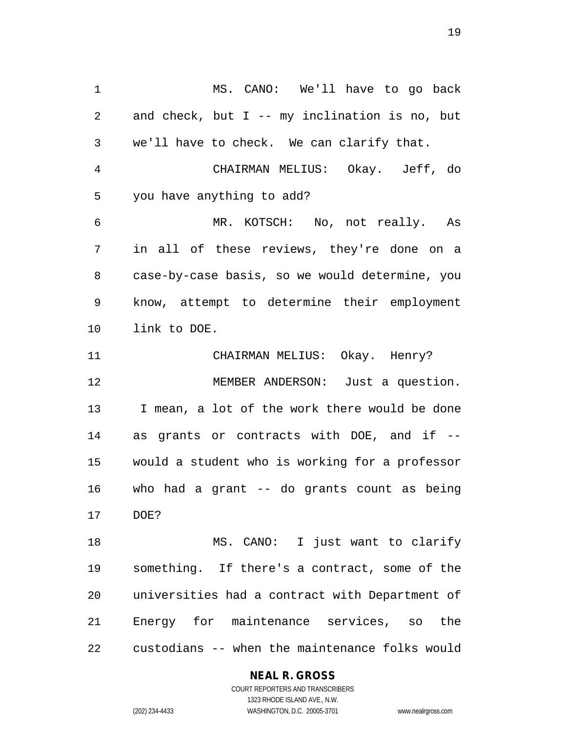MS. CANO: We'll have to go back and check, but I -- my inclination is no, but we'll have to check. We can clarify that. CHAIRMAN MELIUS: Okay. Jeff, do you have anything to add? MR. KOTSCH: No, not really. As in all of these reviews, they're done on a case-by-case basis, so we would determine, you know, attempt to determine their employment link to DOE. CHAIRMAN MELIUS: Okay. Henry? MEMBER ANDERSON: Just a question. I mean, a lot of the work there would be done as grants or contracts with DOE, and if -- would a student who is working for a professor who had a grant -- do grants count as being DOE? 18 MS. CANO: I just want to clarify something. If there's a contract, some of the universities had a contract with Department of Energy for maintenance services, so the

custodians -- when the maintenance folks would

# **NEAL R. GROSS**

COURT REPORTERS AND TRANSCRIBERS 1323 RHODE ISLAND AVE., N.W. (202) 234-4433 WASHINGTON, D.C. 20005-3701 www.nealrgross.com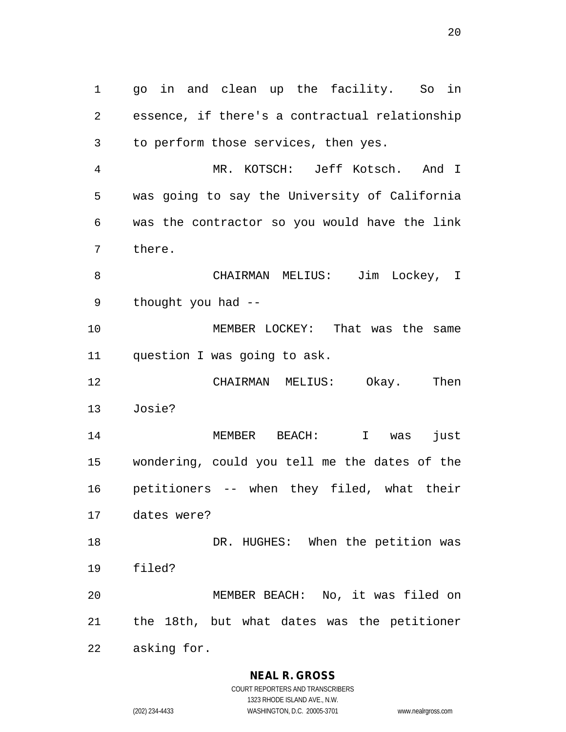go in and clean up the facility. So in essence, if there's a contractual relationship to perform those services, then yes.

 MR. KOTSCH: Jeff Kotsch. And I was going to say the University of California was the contractor so you would have the link there.

 CHAIRMAN MELIUS: Jim Lockey, I thought you had --

 MEMBER LOCKEY: That was the same question I was going to ask.

 CHAIRMAN MELIUS: Okay. Then Josie?

 MEMBER BEACH: I was just wondering, could you tell me the dates of the petitioners -- when they filed, what their dates were?

18 DR. HUGHES: When the petition was filed?

 MEMBER BEACH: No, it was filed on the 18th, but what dates was the petitioner asking for.

# **NEAL R. GROSS**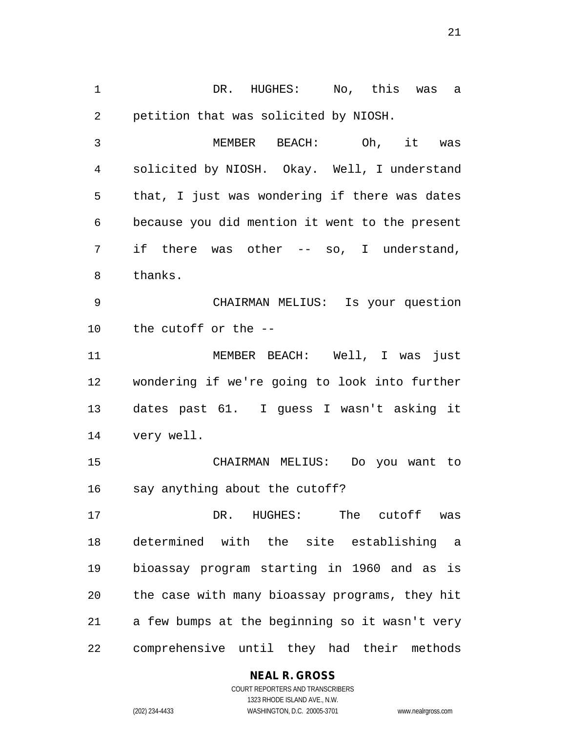DR. HUGHES: No, this was a petition that was solicited by NIOSH.

 MEMBER BEACH: Oh, it was solicited by NIOSH. Okay. Well, I understand that, I just was wondering if there was dates because you did mention it went to the present if there was other -- so, I understand, thanks.

 CHAIRMAN MELIUS: Is your question the cutoff or the --

 MEMBER BEACH: Well, I was just wondering if we're going to look into further dates past 61. I guess I wasn't asking it very well.

 CHAIRMAN MELIUS: Do you want to say anything about the cutoff?

 DR. HUGHES: The cutoff was determined with the site establishing a bioassay program starting in 1960 and as is the case with many bioassay programs, they hit a few bumps at the beginning so it wasn't very comprehensive until they had their methods

# **NEAL R. GROSS**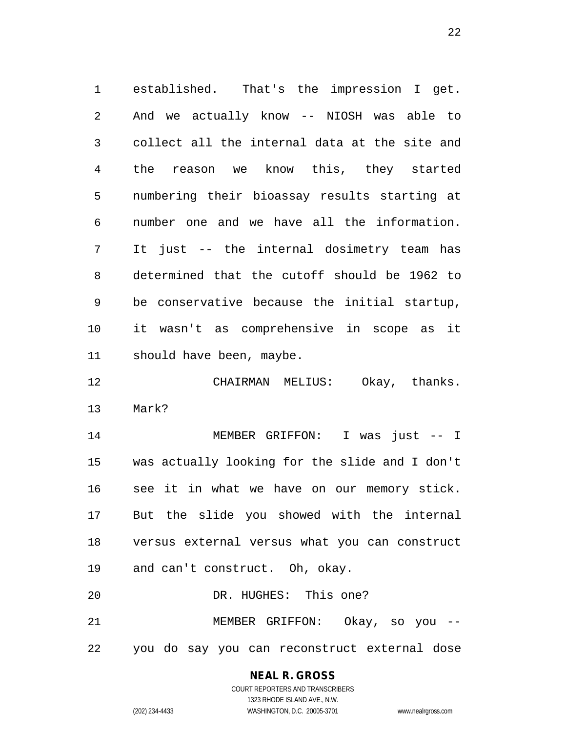established. That's the impression I get. And we actually know -- NIOSH was able to collect all the internal data at the site and the reason we know this, they started numbering their bioassay results starting at number one and we have all the information. It just -- the internal dosimetry team has determined that the cutoff should be 1962 to be conservative because the initial startup, it wasn't as comprehensive in scope as it should have been, maybe.

 CHAIRMAN MELIUS: Okay, thanks. Mark?

 MEMBER GRIFFON: I was just -- I was actually looking for the slide and I don't see it in what we have on our memory stick. But the slide you showed with the internal versus external versus what you can construct and can't construct. Oh, okay. 20 DR. HUGHES: This one? MEMBER GRIFFON: Okay, so you --

you do say you can reconstruct external dose

#### **NEAL R. GROSS**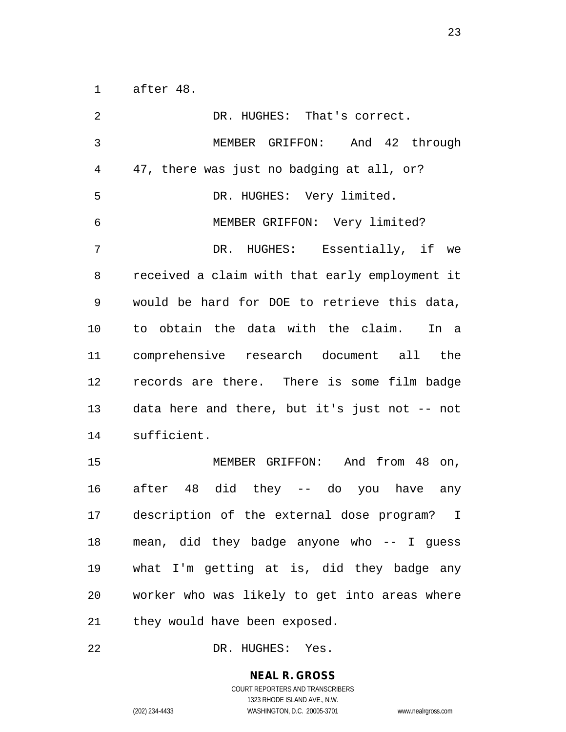after 48.

 DR. HUGHES: That's correct. MEMBER GRIFFON: And 42 through 47, there was just no badging at all, or? DR. HUGHES: Very limited. MEMBER GRIFFON: Very limited? DR. HUGHES: Essentially, if we received a claim with that early employment it would be hard for DOE to retrieve this data, to obtain the data with the claim. In a comprehensive research document all the records are there. There is some film badge data here and there, but it's just not -- not sufficient. MEMBER GRIFFON: And from 48 on, after 48 did they -- do you have any description of the external dose program? I mean, did they badge anyone who -- I guess what I'm getting at is, did they badge any worker who was likely to get into areas where they would have been exposed.

DR. HUGHES: Yes.

**NEAL R. GROSS** COURT REPORTERS AND TRANSCRIBERS

1323 RHODE ISLAND AVE., N.W.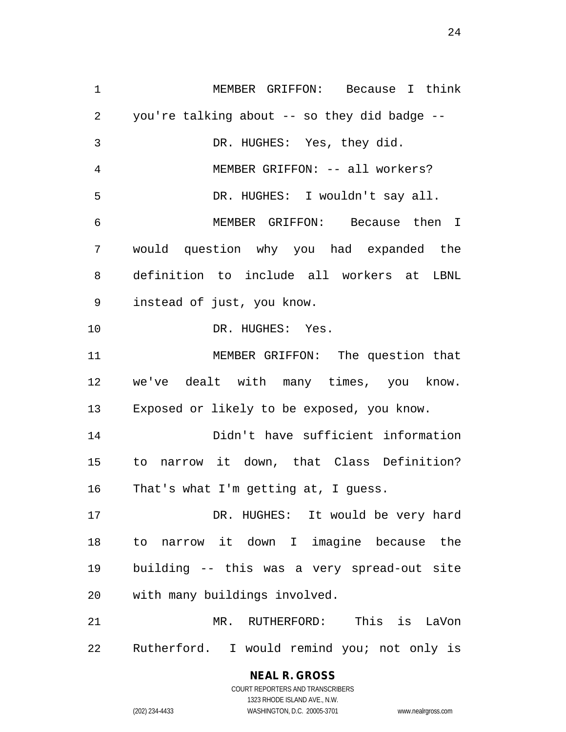MEMBER GRIFFON: Because I think you're talking about -- so they did badge -- DR. HUGHES: Yes, they did. MEMBER GRIFFON: -- all workers? DR. HUGHES: I wouldn't say all. MEMBER GRIFFON: Because then I would question why you had expanded the definition to include all workers at LBNL instead of just, you know. 10 DR. HUGHES: Yes. MEMBER GRIFFON: The question that we've dealt with many times, you know. Exposed or likely to be exposed, you know. Didn't have sufficient information to narrow it down, that Class Definition? That's what I'm getting at, I guess. DR. HUGHES: It would be very hard to narrow it down I imagine because the building -- this was a very spread-out site with many buildings involved. MR. RUTHERFORD: This is LaVon Rutherford. I would remind you; not only is

> COURT REPORTERS AND TRANSCRIBERS 1323 RHODE ISLAND AVE., N.W. (202) 234-4433 WASHINGTON, D.C. 20005-3701 www.nealrgross.com

**NEAL R. GROSS**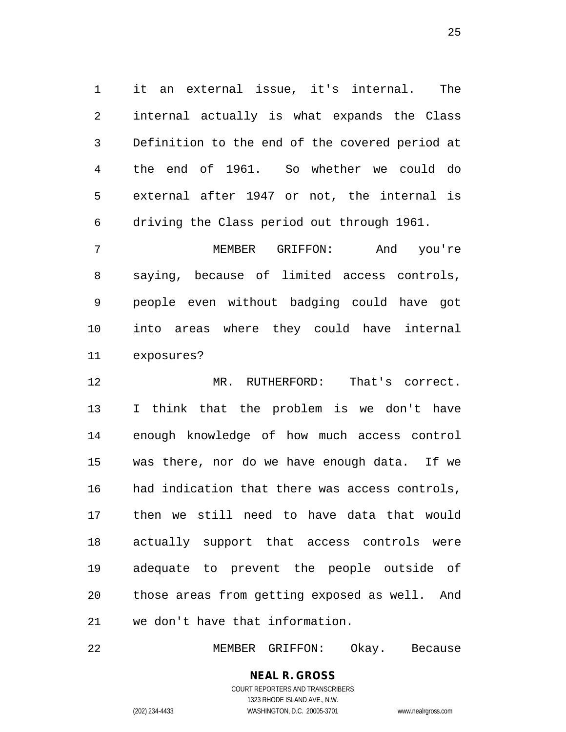it an external issue, it's internal. The internal actually is what expands the Class Definition to the end of the covered period at the end of 1961. So whether we could do external after 1947 or not, the internal is driving the Class period out through 1961.

 MEMBER GRIFFON: And you're saying, because of limited access controls, people even without badging could have got into areas where they could have internal exposures?

 MR. RUTHERFORD: That's correct. I think that the problem is we don't have enough knowledge of how much access control was there, nor do we have enough data. If we had indication that there was access controls, then we still need to have data that would actually support that access controls were adequate to prevent the people outside of those areas from getting exposed as well. And we don't have that information.

MEMBER GRIFFON: Okay. Because

**NEAL R. GROSS** COURT REPORTERS AND TRANSCRIBERS 1323 RHODE ISLAND AVE., N.W.

(202) 234-4433 WASHINGTON, D.C. 20005-3701 www.nealrgross.com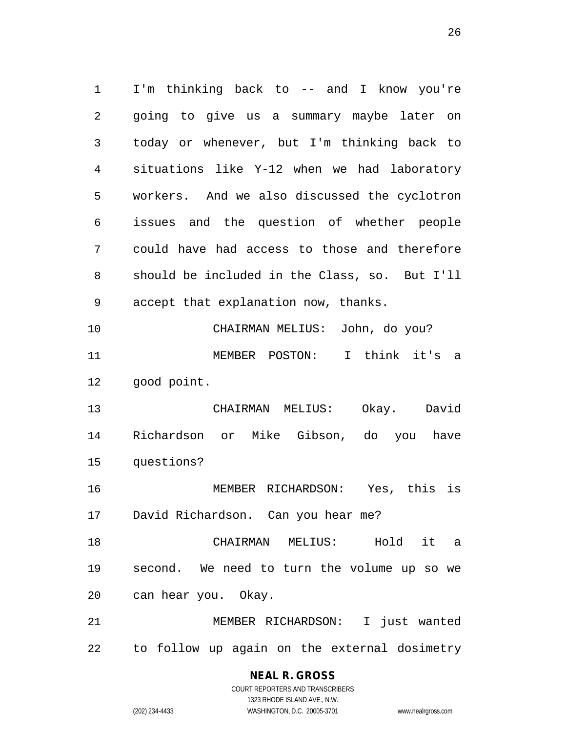I'm thinking back to -- and I know you're going to give us a summary maybe later on today or whenever, but I'm thinking back to situations like Y-12 when we had laboratory workers. And we also discussed the cyclotron issues and the question of whether people could have had access to those and therefore should be included in the Class, so. But I'll accept that explanation now, thanks. CHAIRMAN MELIUS: John, do you? MEMBER POSTON: I think it's a good point. CHAIRMAN MELIUS: Okay. David Richardson or Mike Gibson, do you have questions? MEMBER RICHARDSON: Yes, this is David Richardson. Can you hear me? CHAIRMAN MELIUS: Hold it a second. We need to turn the volume up so we can hear you. Okay. MEMBER RICHARDSON: I just wanted to follow up again on the external dosimetry

# **NEAL R. GROSS**

COURT REPORTERS AND TRANSCRIBERS 1323 RHODE ISLAND AVE., N.W. (202) 234-4433 WASHINGTON, D.C. 20005-3701 www.nealrgross.com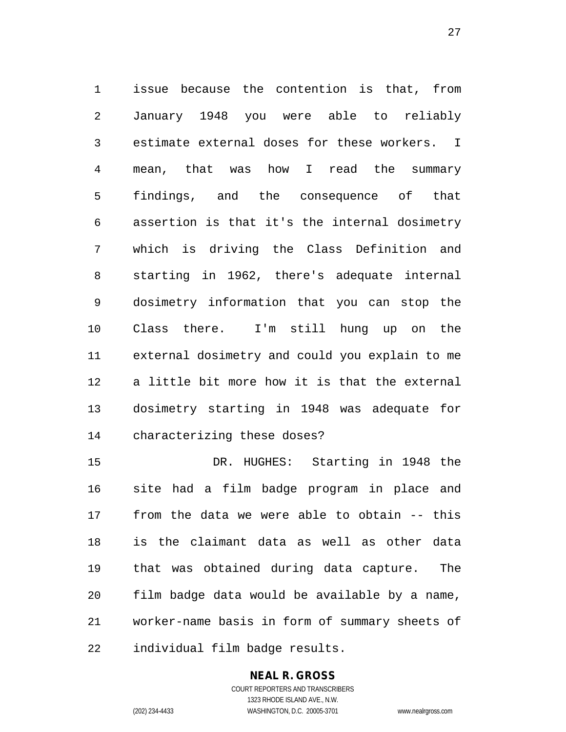issue because the contention is that, from January 1948 you were able to reliably estimate external doses for these workers. I mean, that was how I read the summary findings, and the consequence of that assertion is that it's the internal dosimetry which is driving the Class Definition and starting in 1962, there's adequate internal dosimetry information that you can stop the Class there. I'm still hung up on the external dosimetry and could you explain to me a little bit more how it is that the external dosimetry starting in 1948 was adequate for characterizing these doses?

 DR. HUGHES: Starting in 1948 the site had a film badge program in place and from the data we were able to obtain -- this is the claimant data as well as other data that was obtained during data capture. The film badge data would be available by a name, worker-name basis in form of summary sheets of individual film badge results.

# **NEAL R. GROSS**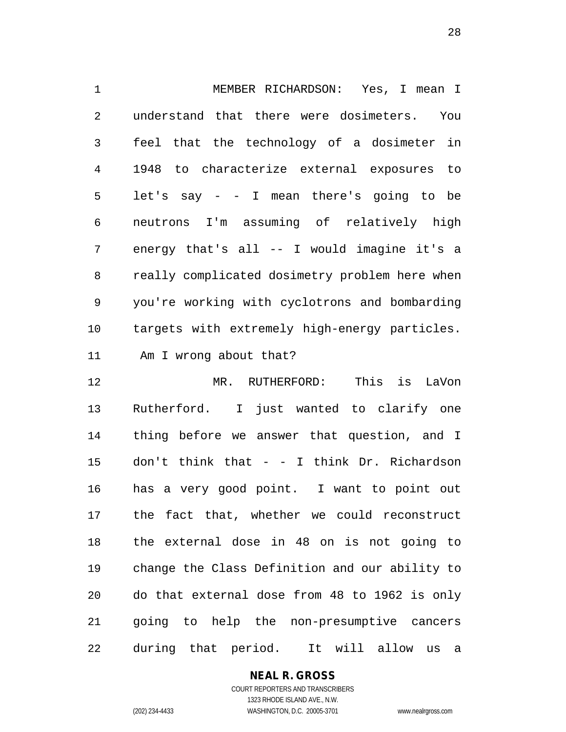MEMBER RICHARDSON: Yes, I mean I understand that there were dosimeters. You feel that the technology of a dosimeter in 1948 to characterize external exposures to let's say - - I mean there's going to be neutrons I'm assuming of relatively high energy that's all -- I would imagine it's a really complicated dosimetry problem here when you're working with cyclotrons and bombarding targets with extremely high-energy particles. Am I wrong about that?

 MR. RUTHERFORD: This is LaVon Rutherford. I just wanted to clarify one thing before we answer that question, and I don't think that - - I think Dr. Richardson has a very good point. I want to point out the fact that, whether we could reconstruct the external dose in 48 on is not going to change the Class Definition and our ability to do that external dose from 48 to 1962 is only going to help the non-presumptive cancers during that period. It will allow us a

#### **NEAL R. GROSS**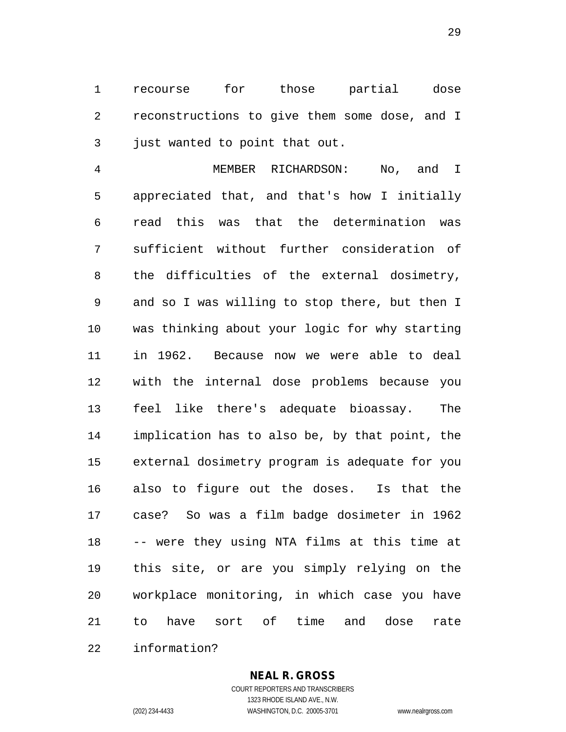recourse for those partial dose reconstructions to give them some dose, and I just wanted to point that out.

 MEMBER RICHARDSON: No, and I appreciated that, and that's how I initially read this was that the determination was sufficient without further consideration of the difficulties of the external dosimetry, and so I was willing to stop there, but then I was thinking about your logic for why starting in 1962. Because now we were able to deal with the internal dose problems because you feel like there's adequate bioassay. The implication has to also be, by that point, the external dosimetry program is adequate for you also to figure out the doses. Is that the case? So was a film badge dosimeter in 1962 -- were they using NTA films at this time at this site, or are you simply relying on the workplace monitoring, in which case you have to have sort of time and dose rate information?

#### **NEAL R. GROSS**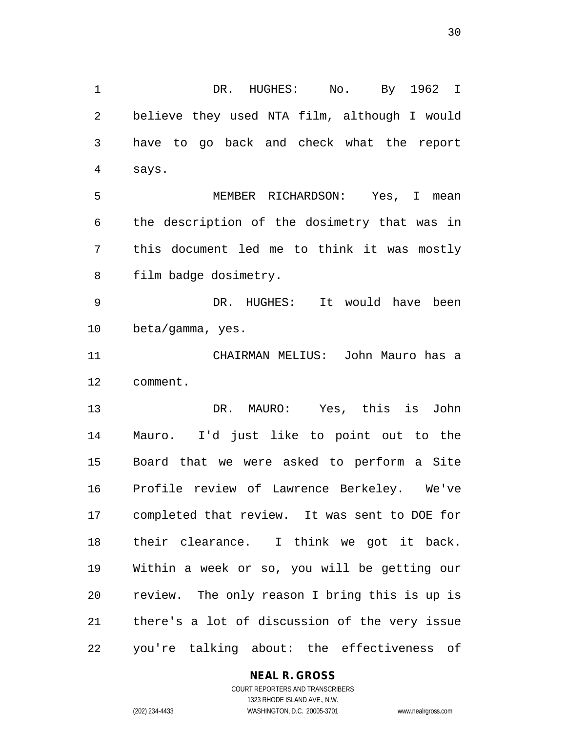believe they used NTA film, although I would have to go back and check what the report says. MEMBER RICHARDSON: Yes, I mean the description of the dosimetry that was in this document led me to think it was mostly film badge dosimetry. DR. HUGHES: It would have been beta/gamma, yes. CHAIRMAN MELIUS: John Mauro has a comment. DR. MAURO: Yes, this is John Mauro. I'd just like to point out to the Board that we were asked to perform a Site Profile review of Lawrence Berkeley. We've completed that review. It was sent to DOE for their clearance. I think we got it back. Within a week or so, you will be getting our review. The only reason I bring this is up is there's a lot of discussion of the very issue you're talking about: the effectiveness of

DR. HUGHES: No. By 1962 I

# **NEAL R. GROSS**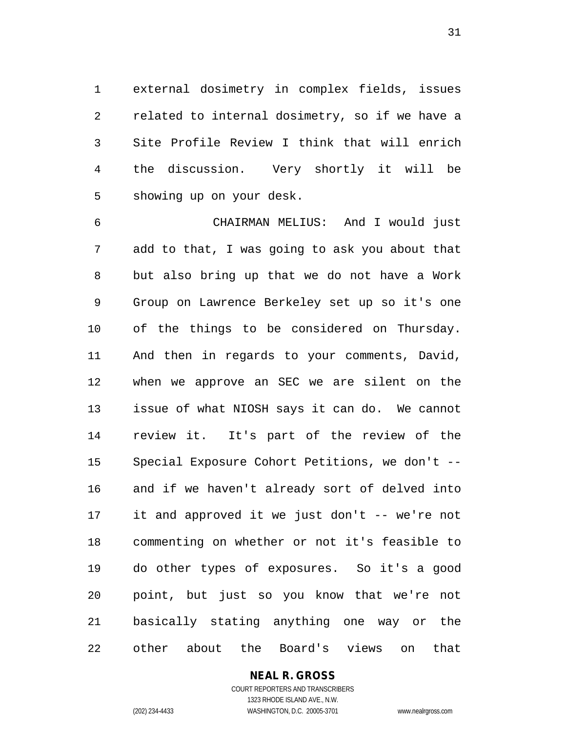external dosimetry in complex fields, issues related to internal dosimetry, so if we have a Site Profile Review I think that will enrich the discussion. Very shortly it will be showing up on your desk.

 CHAIRMAN MELIUS: And I would just add to that, I was going to ask you about that but also bring up that we do not have a Work Group on Lawrence Berkeley set up so it's one of the things to be considered on Thursday. And then in regards to your comments, David, when we approve an SEC we are silent on the issue of what NIOSH says it can do. We cannot review it. It's part of the review of the Special Exposure Cohort Petitions, we don't -- and if we haven't already sort of delved into it and approved it we just don't -- we're not commenting on whether or not it's feasible to do other types of exposures. So it's a good point, but just so you know that we're not basically stating anything one way or the other about the Board's views on that

# **NEAL R. GROSS**

COURT REPORTERS AND TRANSCRIBERS 1323 RHODE ISLAND AVE., N.W. (202) 234-4433 WASHINGTON, D.C. 20005-3701 www.nealrgross.com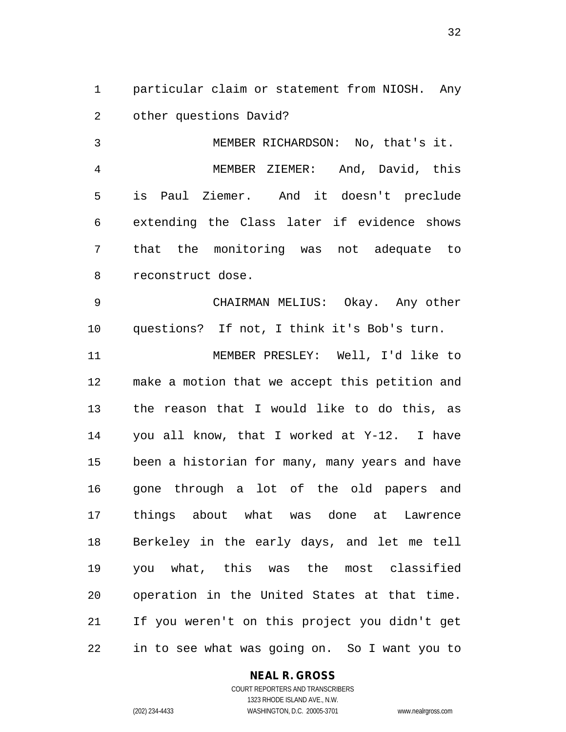particular claim or statement from NIOSH. Any other questions David?

 MEMBER RICHARDSON: No, that's it. MEMBER ZIEMER: And, David, this is Paul Ziemer. And it doesn't preclude extending the Class later if evidence shows that the monitoring was not adequate to reconstruct dose.

 CHAIRMAN MELIUS: Okay. Any other questions? If not, I think it's Bob's turn.

 MEMBER PRESLEY: Well, I'd like to make a motion that we accept this petition and the reason that I would like to do this, as you all know, that I worked at Y-12. I have been a historian for many, many years and have gone through a lot of the old papers and things about what was done at Lawrence Berkeley in the early days, and let me tell you what, this was the most classified operation in the United States at that time. If you weren't on this project you didn't get in to see what was going on. So I want you to

#### **NEAL R. GROSS**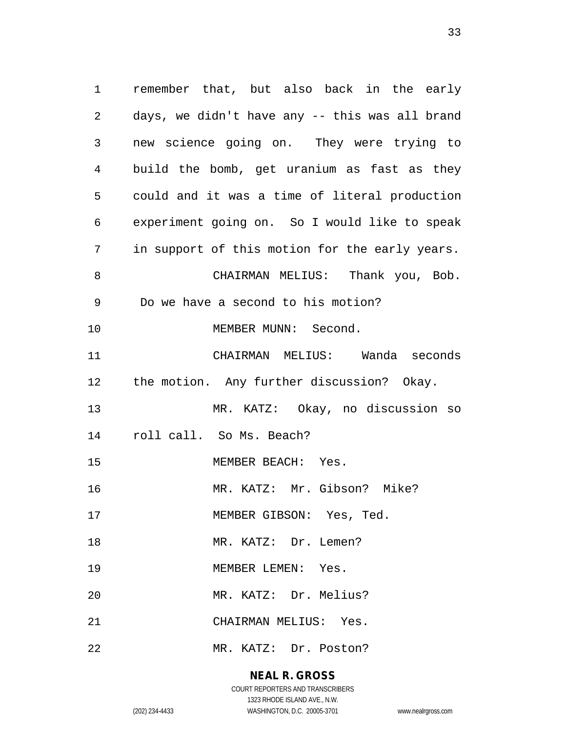remember that, but also back in the early days, we didn't have any -- this was all brand new science going on. They were trying to build the bomb, get uranium as fast as they could and it was a time of literal production experiment going on. So I would like to speak in support of this motion for the early years. CHAIRMAN MELIUS: Thank you, Bob. Do we have a second to his motion? MEMBER MUNN: Second. CHAIRMAN MELIUS: Wanda seconds the motion. Any further discussion? Okay. MR. KATZ: Okay, no discussion so roll call. So Ms. Beach? MEMBER BEACH: Yes. MR. KATZ: Mr. Gibson? Mike? MEMBER GIBSON: Yes, Ted. 18 MR. KATZ: Dr. Lemen? 19 MEMBER LEMEN: Yes. MR. KATZ: Dr. Melius? CHAIRMAN MELIUS: Yes. MR. KATZ: Dr. Poston?

# **NEAL R. GROSS**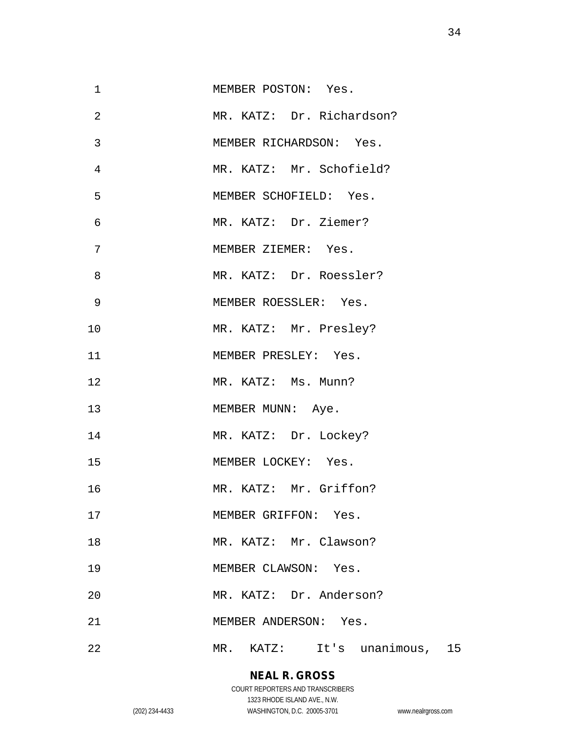| 1  | MEMBER POSTON: Yes.          |
|----|------------------------------|
| 2  | MR. KATZ: Dr. Richardson?    |
| 3  | MEMBER RICHARDSON: Yes.      |
| 4  | MR. KATZ: Mr. Schofield?     |
| 5  | MEMBER SCHOFIELD: Yes.       |
| 6  | MR. KATZ: Dr. Ziemer?        |
| 7  | MEMBER ZIEMER: Yes.          |
| 8  | MR. KATZ: Dr. Roessler?      |
| 9  | MEMBER ROESSLER: Yes.        |
| 10 | MR. KATZ: Mr. Presley?       |
| 11 | MEMBER PRESLEY: Yes.         |
| 12 | MR. KATZ: Ms. Munn?          |
| 13 | MEMBER MUNN: Aye.            |
| 14 | MR. KATZ: Dr. Lockey?        |
| 15 | MEMBER LOCKEY: Yes.          |
| 16 | MR. KATZ: Mr. Griffon?       |
| 17 | MEMBER GRIFFON: Yes.         |
| 18 | MR. KATZ: Mr. Clawson?       |
| 19 | MEMBER CLAWSON: Yes.         |
| 20 | MR. KATZ: Dr. Anderson?      |
| 21 | MEMBER ANDERSON: Yes.        |
| 22 | MR. KATZ: It's unanimous, 15 |

**NEAL R. GROSS** COURT REPORTERS AND TRANSCRIBERS

1323 RHODE ISLAND AVE., N.W.

(202) 234-4433 WASHINGTON, D.C. 20005-3701 www.nealrgross.com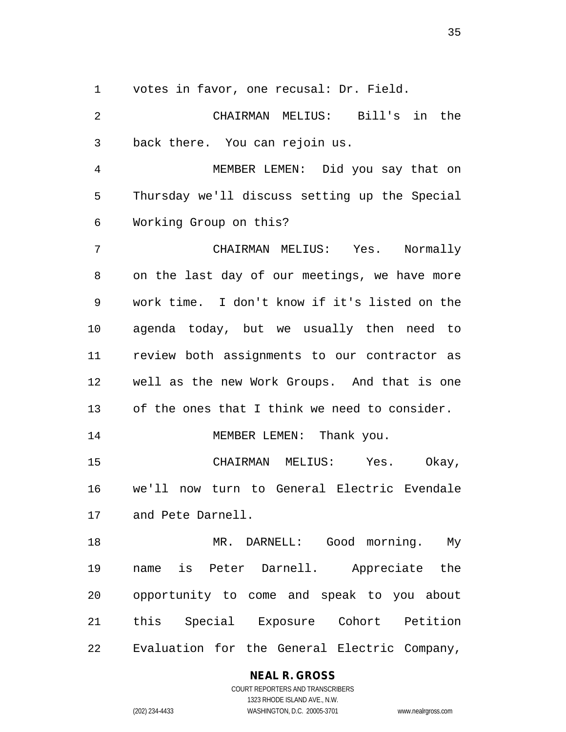votes in favor, one recusal: Dr. Field.

 CHAIRMAN MELIUS: Bill's in the back there. You can rejoin us.

 MEMBER LEMEN: Did you say that on Thursday we'll discuss setting up the Special Working Group on this?

 CHAIRMAN MELIUS: Yes. Normally on the last day of our meetings, we have more work time. I don't know if it's listed on the agenda today, but we usually then need to review both assignments to our contractor as well as the new Work Groups. And that is one of the ones that I think we need to consider. 14 MEMBER LEMEN: Thank you.

 CHAIRMAN MELIUS: Yes. Okay, we'll now turn to General Electric Evendale and Pete Darnell.

 MR. DARNELL: Good morning. My name is Peter Darnell. Appreciate the opportunity to come and speak to you about this Special Exposure Cohort Petition Evaluation for the General Electric Company,

**NEAL R. GROSS**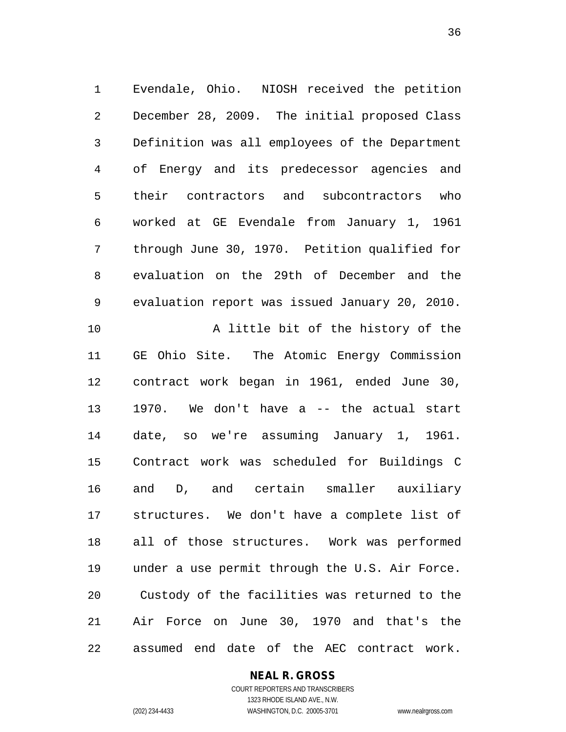Evendale, Ohio. NIOSH received the petition December 28, 2009. The initial proposed Class Definition was all employees of the Department of Energy and its predecessor agencies and their contractors and subcontractors who worked at GE Evendale from January 1, 1961 through June 30, 1970. Petition qualified for evaluation on the 29th of December and the evaluation report was issued January 20, 2010. A little bit of the history of the GE Ohio Site. The Atomic Energy Commission contract work began in 1961, ended June 30, 1970. We don't have a -- the actual start date, so we're assuming January 1, 1961. Contract work was scheduled for Buildings C and D, and certain smaller auxiliary structures. We don't have a complete list of all of those structures. Work was performed under a use permit through the U.S. Air Force. Custody of the facilities was returned to the Air Force on June 30, 1970 and that's the assumed end date of the AEC contract work.

# **NEAL R. GROSS**

COURT REPORTERS AND TRANSCRIBERS 1323 RHODE ISLAND AVE., N.W. (202) 234-4433 WASHINGTON, D.C. 20005-3701 www.nealrgross.com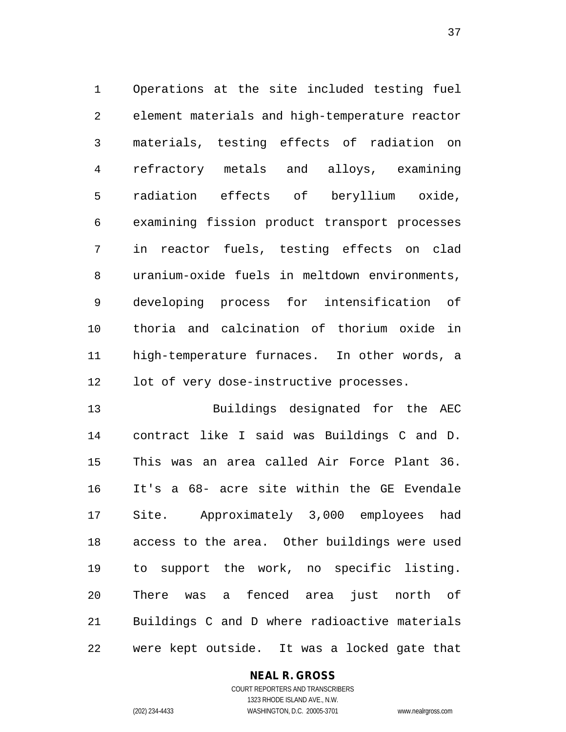Operations at the site included testing fuel element materials and high-temperature reactor materials, testing effects of radiation on refractory metals and alloys, examining radiation effects of beryllium oxide, examining fission product transport processes in reactor fuels, testing effects on clad uranium-oxide fuels in meltdown environments, developing process for intensification of thoria and calcination of thorium oxide in high-temperature furnaces. In other words, a lot of very dose-instructive processes.

 Buildings designated for the AEC contract like I said was Buildings C and D. This was an area called Air Force Plant 36. It's a 68- acre site within the GE Evendale Site. Approximately 3,000 employees had access to the area. Other buildings were used to support the work, no specific listing. There was a fenced area just north of Buildings C and D where radioactive materials were kept outside. It was a locked gate that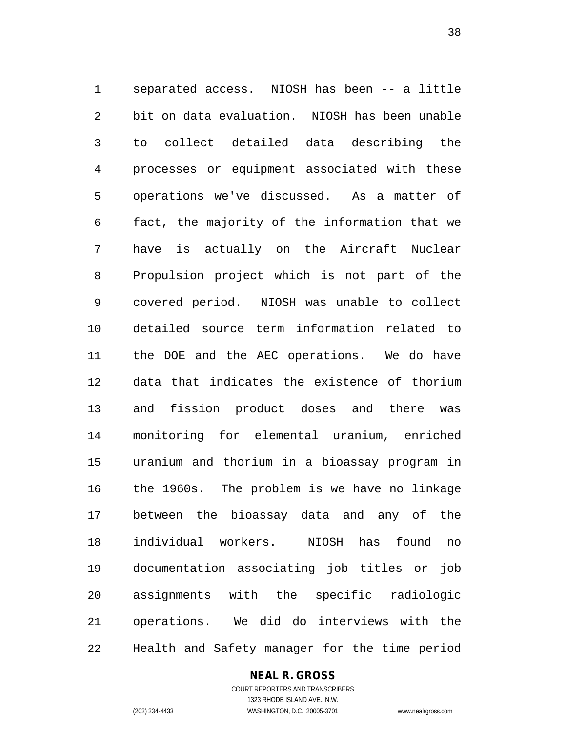separated access. NIOSH has been -- a little bit on data evaluation. NIOSH has been unable to collect detailed data describing the processes or equipment associated with these operations we've discussed. As a matter of fact, the majority of the information that we have is actually on the Aircraft Nuclear Propulsion project which is not part of the covered period. NIOSH was unable to collect detailed source term information related to the DOE and the AEC operations. We do have data that indicates the existence of thorium and fission product doses and there was monitoring for elemental uranium, enriched uranium and thorium in a bioassay program in the 1960s. The problem is we have no linkage between the bioassay data and any of the individual workers. NIOSH has found no documentation associating job titles or job assignments with the specific radiologic operations. We did do interviews with the Health and Safety manager for the time period

#### **NEAL R. GROSS**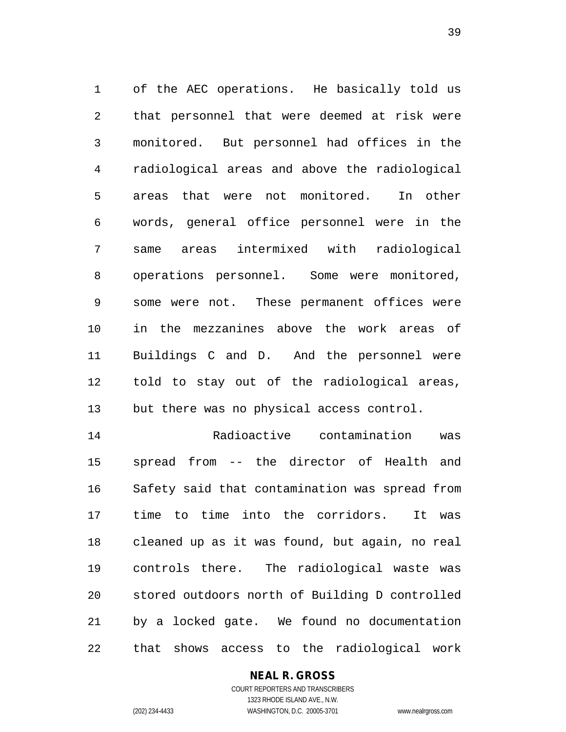of the AEC operations. He basically told us that personnel that were deemed at risk were monitored. But personnel had offices in the radiological areas and above the radiological areas that were not monitored. In other words, general office personnel were in the same areas intermixed with radiological operations personnel. Some were monitored, some were not. These permanent offices were in the mezzanines above the work areas of Buildings C and D. And the personnel were told to stay out of the radiological areas, but there was no physical access control.

 Radioactive contamination was spread from -- the director of Health and Safety said that contamination was spread from time to time into the corridors. It was cleaned up as it was found, but again, no real controls there. The radiological waste was stored outdoors north of Building D controlled by a locked gate. We found no documentation that shows access to the radiological work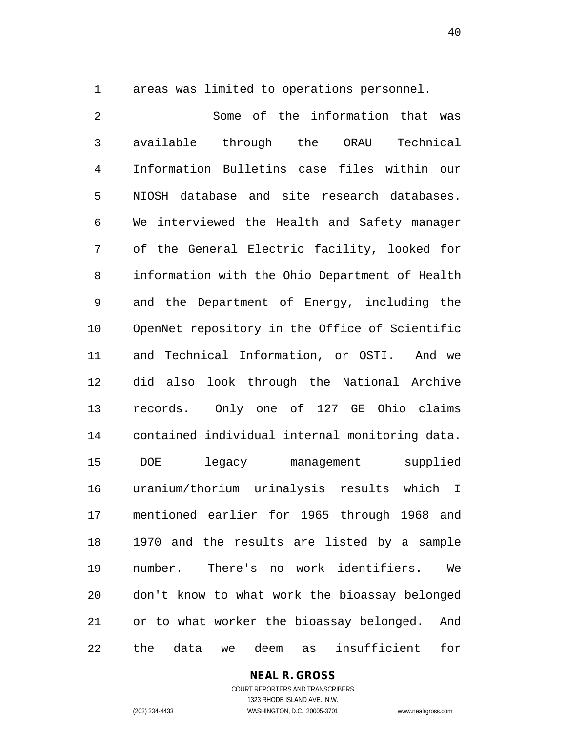areas was limited to operations personnel.

 Some of the information that was available through the ORAU Technical Information Bulletins case files within our NIOSH database and site research databases. We interviewed the Health and Safety manager of the General Electric facility, looked for information with the Ohio Department of Health and the Department of Energy, including the OpenNet repository in the Office of Scientific and Technical Information, or OSTI. And we did also look through the National Archive records. Only one of 127 GE Ohio claims contained individual internal monitoring data. DOE legacy management supplied uranium/thorium urinalysis results which I mentioned earlier for 1965 through 1968 and 1970 and the results are listed by a sample number. There's no work identifiers. We don't know to what work the bioassay belonged or to what worker the bioassay belonged. And the data we deem as insufficient for

## **NEAL R. GROSS**

COURT REPORTERS AND TRANSCRIBERS 1323 RHODE ISLAND AVE., N.W. (202) 234-4433 WASHINGTON, D.C. 20005-3701 www.nealrgross.com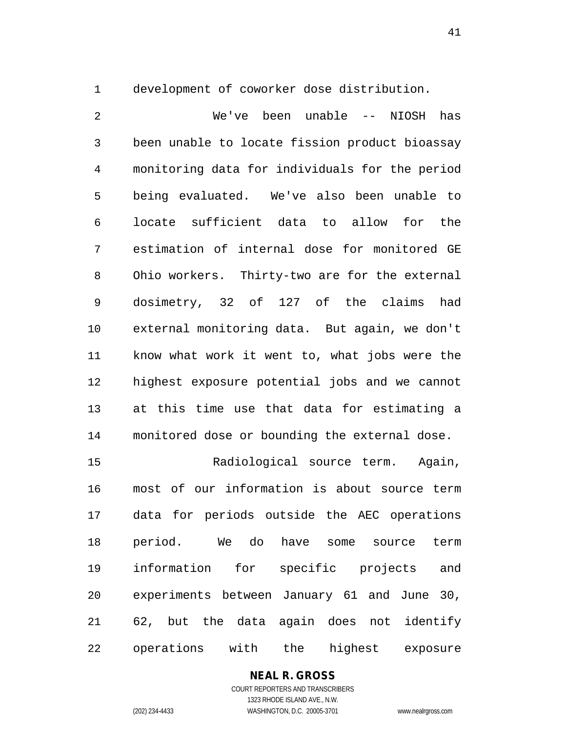development of coworker dose distribution.

 We've been unable -- NIOSH has been unable to locate fission product bioassay monitoring data for individuals for the period being evaluated. We've also been unable to locate sufficient data to allow for the estimation of internal dose for monitored GE Ohio workers. Thirty-two are for the external dosimetry, 32 of 127 of the claims had external monitoring data. But again, we don't know what work it went to, what jobs were the highest exposure potential jobs and we cannot at this time use that data for estimating a monitored dose or bounding the external dose.

 Radiological source term. Again, most of our information is about source term data for periods outside the AEC operations period. We do have some source term information for specific projects and experiments between January 61 and June 30, 62, but the data again does not identify operations with the highest exposure

**NEAL R. GROSS**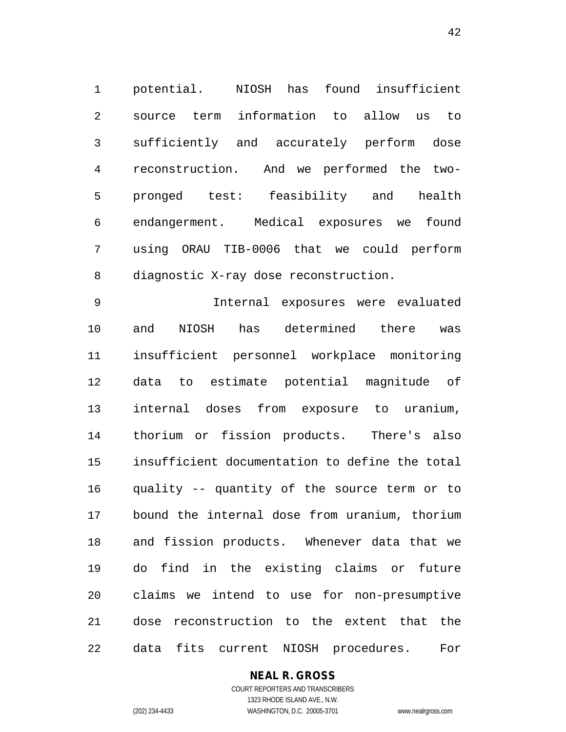potential. NIOSH has found insufficient source term information to allow us to sufficiently and accurately perform dose reconstruction. And we performed the two- pronged test: feasibility and health endangerment. Medical exposures we found using ORAU TIB-0006 that we could perform diagnostic X-ray dose reconstruction.

 Internal exposures were evaluated and NIOSH has determined there was insufficient personnel workplace monitoring data to estimate potential magnitude of internal doses from exposure to uranium, thorium or fission products. There's also insufficient documentation to define the total quality -- quantity of the source term or to bound the internal dose from uranium, thorium and fission products. Whenever data that we do find in the existing claims or future claims we intend to use for non-presumptive dose reconstruction to the extent that the data fits current NIOSH procedures. For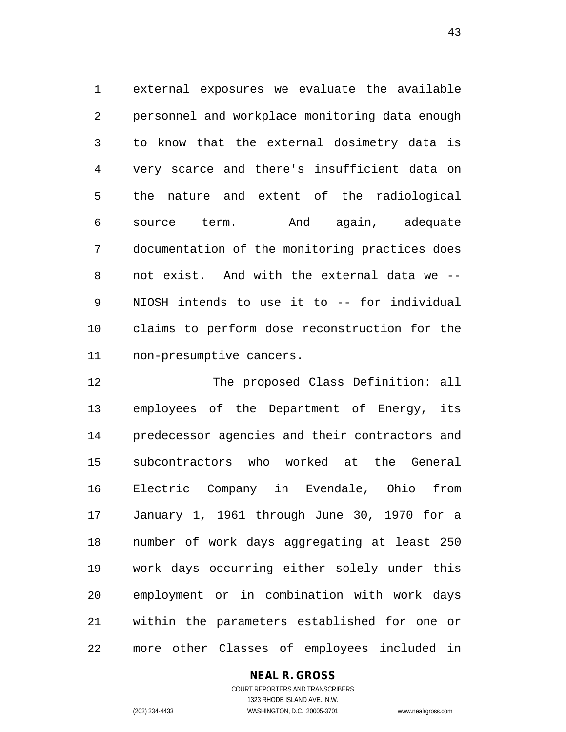external exposures we evaluate the available personnel and workplace monitoring data enough to know that the external dosimetry data is very scarce and there's insufficient data on the nature and extent of the radiological source term. And again, adequate documentation of the monitoring practices does not exist. And with the external data we -- NIOSH intends to use it to -- for individual claims to perform dose reconstruction for the non-presumptive cancers.

12 The proposed Class Definition: all employees of the Department of Energy, its predecessor agencies and their contractors and subcontractors who worked at the General Electric Company in Evendale, Ohio from January 1, 1961 through June 30, 1970 for a number of work days aggregating at least 250 work days occurring either solely under this employment or in combination with work days within the parameters established for one or more other Classes of employees included in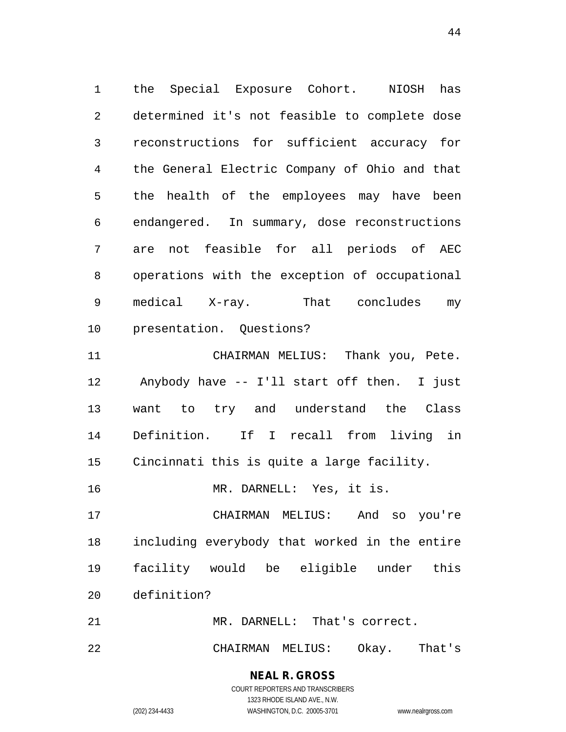the Special Exposure Cohort. NIOSH has determined it's not feasible to complete dose reconstructions for sufficient accuracy for the General Electric Company of Ohio and that the health of the employees may have been endangered. In summary, dose reconstructions are not feasible for all periods of AEC operations with the exception of occupational medical X-ray. That concludes my presentation. Questions?

 CHAIRMAN MELIUS: Thank you, Pete. Anybody have -- I'll start off then. I just want to try and understand the Class Definition. If I recall from living in Cincinnati this is quite a large facility.

MR. DARNELL: Yes, it is.

 CHAIRMAN MELIUS: And so you're including everybody that worked in the entire facility would be eligible under this definition?

 MR. DARNELL: That's correct. CHAIRMAN MELIUS: Okay. That's

> **NEAL R. GROSS** COURT REPORTERS AND TRANSCRIBERS 1323 RHODE ISLAND AVE., N.W.

(202) 234-4433 WASHINGTON, D.C. 20005-3701 www.nealrgross.com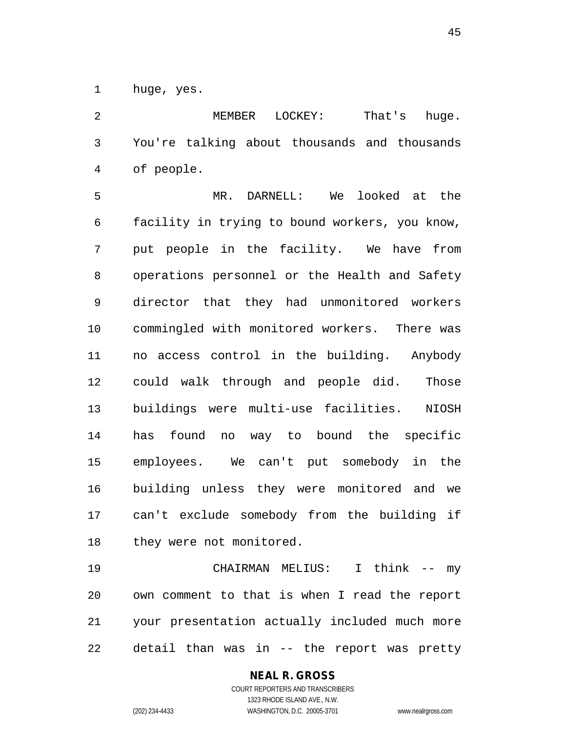huge, yes.

 MEMBER LOCKEY: That's huge. You're talking about thousands and thousands of people.

 MR. DARNELL: We looked at the facility in trying to bound workers, you know, put people in the facility. We have from operations personnel or the Health and Safety director that they had unmonitored workers commingled with monitored workers. There was no access control in the building. Anybody could walk through and people did. Those buildings were multi-use facilities. NIOSH has found no way to bound the specific employees. We can't put somebody in the building unless they were monitored and we can't exclude somebody from the building if they were not monitored.

 CHAIRMAN MELIUS: I think -- my own comment to that is when I read the report your presentation actually included much more detail than was in -- the report was pretty

## **NEAL R. GROSS**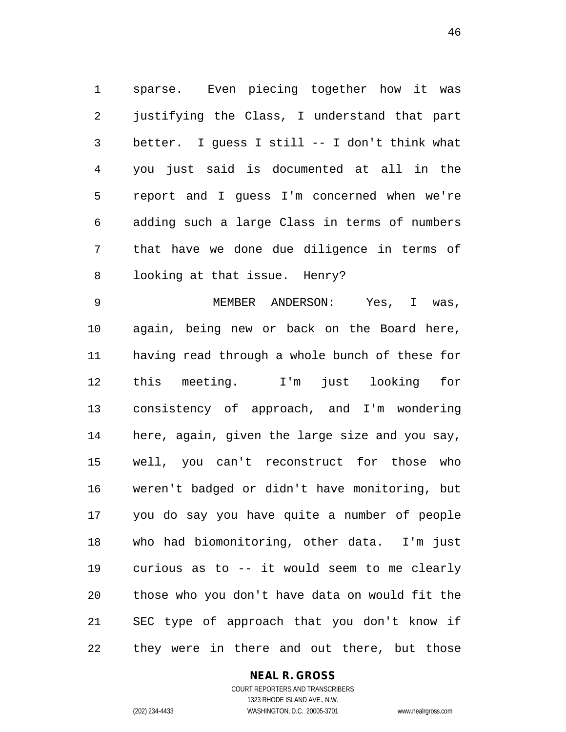sparse. Even piecing together how it was justifying the Class, I understand that part better. I guess I still -- I don't think what you just said is documented at all in the report and I guess I'm concerned when we're adding such a large Class in terms of numbers that have we done due diligence in terms of looking at that issue. Henry?

 MEMBER ANDERSON: Yes, I was, again, being new or back on the Board here, having read through a whole bunch of these for this meeting. I'm just looking for consistency of approach, and I'm wondering here, again, given the large size and you say, well, you can't reconstruct for those who weren't badged or didn't have monitoring, but you do say you have quite a number of people who had biomonitoring, other data. I'm just curious as to -- it would seem to me clearly those who you don't have data on would fit the SEC type of approach that you don't know if they were in there and out there, but those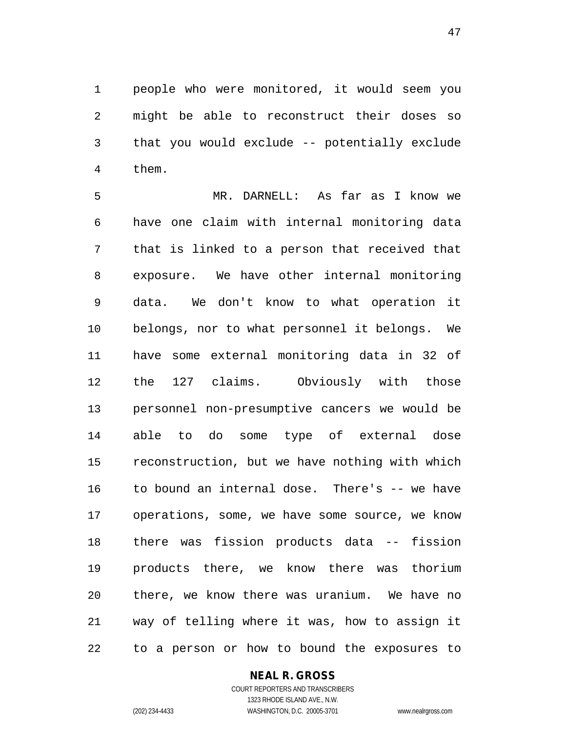people who were monitored, it would seem you might be able to reconstruct their doses so that you would exclude -- potentially exclude them.

 MR. DARNELL: As far as I know we have one claim with internal monitoring data that is linked to a person that received that exposure. We have other internal monitoring data. We don't know to what operation it belongs, nor to what personnel it belongs. We have some external monitoring data in 32 of the 127 claims. Obviously with those personnel non-presumptive cancers we would be able to do some type of external dose reconstruction, but we have nothing with which to bound an internal dose. There's -- we have operations, some, we have some source, we know there was fission products data -- fission products there, we know there was thorium there, we know there was uranium. We have no way of telling where it was, how to assign it to a person or how to bound the exposures to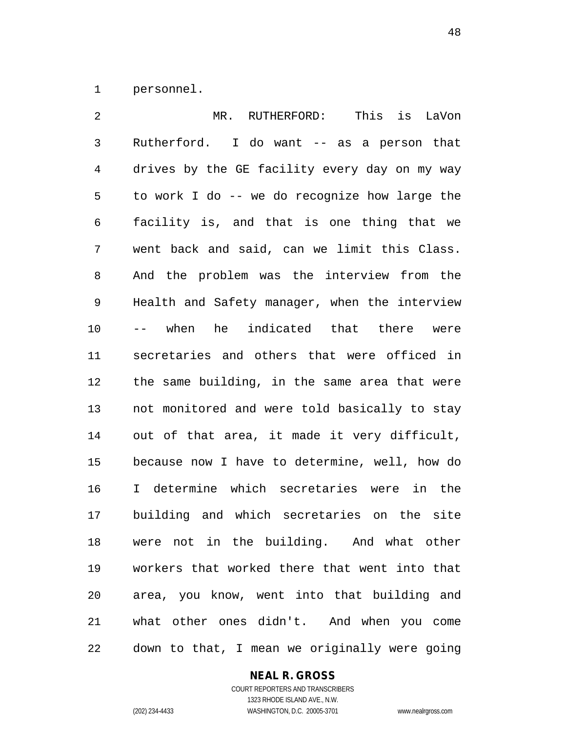personnel.

 MR. RUTHERFORD: This is LaVon Rutherford. I do want -- as a person that drives by the GE facility every day on my way to work I do -- we do recognize how large the facility is, and that is one thing that we went back and said, can we limit this Class. And the problem was the interview from the Health and Safety manager, when the interview -- when he indicated that there were secretaries and others that were officed in the same building, in the same area that were not monitored and were told basically to stay out of that area, it made it very difficult, because now I have to determine, well, how do I determine which secretaries were in the building and which secretaries on the site were not in the building. And what other workers that worked there that went into that area, you know, went into that building and what other ones didn't. And when you come down to that, I mean we originally were going

#### **NEAL R. GROSS** COURT REPORTERS AND TRANSCRIBERS

1323 RHODE ISLAND AVE., N.W. (202) 234-4433 WASHINGTON, D.C. 20005-3701 www.nealrgross.com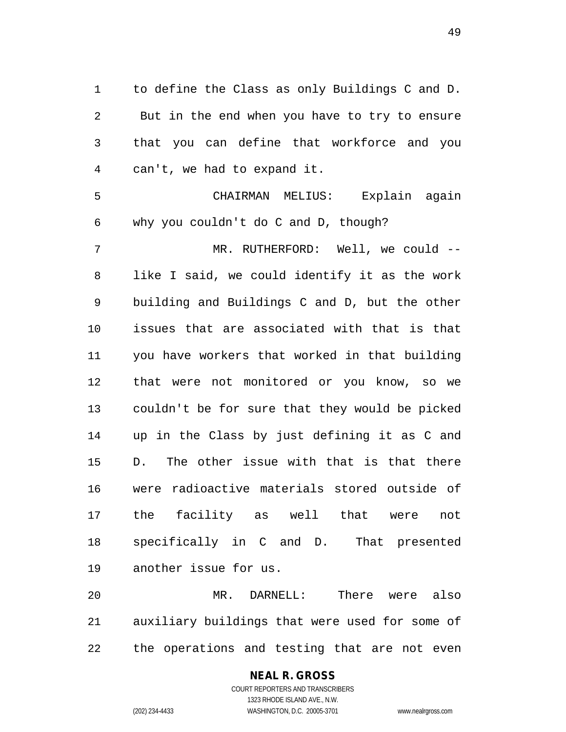to define the Class as only Buildings C and D. But in the end when you have to try to ensure that you can define that workforce and you can't, we had to expand it.

 CHAIRMAN MELIUS: Explain again why you couldn't do C and D, though? 7 MR. RUTHERFORD: Well, we could --

 like I said, we could identify it as the work building and Buildings C and D, but the other issues that are associated with that is that you have workers that worked in that building that were not monitored or you know, so we couldn't be for sure that they would be picked up in the Class by just defining it as C and D. The other issue with that is that there were radioactive materials stored outside of the facility as well that were not specifically in C and D. That presented another issue for us.

 MR. DARNELL: There were also auxiliary buildings that were used for some of the operations and testing that are not even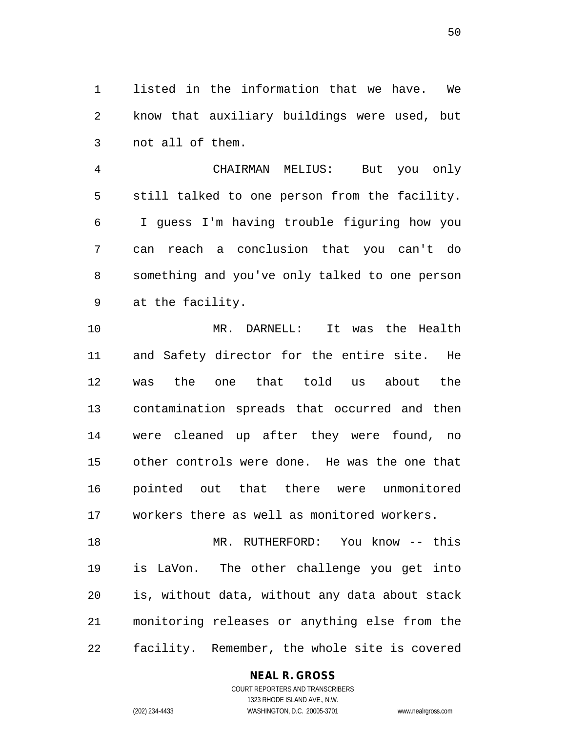listed in the information that we have. We know that auxiliary buildings were used, but not all of them.

 CHAIRMAN MELIUS: But you only still talked to one person from the facility. I guess I'm having trouble figuring how you can reach a conclusion that you can't do something and you've only talked to one person at the facility.

 MR. DARNELL: It was the Health and Safety director for the entire site. He was the one that told us about the contamination spreads that occurred and then were cleaned up after they were found, no other controls were done. He was the one that pointed out that there were unmonitored workers there as well as monitored workers.

 MR. RUTHERFORD: You know -- this is LaVon. The other challenge you get into is, without data, without any data about stack monitoring releases or anything else from the facility. Remember, the whole site is covered

**NEAL R. GROSS**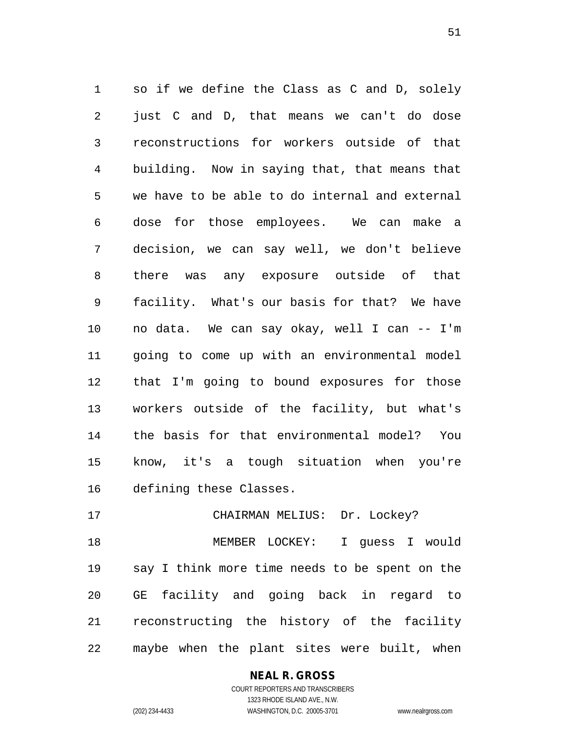so if we define the Class as C and D, solely just C and D, that means we can't do dose reconstructions for workers outside of that building. Now in saying that, that means that we have to be able to do internal and external dose for those employees. We can make a decision, we can say well, we don't believe there was any exposure outside of that facility. What's our basis for that? We have no data. We can say okay, well I can -- I'm going to come up with an environmental model that I'm going to bound exposures for those workers outside of the facility, but what's the basis for that environmental model? You know, it's a tough situation when you're defining these Classes.

17 CHAIRMAN MELIUS: Dr. Lockey?

 MEMBER LOCKEY: I guess I would say I think more time needs to be spent on the GE facility and going back in regard to reconstructing the history of the facility maybe when the plant sites were built, when

# **NEAL R. GROSS**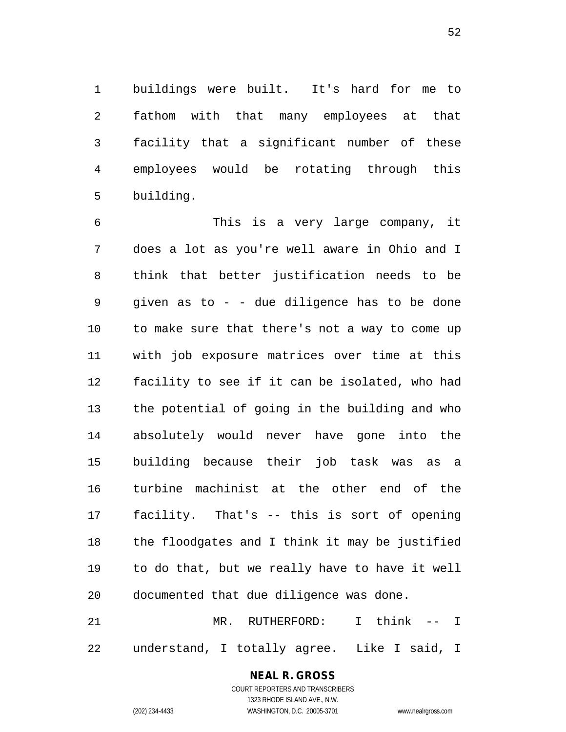buildings were built. It's hard for me to fathom with that many employees at that facility that a significant number of these employees would be rotating through this building.

 This is a very large company, it does a lot as you're well aware in Ohio and I think that better justification needs to be given as to - - due diligence has to be done to make sure that there's not a way to come up with job exposure matrices over time at this facility to see if it can be isolated, who had the potential of going in the building and who absolutely would never have gone into the building because their job task was as a turbine machinist at the other end of the facility. That's -- this is sort of opening the floodgates and I think it may be justified to do that, but we really have to have it well documented that due diligence was done. MR. RUTHERFORD: I think -- I

understand, I totally agree. Like I said, I

## **NEAL R. GROSS**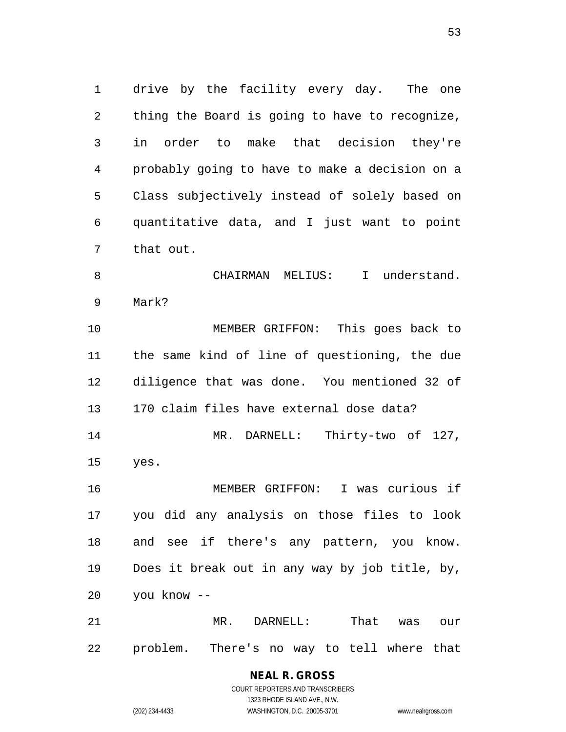drive by the facility every day. The one thing the Board is going to have to recognize, in order to make that decision they're probably going to have to make a decision on a Class subjectively instead of solely based on quantitative data, and I just want to point that out.

 CHAIRMAN MELIUS: I understand. Mark?

 MEMBER GRIFFON: This goes back to the same kind of line of questioning, the due diligence that was done. You mentioned 32 of 170 claim files have external dose data? MR. DARNELL: Thirty-two of 127, yes. MEMBER GRIFFON: I was curious if you did any analysis on those files to look

 and see if there's any pattern, you know. Does it break out in any way by job title, by, you know --

 MR. DARNELL: That was our problem. There's no way to tell where that

# **NEAL R. GROSS**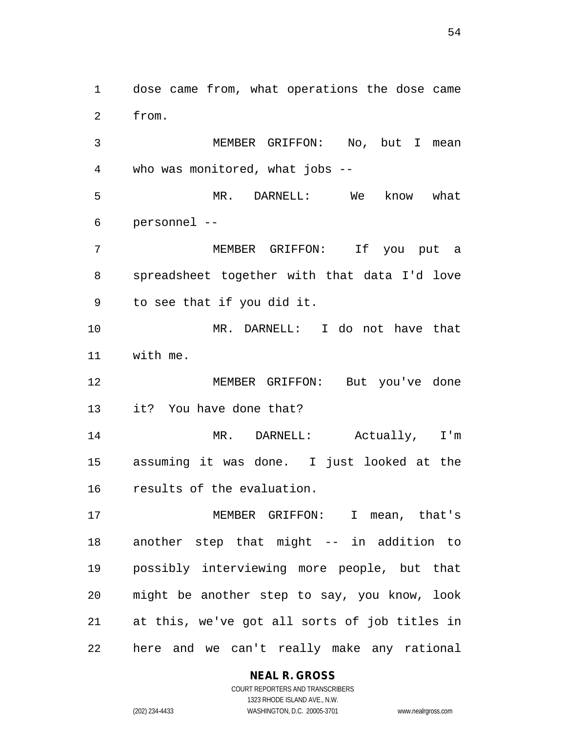dose came from, what operations the dose came from.

 MEMBER GRIFFON: No, but I mean who was monitored, what jobs --

 MR. DARNELL: We know what personnel --

 MEMBER GRIFFON: If you put a spreadsheet together with that data I'd love to see that if you did it.

 MR. DARNELL: I do not have that with me.

 MEMBER GRIFFON: But you've done it? You have done that?

 MR. DARNELL: Actually, I'm assuming it was done. I just looked at the results of the evaluation.

 MEMBER GRIFFON: I mean, that's another step that might -- in addition to possibly interviewing more people, but that might be another step to say, you know, look at this, we've got all sorts of job titles in here and we can't really make any rational

**NEAL R. GROSS**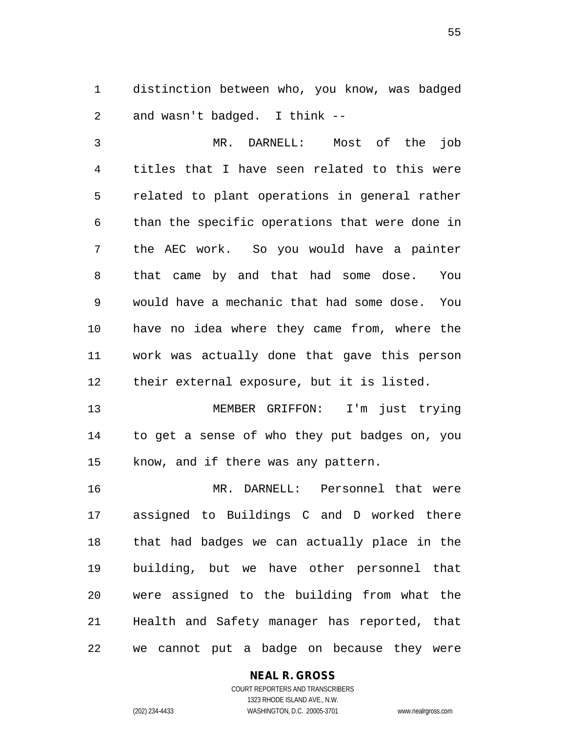distinction between who, you know, was badged and wasn't badged. I think --

 MR. DARNELL: Most of the job titles that I have seen related to this were related to plant operations in general rather than the specific operations that were done in the AEC work. So you would have a painter that came by and that had some dose. You would have a mechanic that had some dose. You have no idea where they came from, where the work was actually done that gave this person their external exposure, but it is listed.

 MEMBER GRIFFON: I'm just trying to get a sense of who they put badges on, you know, and if there was any pattern.

 MR. DARNELL: Personnel that were assigned to Buildings C and D worked there that had badges we can actually place in the building, but we have other personnel that were assigned to the building from what the Health and Safety manager has reported, that we cannot put a badge on because they were

## **NEAL R. GROSS**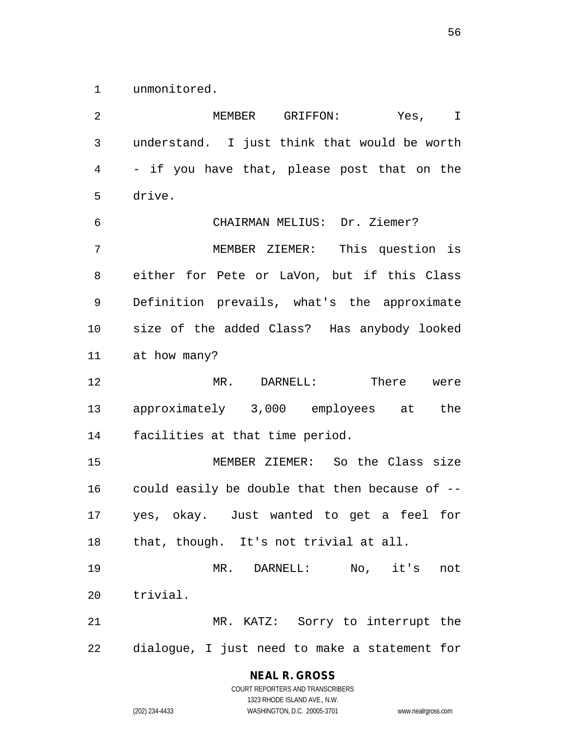unmonitored.

 MEMBER GRIFFON: Yes, I understand. I just think that would be worth - if you have that, please post that on the drive. CHAIRMAN MELIUS: Dr. Ziemer? MEMBER ZIEMER: This question is either for Pete or LaVon, but if this Class Definition prevails, what's the approximate size of the added Class? Has anybody looked at how many? MR. DARNELL: There were approximately 3,000 employees at the facilities at that time period. MEMBER ZIEMER: So the Class size could easily be double that then because of -- yes, okay. Just wanted to get a feel for that, though. It's not trivial at all. MR. DARNELL: No, it's not trivial. MR. KATZ: Sorry to interrupt the dialogue, I just need to make a statement for

> COURT REPORTERS AND TRANSCRIBERS 1323 RHODE ISLAND AVE., N.W. (202) 234-4433 WASHINGTON, D.C. 20005-3701 www.nealrgross.com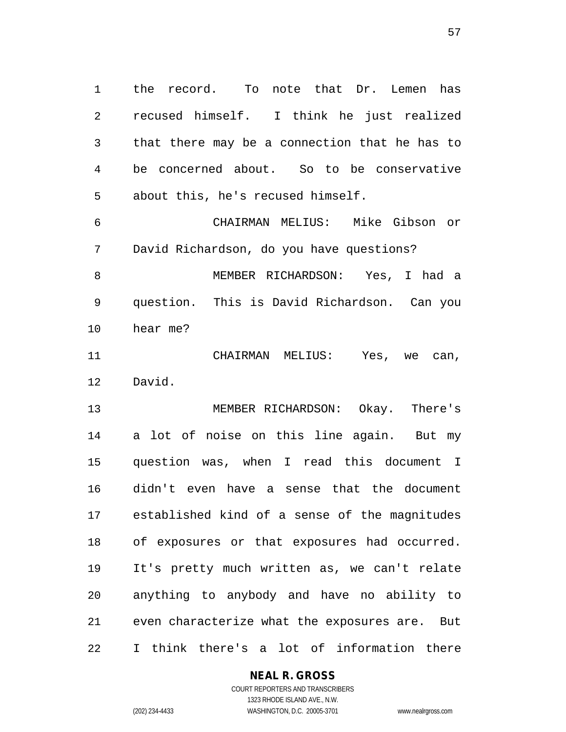the record. To note that Dr. Lemen has recused himself. I think he just realized that there may be a connection that he has to be concerned about. So to be conservative about this, he's recused himself. CHAIRMAN MELIUS: Mike Gibson or David Richardson, do you have questions?

 MEMBER RICHARDSON: Yes, I had a question. This is David Richardson. Can you hear me?

 CHAIRMAN MELIUS: Yes, we can, David.

 MEMBER RICHARDSON: Okay. There's a lot of noise on this line again. But my question was, when I read this document I didn't even have a sense that the document established kind of a sense of the magnitudes of exposures or that exposures had occurred. It's pretty much written as, we can't relate anything to anybody and have no ability to even characterize what the exposures are. But I think there's a lot of information there

**NEAL R. GROSS**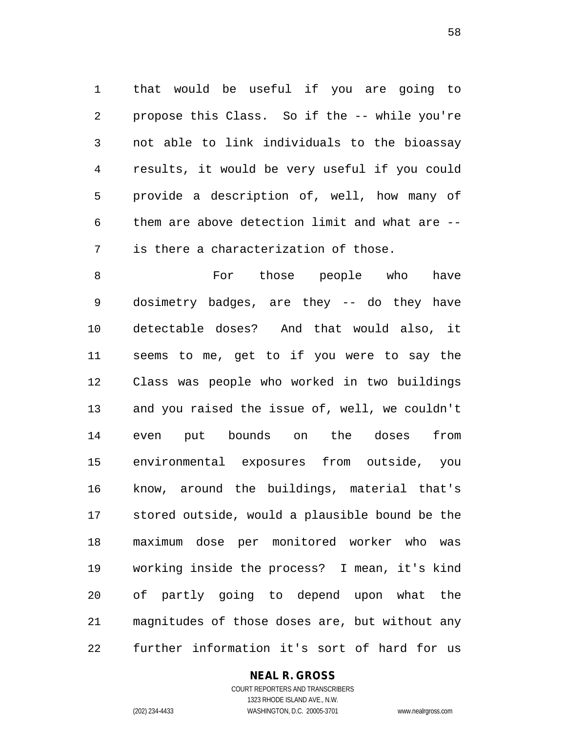that would be useful if you are going to propose this Class. So if the -- while you're not able to link individuals to the bioassay results, it would be very useful if you could provide a description of, well, how many of them are above detection limit and what are -- is there a characterization of those.

 For those people who have dosimetry badges, are they -- do they have detectable doses? And that would also, it seems to me, get to if you were to say the Class was people who worked in two buildings and you raised the issue of, well, we couldn't even put bounds on the doses from environmental exposures from outside, you know, around the buildings, material that's stored outside, would a plausible bound be the maximum dose per monitored worker who was working inside the process? I mean, it's kind of partly going to depend upon what the magnitudes of those doses are, but without any further information it's sort of hard for us

#### **NEAL R. GROSS** COURT REPORTERS AND TRANSCRIBERS

1323 RHODE ISLAND AVE., N.W. (202) 234-4433 WASHINGTON, D.C. 20005-3701 www.nealrgross.com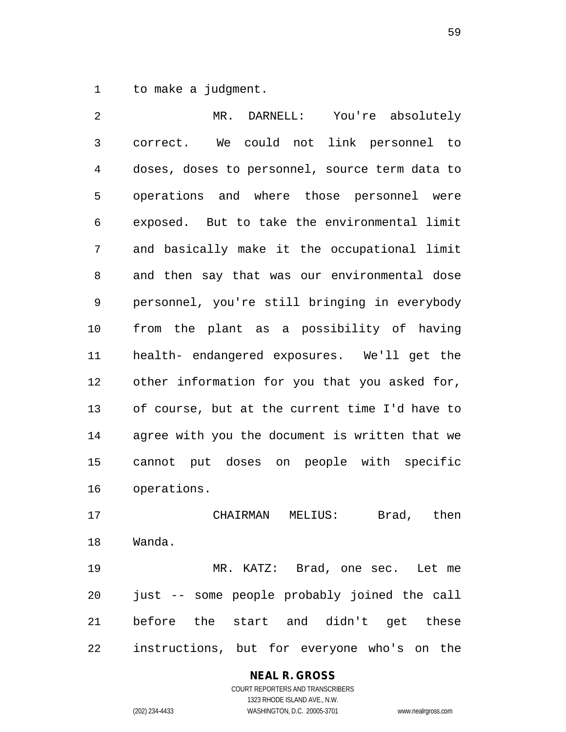to make a judgment.

 MR. DARNELL: You're absolutely correct. We could not link personnel to doses, doses to personnel, source term data to operations and where those personnel were exposed. But to take the environmental limit and basically make it the occupational limit and then say that was our environmental dose personnel, you're still bringing in everybody from the plant as a possibility of having health- endangered exposures. We'll get the other information for you that you asked for, of course, but at the current time I'd have to agree with you the document is written that we cannot put doses on people with specific operations. CHAIRMAN MELIUS: Brad, then Wanda.

 MR. KATZ: Brad, one sec. Let me just -- some people probably joined the call before the start and didn't get these instructions, but for everyone who's on the

# **NEAL R. GROSS**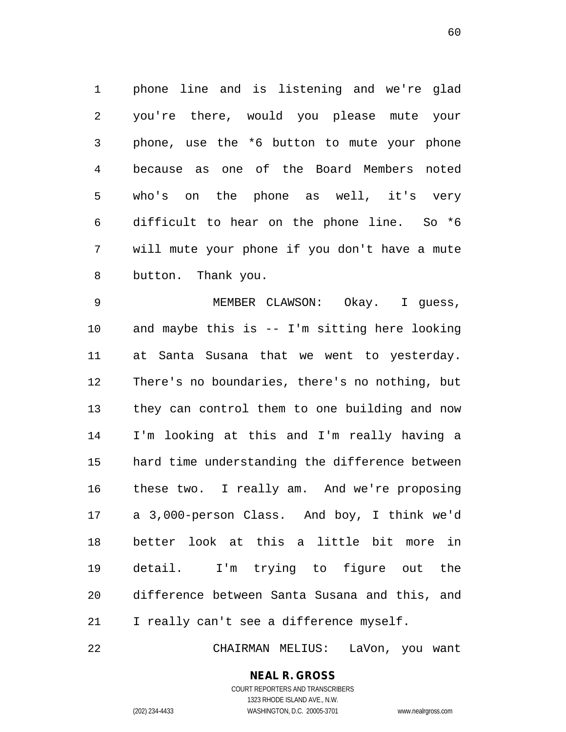phone line and is listening and we're glad you're there, would you please mute your phone, use the \*6 button to mute your phone because as one of the Board Members noted who's on the phone as well, it's very difficult to hear on the phone line. So \*6 will mute your phone if you don't have a mute button. Thank you.

 MEMBER CLAWSON: Okay. I guess, and maybe this is -- I'm sitting here looking at Santa Susana that we went to yesterday. There's no boundaries, there's no nothing, but they can control them to one building and now I'm looking at this and I'm really having a hard time understanding the difference between these two. I really am. And we're proposing a 3,000-person Class. And boy, I think we'd better look at this a little bit more in detail. I'm trying to figure out the difference between Santa Susana and this, and I really can't see a difference myself.

CHAIRMAN MELIUS: LaVon, you want

#### **NEAL R. GROSS** COURT REPORTERS AND TRANSCRIBERS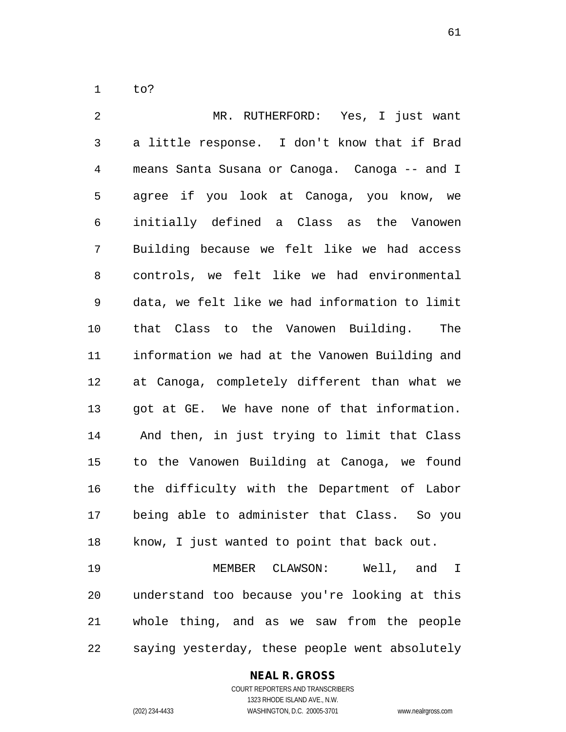to?

 MR. RUTHERFORD: Yes, I just want a little response. I don't know that if Brad means Santa Susana or Canoga. Canoga -- and I agree if you look at Canoga, you know, we initially defined a Class as the Vanowen Building because we felt like we had access controls, we felt like we had environmental data, we felt like we had information to limit that Class to the Vanowen Building. The information we had at the Vanowen Building and at Canoga, completely different than what we got at GE. We have none of that information. And then, in just trying to limit that Class to the Vanowen Building at Canoga, we found the difficulty with the Department of Labor being able to administer that Class. So you know, I just wanted to point that back out. MEMBER CLAWSON: Well, and I understand too because you're looking at this

 whole thing, and as we saw from the people saying yesterday, these people went absolutely

#### **NEAL R. GROSS** COURT REPORTERS AND TRANSCRIBERS

1323 RHODE ISLAND AVE., N.W. (202) 234-4433 WASHINGTON, D.C. 20005-3701 www.nealrgross.com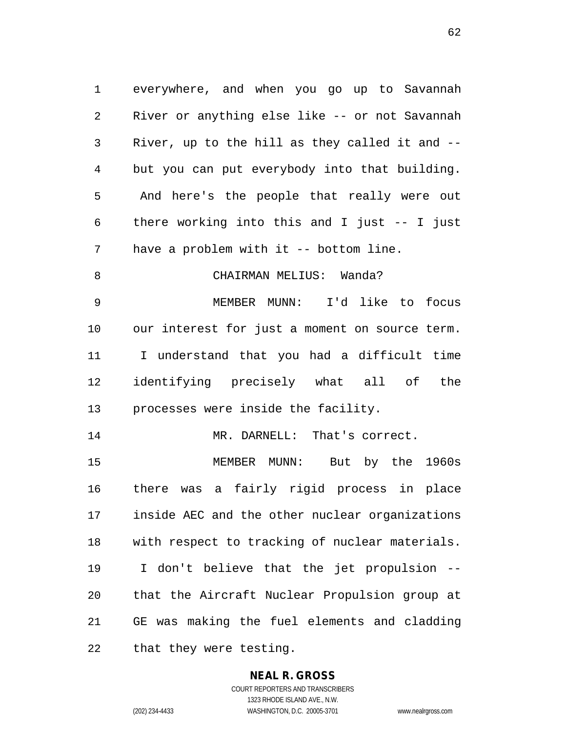everywhere, and when you go up to Savannah River or anything else like -- or not Savannah River, up to the hill as they called it and -- but you can put everybody into that building. And here's the people that really were out there working into this and I just -- I just 7 have a problem with it -- bottom line. CHAIRMAN MELIUS: Wanda? MEMBER MUNN: I'd like to focus our interest for just a moment on source term. I understand that you had a difficult time identifying precisely what all of the processes were inside the facility. 14 MR. DARNELL: That's correct. MEMBER MUNN: But by the 1960s there was a fairly rigid process in place inside AEC and the other nuclear organizations with respect to tracking of nuclear materials.

 I don't believe that the jet propulsion -- that the Aircraft Nuclear Propulsion group at GE was making the fuel elements and cladding that they were testing.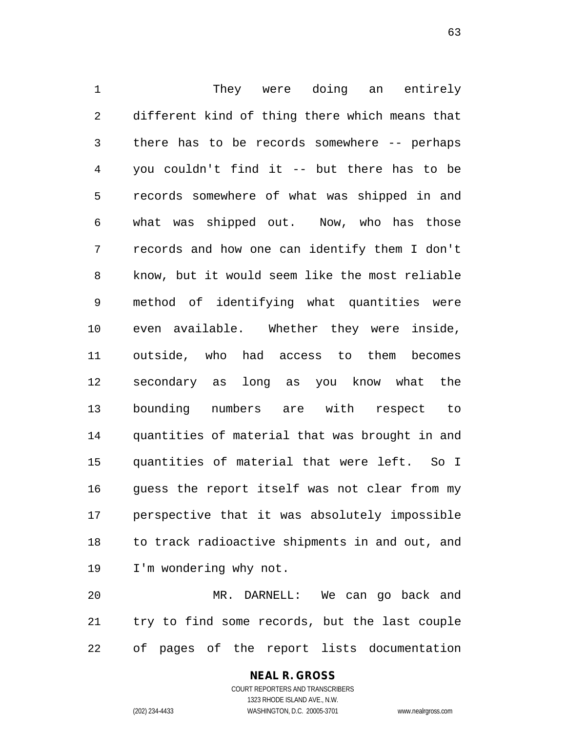1 They were doing an entirely different kind of thing there which means that there has to be records somewhere -- perhaps you couldn't find it -- but there has to be records somewhere of what was shipped in and what was shipped out. Now, who has those records and how one can identify them I don't know, but it would seem like the most reliable method of identifying what quantities were even available. Whether they were inside, outside, who had access to them becomes secondary as long as you know what the bounding numbers are with respect to quantities of material that was brought in and quantities of material that were left. So I guess the report itself was not clear from my perspective that it was absolutely impossible to track radioactive shipments in and out, and I'm wondering why not.

 MR. DARNELL: We can go back and try to find some records, but the last couple of pages of the report lists documentation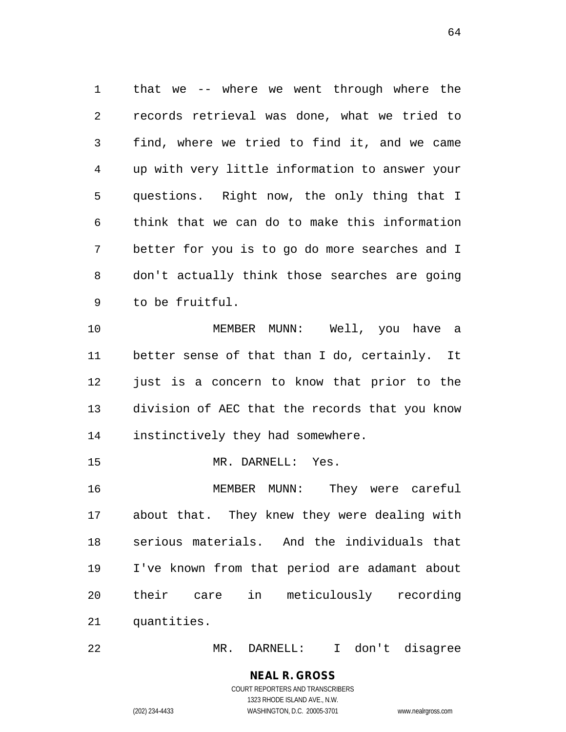that we -- where we went through where the records retrieval was done, what we tried to find, where we tried to find it, and we came up with very little information to answer your questions. Right now, the only thing that I think that we can do to make this information better for you is to go do more searches and I don't actually think those searches are going to be fruitful.

 MEMBER MUNN: Well, you have a better sense of that than I do, certainly. It just is a concern to know that prior to the division of AEC that the records that you know instinctively they had somewhere.

15 MR. DARNELL: Yes.

 MEMBER MUNN: They were careful about that. They knew they were dealing with serious materials. And the individuals that I've known from that period are adamant about their care in meticulously recording quantities.

MR. DARNELL: I don't disagree

**NEAL R. GROSS** COURT REPORTERS AND TRANSCRIBERS 1323 RHODE ISLAND AVE., N.W. (202) 234-4433 WASHINGTON, D.C. 20005-3701 www.nealrgross.com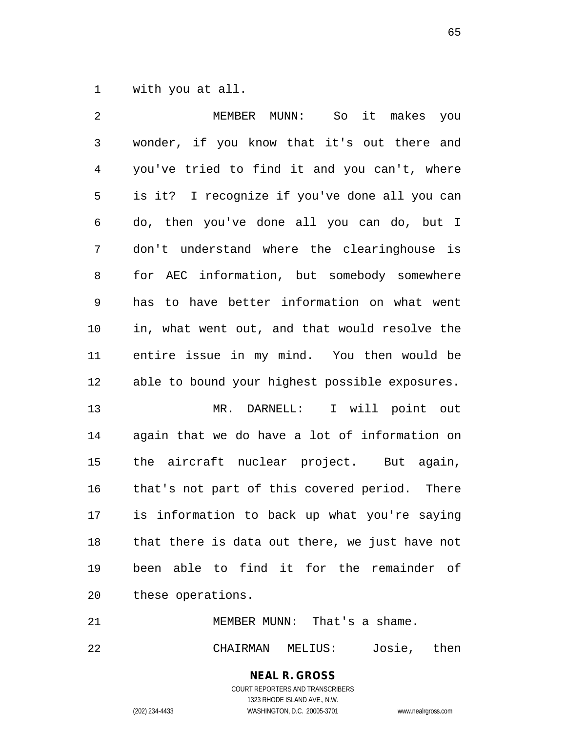with you at all.

| 2              | it makes you<br>MEMBER MUNN:<br>So             |
|----------------|------------------------------------------------|
| $\mathfrak{Z}$ | wonder, if you know that it's out there and    |
| 4              | you've tried to find it and you can't, where   |
| 5              | is it? I recognize if you've done all you can  |
| 6              | do, then you've done all you can do, but I     |
| 7              | don't understand where the clearinghouse is    |
| 8              | for AEC information, but somebody somewhere    |
| 9              | has to have better information on what went    |
| 10             | in, what went out, and that would resolve the  |
| 11             | entire issue in my mind. You then would be     |
| 12             | able to bound your highest possible exposures. |
| 13             | MR. DARNELL: I will point out                  |
| 14             | again that we do have a lot of information on  |
| 15             | the aircraft nuclear project. But again,       |
| 16             | that's not part of this covered period. There  |
| 17             | is information to back up what you're saying   |
| 18             | that there is data out there, we just have not |
| 19             | been able to find it for the remainder of      |
| 20             | these operations.                              |
|                |                                                |

CHAIRMAN MELIUS: Josie, then

21 MEMBER MUNN: That's a shame.

**NEAL R. GROSS** COURT REPORTERS AND TRANSCRIBERS

1323 RHODE ISLAND AVE., N.W.

(202) 234-4433 WASHINGTON, D.C. 20005-3701 www.nealrgross.com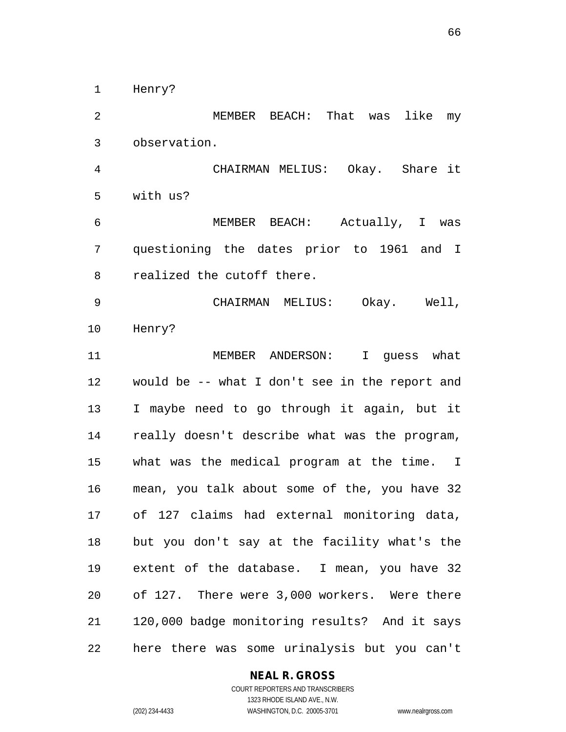Henry?

 MEMBER BEACH: That was like my observation.

 CHAIRMAN MELIUS: Okay. Share it with us?

 MEMBER BEACH: Actually, I was questioning the dates prior to 1961 and I realized the cutoff there.

 CHAIRMAN MELIUS: Okay. Well, Henry?

 MEMBER ANDERSON: I guess what would be -- what I don't see in the report and I maybe need to go through it again, but it really doesn't describe what was the program, what was the medical program at the time. I mean, you talk about some of the, you have 32 of 127 claims had external monitoring data, but you don't say at the facility what's the extent of the database. I mean, you have 32 of 127. There were 3,000 workers. Were there 120,000 badge monitoring results? And it says here there was some urinalysis but you can't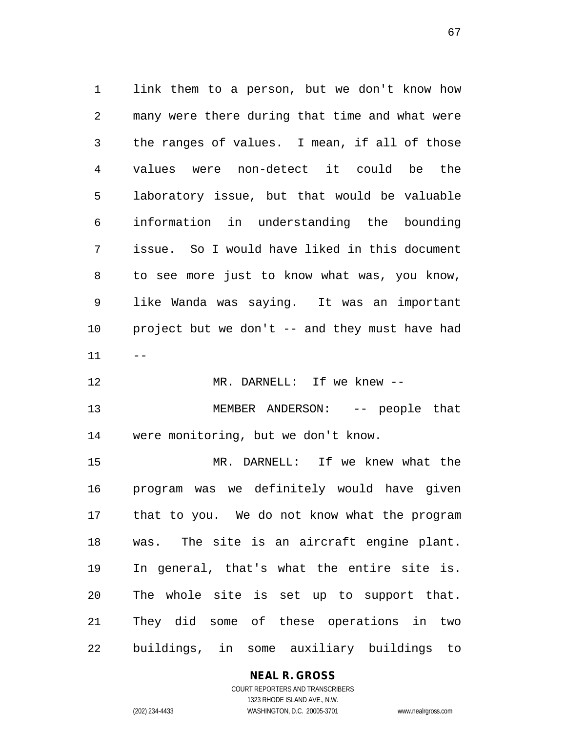link them to a person, but we don't know how many were there during that time and what were the ranges of values. I mean, if all of those values were non-detect it could be the laboratory issue, but that would be valuable information in understanding the bounding issue. So I would have liked in this document to see more just to know what was, you know, like Wanda was saying. It was an important project but we don't -- and they must have had  $11 - -$ 12 MR. DARNELL: If we knew --13 MEMBER ANDERSON: -- people that were monitoring, but we don't know. MR. DARNELL: If we knew what the program was we definitely would have given that to you. We do not know what the program was. The site is an aircraft engine plant. In general, that's what the entire site is. The whole site is set up to support that. They did some of these operations in two buildings, in some auxiliary buildings to

> **NEAL R. GROSS** COURT REPORTERS AND TRANSCRIBERS

1323 RHODE ISLAND AVE., N.W. (202) 234-4433 WASHINGTON, D.C. 20005-3701 www.nealrgross.com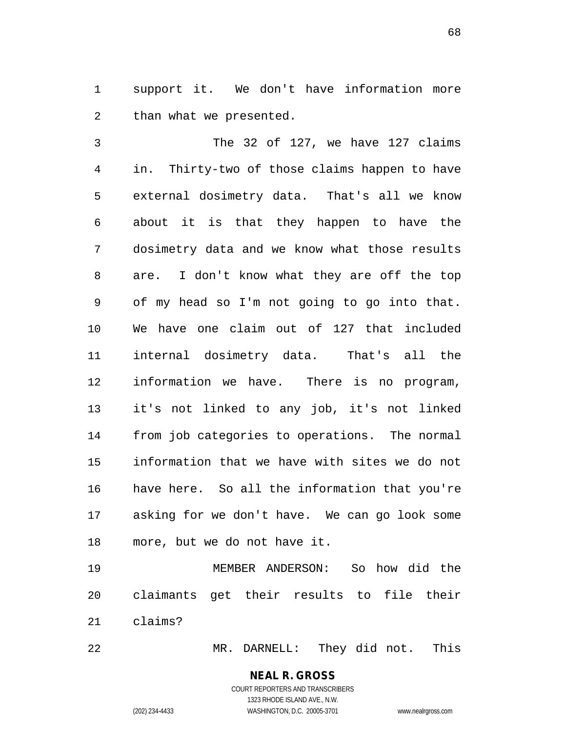support it. We don't have information more than what we presented.

 The 32 of 127, we have 127 claims in. Thirty-two of those claims happen to have external dosimetry data. That's all we know about it is that they happen to have the dosimetry data and we know what those results are. I don't know what they are off the top of my head so I'm not going to go into that. We have one claim out of 127 that included internal dosimetry data. That's all the information we have. There is no program, it's not linked to any job, it's not linked from job categories to operations. The normal information that we have with sites we do not have here. So all the information that you're asking for we don't have. We can go look some more, but we do not have it.

 MEMBER ANDERSON: So how did the claimants get their results to file their claims?

MR. DARNELL: They did not. This

**NEAL R. GROSS** COURT REPORTERS AND TRANSCRIBERS

1323 RHODE ISLAND AVE., N.W.

(202) 234-4433 WASHINGTON, D.C. 20005-3701 www.nealrgross.com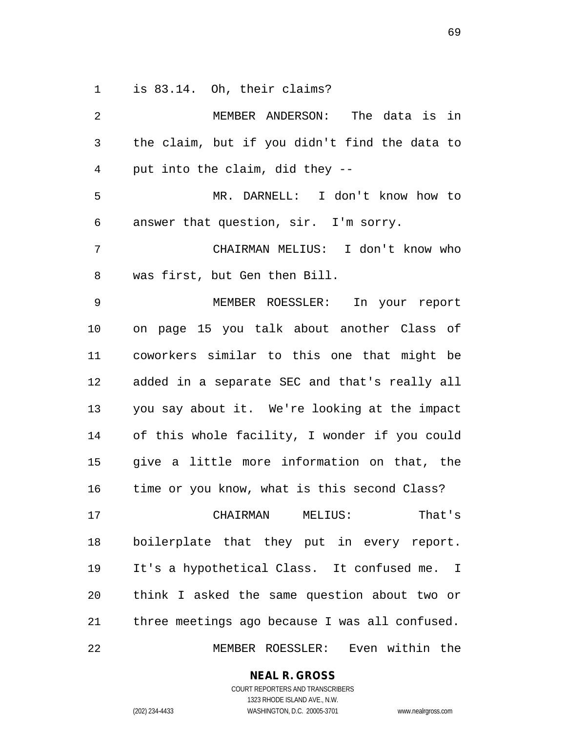is 83.14. Oh, their claims?

 MEMBER ANDERSON: The data is in the claim, but if you didn't find the data to put into the claim, did they -- MR. DARNELL: I don't know how to answer that question, sir. I'm sorry. CHAIRMAN MELIUS: I don't know who was first, but Gen then Bill. MEMBER ROESSLER: In your report on page 15 you talk about another Class of coworkers similar to this one that might be added in a separate SEC and that's really all you say about it. We're looking at the impact of this whole facility, I wonder if you could give a little more information on that, the time or you know, what is this second Class? CHAIRMAN MELIUS: That's boilerplate that they put in every report. It's a hypothetical Class. It confused me. I think I asked the same question about two or three meetings ago because I was all confused. MEMBER ROESSLER: Even within the

**NEAL R. GROSS**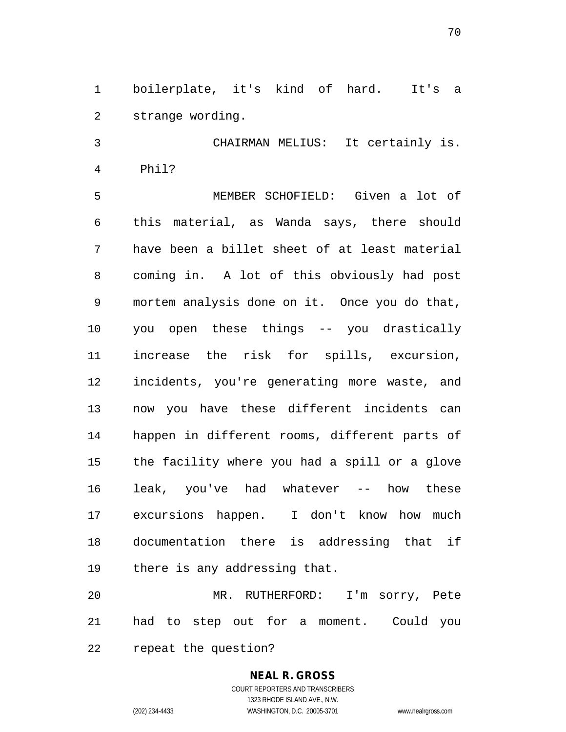boilerplate, it's kind of hard. It's a strange wording.

 CHAIRMAN MELIUS: It certainly is. Phil?

 MEMBER SCHOFIELD: Given a lot of this material, as Wanda says, there should have been a billet sheet of at least material coming in. A lot of this obviously had post mortem analysis done on it. Once you do that, you open these things -- you drastically increase the risk for spills, excursion, incidents, you're generating more waste, and now you have these different incidents can happen in different rooms, different parts of the facility where you had a spill or a glove leak, you've had whatever -- how these excursions happen. I don't know how much documentation there is addressing that if there is any addressing that.

 MR. RUTHERFORD: I'm sorry, Pete had to step out for a moment. Could you repeat the question?

# **NEAL R. GROSS**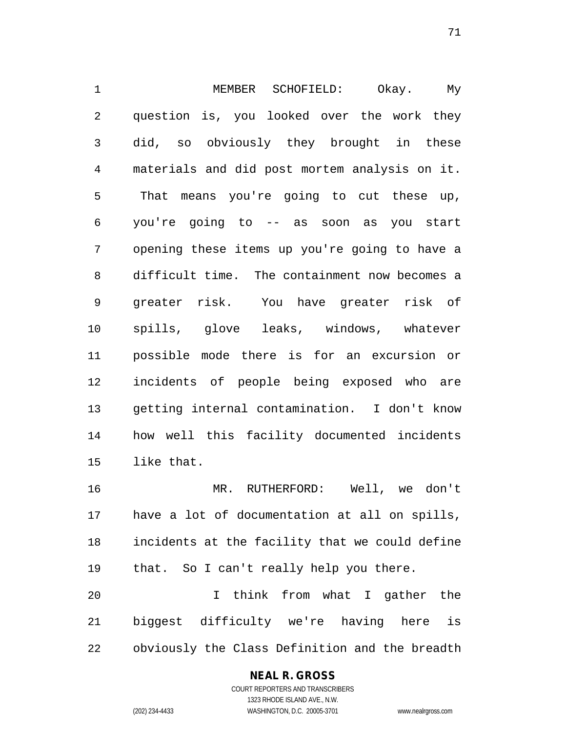MEMBER SCHOFIELD: Okay. My question is, you looked over the work they did, so obviously they brought in these materials and did post mortem analysis on it. That means you're going to cut these up, you're going to -- as soon as you start opening these items up you're going to have a difficult time. The containment now becomes a greater risk. You have greater risk of spills, glove leaks, windows, whatever possible mode there is for an excursion or incidents of people being exposed who are getting internal contamination. I don't know how well this facility documented incidents like that.

 MR. RUTHERFORD: Well, we don't have a lot of documentation at all on spills, incidents at the facility that we could define that. So I can't really help you there.

 I think from what I gather the biggest difficulty we're having here is obviously the Class Definition and the breadth

## **NEAL R. GROSS**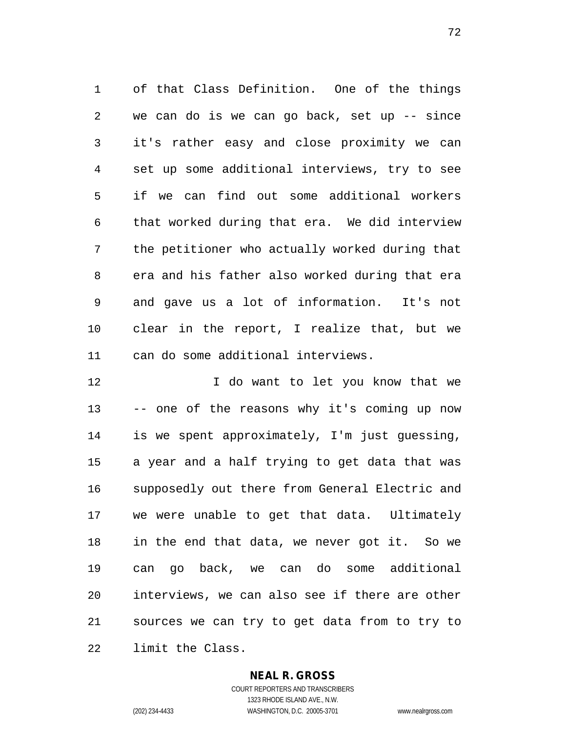of that Class Definition. One of the things we can do is we can go back, set up -- since it's rather easy and close proximity we can set up some additional interviews, try to see if we can find out some additional workers that worked during that era. We did interview the petitioner who actually worked during that era and his father also worked during that era and gave us a lot of information. It's not clear in the report, I realize that, but we can do some additional interviews.

 I do want to let you know that we -- one of the reasons why it's coming up now is we spent approximately, I'm just guessing, a year and a half trying to get data that was supposedly out there from General Electric and we were unable to get that data. Ultimately in the end that data, we never got it. So we can go back, we can do some additional interviews, we can also see if there are other sources we can try to get data from to try to limit the Class.

**NEAL R. GROSS**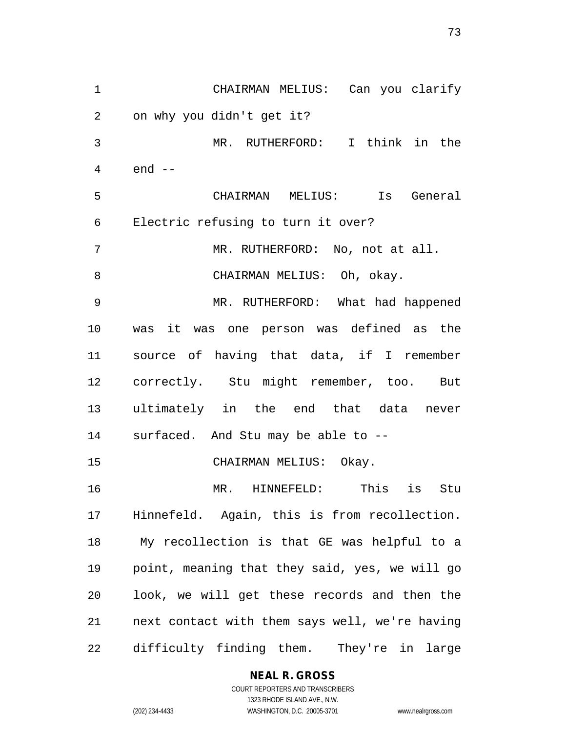CHAIRMAN MELIUS: Can you clarify on why you didn't get it? MR. RUTHERFORD: I think in the end -- CHAIRMAN MELIUS: Is General Electric refusing to turn it over? 7 MR. RUTHERFORD: No, not at all. 8 CHAIRMAN MELIUS: Oh, okay. MR. RUTHERFORD: What had happened was it was one person was defined as the source of having that data, if I remember correctly. Stu might remember, too. But ultimately in the end that data never surfaced. And Stu may be able to -- 15 CHAIRMAN MELIUS: Okay. MR. HINNEFELD: This is Stu Hinnefeld. Again, this is from recollection. My recollection is that GE was helpful to a point, meaning that they said, yes, we will go look, we will get these records and then the next contact with them says well, we're having difficulty finding them. They're in large

**NEAL R. GROSS**

COURT REPORTERS AND TRANSCRIBERS 1323 RHODE ISLAND AVE., N.W. (202) 234-4433 WASHINGTON, D.C. 20005-3701 www.nealrgross.com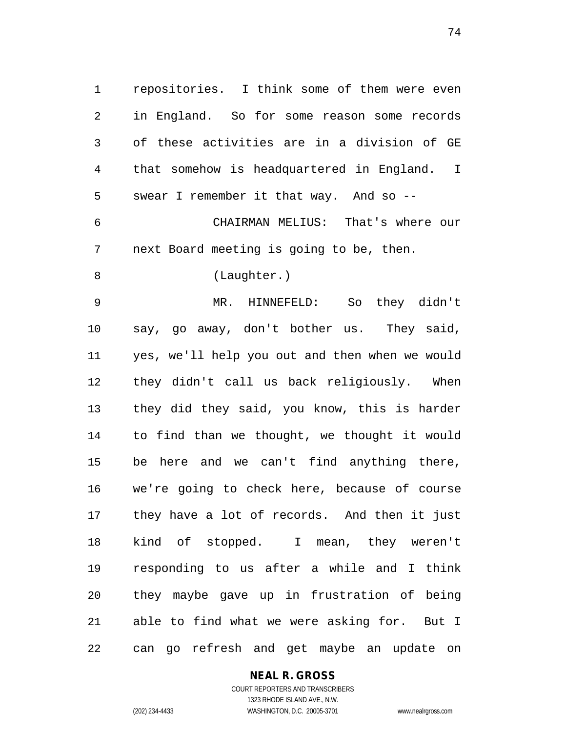repositories. I think some of them were even in England. So for some reason some records of these activities are in a division of GE that somehow is headquartered in England. I swear I remember it that way. And so -- CHAIRMAN MELIUS: That's where our next Board meeting is going to be, then. (Laughter.) MR. HINNEFELD: So they didn't say, go away, don't bother us. They said, yes, we'll help you out and then when we would they didn't call us back religiously. When they did they said, you know, this is harder to find than we thought, we thought it would be here and we can't find anything there, we're going to check here, because of course they have a lot of records. And then it just kind of stopped. I mean, they weren't responding to us after a while and I think they maybe gave up in frustration of being able to find what we were asking for. But I can go refresh and get maybe an update on

### **NEAL R. GROSS**

COURT REPORTERS AND TRANSCRIBERS 1323 RHODE ISLAND AVE., N.W. (202) 234-4433 WASHINGTON, D.C. 20005-3701 www.nealrgross.com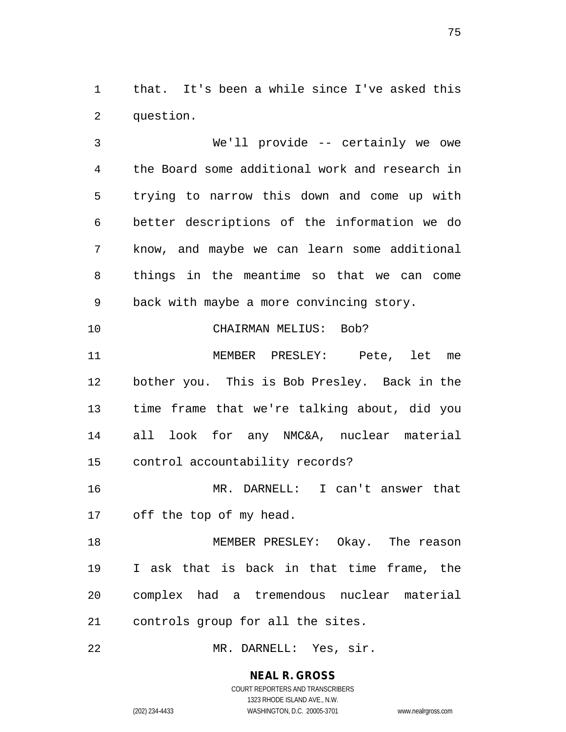that. It's been a while since I've asked this question.

 We'll provide -- certainly we owe the Board some additional work and research in trying to narrow this down and come up with better descriptions of the information we do know, and maybe we can learn some additional things in the meantime so that we can come back with maybe a more convincing story. CHAIRMAN MELIUS: Bob?

 MEMBER PRESLEY: Pete, let me bother you. This is Bob Presley. Back in the time frame that we're talking about, did you all look for any NMC&A, nuclear material control accountability records?

 MR. DARNELL: I can't answer that off the top of my head.

 MEMBER PRESLEY: Okay. The reason I ask that is back in that time frame, the complex had a tremendous nuclear material controls group for all the sites.

MR. DARNELL: Yes, sir.

# **NEAL R. GROSS**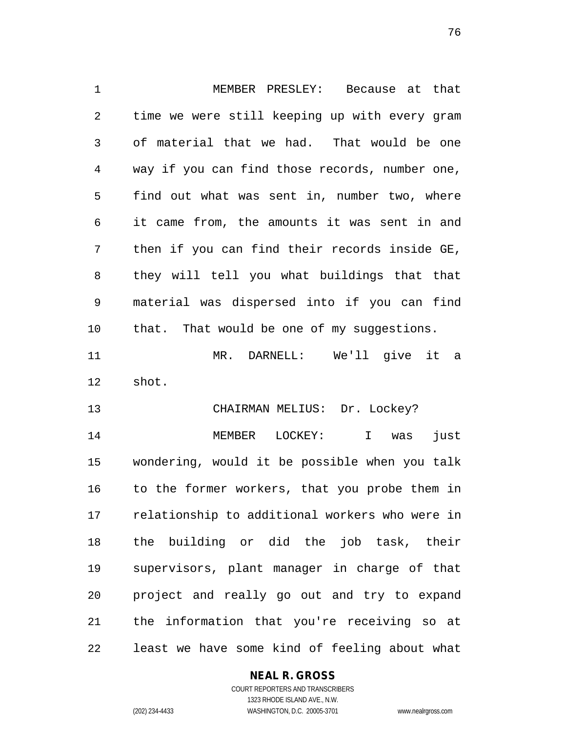MEMBER PRESLEY: Because at that time we were still keeping up with every gram of material that we had. That would be one way if you can find those records, number one, find out what was sent in, number two, where it came from, the amounts it was sent in and then if you can find their records inside GE, they will tell you what buildings that that material was dispersed into if you can find that. That would be one of my suggestions. MR. DARNELL: We'll give it a shot. 13 CHAIRMAN MELIUS: Dr. Lockey? MEMBER LOCKEY: I was just wondering, would it be possible when you talk to the former workers, that you probe them in relationship to additional workers who were in the building or did the job task, their supervisors, plant manager in charge of that project and really go out and try to expand the information that you're receiving so at least we have some kind of feeling about what

### **NEAL R. GROSS**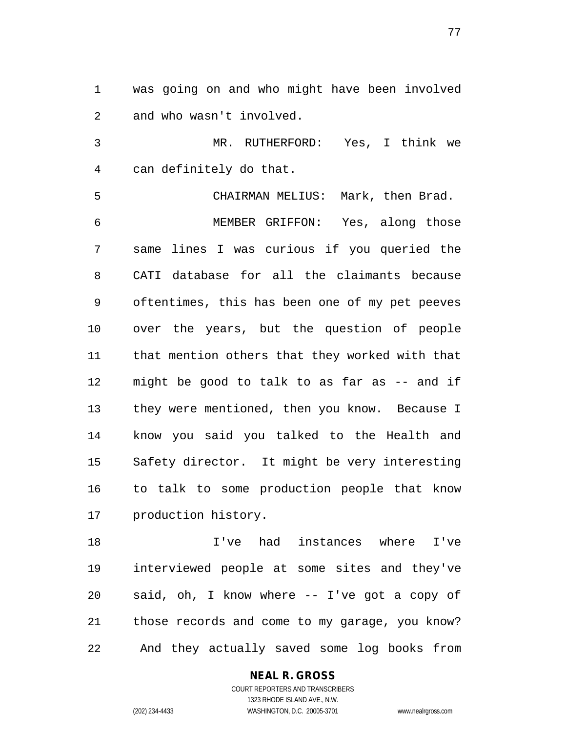was going on and who might have been involved and who wasn't involved.

 MR. RUTHERFORD: Yes, I think we can definitely do that.

 CHAIRMAN MELIUS: Mark, then Brad. MEMBER GRIFFON: Yes, along those same lines I was curious if you queried the CATI database for all the claimants because oftentimes, this has been one of my pet peeves over the years, but the question of people that mention others that they worked with that might be good to talk to as far as -- and if they were mentioned, then you know. Because I know you said you talked to the Health and Safety director. It might be very interesting to talk to some production people that know production history.

 I've had instances where I've interviewed people at some sites and they've said, oh, I know where -- I've got a copy of those records and come to my garage, you know? And they actually saved some log books from

## **NEAL R. GROSS**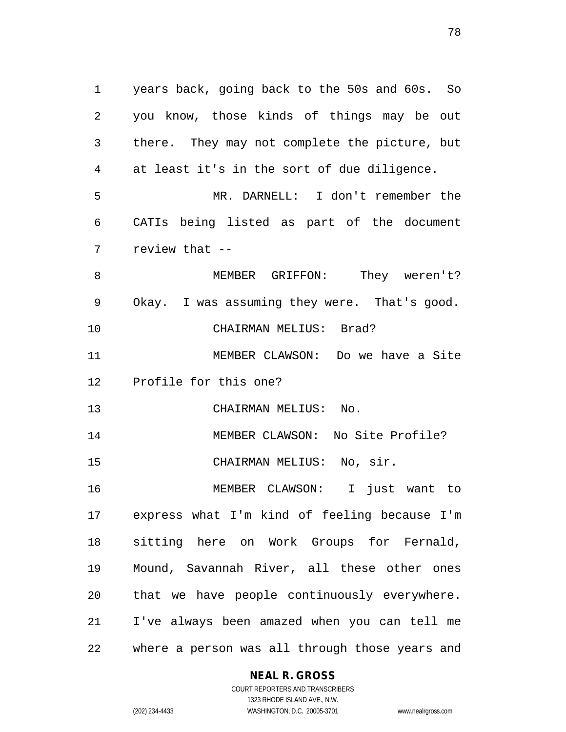years back, going back to the 50s and 60s. So you know, those kinds of things may be out there. They may not complete the picture, but at least it's in the sort of due diligence. MR. DARNELL: I don't remember the CATIs being listed as part of the document review that -- 8 MEMBER GRIFFON: They weren't? Okay. I was assuming they were. That's good. CHAIRMAN MELIUS: Brad? MEMBER CLAWSON: Do we have a Site Profile for this one? CHAIRMAN MELIUS: No. MEMBER CLAWSON: No Site Profile? CHAIRMAN MELIUS: No, sir. MEMBER CLAWSON: I just want to express what I'm kind of feeling because I'm sitting here on Work Groups for Fernald, Mound, Savannah River, all these other ones that we have people continuously everywhere. I've always been amazed when you can tell me where a person was all through those years and

### **NEAL R. GROSS**

COURT REPORTERS AND TRANSCRIBERS 1323 RHODE ISLAND AVE., N.W. (202) 234-4433 WASHINGTON, D.C. 20005-3701 www.nealrgross.com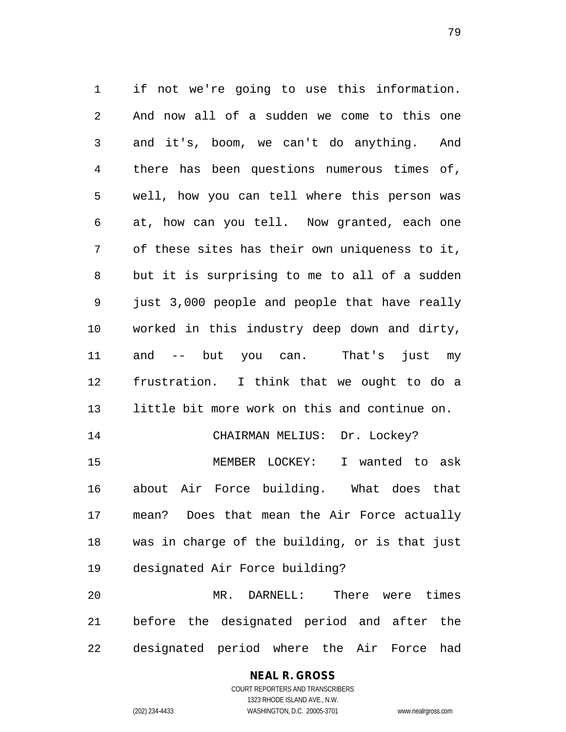if not we're going to use this information. And now all of a sudden we come to this one and it's, boom, we can't do anything. And there has been questions numerous times of, well, how you can tell where this person was at, how can you tell. Now granted, each one of these sites has their own uniqueness to it, but it is surprising to me to all of a sudden just 3,000 people and people that have really worked in this industry deep down and dirty, and -- but you can. That's just my frustration. I think that we ought to do a little bit more work on this and continue on. 14 CHAIRMAN MELIUS: Dr. Lockey? MEMBER LOCKEY: I wanted to ask about Air Force building. What does that mean? Does that mean the Air Force actually was in charge of the building, or is that just designated Air Force building?

 MR. DARNELL: There were times before the designated period and after the designated period where the Air Force had

# **NEAL R. GROSS**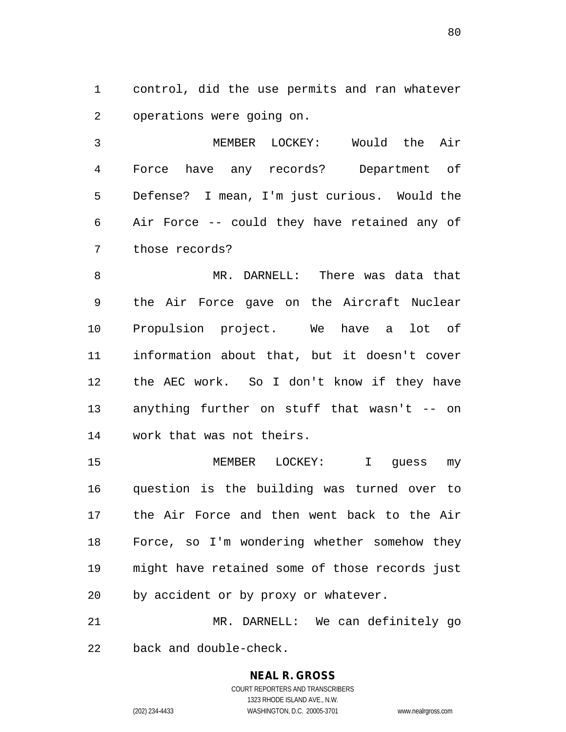control, did the use permits and ran whatever operations were going on.

 MEMBER LOCKEY: Would the Air Force have any records? Department of Defense? I mean, I'm just curious. Would the Air Force -- could they have retained any of those records?

 MR. DARNELL: There was data that the Air Force gave on the Aircraft Nuclear Propulsion project. We have a lot of information about that, but it doesn't cover the AEC work. So I don't know if they have anything further on stuff that wasn't -- on work that was not theirs.

 MEMBER LOCKEY: I guess my question is the building was turned over to the Air Force and then went back to the Air Force, so I'm wondering whether somehow they might have retained some of those records just by accident or by proxy or whatever.

 MR. DARNELL: We can definitely go back and double-check.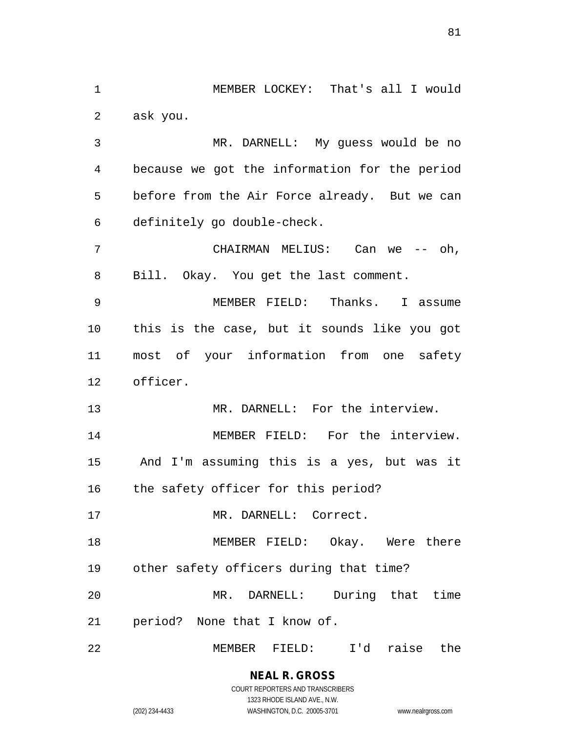MEMBER LOCKEY: That's all I would ask you.

 MR. DARNELL: My guess would be no because we got the information for the period before from the Air Force already. But we can definitely go double-check.

 CHAIRMAN MELIUS: Can we -- oh, Bill. Okay. You get the last comment.

 MEMBER FIELD: Thanks. I assume this is the case, but it sounds like you got most of your information from one safety officer.

13 MR. DARNELL: For the interview.

 MEMBER FIELD: For the interview. And I'm assuming this is a yes, but was it the safety officer for this period?

MR. DARNELL: Correct.

 MEMBER FIELD: Okay. Were there other safety officers during that time?

 MR. DARNELL: During that time period? None that I know of.

MEMBER FIELD: I'd raise the

**NEAL R. GROSS** COURT REPORTERS AND TRANSCRIBERS 1323 RHODE ISLAND AVE., N.W.

(202) 234-4433 WASHINGTON, D.C. 20005-3701 www.nealrgross.com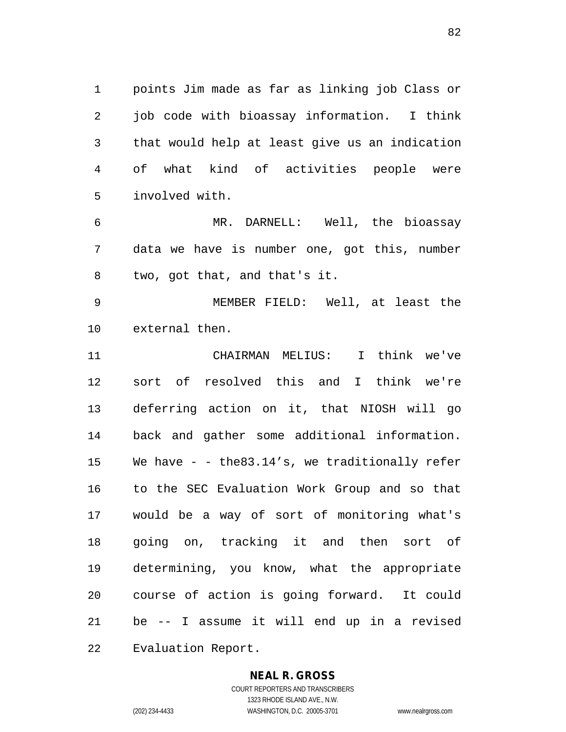points Jim made as far as linking job Class or job code with bioassay information. I think that would help at least give us an indication of what kind of activities people were involved with.

 MR. DARNELL: Well, the bioassay data we have is number one, got this, number two, got that, and that's it.

 MEMBER FIELD: Well, at least the external then.

 CHAIRMAN MELIUS: I think we've sort of resolved this and I think we're deferring action on it, that NIOSH will go back and gather some additional information. We have - - the83.14's, we traditionally refer to the SEC Evaluation Work Group and so that would be a way of sort of monitoring what's going on, tracking it and then sort of determining, you know, what the appropriate course of action is going forward. It could be -- I assume it will end up in a revised Evaluation Report.

## **NEAL R. GROSS**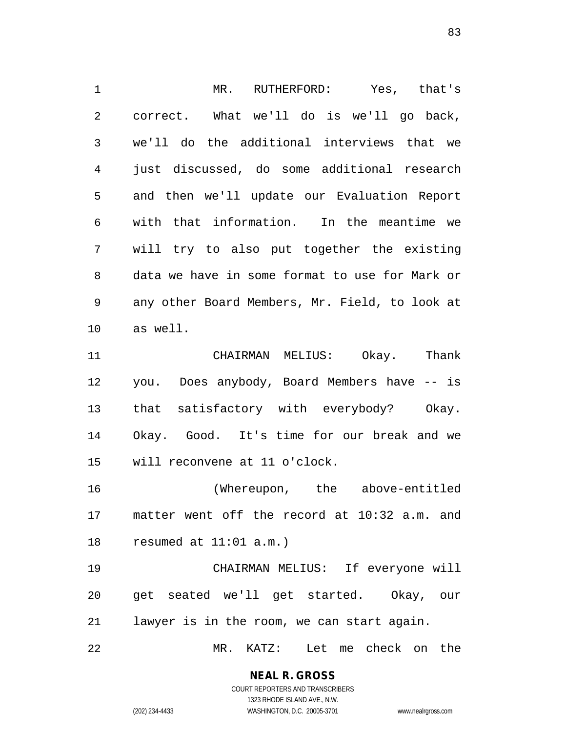MR. RUTHERFORD: Yes, that's correct. What we'll do is we'll go back, we'll do the additional interviews that we just discussed, do some additional research and then we'll update our Evaluation Report with that information. In the meantime we will try to also put together the existing data we have in some format to use for Mark or any other Board Members, Mr. Field, to look at as well. CHAIRMAN MELIUS: Okay. Thank you. Does anybody, Board Members have -- is that satisfactory with everybody? Okay. Okay. Good. It's time for our break and we will reconvene at 11 o'clock. (Whereupon, the above-entitled matter went off the record at 10:32 a.m. and resumed at 11:01 a.m.) CHAIRMAN MELIUS: If everyone will

 get seated we'll get started. Okay, our lawyer is in the room, we can start again.

MR. KATZ: Let me check on the

# **NEAL R. GROSS**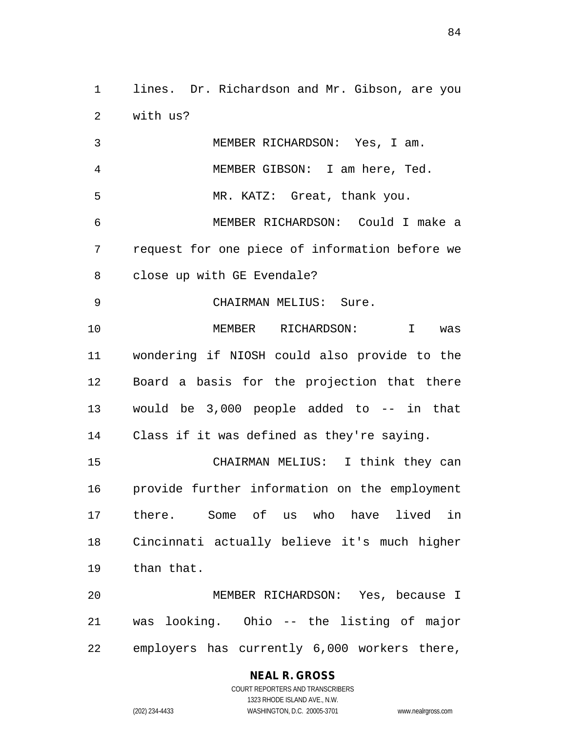lines. Dr. Richardson and Mr. Gibson, are you with us?

 MEMBER RICHARDSON: Yes, I am. MEMBER GIBSON: I am here, Ted. MR. KATZ: Great, thank you. MEMBER RICHARDSON: Could I make a request for one piece of information before we close up with GE Evendale? 9 CHAIRMAN MELIUS: Sure. MEMBER RICHARDSON: I was wondering if NIOSH could also provide to the Board a basis for the projection that there would be 3,000 people added to -- in that Class if it was defined as they're saying. CHAIRMAN MELIUS: I think they can provide further information on the employment there. Some of us who have lived in Cincinnati actually believe it's much higher than that. MEMBER RICHARDSON: Yes, because I was looking. Ohio -- the listing of major

employers has currently 6,000 workers there,

# **NEAL R. GROSS**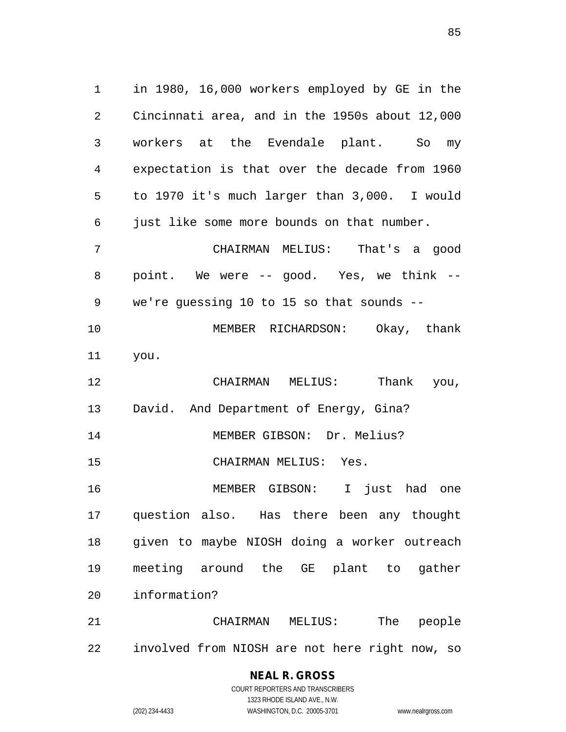in 1980, 16,000 workers employed by GE in the Cincinnati area, and in the 1950s about 12,000 workers at the Evendale plant. So my expectation is that over the decade from 1960 to 1970 it's much larger than 3,000. I would 6 just like some more bounds on that number. CHAIRMAN MELIUS: That's a good point. We were -- good. Yes, we think -- we're guessing 10 to 15 so that sounds -- MEMBER RICHARDSON: Okay, thank you.

 CHAIRMAN MELIUS: Thank you, David. And Department of Energy, Gina? 14 MEMBER GIBSON: Dr. Melius?

CHAIRMAN MELIUS: Yes.

 MEMBER GIBSON: I just had one question also. Has there been any thought given to maybe NIOSH doing a worker outreach meeting around the GE plant to gather information?

 CHAIRMAN MELIUS: The people involved from NIOSH are not here right now, so

# **NEAL R. GROSS**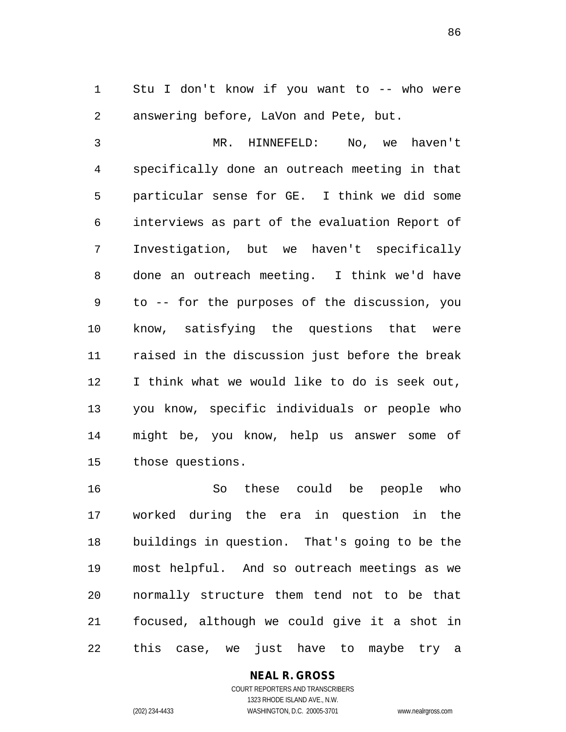Stu I don't know if you want to -- who were answering before, LaVon and Pete, but.

 MR. HINNEFELD: No, we haven't specifically done an outreach meeting in that particular sense for GE. I think we did some interviews as part of the evaluation Report of Investigation, but we haven't specifically done an outreach meeting. I think we'd have to -- for the purposes of the discussion, you know, satisfying the questions that were raised in the discussion just before the break I think what we would like to do is seek out, you know, specific individuals or people who might be, you know, help us answer some of those questions.

 So these could be people who worked during the era in question in the buildings in question. That's going to be the most helpful. And so outreach meetings as we normally structure them tend not to be that focused, although we could give it a shot in this case, we just have to maybe try a

## **NEAL R. GROSS**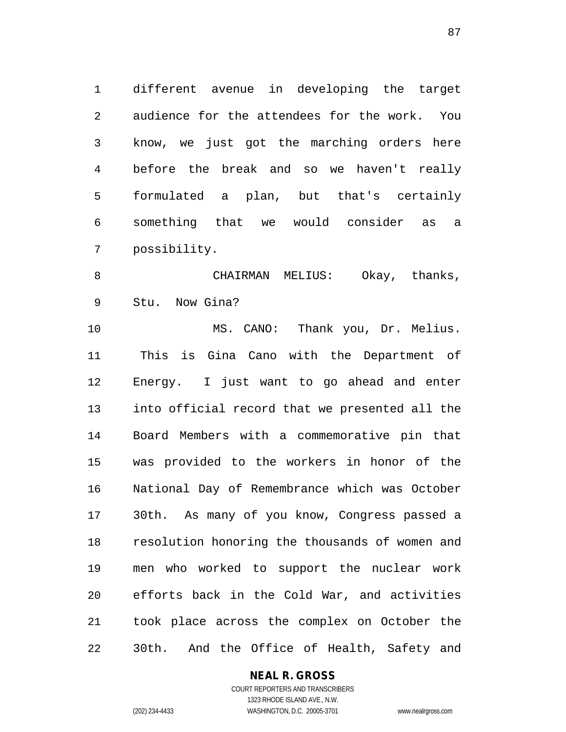different avenue in developing the target audience for the attendees for the work. You know, we just got the marching orders here before the break and so we haven't really formulated a plan, but that's certainly something that we would consider as a possibility.

 CHAIRMAN MELIUS: Okay, thanks, Stu. Now Gina?

 MS. CANO: Thank you, Dr. Melius. This is Gina Cano with the Department of Energy. I just want to go ahead and enter into official record that we presented all the Board Members with a commemorative pin that was provided to the workers in honor of the National Day of Remembrance which was October 30th. As many of you know, Congress passed a resolution honoring the thousands of women and men who worked to support the nuclear work efforts back in the Cold War, and activities took place across the complex on October the 30th. And the Office of Health, Safety and

### **NEAL R. GROSS**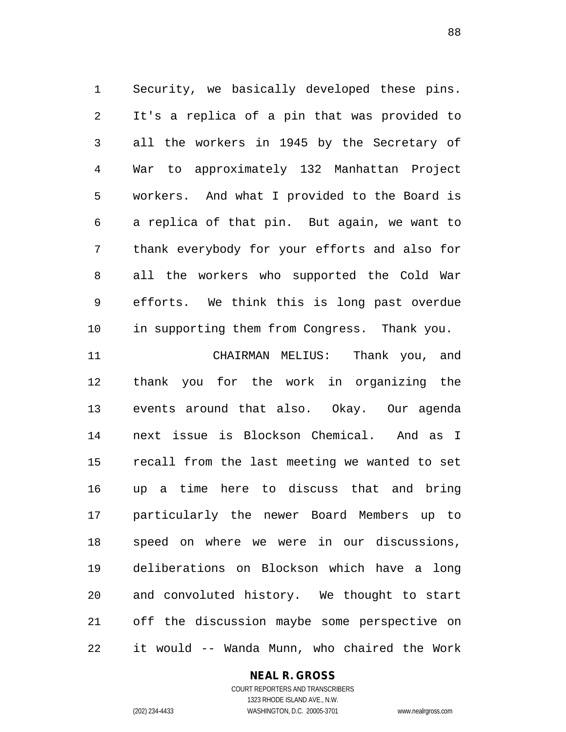Security, we basically developed these pins. It's a replica of a pin that was provided to all the workers in 1945 by the Secretary of War to approximately 132 Manhattan Project workers. And what I provided to the Board is a replica of that pin. But again, we want to thank everybody for your efforts and also for all the workers who supported the Cold War efforts. We think this is long past overdue in supporting them from Congress. Thank you.

 CHAIRMAN MELIUS: Thank you, and thank you for the work in organizing the events around that also. Okay. Our agenda next issue is Blockson Chemical. And as I recall from the last meeting we wanted to set up a time here to discuss that and bring particularly the newer Board Members up to speed on where we were in our discussions, deliberations on Blockson which have a long and convoluted history. We thought to start off the discussion maybe some perspective on it would -- Wanda Munn, who chaired the Work

## **NEAL R. GROSS**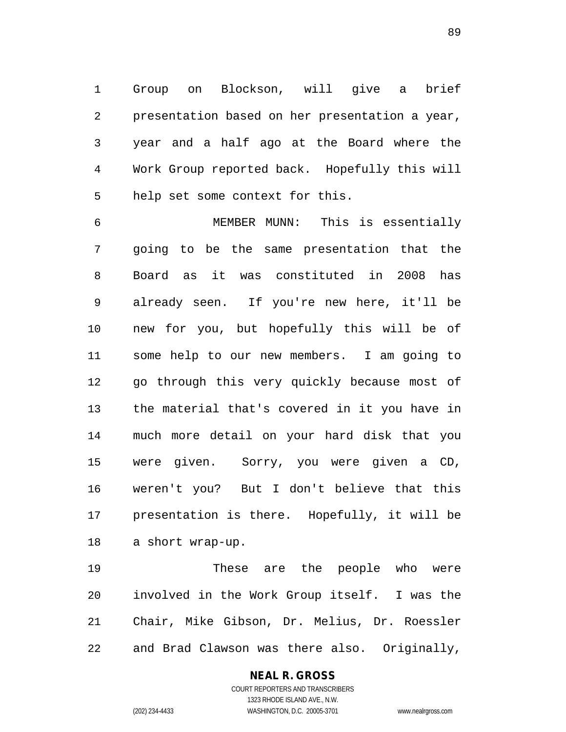Group on Blockson, will give a brief presentation based on her presentation a year, year and a half ago at the Board where the Work Group reported back. Hopefully this will help set some context for this.

 MEMBER MUNN: This is essentially going to be the same presentation that the Board as it was constituted in 2008 has already seen. If you're new here, it'll be new for you, but hopefully this will be of some help to our new members. I am going to go through this very quickly because most of the material that's covered in it you have in much more detail on your hard disk that you were given. Sorry, you were given a CD, weren't you? But I don't believe that this presentation is there. Hopefully, it will be a short wrap-up.

 These are the people who were involved in the Work Group itself. I was the Chair, Mike Gibson, Dr. Melius, Dr. Roessler and Brad Clawson was there also. Originally,

# **NEAL R. GROSS**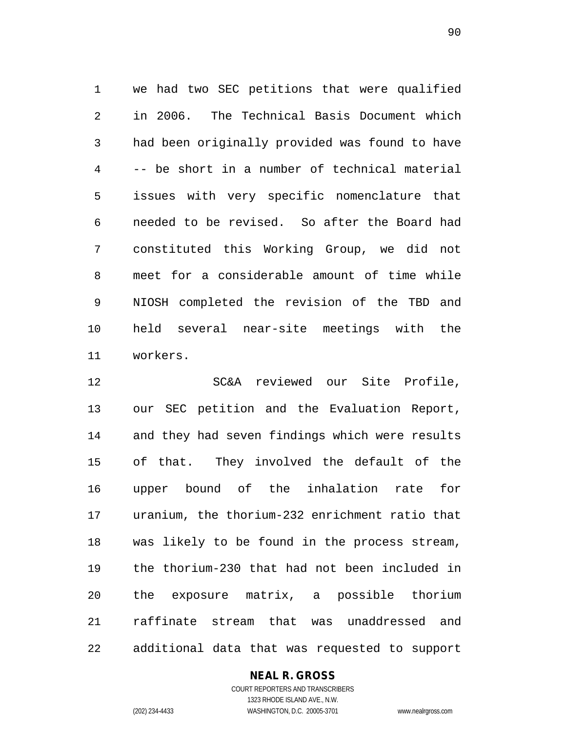we had two SEC petitions that were qualified in 2006. The Technical Basis Document which had been originally provided was found to have -- be short in a number of technical material issues with very specific nomenclature that needed to be revised. So after the Board had constituted this Working Group, we did not meet for a considerable amount of time while NIOSH completed the revision of the TBD and held several near-site meetings with the workers.

 SC&A reviewed our Site Profile, our SEC petition and the Evaluation Report, and they had seven findings which were results of that. They involved the default of the upper bound of the inhalation rate for uranium, the thorium-232 enrichment ratio that was likely to be found in the process stream, the thorium-230 that had not been included in the exposure matrix, a possible thorium raffinate stream that was unaddressed and additional data that was requested to support

## **NEAL R. GROSS**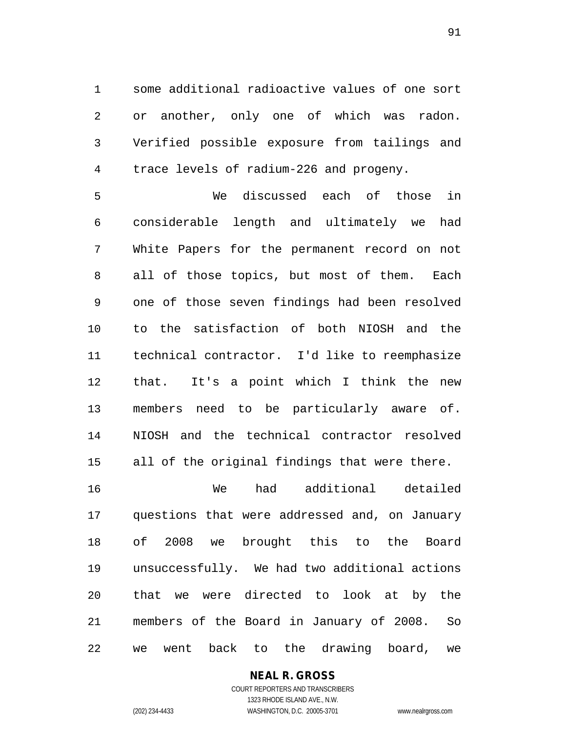some additional radioactive values of one sort or another, only one of which was radon. Verified possible exposure from tailings and trace levels of radium-226 and progeny.

 We discussed each of those in considerable length and ultimately we had White Papers for the permanent record on not all of those topics, but most of them. Each one of those seven findings had been resolved to the satisfaction of both NIOSH and the technical contractor. I'd like to reemphasize that. It's a point which I think the new members need to be particularly aware of. NIOSH and the technical contractor resolved all of the original findings that were there.

 We had additional detailed questions that were addressed and, on January of 2008 we brought this to the Board unsuccessfully. We had two additional actions that we were directed to look at by the members of the Board in January of 2008. So we went back to the drawing board, we

**NEAL R. GROSS**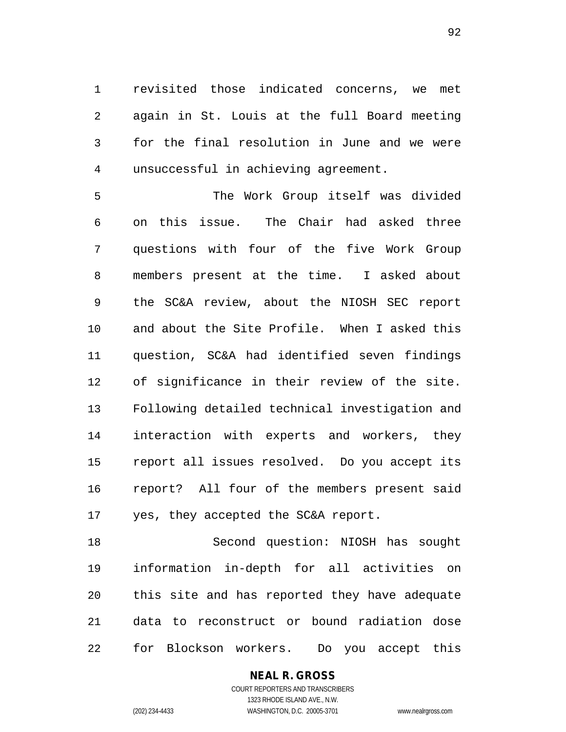revisited those indicated concerns, we met again in St. Louis at the full Board meeting for the final resolution in June and we were unsuccessful in achieving agreement.

 The Work Group itself was divided on this issue. The Chair had asked three questions with four of the five Work Group members present at the time. I asked about the SC&A review, about the NIOSH SEC report and about the Site Profile. When I asked this question, SC&A had identified seven findings of significance in their review of the site. Following detailed technical investigation and interaction with experts and workers, they report all issues resolved. Do you accept its report? All four of the members present said yes, they accepted the SC&A report.

 Second question: NIOSH has sought information in-depth for all activities on this site and has reported they have adequate data to reconstruct or bound radiation dose for Blockson workers. Do you accept this

# **NEAL R. GROSS**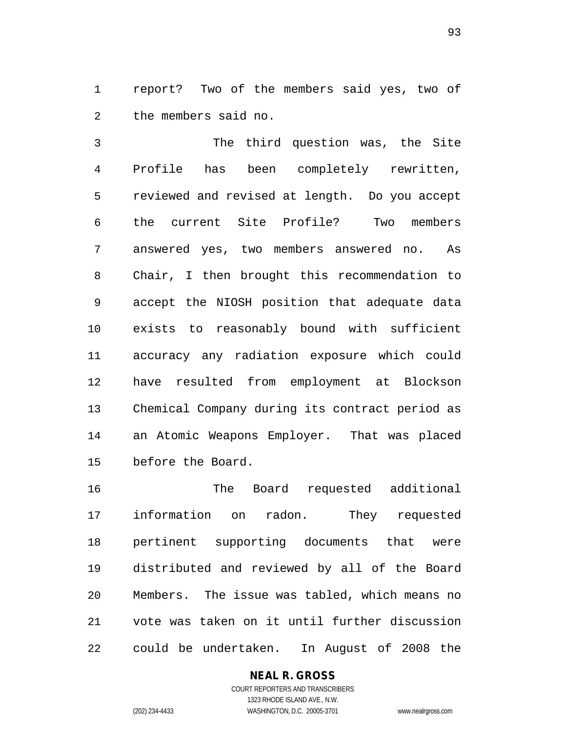report? Two of the members said yes, two of the members said no.

 The third question was, the Site Profile has been completely rewritten, reviewed and revised at length. Do you accept the current Site Profile? Two members answered yes, two members answered no. As Chair, I then brought this recommendation to accept the NIOSH position that adequate data exists to reasonably bound with sufficient accuracy any radiation exposure which could have resulted from employment at Blockson Chemical Company during its contract period as an Atomic Weapons Employer. That was placed before the Board.

 The Board requested additional information on radon. They requested pertinent supporting documents that were distributed and reviewed by all of the Board Members. The issue was tabled, which means no vote was taken on it until further discussion could be undertaken. In August of 2008 the

## **NEAL R. GROSS**

COURT REPORTERS AND TRANSCRIBERS 1323 RHODE ISLAND AVE., N.W. (202) 234-4433 WASHINGTON, D.C. 20005-3701 www.nealrgross.com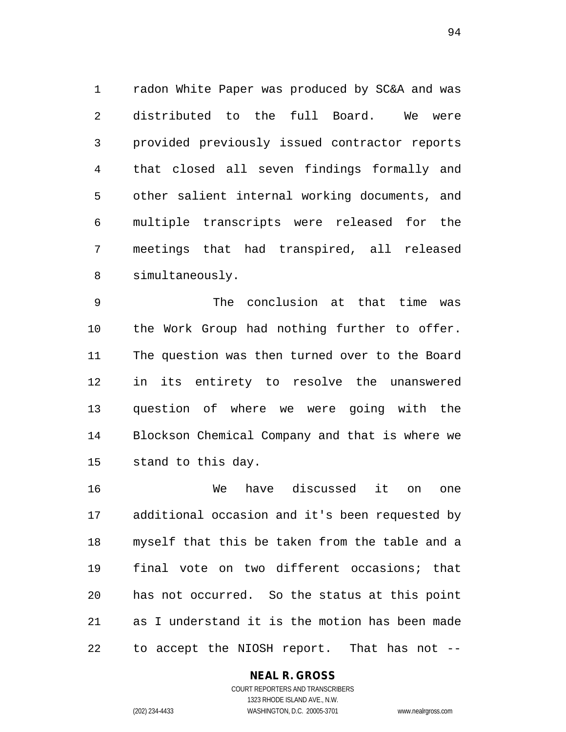radon White Paper was produced by SC&A and was distributed to the full Board. We were provided previously issued contractor reports that closed all seven findings formally and other salient internal working documents, and multiple transcripts were released for the meetings that had transpired, all released simultaneously.

 The conclusion at that time was the Work Group had nothing further to offer. The question was then turned over to the Board in its entirety to resolve the unanswered question of where we were going with the Blockson Chemical Company and that is where we stand to this day.

 We have discussed it on one additional occasion and it's been requested by myself that this be taken from the table and a final vote on two different occasions; that has not occurred. So the status at this point as I understand it is the motion has been made to accept the NIOSH report. That has not --

### **NEAL R. GROSS**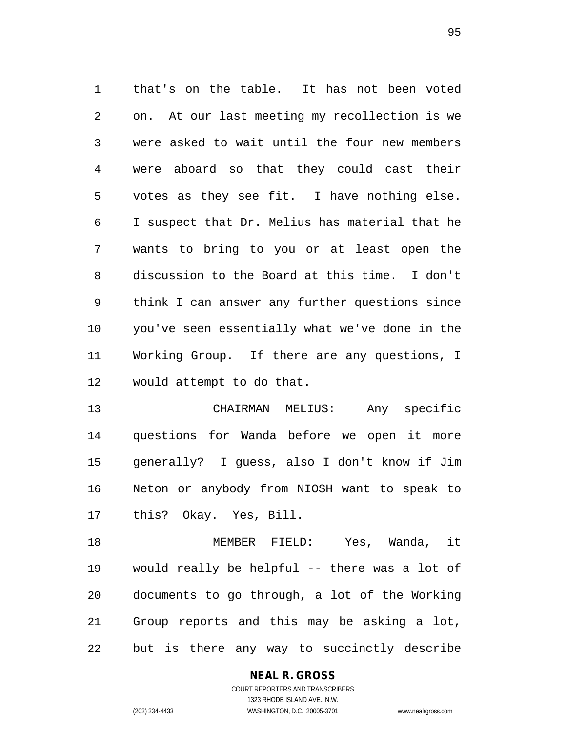that's on the table. It has not been voted on. At our last meeting my recollection is we were asked to wait until the four new members were aboard so that they could cast their votes as they see fit. I have nothing else. I suspect that Dr. Melius has material that he wants to bring to you or at least open the discussion to the Board at this time. I don't think I can answer any further questions since you've seen essentially what we've done in the Working Group. If there are any questions, I would attempt to do that.

 CHAIRMAN MELIUS: Any specific questions for Wanda before we open it more generally? I guess, also I don't know if Jim Neton or anybody from NIOSH want to speak to this? Okay. Yes, Bill.

 MEMBER FIELD: Yes, Wanda, it would really be helpful -- there was a lot of documents to go through, a lot of the Working Group reports and this may be asking a lot, but is there any way to succinctly describe

## **NEAL R. GROSS**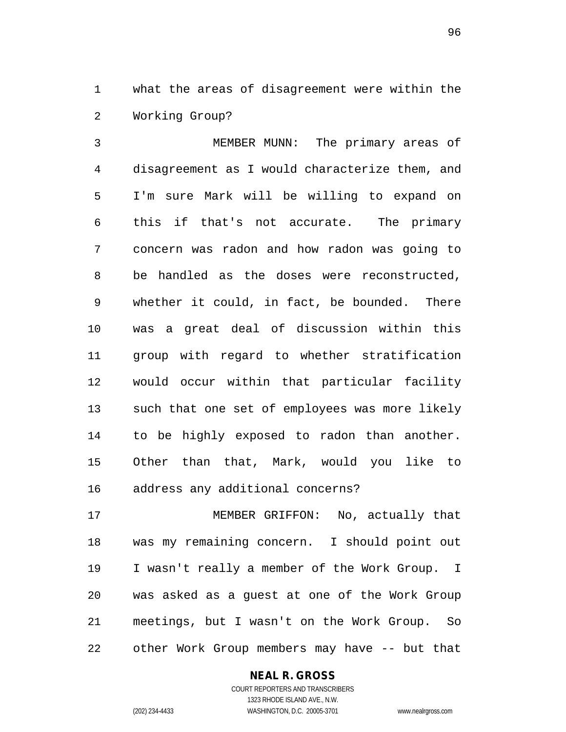what the areas of disagreement were within the Working Group?

 MEMBER MUNN: The primary areas of disagreement as I would characterize them, and I'm sure Mark will be willing to expand on this if that's not accurate. The primary concern was radon and how radon was going to be handled as the doses were reconstructed, whether it could, in fact, be bounded. There was a great deal of discussion within this group with regard to whether stratification would occur within that particular facility such that one set of employees was more likely to be highly exposed to radon than another. Other than that, Mark, would you like to address any additional concerns?

 MEMBER GRIFFON: No, actually that was my remaining concern. I should point out I wasn't really a member of the Work Group. I was asked as a guest at one of the Work Group meetings, but I wasn't on the Work Group. So other Work Group members may have -- but that

# **NEAL R. GROSS**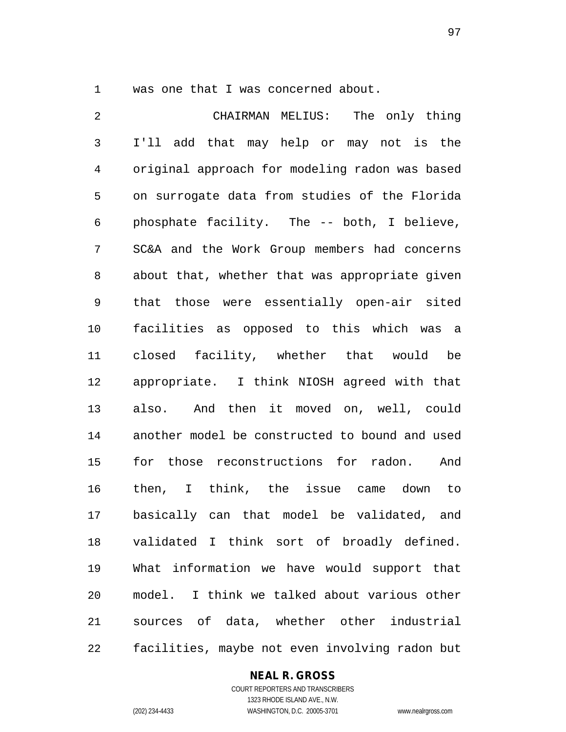was one that I was concerned about.

 CHAIRMAN MELIUS: The only thing I'll add that may help or may not is the original approach for modeling radon was based on surrogate data from studies of the Florida phosphate facility. The -- both, I believe, SC&A and the Work Group members had concerns about that, whether that was appropriate given that those were essentially open-air sited facilities as opposed to this which was a closed facility, whether that would be appropriate. I think NIOSH agreed with that also. And then it moved on, well, could another model be constructed to bound and used for those reconstructions for radon. And then, I think, the issue came down to basically can that model be validated, and validated I think sort of broadly defined. What information we have would support that model. I think we talked about various other sources of data, whether other industrial facilities, maybe not even involving radon but

### **NEAL R. GROSS**

COURT REPORTERS AND TRANSCRIBERS 1323 RHODE ISLAND AVE., N.W. (202) 234-4433 WASHINGTON, D.C. 20005-3701 www.nealrgross.com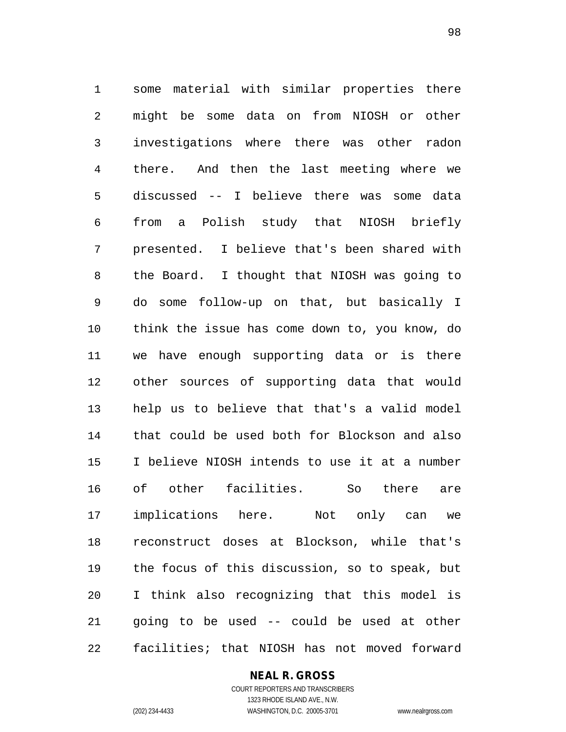some material with similar properties there might be some data on from NIOSH or other investigations where there was other radon there. And then the last meeting where we discussed -- I believe there was some data from a Polish study that NIOSH briefly presented. I believe that's been shared with the Board. I thought that NIOSH was going to do some follow-up on that, but basically I think the issue has come down to, you know, do we have enough supporting data or is there other sources of supporting data that would help us to believe that that's a valid model that could be used both for Blockson and also I believe NIOSH intends to use it at a number of other facilities. So there are implications here. Not only can we reconstruct doses at Blockson, while that's the focus of this discussion, so to speak, but I think also recognizing that this model is going to be used -- could be used at other facilities; that NIOSH has not moved forward

## **NEAL R. GROSS**

COURT REPORTERS AND TRANSCRIBERS 1323 RHODE ISLAND AVE., N.W. (202) 234-4433 WASHINGTON, D.C. 20005-3701 www.nealrgross.com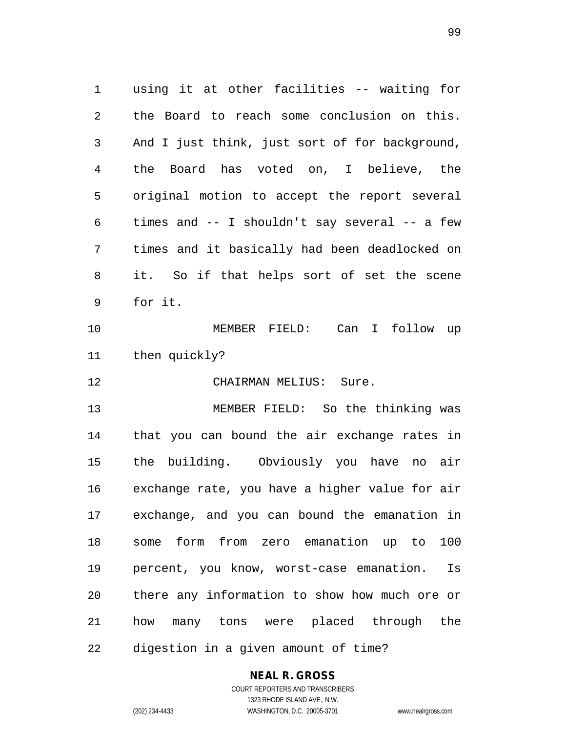using it at other facilities -- waiting for the Board to reach some conclusion on this. And I just think, just sort of for background, the Board has voted on, I believe, the original motion to accept the report several times and -- I shouldn't say several -- a few times and it basically had been deadlocked on it. So if that helps sort of set the scene for it.

 MEMBER FIELD: Can I follow up then quickly?

CHAIRMAN MELIUS: Sure.

 MEMBER FIELD: So the thinking was that you can bound the air exchange rates in the building. Obviously you have no air exchange rate, you have a higher value for air exchange, and you can bound the emanation in some form from zero emanation up to 100 percent, you know, worst-case emanation. Is there any information to show how much ore or how many tons were placed through the digestion in a given amount of time?

## **NEAL R. GROSS**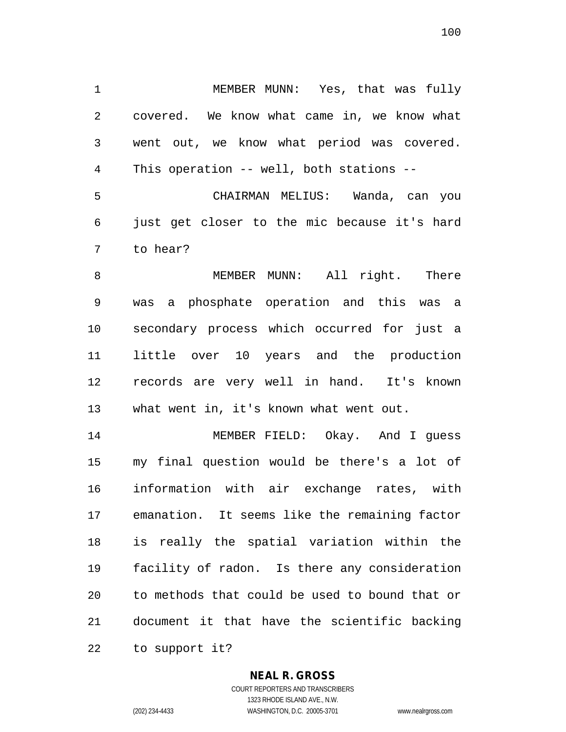MEMBER MUNN: Yes, that was fully covered. We know what came in, we know what went out, we know what period was covered. This operation -- well, both stations -- CHAIRMAN MELIUS: Wanda, can you just get closer to the mic because it's hard to hear?

8 MEMBER MUNN: All right. There was a phosphate operation and this was a secondary process which occurred for just a little over 10 years and the production records are very well in hand. It's known what went in, it's known what went out.

 MEMBER FIELD: Okay. And I guess my final question would be there's a lot of information with air exchange rates, with emanation. It seems like the remaining factor is really the spatial variation within the facility of radon. Is there any consideration to methods that could be used to bound that or document it that have the scientific backing to support it?

## **NEAL R. GROSS**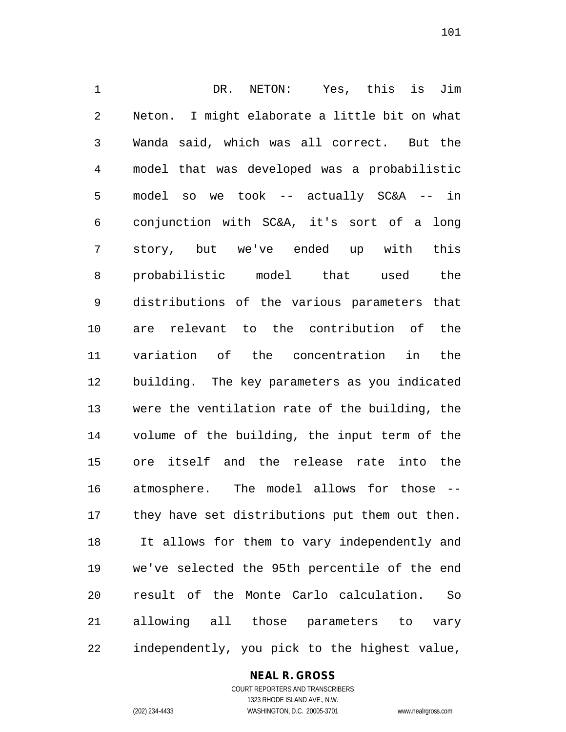DR. NETON: Yes, this is Jim Neton. I might elaborate a little bit on what Wanda said, which was all correct. But the model that was developed was a probabilistic model so we took -- actually SC&A -- in conjunction with SC&A, it's sort of a long story, but we've ended up with this probabilistic model that used the distributions of the various parameters that are relevant to the contribution of the variation of the concentration in the building. The key parameters as you indicated were the ventilation rate of the building, the volume of the building, the input term of the ore itself and the release rate into the atmosphere. The model allows for those -- they have set distributions put them out then. It allows for them to vary independently and we've selected the 95th percentile of the end result of the Monte Carlo calculation. So allowing all those parameters to vary independently, you pick to the highest value,

### **NEAL R. GROSS** COURT REPORTERS AND TRANSCRIBERS

1323 RHODE ISLAND AVE., N.W. (202) 234-4433 WASHINGTON, D.C. 20005-3701 www.nealrgross.com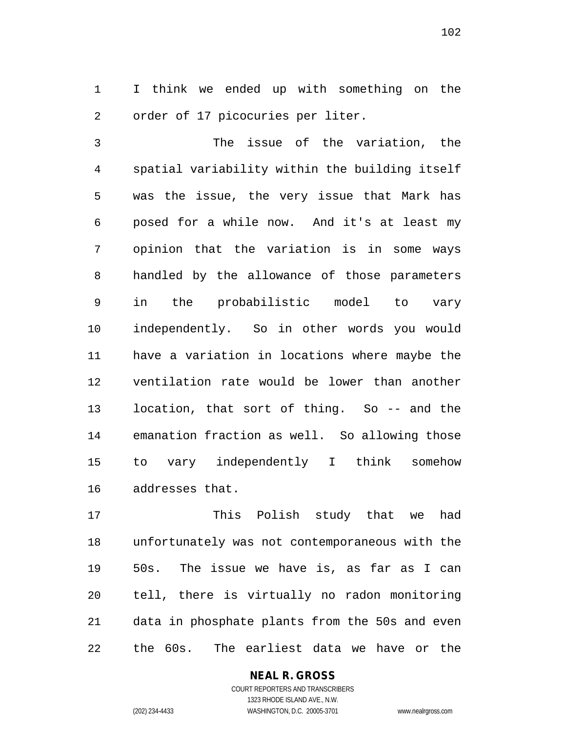I think we ended up with something on the order of 17 picocuries per liter.

 The issue of the variation, the spatial variability within the building itself was the issue, the very issue that Mark has posed for a while now. And it's at least my opinion that the variation is in some ways handled by the allowance of those parameters in the probabilistic model to vary independently. So in other words you would have a variation in locations where maybe the ventilation rate would be lower than another location, that sort of thing. So -- and the emanation fraction as well. So allowing those to vary independently I think somehow addresses that.

 This Polish study that we had unfortunately was not contemporaneous with the 50s. The issue we have is, as far as I can tell, there is virtually no radon monitoring data in phosphate plants from the 50s and even the 60s. The earliest data we have or the

## **NEAL R. GROSS**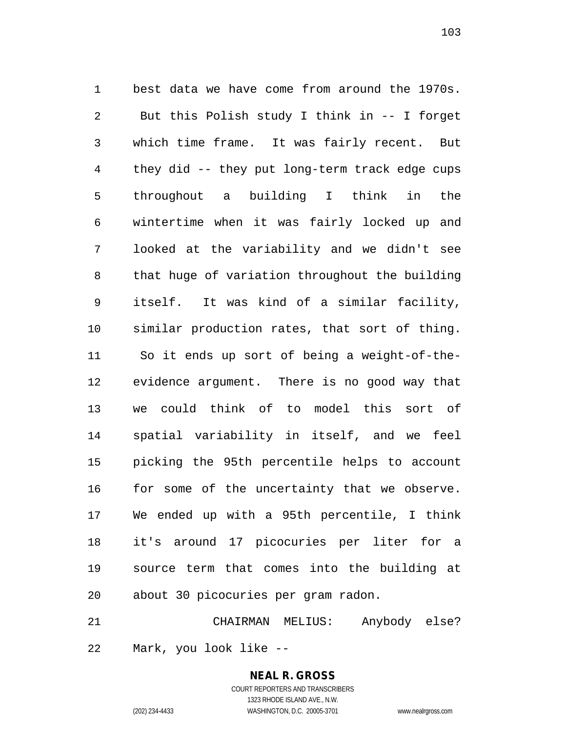best data we have come from around the 1970s. But this Polish study I think in -- I forget which time frame. It was fairly recent. But they did -- they put long-term track edge cups throughout a building I think in the wintertime when it was fairly locked up and looked at the variability and we didn't see that huge of variation throughout the building itself. It was kind of a similar facility, similar production rates, that sort of thing. So it ends up sort of being a weight-of-the- evidence argument. There is no good way that we could think of to model this sort of spatial variability in itself, and we feel picking the 95th percentile helps to account for some of the uncertainty that we observe. We ended up with a 95th percentile, I think it's around 17 picocuries per liter for a source term that comes into the building at about 30 picocuries per gram radon.

 CHAIRMAN MELIUS: Anybody else? Mark, you look like --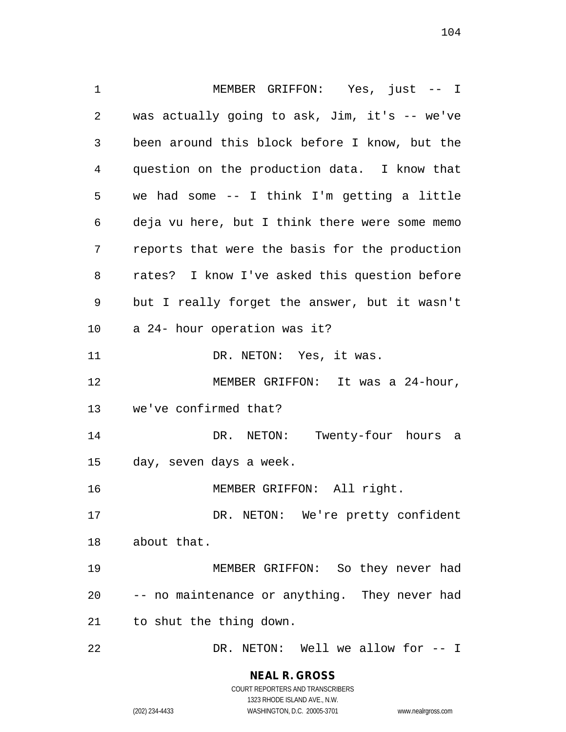MEMBER GRIFFON: Yes, just -- I was actually going to ask, Jim, it's -- we've been around this block before I know, but the question on the production data. I know that we had some -- I think I'm getting a little deja vu here, but I think there were some memo reports that were the basis for the production rates? I know I've asked this question before but I really forget the answer, but it wasn't a 24- hour operation was it? 11 DR. NETON: Yes, it was. 12 MEMBER GRIFFON: It was a 24-hour, we've confirmed that? 14 DR. NETON: Twenty-four hours a day, seven days a week. 16 MEMBER GRIFFON: All right. 17 DR. NETON: We're pretty confident about that. MEMBER GRIFFON: So they never had -- no maintenance or anything. They never had to shut the thing down. DR. NETON: Well we allow for -- I

> **NEAL R. GROSS** COURT REPORTERS AND TRANSCRIBERS

1323 RHODE ISLAND AVE., N.W. (202) 234-4433 WASHINGTON, D.C. 20005-3701 www.nealrgross.com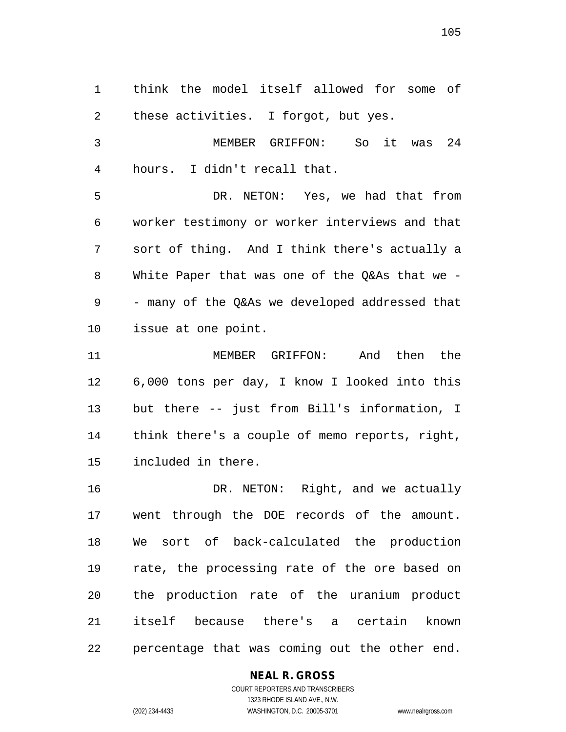think the model itself allowed for some of these activities. I forgot, but yes.

 MEMBER GRIFFON: So it was 24 hours. I didn't recall that.

 DR. NETON: Yes, we had that from worker testimony or worker interviews and that sort of thing. And I think there's actually a White Paper that was one of the Q&As that we - - many of the Q&As we developed addressed that issue at one point.

 MEMBER GRIFFON: And then the 6,000 tons per day, I know I looked into this but there -- just from Bill's information, I think there's a couple of memo reports, right, included in there.

 DR. NETON: Right, and we actually went through the DOE records of the amount. We sort of back-calculated the production rate, the processing rate of the ore based on the production rate of the uranium product itself because there's a certain known percentage that was coming out the other end.

## **NEAL R. GROSS**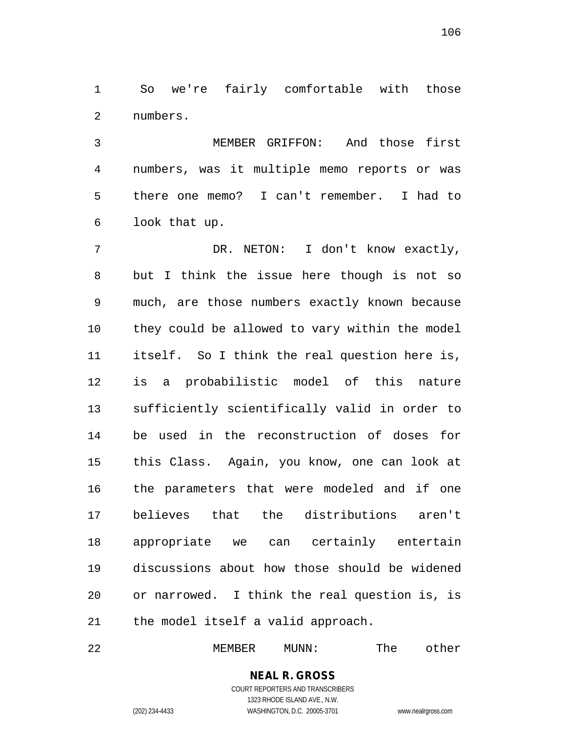So we're fairly comfortable with those numbers.

 MEMBER GRIFFON: And those first numbers, was it multiple memo reports or was there one memo? I can't remember. I had to look that up.

 DR. NETON: I don't know exactly, but I think the issue here though is not so much, are those numbers exactly known because they could be allowed to vary within the model itself. So I think the real question here is, is a probabilistic model of this nature sufficiently scientifically valid in order to be used in the reconstruction of doses for this Class. Again, you know, one can look at the parameters that were modeled and if one believes that the distributions aren't appropriate we can certainly entertain discussions about how those should be widened or narrowed. I think the real question is, is the model itself a valid approach.

22 MEMBER MUNN: The other

**NEAL R. GROSS** COURT REPORTERS AND TRANSCRIBERS

1323 RHODE ISLAND AVE., N.W. (202) 234-4433 WASHINGTON, D.C. 20005-3701 www.nealrgross.com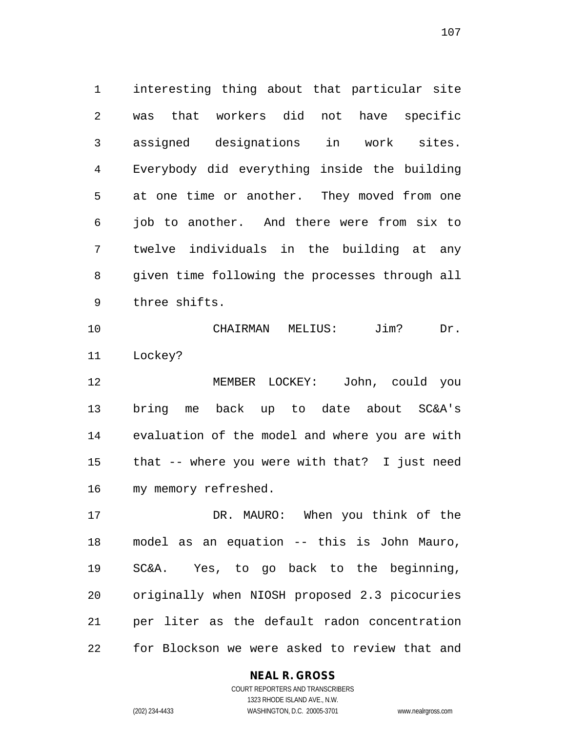interesting thing about that particular site was that workers did not have specific assigned designations in work sites. Everybody did everything inside the building at one time or another. They moved from one job to another. And there were from six to twelve individuals in the building at any given time following the processes through all three shifts.

 CHAIRMAN MELIUS: Jim? Dr. Lockey?

 MEMBER LOCKEY: John, could you bring me back up to date about SC&A's evaluation of the model and where you are with that -- where you were with that? I just need my memory refreshed.

 DR. MAURO: When you think of the model as an equation -- this is John Mauro, SC&A. Yes, to go back to the beginning, originally when NIOSH proposed 2.3 picocuries per liter as the default radon concentration for Blockson we were asked to review that and

### **NEAL R. GROSS** COURT REPORTERS AND TRANSCRIBERS

1323 RHODE ISLAND AVE., N.W. (202) 234-4433 WASHINGTON, D.C. 20005-3701 www.nealrgross.com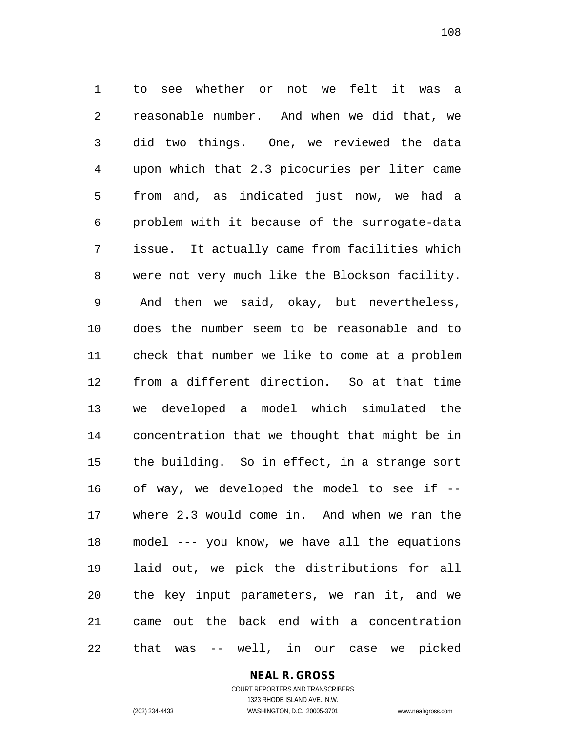to see whether or not we felt it was a reasonable number. And when we did that, we did two things. One, we reviewed the data upon which that 2.3 picocuries per liter came from and, as indicated just now, we had a problem with it because of the surrogate-data issue. It actually came from facilities which were not very much like the Blockson facility. And then we said, okay, but nevertheless, does the number seem to be reasonable and to check that number we like to come at a problem from a different direction. So at that time we developed a model which simulated the concentration that we thought that might be in the building. So in effect, in a strange sort of way, we developed the model to see if -- where 2.3 would come in. And when we ran the model --- you know, we have all the equations laid out, we pick the distributions for all the key input parameters, we ran it, and we came out the back end with a concentration that was -- well, in our case we picked

**NEAL R. GROSS**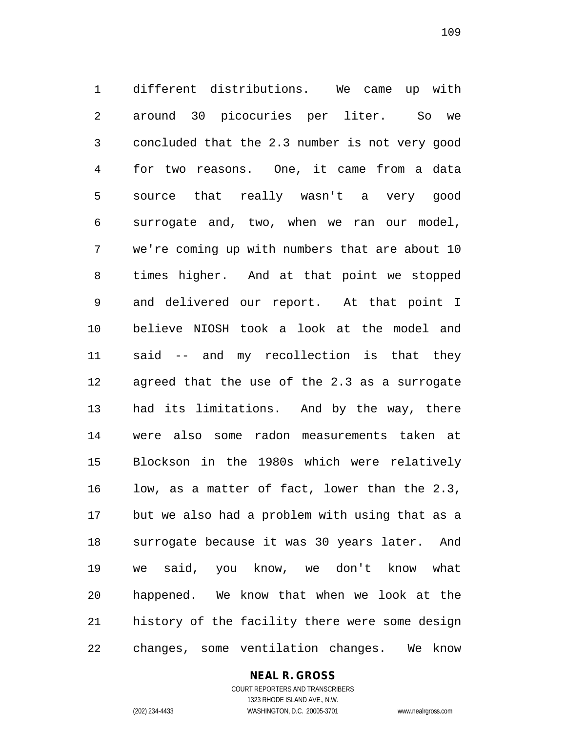different distributions. We came up with around 30 picocuries per liter. So we concluded that the 2.3 number is not very good for two reasons. One, it came from a data source that really wasn't a very good surrogate and, two, when we ran our model, we're coming up with numbers that are about 10 times higher. And at that point we stopped and delivered our report. At that point I believe NIOSH took a look at the model and said -- and my recollection is that they agreed that the use of the 2.3 as a surrogate had its limitations. And by the way, there were also some radon measurements taken at Blockson in the 1980s which were relatively low, as a matter of fact, lower than the 2.3, but we also had a problem with using that as a surrogate because it was 30 years later. And we said, you know, we don't know what happened. We know that when we look at the history of the facility there were some design changes, some ventilation changes. We know

#### **NEAL R. GROSS**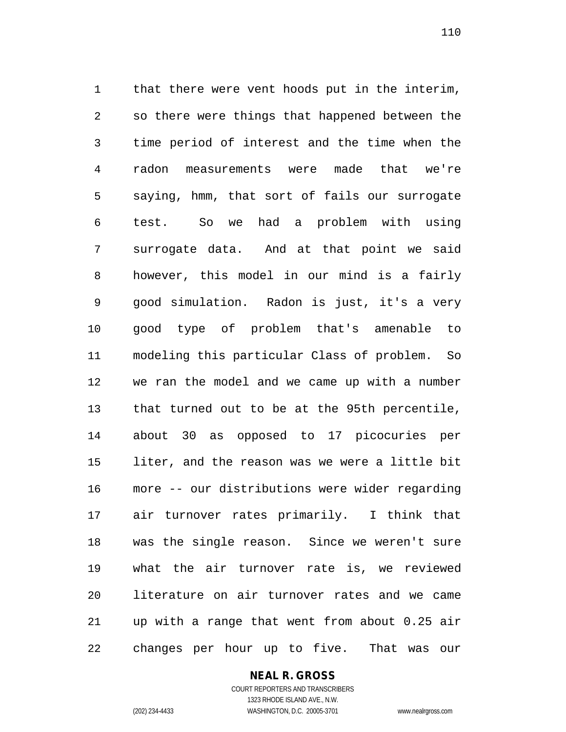that there were vent hoods put in the interim, so there were things that happened between the time period of interest and the time when the radon measurements were made that we're saying, hmm, that sort of fails our surrogate test. So we had a problem with using surrogate data. And at that point we said however, this model in our mind is a fairly good simulation. Radon is just, it's a very good type of problem that's amenable to modeling this particular Class of problem. So we ran the model and we came up with a number that turned out to be at the 95th percentile, about 30 as opposed to 17 picocuries per liter, and the reason was we were a little bit more -- our distributions were wider regarding air turnover rates primarily. I think that was the single reason. Since we weren't sure what the air turnover rate is, we reviewed literature on air turnover rates and we came up with a range that went from about 0.25 air changes per hour up to five. That was our

# **NEAL R. GROSS**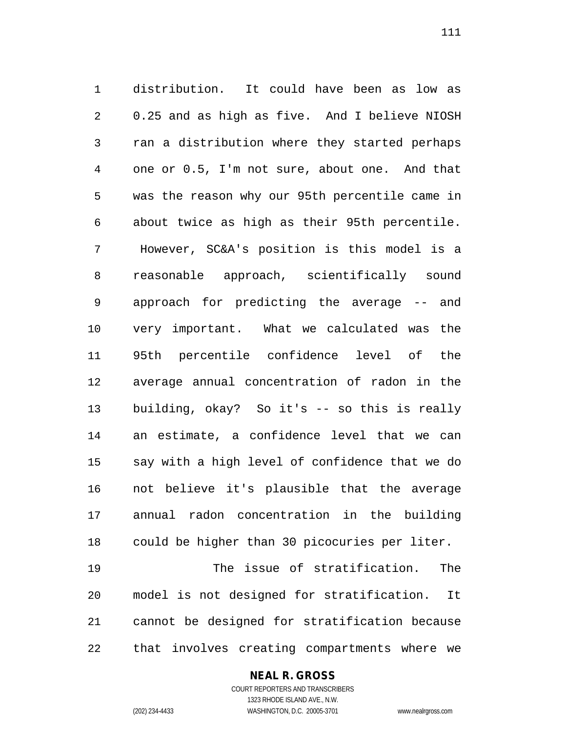distribution. It could have been as low as 0.25 and as high as five. And I believe NIOSH ran a distribution where they started perhaps one or 0.5, I'm not sure, about one. And that was the reason why our 95th percentile came in about twice as high as their 95th percentile. However, SC&A's position is this model is a reasonable approach, scientifically sound approach for predicting the average -- and very important. What we calculated was the 95th percentile confidence level of the average annual concentration of radon in the building, okay? So it's -- so this is really an estimate, a confidence level that we can say with a high level of confidence that we do not believe it's plausible that the average annual radon concentration in the building could be higher than 30 picocuries per liter.

 The issue of stratification. The model is not designed for stratification. It cannot be designed for stratification because that involves creating compartments where we

#### **NEAL R. GROSS** COURT REPORTERS AND TRANSCRIBERS

1323 RHODE ISLAND AVE., N.W.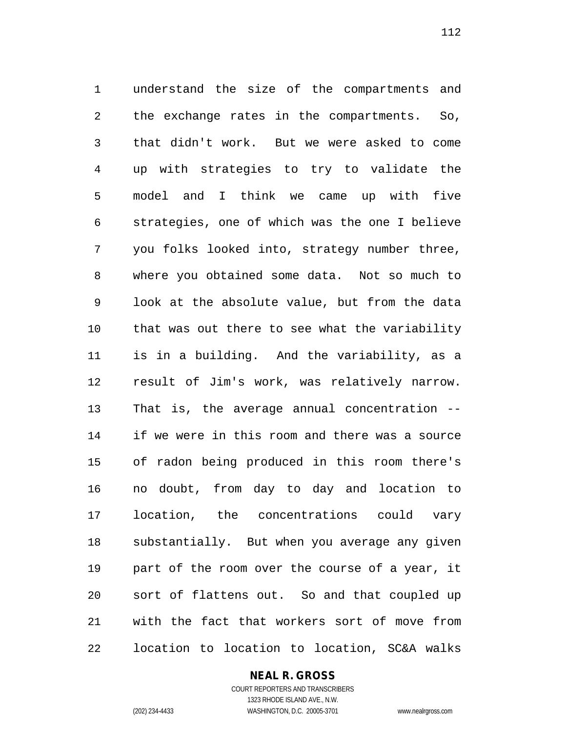understand the size of the compartments and the exchange rates in the compartments. So, that didn't work. But we were asked to come up with strategies to try to validate the model and I think we came up with five strategies, one of which was the one I believe you folks looked into, strategy number three, where you obtained some data. Not so much to look at the absolute value, but from the data that was out there to see what the variability is in a building. And the variability, as a result of Jim's work, was relatively narrow. That is, the average annual concentration -- if we were in this room and there was a source of radon being produced in this room there's no doubt, from day to day and location to location, the concentrations could vary substantially. But when you average any given part of the room over the course of a year, it sort of flattens out. So and that coupled up with the fact that workers sort of move from location to location to location, SC&A walks

#### **NEAL R. GROSS** COURT REPORTERS AND TRANSCRIBERS

1323 RHODE ISLAND AVE., N.W. (202) 234-4433 WASHINGTON, D.C. 20005-3701 www.nealrgross.com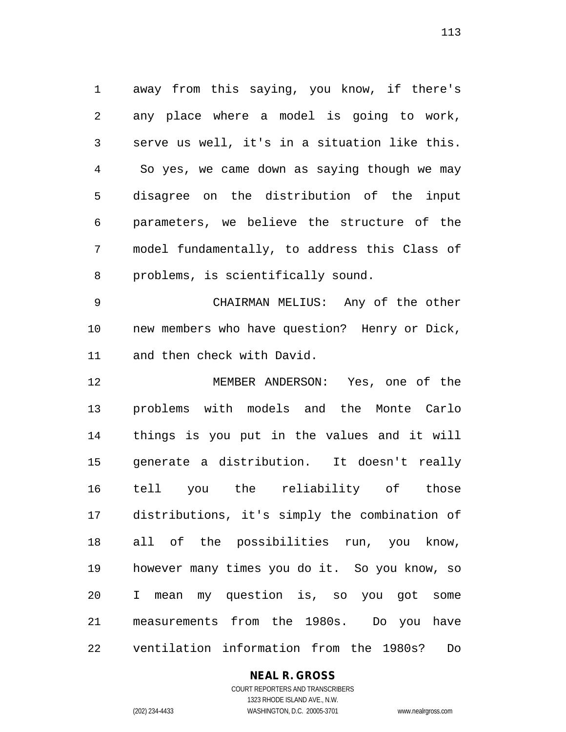away from this saying, you know, if there's any place where a model is going to work, serve us well, it's in a situation like this. So yes, we came down as saying though we may disagree on the distribution of the input parameters, we believe the structure of the model fundamentally, to address this Class of problems, is scientifically sound.

 CHAIRMAN MELIUS: Any of the other new members who have question? Henry or Dick, and then check with David.

 MEMBER ANDERSON: Yes, one of the problems with models and the Monte Carlo things is you put in the values and it will generate a distribution. It doesn't really tell you the reliability of those distributions, it's simply the combination of all of the possibilities run, you know, however many times you do it. So you know, so I mean my question is, so you got some measurements from the 1980s. Do you have ventilation information from the 1980s? Do

#### **NEAL R. GROSS**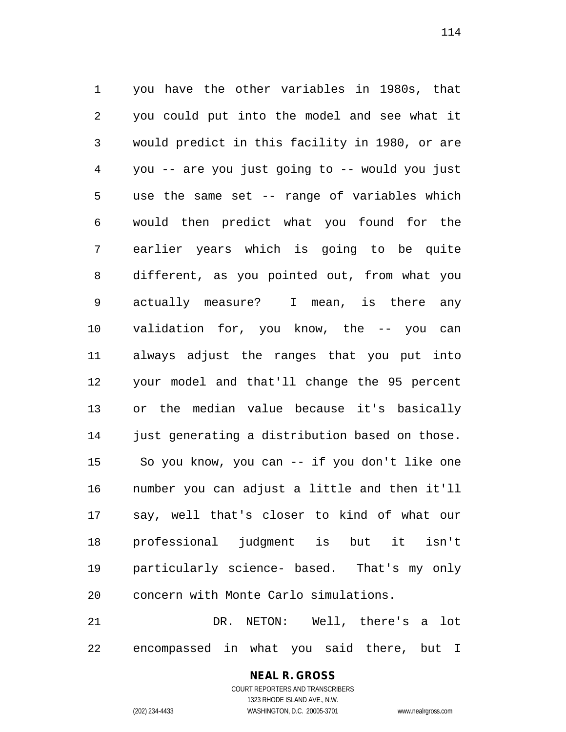you have the other variables in 1980s, that you could put into the model and see what it would predict in this facility in 1980, or are you -- are you just going to -- would you just use the same set -- range of variables which would then predict what you found for the earlier years which is going to be quite different, as you pointed out, from what you actually measure? I mean, is there any validation for, you know, the -- you can always adjust the ranges that you put into your model and that'll change the 95 percent or the median value because it's basically just generating a distribution based on those. So you know, you can -- if you don't like one number you can adjust a little and then it'll say, well that's closer to kind of what our professional judgment is but it isn't particularly science- based. That's my only concern with Monte Carlo simulations.

 DR. NETON: Well, there's a lot encompassed in what you said there, but I

> COURT REPORTERS AND TRANSCRIBERS 1323 RHODE ISLAND AVE., N.W. (202) 234-4433 WASHINGTON, D.C. 20005-3701 www.nealrgross.com

**NEAL R. GROSS**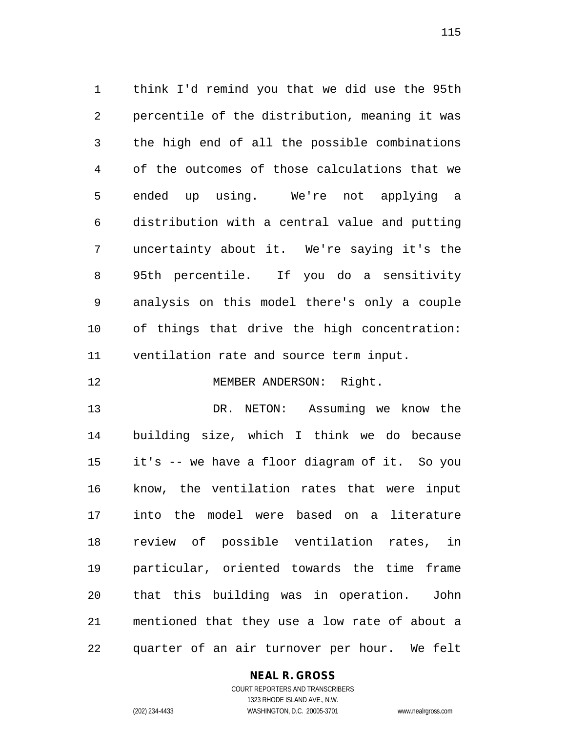think I'd remind you that we did use the 95th percentile of the distribution, meaning it was the high end of all the possible combinations of the outcomes of those calculations that we ended up using. We're not applying a distribution with a central value and putting uncertainty about it. We're saying it's the 95th percentile. If you do a sensitivity analysis on this model there's only a couple of things that drive the high concentration: ventilation rate and source term input.

MEMBER ANDERSON: Right.

 DR. NETON: Assuming we know the building size, which I think we do because it's -- we have a floor diagram of it. So you know, the ventilation rates that were input into the model were based on a literature review of possible ventilation rates, in particular, oriented towards the time frame that this building was in operation. John mentioned that they use a low rate of about a quarter of an air turnover per hour. We felt

#### **NEAL R. GROSS**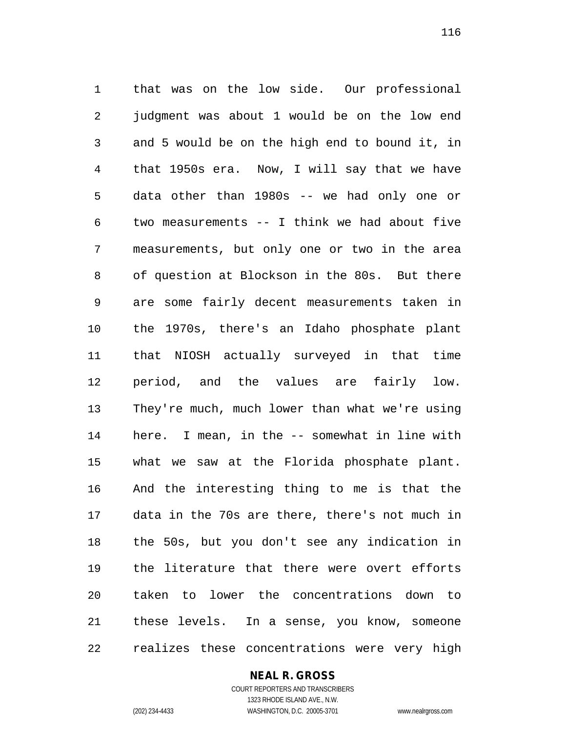that was on the low side. Our professional judgment was about 1 would be on the low end and 5 would be on the high end to bound it, in that 1950s era. Now, I will say that we have data other than 1980s -- we had only one or two measurements -- I think we had about five measurements, but only one or two in the area of question at Blockson in the 80s. But there are some fairly decent measurements taken in the 1970s, there's an Idaho phosphate plant that NIOSH actually surveyed in that time period, and the values are fairly low. They're much, much lower than what we're using here. I mean, in the -- somewhat in line with what we saw at the Florida phosphate plant. And the interesting thing to me is that the data in the 70s are there, there's not much in the 50s, but you don't see any indication in the literature that there were overt efforts taken to lower the concentrations down to these levels. In a sense, you know, someone realizes these concentrations were very high

#### **NEAL R. GROSS**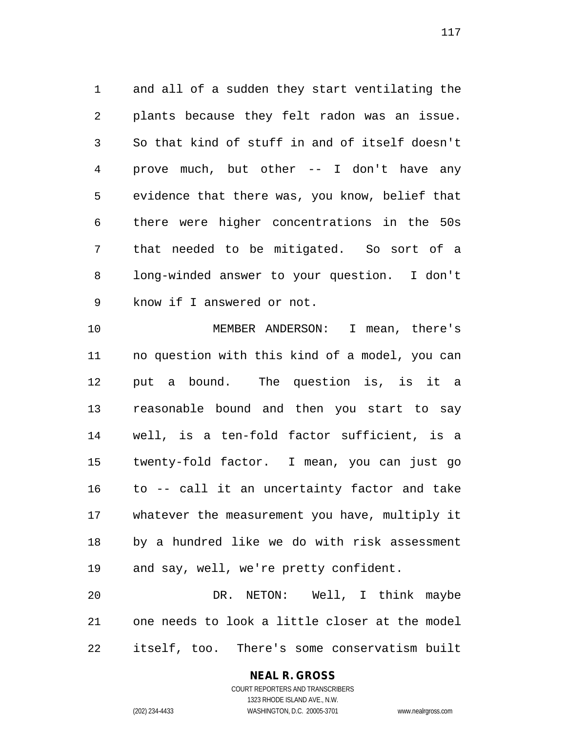and all of a sudden they start ventilating the plants because they felt radon was an issue. So that kind of stuff in and of itself doesn't prove much, but other -- I don't have any evidence that there was, you know, belief that there were higher concentrations in the 50s that needed to be mitigated. So sort of a long-winded answer to your question. I don't know if I answered or not.

 MEMBER ANDERSON: I mean, there's no question with this kind of a model, you can put a bound. The question is, is it a reasonable bound and then you start to say well, is a ten-fold factor sufficient, is a twenty-fold factor. I mean, you can just go to -- call it an uncertainty factor and take whatever the measurement you have, multiply it by a hundred like we do with risk assessment and say, well, we're pretty confident.

 DR. NETON: Well, I think maybe one needs to look a little closer at the model itself, too. There's some conservatism built

# **NEAL R. GROSS**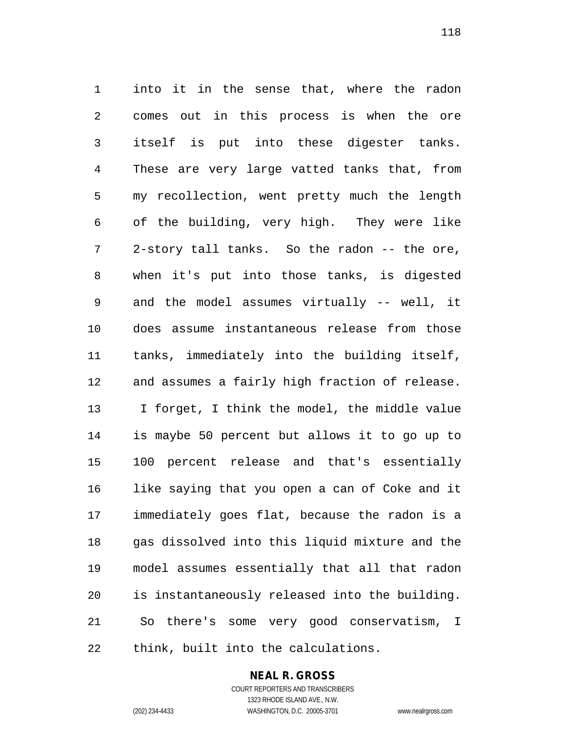into it in the sense that, where the radon comes out in this process is when the ore itself is put into these digester tanks. These are very large vatted tanks that, from my recollection, went pretty much the length of the building, very high. They were like 2-story tall tanks. So the radon -- the ore, when it's put into those tanks, is digested and the model assumes virtually -- well, it does assume instantaneous release from those tanks, immediately into the building itself, and assumes a fairly high fraction of release. I forget, I think the model, the middle value is maybe 50 percent but allows it to go up to 100 percent release and that's essentially like saying that you open a can of Coke and it immediately goes flat, because the radon is a gas dissolved into this liquid mixture and the model assumes essentially that all that radon is instantaneously released into the building. So there's some very good conservatism, I think, built into the calculations.

#### **NEAL R. GROSS**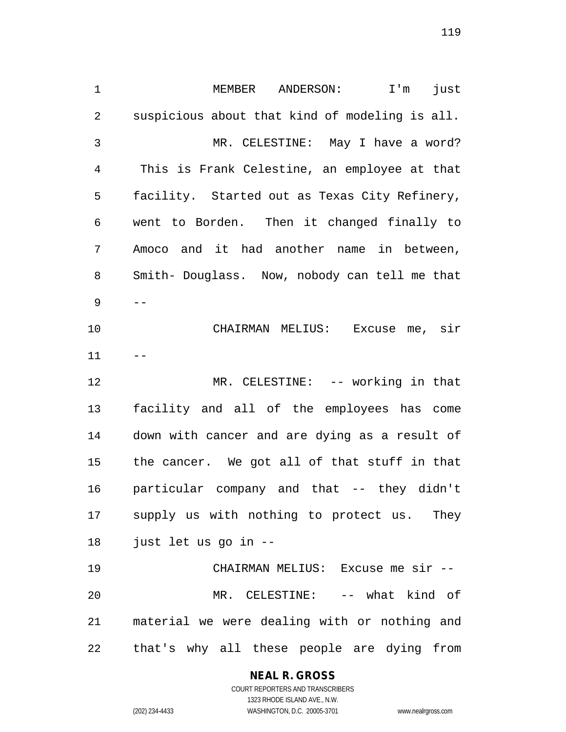MEMBER ANDERSON: I'm just suspicious about that kind of modeling is all. MR. CELESTINE: May I have a word? This is Frank Celestine, an employee at that facility. Started out as Texas City Refinery, went to Borden. Then it changed finally to Amoco and it had another name in between, Smith- Douglass. Now, nobody can tell me that  $9 - -$  CHAIRMAN MELIUS: Excuse me, sir MR. CELESTINE: -- working in that facility and all of the employees has come down with cancer and are dying as a result of the cancer. We got all of that stuff in that particular company and that -- they didn't supply us with nothing to protect us. They just let us go in -- CHAIRMAN MELIUS: Excuse me sir -- MR. CELESTINE: -- what kind of material we were dealing with or nothing and that's why all these people are dying from

#### **NEAL R. GROSS**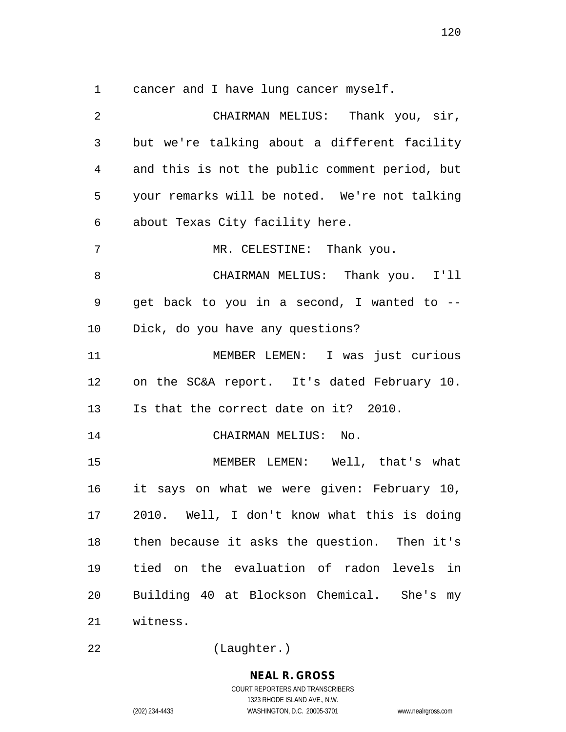cancer and I have lung cancer myself.

| $\overline{2}$ | CHAIRMAN MELIUS: Thank you, sir,               |
|----------------|------------------------------------------------|
| $\mathfrak{Z}$ | but we're talking about a different facility   |
| 4              | and this is not the public comment period, but |
| 5              | your remarks will be noted. We're not talking  |
| 6              | about Texas City facility here.                |
| 7              | MR. CELESTINE: Thank you.                      |
| 8              | CHAIRMAN MELIUS: Thank you. I'll               |
| 9              | get back to you in a second, I wanted to --    |
| 10             | Dick, do you have any questions?               |
| 11             | MEMBER LEMEN: I was just curious               |
| 12             | on the SC&A report. It's dated February 10.    |
| 13             | Is that the correct date on it? 2010.          |
| 14             | CHAIRMAN MELIUS: No.                           |
| 15             | MEMBER LEMEN: Well, that's what                |
| 16             | it says on what we were given: February 10,    |
| 17             | 2010. Well, I don't know what this is doing    |
| 18             | then because it asks the question. Then it's   |
| 19             | tied on the evaluation of radon levels in      |
| 20             | Building 40 at Blockson Chemical. She's my     |
| 21             | witness.                                       |

(Laughter.)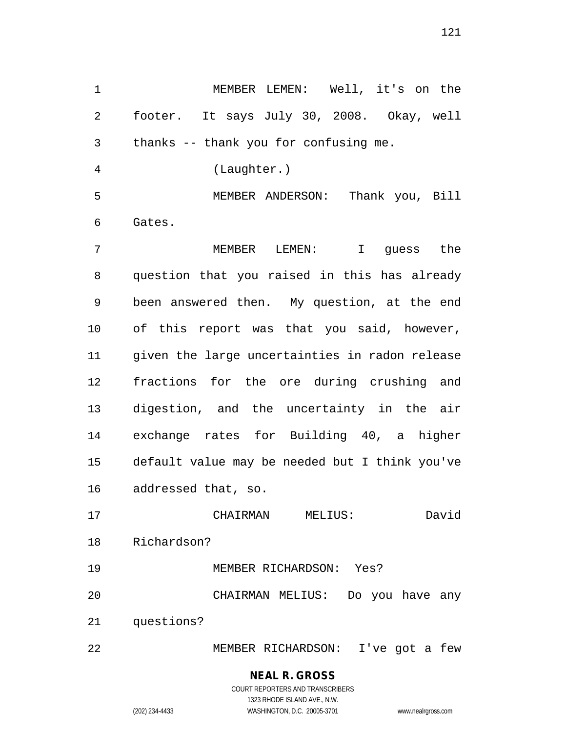MEMBER LEMEN: Well, it's on the footer. It says July 30, 2008. Okay, well thanks -- thank you for confusing me. (Laughter.) MEMBER ANDERSON: Thank you, Bill Gates. MEMBER LEMEN: I guess the question that you raised in this has already been answered then. My question, at the end of this report was that you said, however, given the large uncertainties in radon release fractions for the ore during crushing and digestion, and the uncertainty in the air exchange rates for Building 40, a higher default value may be needed but I think you've addressed that, so. CHAIRMAN MELIUS: David Richardson? MEMBER RICHARDSON: Yes? CHAIRMAN MELIUS: Do you have any

questions?

MEMBER RICHARDSON: I've got a few

# **NEAL R. GROSS**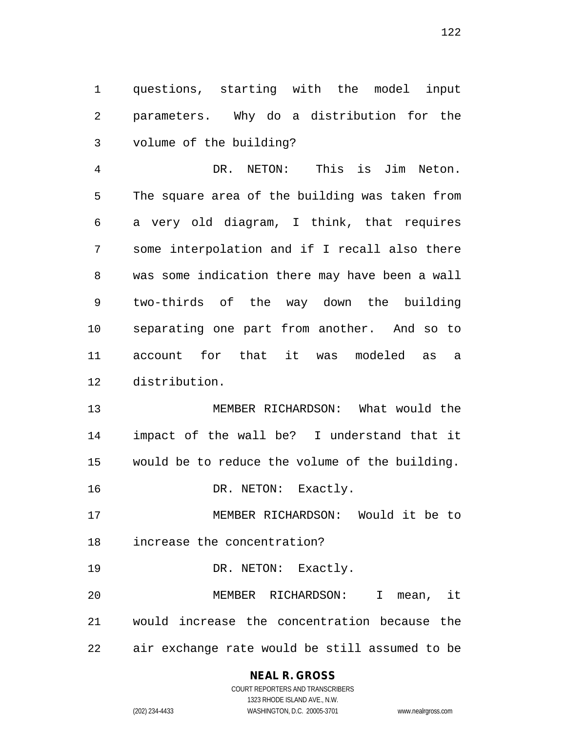questions, starting with the model input parameters. Why do a distribution for the volume of the building?

 DR. NETON: This is Jim Neton. The square area of the building was taken from a very old diagram, I think, that requires some interpolation and if I recall also there was some indication there may have been a wall two-thirds of the way down the building separating one part from another. And so to account for that it was modeled as a distribution.

 MEMBER RICHARDSON: What would the impact of the wall be? I understand that it would be to reduce the volume of the building. 16 DR. NETON: Exactly.

 MEMBER RICHARDSON: Would it be to increase the concentration?

19 DR. NETON: Exactly.

 MEMBER RICHARDSON: I mean, it would increase the concentration because the air exchange rate would be still assumed to be

# **NEAL R. GROSS**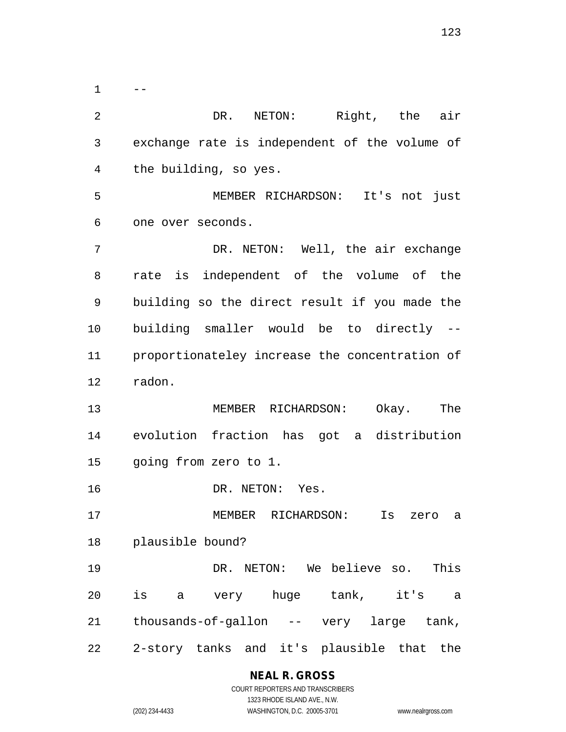$1 \qquad -$  DR. NETON: Right, the air exchange rate is independent of the volume of the building, so yes. MEMBER RICHARDSON: It's not just one over seconds. DR. NETON: Well, the air exchange rate is independent of the volume of the building so the direct result if you made the building smaller would be to directly -- proportionateley increase the concentration of radon. MEMBER RICHARDSON: Okay. The evolution fraction has got a distribution going from zero to 1. DR. NETON: Yes. MEMBER RICHARDSON: Is zero a plausible bound? DR. NETON: We believe so. This is a very huge tank, it's a thousands-of-gallon -- very large tank, 2-story tanks and it's plausible that the

# **NEAL R. GROSS**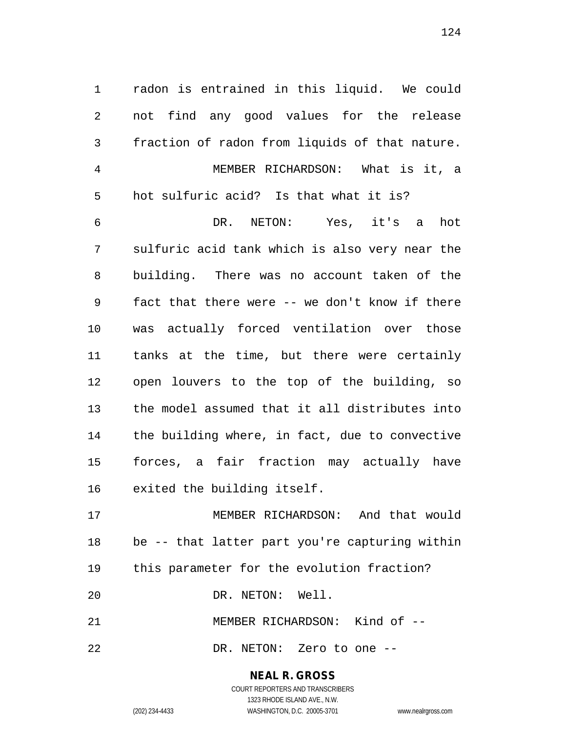radon is entrained in this liquid. We could not find any good values for the release fraction of radon from liquids of that nature. MEMBER RICHARDSON: What is it, a hot sulfuric acid? Is that what it is? DR. NETON: Yes, it's a hot sulfuric acid tank which is also very near the building. There was no account taken of the fact that there were -- we don't know if there was actually forced ventilation over those tanks at the time, but there were certainly open louvers to the top of the building, so the model assumed that it all distributes into the building where, in fact, due to convective forces, a fair fraction may actually have exited the building itself.

 MEMBER RICHARDSON: And that would be -- that latter part you're capturing within this parameter for the evolution fraction? DR. NETON: Well. MEMBER RICHARDSON: Kind of --

DR. NETON: Zero to one --

**NEAL R. GROSS** COURT REPORTERS AND TRANSCRIBERS

1323 RHODE ISLAND AVE., N.W.

(202) 234-4433 WASHINGTON, D.C. 20005-3701 www.nealrgross.com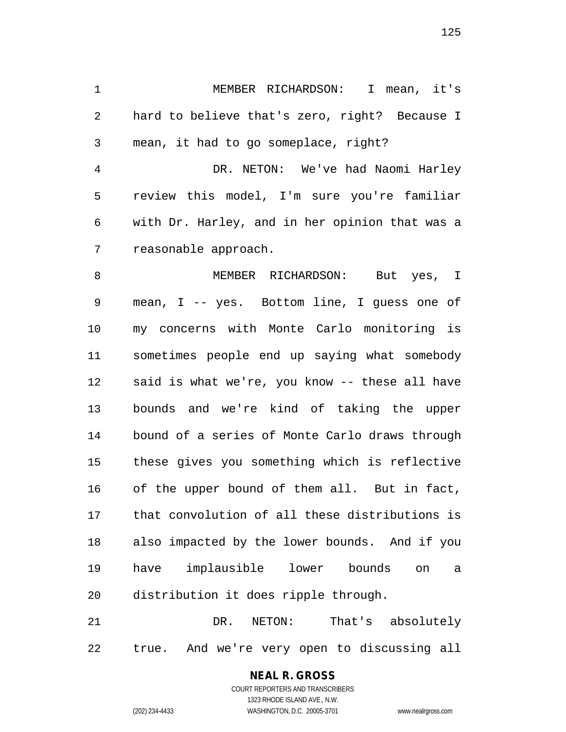MEMBER RICHARDSON: I mean, it's hard to believe that's zero, right? Because I mean, it had to go someplace, right?

 DR. NETON: We've had Naomi Harley review this model, I'm sure you're familiar with Dr. Harley, and in her opinion that was a reasonable approach.

8 MEMBER RICHARDSON: But yes, I mean, I -- yes. Bottom line, I guess one of my concerns with Monte Carlo monitoring is sometimes people end up saying what somebody said is what we're, you know -- these all have bounds and we're kind of taking the upper bound of a series of Monte Carlo draws through these gives you something which is reflective of the upper bound of them all. But in fact, that convolution of all these distributions is also impacted by the lower bounds. And if you have implausible lower bounds on a distribution it does ripple through.

 DR. NETON: That's absolutely true. And we're very open to discussing all

# **NEAL R. GROSS**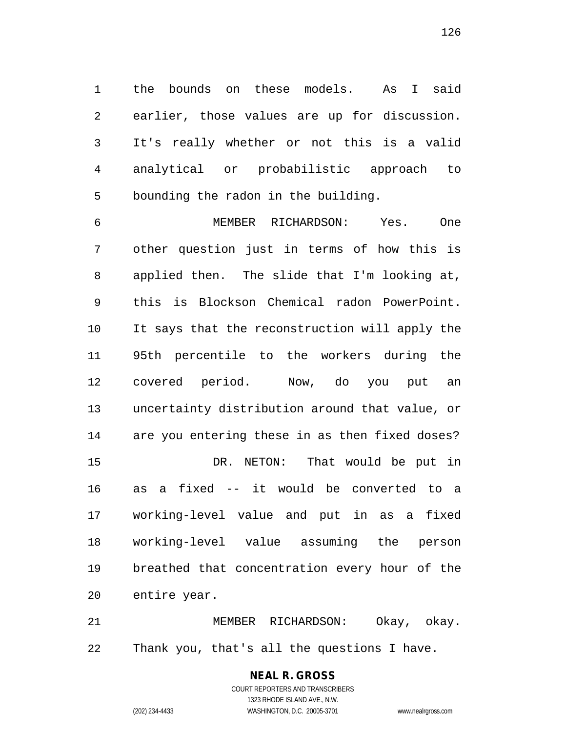the bounds on these models. As I said earlier, those values are up for discussion. It's really whether or not this is a valid analytical or probabilistic approach to bounding the radon in the building.

 MEMBER RICHARDSON: Yes. One other question just in terms of how this is applied then. The slide that I'm looking at, this is Blockson Chemical radon PowerPoint. It says that the reconstruction will apply the 95th percentile to the workers during the covered period. Now, do you put an uncertainty distribution around that value, or are you entering these in as then fixed doses? DR. NETON: That would be put in as a fixed -- it would be converted to a working-level value and put in as a fixed working-level value assuming the person breathed that concentration every hour of the entire year.

 MEMBER RICHARDSON: Okay, okay. Thank you, that's all the questions I have.

# **NEAL R. GROSS**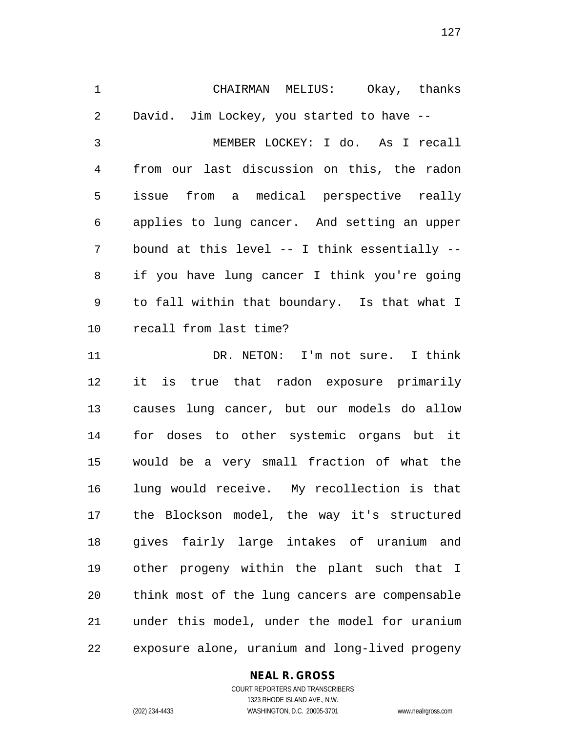CHAIRMAN MELIUS: Okay, thanks David. Jim Lockey, you started to have -- MEMBER LOCKEY: I do. As I recall from our last discussion on this, the radon issue from a medical perspective really applies to lung cancer. And setting an upper bound at this level -- I think essentially -- if you have lung cancer I think you're going to fall within that boundary. Is that what I recall from last time? DR. NETON: I'm not sure. I think it is true that radon exposure primarily causes lung cancer, but our models do allow for doses to other systemic organs but it would be a very small fraction of what the lung would receive. My recollection is that the Blockson model, the way it's structured gives fairly large intakes of uranium and other progeny within the plant such that I think most of the lung cancers are compensable under this model, under the model for uranium exposure alone, uranium and long-lived progeny

#### **NEAL R. GROSS**

COURT REPORTERS AND TRANSCRIBERS 1323 RHODE ISLAND AVE., N.W. (202) 234-4433 WASHINGTON, D.C. 20005-3701 www.nealrgross.com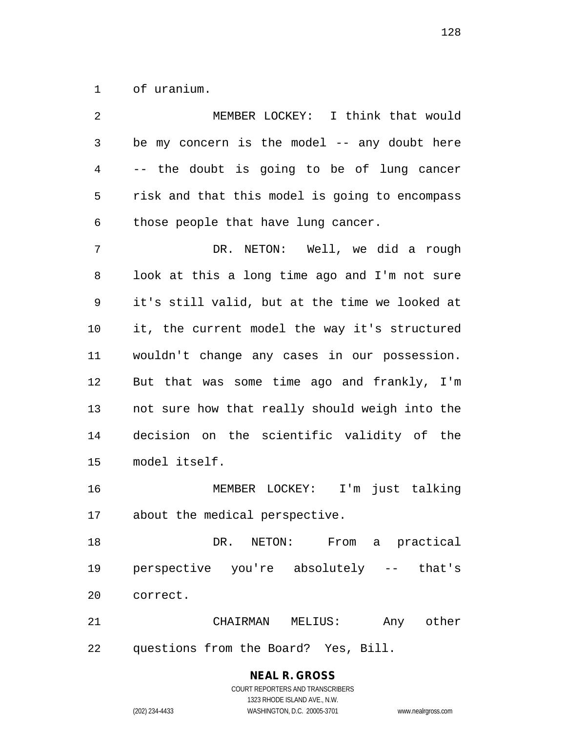of uranium.

| $\overline{2}$ | MEMBER LOCKEY: I think that would              |
|----------------|------------------------------------------------|
| $\mathfrak{Z}$ | be my concern is the model $--$ any doubt here |
| 4              | -- the doubt is going to be of lung cancer     |
| 5              | risk and that this model is going to encompass |
| 6              | those people that have lung cancer.            |
| 7              | DR. NETON: Well, we did a rough                |
| 8              | look at this a long time ago and I'm not sure  |
| 9              | it's still valid, but at the time we looked at |
| 10             | it, the current model the way it's structured  |
| 11             | wouldn't change any cases in our possession.   |
| 12             | But that was some time ago and frankly, I'm    |
| 13             | not sure how that really should weigh into the |
| 14             | decision on the scientific validity of the     |
| 15             | model itself.                                  |
| 16             | MEMBER LOCKEY: I'm just talking                |
| 17             | about the medical perspective.                 |
| 18             | DR. NETON: From a practical                    |
| 19             | perspective you're absolutely -- that's        |
| 20             | correct.                                       |
| 21             | CHAIRMAN MELIUS:<br>Any other                  |
| 22             | questions from the Board? Yes, Bill.           |

COURT REPORTERS AND TRANSCRIBERS 1323 RHODE ISLAND AVE., N.W. (202) 234-4433 WASHINGTON, D.C. 20005-3701 www.nealrgross.com

**NEAL R. GROSS**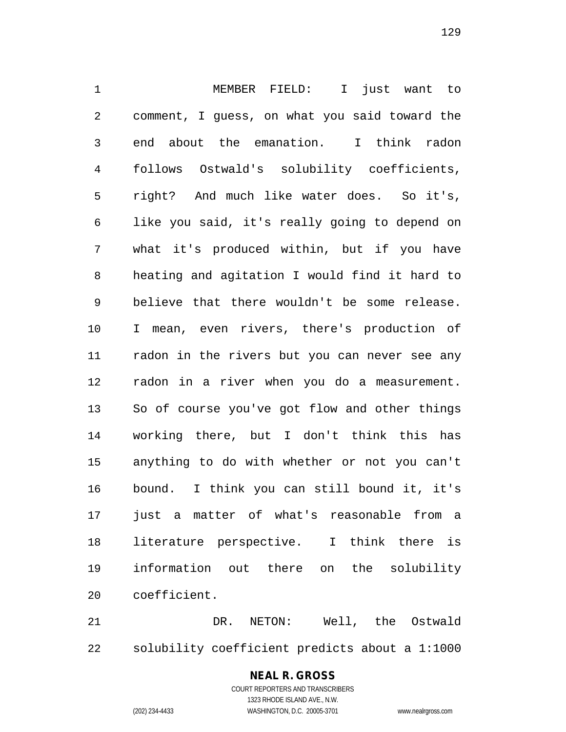MEMBER FIELD: I just want to comment, I guess, on what you said toward the end about the emanation. I think radon follows Ostwald's solubility coefficients, right? And much like water does. So it's, like you said, it's really going to depend on what it's produced within, but if you have heating and agitation I would find it hard to believe that there wouldn't be some release. I mean, even rivers, there's production of radon in the rivers but you can never see any radon in a river when you do a measurement. So of course you've got flow and other things working there, but I don't think this has anything to do with whether or not you can't bound. I think you can still bound it, it's just a matter of what's reasonable from a literature perspective. I think there is information out there on the solubility coefficient.

 DR. NETON: Well, the Ostwald solubility coefficient predicts about a 1:1000

# **NEAL R. GROSS** COURT REPORTERS AND TRANSCRIBERS

1323 RHODE ISLAND AVE., N.W. (202) 234-4433 WASHINGTON, D.C. 20005-3701 www.nealrgross.com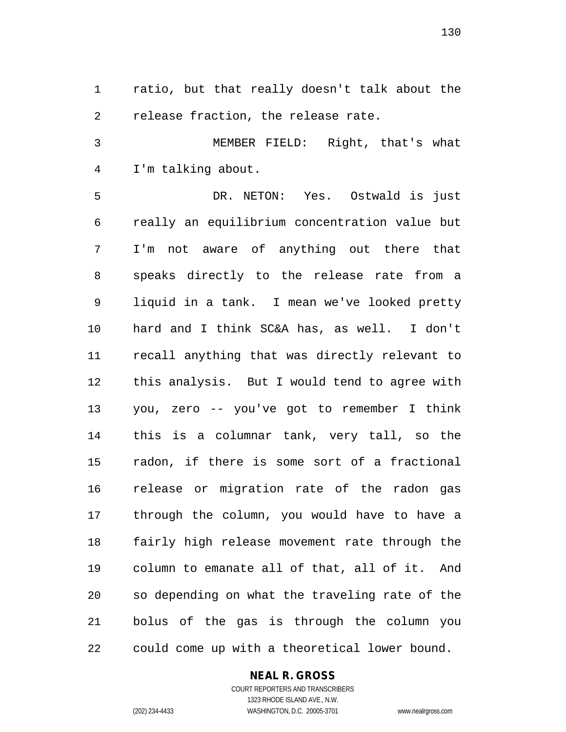ratio, but that really doesn't talk about the release fraction, the release rate.

 MEMBER FIELD: Right, that's what I'm talking about.

 DR. NETON: Yes. Ostwald is just really an equilibrium concentration value but I'm not aware of anything out there that speaks directly to the release rate from a liquid in a tank. I mean we've looked pretty hard and I think SC&A has, as well. I don't recall anything that was directly relevant to this analysis. But I would tend to agree with you, zero -- you've got to remember I think this is a columnar tank, very tall, so the radon, if there is some sort of a fractional release or migration rate of the radon gas through the column, you would have to have a fairly high release movement rate through the column to emanate all of that, all of it. And so depending on what the traveling rate of the bolus of the gas is through the column you could come up with a theoretical lower bound.

#### **NEAL R. GROSS**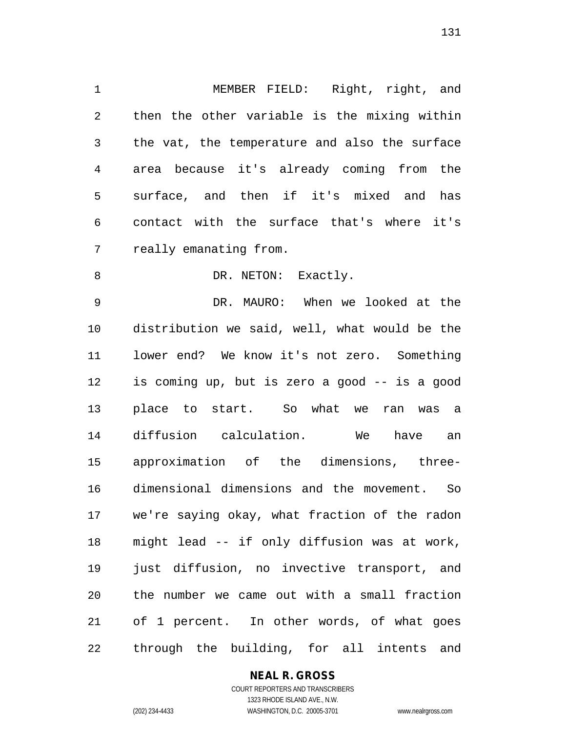MEMBER FIELD: Right, right, and then the other variable is the mixing within the vat, the temperature and also the surface area because it's already coming from the surface, and then if it's mixed and has contact with the surface that's where it's really emanating from.

8 DR. NETON: Exactly.

 DR. MAURO: When we looked at the distribution we said, well, what would be the lower end? We know it's not zero. Something is coming up, but is zero a good -- is a good place to start. So what we ran was a diffusion calculation. We have an approximation of the dimensions, three- dimensional dimensions and the movement. So we're saying okay, what fraction of the radon might lead -- if only diffusion was at work, just diffusion, no invective transport, and the number we came out with a small fraction of 1 percent. In other words, of what goes through the building, for all intents and

#### **NEAL R. GROSS**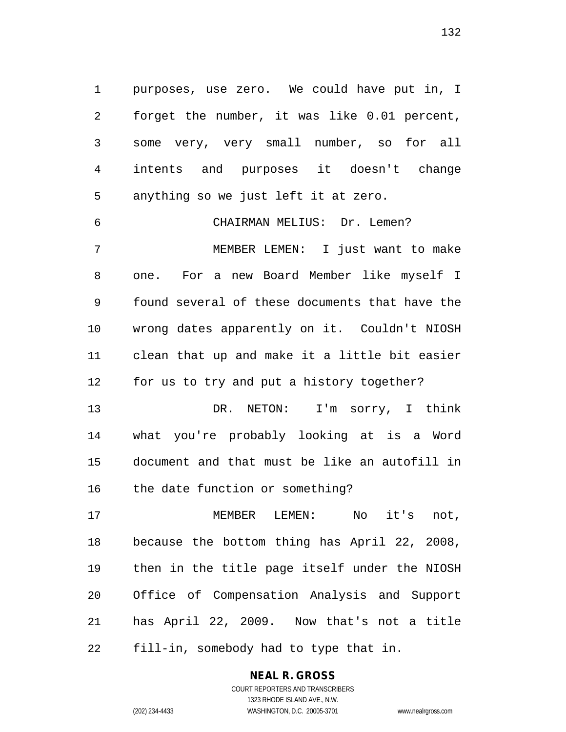purposes, use zero. We could have put in, I forget the number, it was like 0.01 percent, some very, very small number, so for all intents and purposes it doesn't change anything so we just left it at zero.

 MEMBER LEMEN: I just want to make one. For a new Board Member like myself I found several of these documents that have the wrong dates apparently on it. Couldn't NIOSH clean that up and make it a little bit easier for us to try and put a history together?

CHAIRMAN MELIUS: Dr. Lemen?

 DR. NETON: I'm sorry, I think what you're probably looking at is a Word document and that must be like an autofill in the date function or something?

 MEMBER LEMEN: No it's not, because the bottom thing has April 22, 2008, then in the title page itself under the NIOSH Office of Compensation Analysis and Support has April 22, 2009. Now that's not a title fill-in, somebody had to type that in.

#### **NEAL R. GROSS** COURT REPORTERS AND TRANSCRIBERS

1323 RHODE ISLAND AVE., N.W. (202) 234-4433 WASHINGTON, D.C. 20005-3701 www.nealrgross.com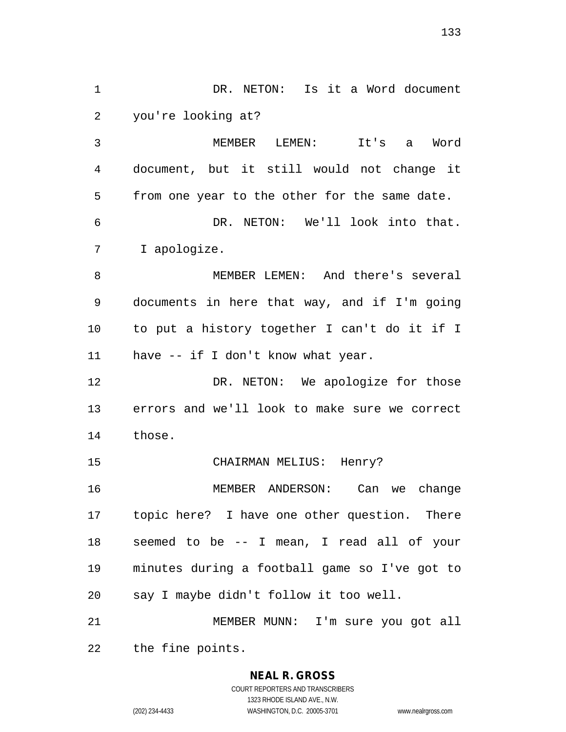DR. NETON: Is it a Word document you're looking at? MEMBER LEMEN: It's a Word document, but it still would not change it from one year to the other for the same date. DR. NETON: We'll look into that. I apologize. MEMBER LEMEN: And there's several documents in here that way, and if I'm going to put a history together I can't do it if I have -- if I don't know what year. DR. NETON: We apologize for those errors and we'll look to make sure we correct those. CHAIRMAN MELIUS: Henry? MEMBER ANDERSON: Can we change topic here? I have one other question. There seemed to be -- I mean, I read all of your minutes during a football game so I've got to say I maybe didn't follow it too well. MEMBER MUNN: I'm sure you got all the fine points.

> **NEAL R. GROSS** COURT REPORTERS AND TRANSCRIBERS

> > 1323 RHODE ISLAND AVE., N.W.

(202) 234-4433 WASHINGTON, D.C. 20005-3701 www.nealrgross.com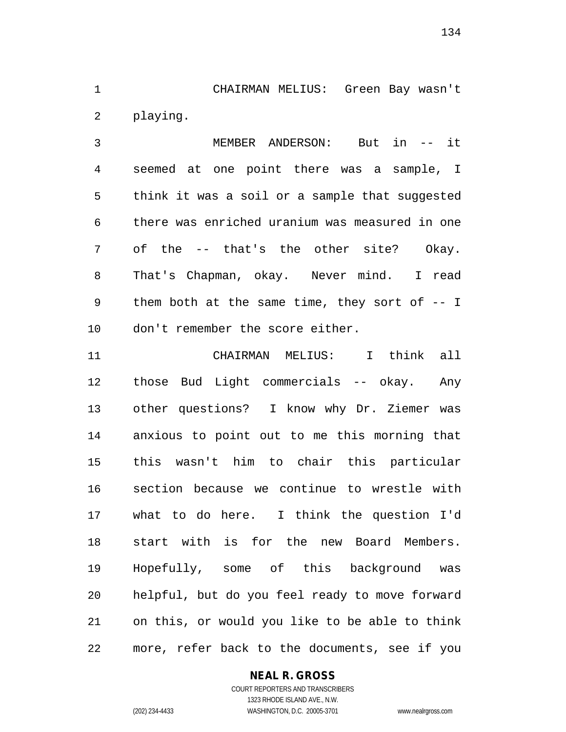CHAIRMAN MELIUS: Green Bay wasn't playing.

 MEMBER ANDERSON: But in -- it seemed at one point there was a sample, I think it was a soil or a sample that suggested there was enriched uranium was measured in one of the -- that's the other site? Okay. That's Chapman, okay. Never mind. I read them both at the same time, they sort of -- I don't remember the score either.

 CHAIRMAN MELIUS: I think all those Bud Light commercials -- okay. Any other questions? I know why Dr. Ziemer was anxious to point out to me this morning that this wasn't him to chair this particular section because we continue to wrestle with what to do here. I think the question I'd start with is for the new Board Members. Hopefully, some of this background was helpful, but do you feel ready to move forward on this, or would you like to be able to think more, refer back to the documents, see if you

#### **NEAL R. GROSS**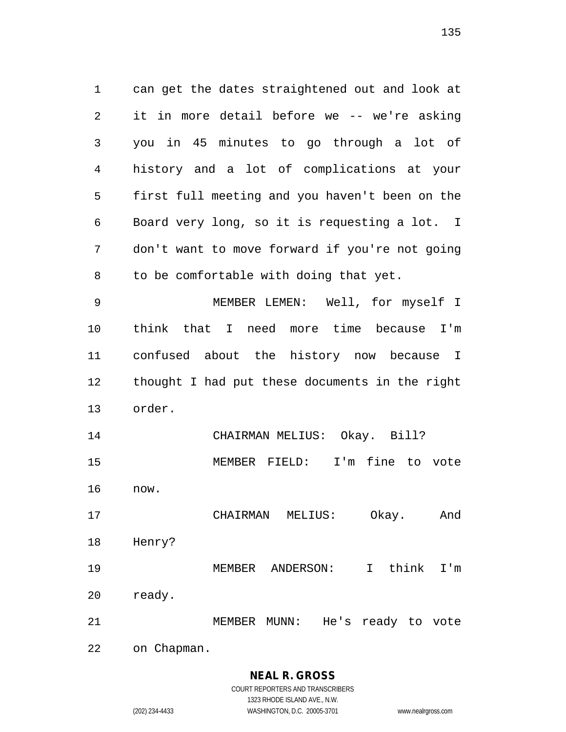can get the dates straightened out and look at it in more detail before we -- we're asking you in 45 minutes to go through a lot of history and a lot of complications at your first full meeting and you haven't been on the Board very long, so it is requesting a lot. I don't want to move forward if you're not going to be comfortable with doing that yet. MEMBER LEMEN: Well, for myself I think that I need more time because I'm confused about the history now because I thought I had put these documents in the right order. CHAIRMAN MELIUS: Okay. Bill? MEMBER FIELD: I'm fine to vote

now.

 CHAIRMAN MELIUS: Okay. And Henry? MEMBER ANDERSON: I think I'm ready.

MEMBER MUNN: He's ready to vote

on Chapman.

# **NEAL R. GROSS**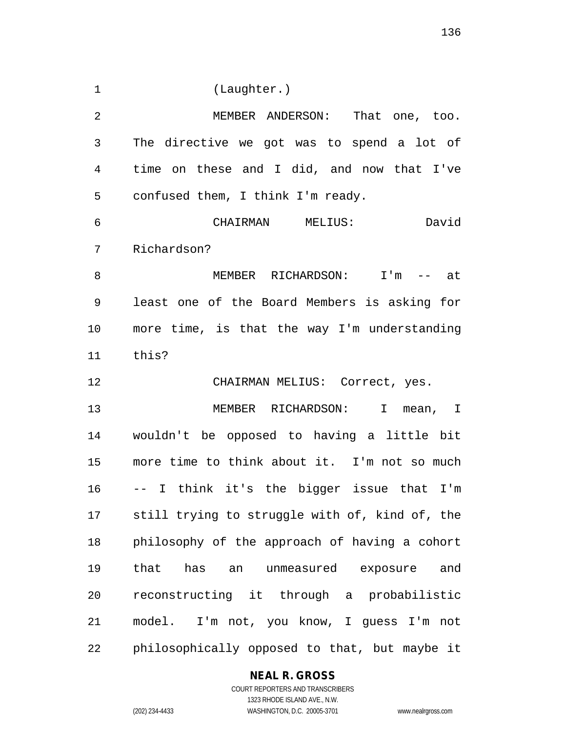| $\mathbf 1$    | (Laughter.)                                    |
|----------------|------------------------------------------------|
| $\overline{2}$ | MEMBER ANDERSON: That one, too.                |
| 3              | The directive we got was to spend a lot of     |
| 4              | time on these and I did, and now that I've     |
| 5              | confused them, I think I'm ready.              |
| 6              | David<br>CHAIRMAN MELIUS:                      |
| 7              | Richardson?                                    |
| 8              | MEMBER RICHARDSON: I'm -- at                   |
| 9              | least one of the Board Members is asking for   |
| 10             | more time, is that the way I'm understanding   |
| 11             | this?                                          |
| 12             | CHAIRMAN MELIUS: Correct, yes.                 |
| 13             | MEMBER RICHARDSON: I mean, I                   |
| 14             | wouldn't be opposed to having a little bit     |
| 15             | more time to think about it. I'm not so much   |
| 16             | -- I think it's the bigger issue that I'm      |
| 17             | still trying to struggle with of, kind of, the |
| 18             | philosophy of the approach of having a cohort  |
| 19             | has an unmeasured exposure<br>that<br>and      |
| 20             | reconstructing it through a probabilistic      |
| 21             | model. I'm not, you know, I guess I'm not      |
| 22             | philosophically opposed to that, but maybe it  |

# **NEAL R. GROSS**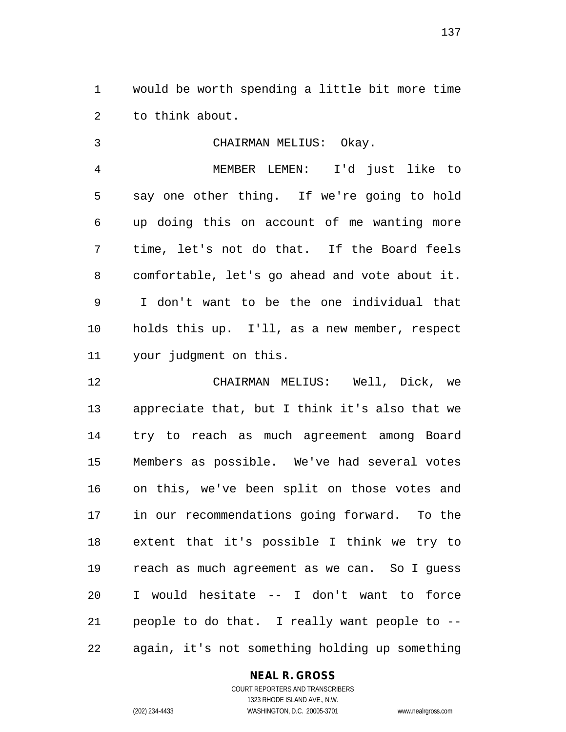would be worth spending a little bit more time to think about.

CHAIRMAN MELIUS: Okay.

 MEMBER LEMEN: I'd just like to say one other thing. If we're going to hold up doing this on account of me wanting more time, let's not do that. If the Board feels comfortable, let's go ahead and vote about it. I don't want to be the one individual that holds this up. I'll, as a new member, respect your judgment on this.

 CHAIRMAN MELIUS: Well, Dick, we appreciate that, but I think it's also that we try to reach as much agreement among Board Members as possible. We've had several votes on this, we've been split on those votes and in our recommendations going forward. To the extent that it's possible I think we try to reach as much agreement as we can. So I guess I would hesitate -- I don't want to force people to do that. I really want people to -- again, it's not something holding up something

#### **NEAL R. GROSS**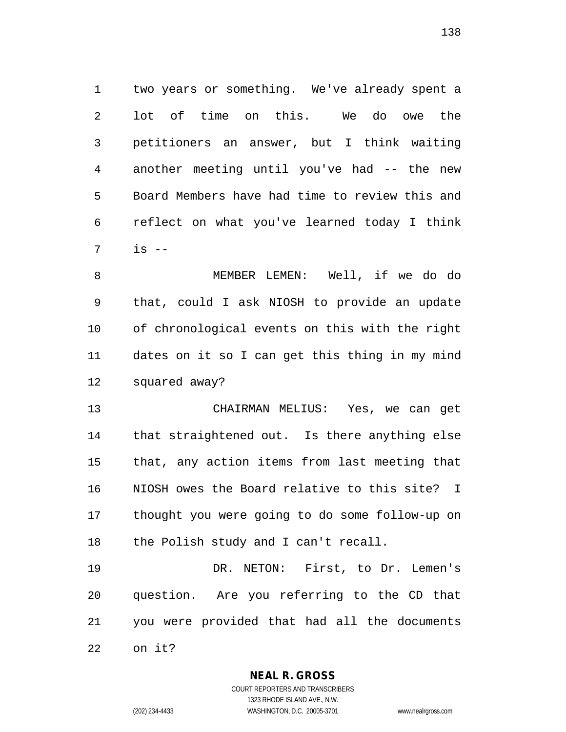two years or something. We've already spent a lot of time on this. We do owe the petitioners an answer, but I think waiting another meeting until you've had -- the new Board Members have had time to review this and reflect on what you've learned today I think  $7 \quad$  is  $-$ 

 MEMBER LEMEN: Well, if we do do that, could I ask NIOSH to provide an update of chronological events on this with the right dates on it so I can get this thing in my mind squared away?

 CHAIRMAN MELIUS: Yes, we can get that straightened out. Is there anything else that, any action items from last meeting that NIOSH owes the Board relative to this site? I thought you were going to do some follow-up on the Polish study and I can't recall.

 DR. NETON: First, to Dr. Lemen's question. Are you referring to the CD that you were provided that had all the documents on it?

**NEAL R. GROSS**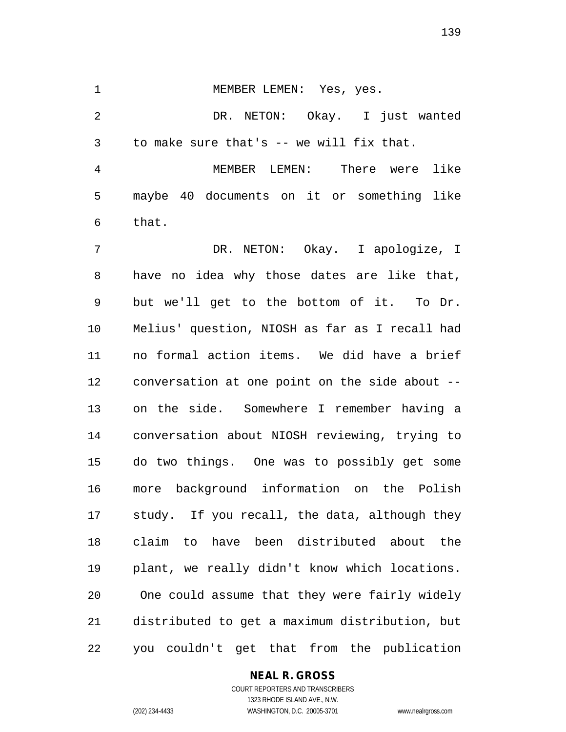1 MEMBER LEMEN: Yes, yes. DR. NETON: Okay. I just wanted to make sure that's -- we will fix that. MEMBER LEMEN: There were like maybe 40 documents on it or something like that. DR. NETON: Okay. I apologize, I have no idea why those dates are like that, but we'll get to the bottom of it. To Dr. Melius' question, NIOSH as far as I recall had

 no formal action items. We did have a brief conversation at one point on the side about -- on the side. Somewhere I remember having a conversation about NIOSH reviewing, trying to do two things. One was to possibly get some more background information on the Polish study. If you recall, the data, although they claim to have been distributed about the plant, we really didn't know which locations. One could assume that they were fairly widely distributed to get a maximum distribution, but you couldn't get that from the publication

> **NEAL R. GROSS** COURT REPORTERS AND TRANSCRIBERS

1323 RHODE ISLAND AVE., N.W. (202) 234-4433 WASHINGTON, D.C. 20005-3701 www.nealrgross.com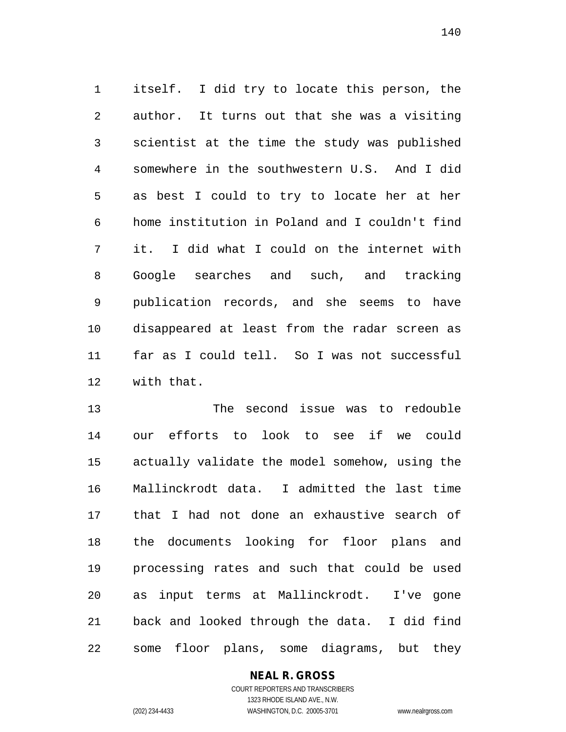itself. I did try to locate this person, the author. It turns out that she was a visiting scientist at the time the study was published somewhere in the southwestern U.S. And I did as best I could to try to locate her at her home institution in Poland and I couldn't find it. I did what I could on the internet with Google searches and such, and tracking publication records, and she seems to have disappeared at least from the radar screen as far as I could tell. So I was not successful with that.

 The second issue was to redouble our efforts to look to see if we could actually validate the model somehow, using the Mallinckrodt data. I admitted the last time that I had not done an exhaustive search of the documents looking for floor plans and processing rates and such that could be used as input terms at Mallinckrodt. I've gone back and looked through the data. I did find some floor plans, some diagrams, but they

# **NEAL R. GROSS**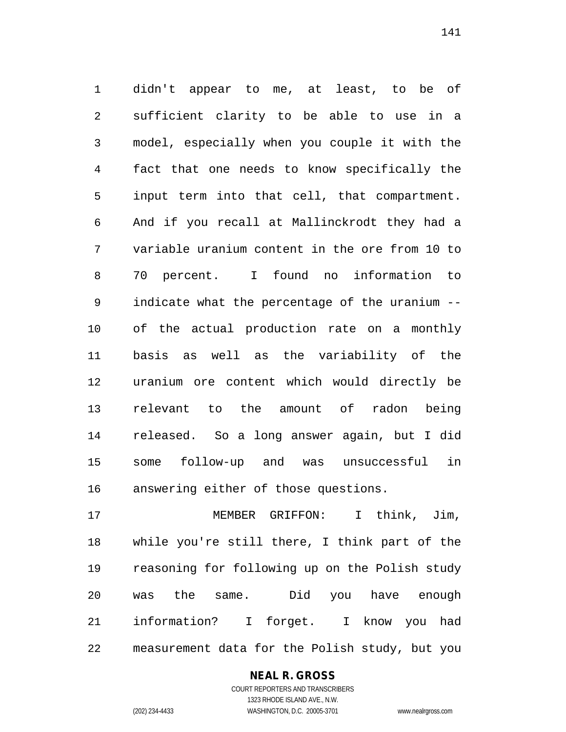didn't appear to me, at least, to be of sufficient clarity to be able to use in a model, especially when you couple it with the fact that one needs to know specifically the input term into that cell, that compartment. And if you recall at Mallinckrodt they had a variable uranium content in the ore from 10 to 70 percent. I found no information to indicate what the percentage of the uranium -- of the actual production rate on a monthly basis as well as the variability of the uranium ore content which would directly be relevant to the amount of radon being released. So a long answer again, but I did some follow-up and was unsuccessful in answering either of those questions.

 MEMBER GRIFFON: I think, Jim, while you're still there, I think part of the reasoning for following up on the Polish study was the same. Did you have enough information? I forget. I know you had measurement data for the Polish study, but you

#### **NEAL R. GROSS**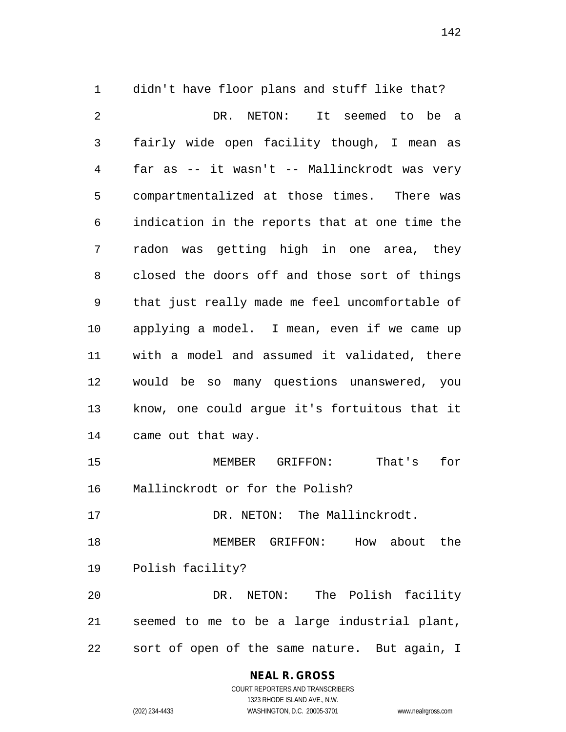didn't have floor plans and stuff like that? DR. NETON: It seemed to be a fairly wide open facility though, I mean as far as -- it wasn't -- Mallinckrodt was very compartmentalized at those times. There was indication in the reports that at one time the radon was getting high in one area, they closed the doors off and those sort of things that just really made me feel uncomfortable of applying a model. I mean, even if we came up with a model and assumed it validated, there would be so many questions unanswered, you know, one could argue it's fortuitous that it came out that way. MEMBER GRIFFON: That's for Mallinckrodt or for the Polish? DR. NETON: The Mallinckrodt. MEMBER GRIFFON: How about the Polish facility? DR. NETON: The Polish facility seemed to me to be a large industrial plant,

sort of open of the same nature. But again, I

**NEAL R. GROSS** COURT REPORTERS AND TRANSCRIBERS

1323 RHODE ISLAND AVE., N.W.

(202) 234-4433 WASHINGTON, D.C. 20005-3701 www.nealrgross.com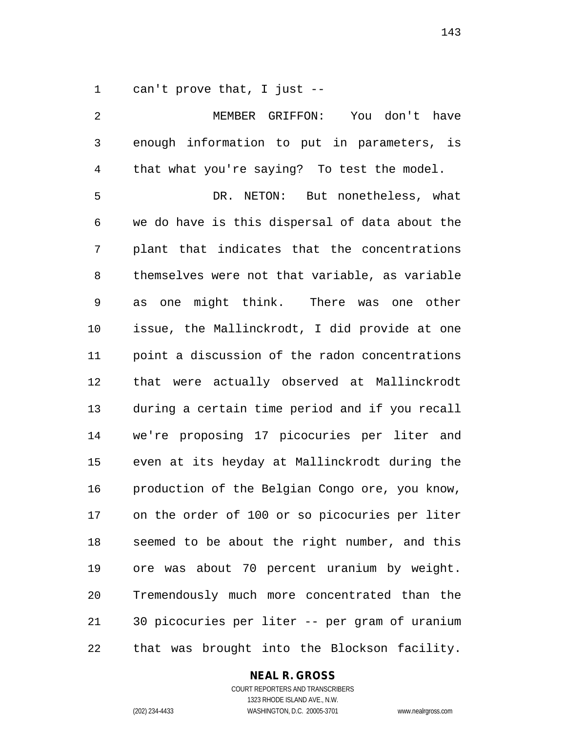can't prove that, I just --

| 2            | MEMBER GRIFFON: You don't have                 |
|--------------|------------------------------------------------|
| $\mathbf{3}$ | enough information to put in parameters, is    |
| 4            | that what you're saying? To test the model.    |
| 5            | DR. NETON: But nonetheless, what               |
| 6            | we do have is this dispersal of data about the |
| 7            | plant that indicates that the concentrations   |
| 8            | themselves were not that variable, as variable |
| 9            | as one might think. There was one other        |
| 10           | issue, the Mallinckrodt, I did provide at one  |
| 11           | point a discussion of the radon concentrations |
| 12           | that were actually observed at Mallinckrodt    |
| 13           | during a certain time period and if you recall |
| 14           | we're proposing 17 picocuries per liter and    |
| 15           | even at its heyday at Mallinckrodt during the  |
| 16           | production of the Belgian Congo ore, you know, |
| 17           | on the order of 100 or so picocuries per liter |
| 18           | seemed to be about the right number, and this  |
| 19           | ore was about 70 percent uranium by weight.    |
| 20           | Tremendously much more concentrated than the   |
| 21           | 30 picocuries per liter -- per gram of uranium |
| 22           | that was brought into the Blockson facility.   |

# **NEAL R. GROSS**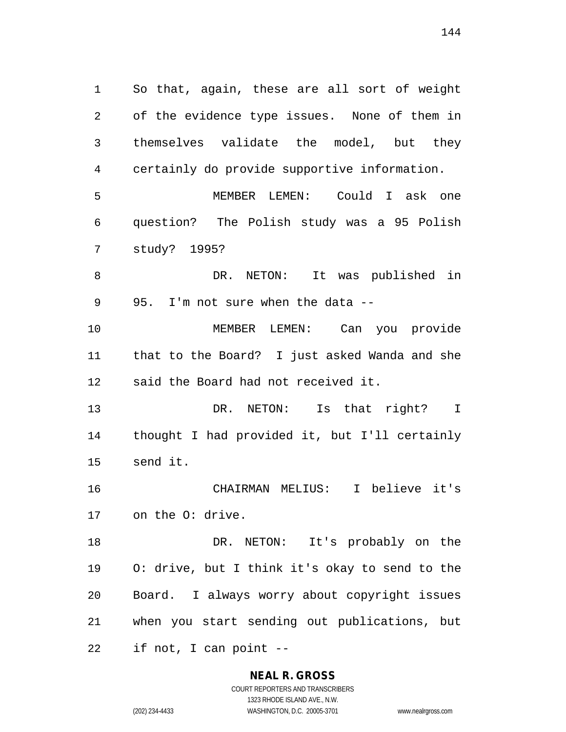So that, again, these are all sort of weight of the evidence type issues. None of them in themselves validate the model, but they certainly do provide supportive information. MEMBER LEMEN: Could I ask one question? The Polish study was a 95 Polish study? 1995? DR. NETON: It was published in 95. I'm not sure when the data --

 MEMBER LEMEN: Can you provide that to the Board? I just asked Wanda and she said the Board had not received it.

 DR. NETON: Is that right? I thought I had provided it, but I'll certainly send it.

 CHAIRMAN MELIUS: I believe it's on the O: drive.

 DR. NETON: It's probably on the O: drive, but I think it's okay to send to the Board. I always worry about copyright issues when you start sending out publications, but if not, I can point --

#### **NEAL R. GROSS**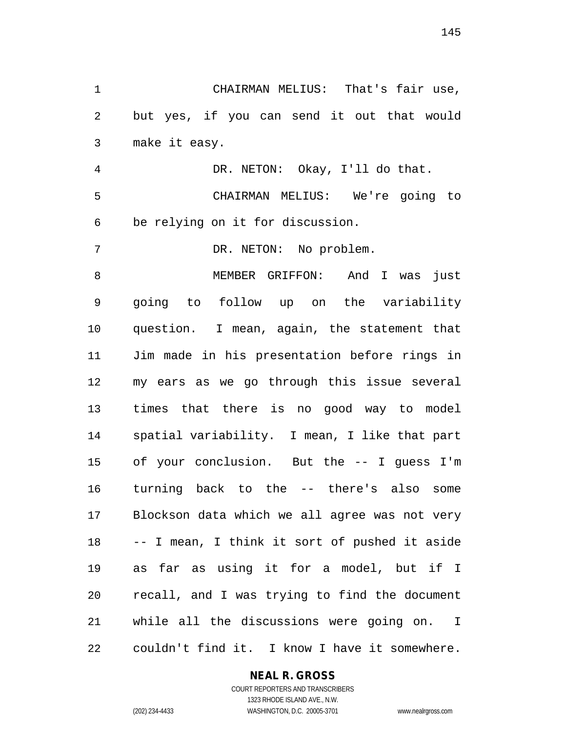CHAIRMAN MELIUS: That's fair use, but yes, if you can send it out that would

make it easy.

 DR. NETON: Okay, I'll do that. CHAIRMAN MELIUS: We're going to be relying on it for discussion.

7 DR. NETON: No problem.

 MEMBER GRIFFON: And I was just going to follow up on the variability question. I mean, again, the statement that Jim made in his presentation before rings in my ears as we go through this issue several times that there is no good way to model spatial variability. I mean, I like that part of your conclusion. But the -- I guess I'm turning back to the -- there's also some Blockson data which we all agree was not very -- I mean, I think it sort of pushed it aside as far as using it for a model, but if I recall, and I was trying to find the document while all the discussions were going on. I couldn't find it. I know I have it somewhere.

## **NEAL R. GROSS**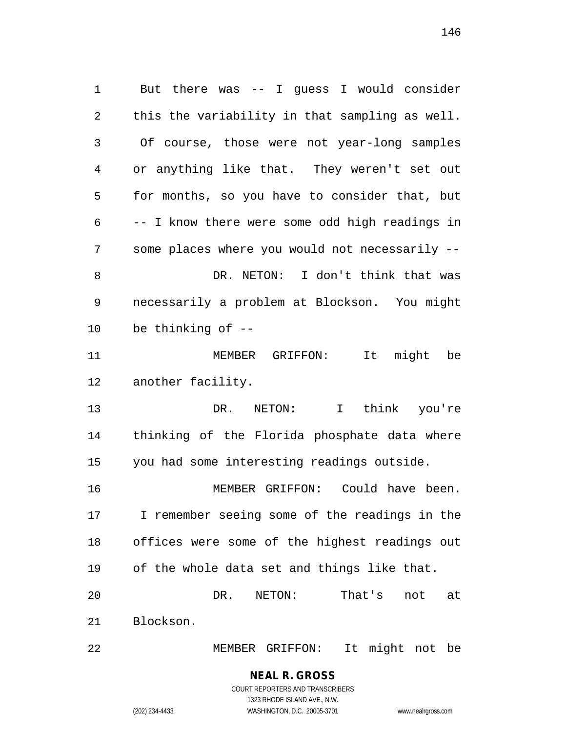But there was -- I guess I would consider this the variability in that sampling as well. Of course, those were not year-long samples or anything like that. They weren't set out for months, so you have to consider that, but -- I know there were some odd high readings in some places where you would not necessarily -- DR. NETON: I don't think that was necessarily a problem at Blockson. You might be thinking of -- MEMBER GRIFFON: It might be another facility. DR. NETON: I think you're thinking of the Florida phosphate data where you had some interesting readings outside. MEMBER GRIFFON: Could have been.

 I remember seeing some of the readings in the offices were some of the highest readings out of the whole data set and things like that. DR. NETON: That's not at Blockson.

MEMBER GRIFFON: It might not be

### **NEAL R. GROSS** COURT REPORTERS AND TRANSCRIBERS

1323 RHODE ISLAND AVE., N.W. (202) 234-4433 WASHINGTON, D.C. 20005-3701 www.nealrgross.com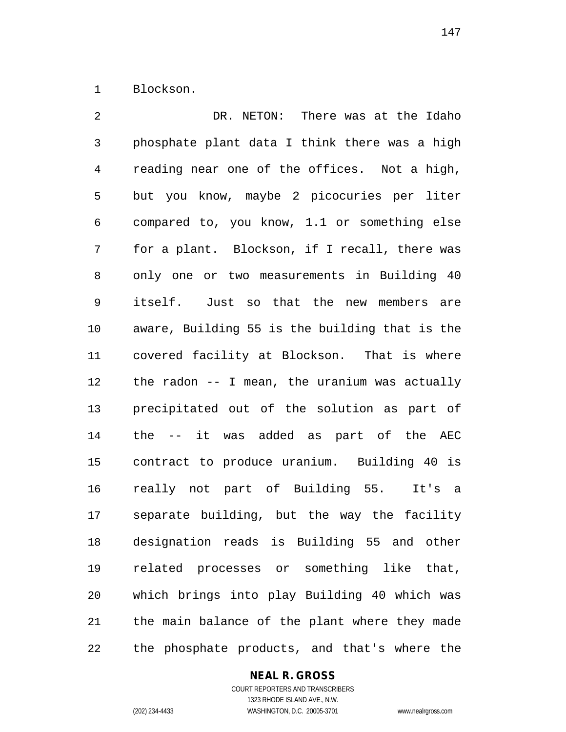Blockson.

 DR. NETON: There was at the Idaho phosphate plant data I think there was a high reading near one of the offices. Not a high, but you know, maybe 2 picocuries per liter compared to, you know, 1.1 or something else for a plant. Blockson, if I recall, there was only one or two measurements in Building 40 itself. Just so that the new members are aware, Building 55 is the building that is the covered facility at Blockson. That is where the radon -- I mean, the uranium was actually precipitated out of the solution as part of the -- it was added as part of the AEC contract to produce uranium. Building 40 is really not part of Building 55. It's a separate building, but the way the facility designation reads is Building 55 and other related processes or something like that, which brings into play Building 40 which was the main balance of the plant where they made the phosphate products, and that's where the

#### **NEAL R. GROSS**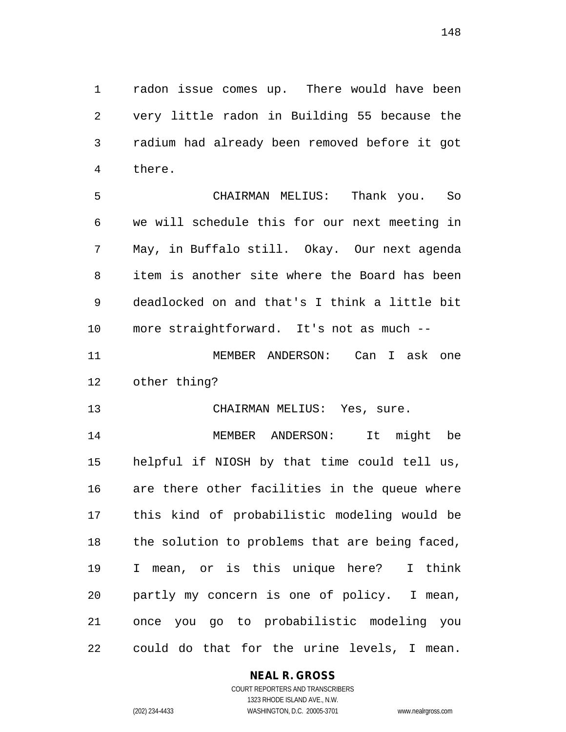radon issue comes up. There would have been very little radon in Building 55 because the radium had already been removed before it got there.

 CHAIRMAN MELIUS: Thank you. So we will schedule this for our next meeting in May, in Buffalo still. Okay. Our next agenda item is another site where the Board has been deadlocked on and that's I think a little bit more straightforward. It's not as much --

 MEMBER ANDERSON: Can I ask one other thing?

CHAIRMAN MELIUS: Yes, sure.

 MEMBER ANDERSON: It might be helpful if NIOSH by that time could tell us, are there other facilities in the queue where this kind of probabilistic modeling would be 18 the solution to problems that are being faced, I mean, or is this unique here? I think partly my concern is one of policy. I mean, once you go to probabilistic modeling you could do that for the urine levels, I mean.

### **NEAL R. GROSS** COURT REPORTERS AND TRANSCRIBERS

1323 RHODE ISLAND AVE., N.W. (202) 234-4433 WASHINGTON, D.C. 20005-3701 www.nealrgross.com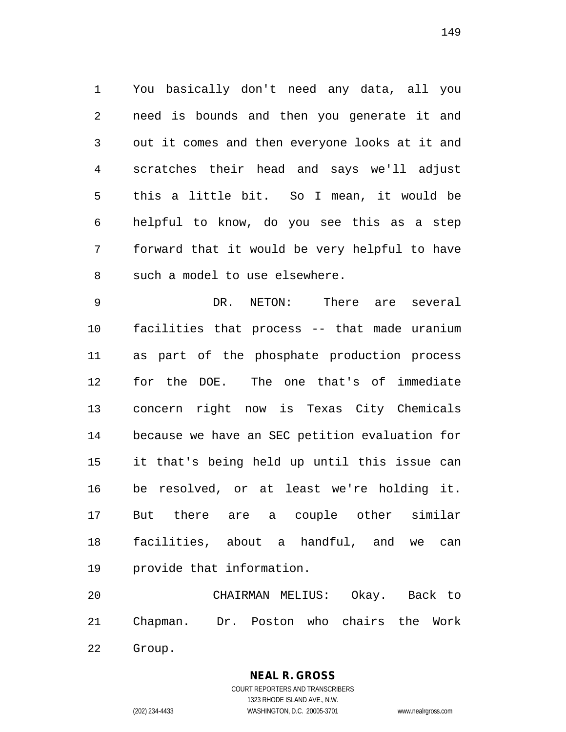You basically don't need any data, all you need is bounds and then you generate it and out it comes and then everyone looks at it and scratches their head and says we'll adjust this a little bit. So I mean, it would be helpful to know, do you see this as a step forward that it would be very helpful to have such a model to use elsewhere.

 DR. NETON: There are several facilities that process -- that made uranium as part of the phosphate production process for the DOE. The one that's of immediate concern right now is Texas City Chemicals because we have an SEC petition evaluation for it that's being held up until this issue can be resolved, or at least we're holding it. But there are a couple other similar facilities, about a handful, and we can provide that information.

 CHAIRMAN MELIUS: Okay. Back to Chapman. Dr. Poston who chairs the Work

Group.

**NEAL R. GROSS** COURT REPORTERS AND TRANSCRIBERS

1323 RHODE ISLAND AVE., N.W. (202) 234-4433 WASHINGTON, D.C. 20005-3701 www.nealrgross.com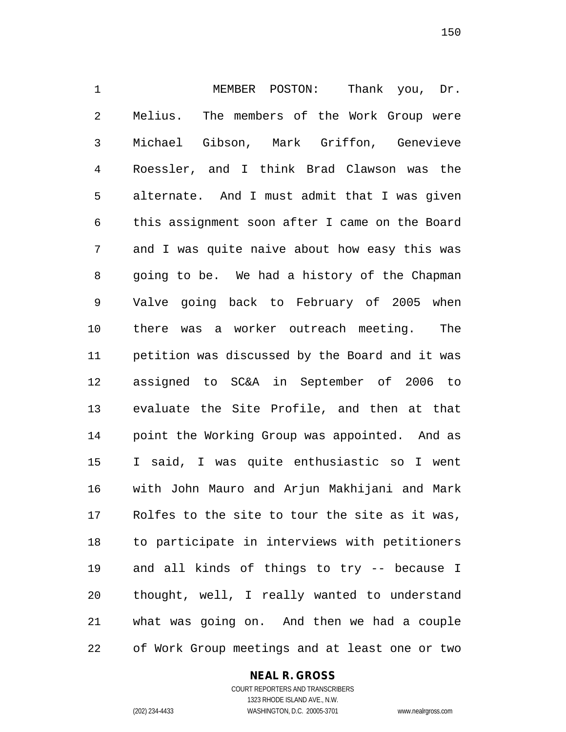MEMBER POSTON: Thank you, Dr. Melius. The members of the Work Group were Michael Gibson, Mark Griffon, Genevieve Roessler, and I think Brad Clawson was the alternate. And I must admit that I was given this assignment soon after I came on the Board and I was quite naive about how easy this was going to be. We had a history of the Chapman Valve going back to February of 2005 when there was a worker outreach meeting. The petition was discussed by the Board and it was assigned to SC&A in September of 2006 to evaluate the Site Profile, and then at that point the Working Group was appointed. And as I said, I was quite enthusiastic so I went with John Mauro and Arjun Makhijani and Mark Rolfes to the site to tour the site as it was, to participate in interviews with petitioners and all kinds of things to try -- because I thought, well, I really wanted to understand what was going on. And then we had a couple of Work Group meetings and at least one or two

**NEAL R. GROSS**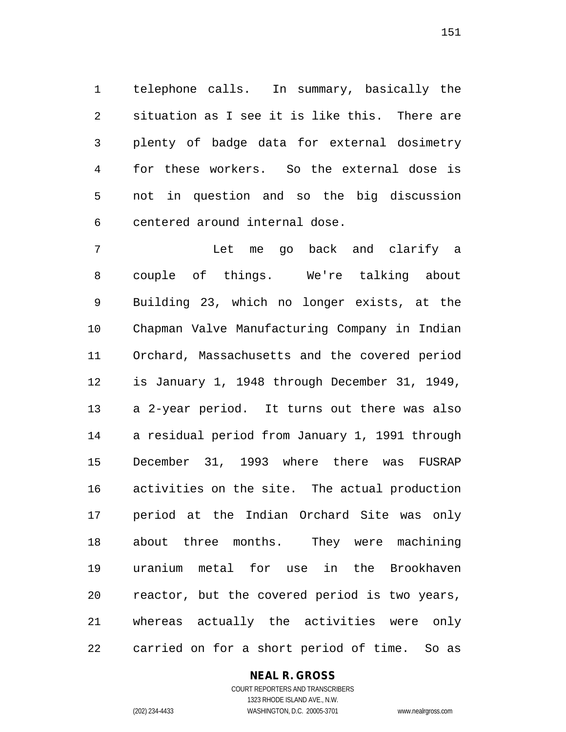telephone calls. In summary, basically the situation as I see it is like this. There are plenty of badge data for external dosimetry for these workers. So the external dose is not in question and so the big discussion centered around internal dose.

 Let me go back and clarify a couple of things. We're talking about Building 23, which no longer exists, at the Chapman Valve Manufacturing Company in Indian Orchard, Massachusetts and the covered period is January 1, 1948 through December 31, 1949, a 2-year period. It turns out there was also a residual period from January 1, 1991 through December 31, 1993 where there was FUSRAP activities on the site. The actual production period at the Indian Orchard Site was only about three months. They were machining uranium metal for use in the Brookhaven reactor, but the covered period is two years, whereas actually the activities were only carried on for a short period of time. So as

#### **NEAL R. GROSS**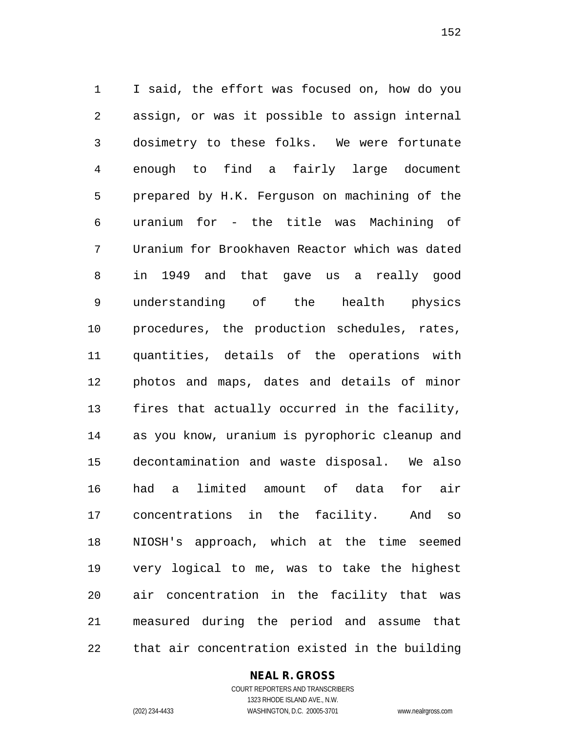I said, the effort was focused on, how do you assign, or was it possible to assign internal dosimetry to these folks. We were fortunate enough to find a fairly large document prepared by H.K. Ferguson on machining of the uranium for - the title was Machining of Uranium for Brookhaven Reactor which was dated in 1949 and that gave us a really good understanding of the health physics procedures, the production schedules, rates, quantities, details of the operations with photos and maps, dates and details of minor fires that actually occurred in the facility, as you know, uranium is pyrophoric cleanup and decontamination and waste disposal. We also had a limited amount of data for air concentrations in the facility. And so NIOSH's approach, which at the time seemed very logical to me, was to take the highest air concentration in the facility that was measured during the period and assume that that air concentration existed in the building

#### **NEAL R. GROSS**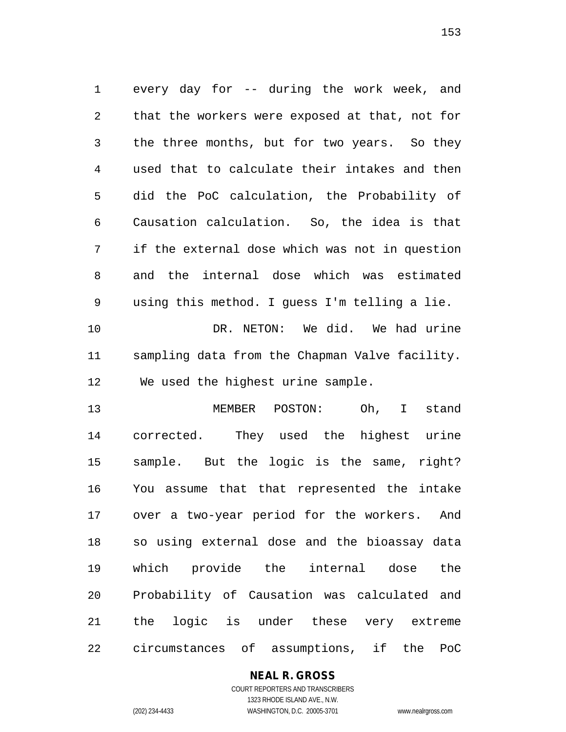every day for -- during the work week, and that the workers were exposed at that, not for the three months, but for two years. So they used that to calculate their intakes and then did the PoC calculation, the Probability of Causation calculation. So, the idea is that if the external dose which was not in question and the internal dose which was estimated using this method. I guess I'm telling a lie. 10 DR. NETON: We did. We had urine sampling data from the Chapman Valve facility. We used the highest urine sample.

 MEMBER POSTON: Oh, I stand corrected. They used the highest urine sample. But the logic is the same, right? You assume that that represented the intake over a two-year period for the workers. And so using external dose and the bioassay data which provide the internal dose the Probability of Causation was calculated and the logic is under these very extreme circumstances of assumptions, if the PoC

# **NEAL R. GROSS**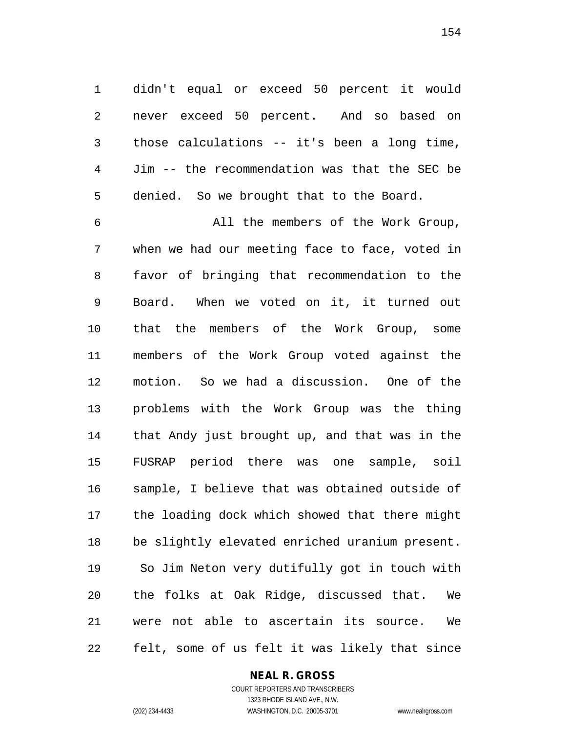didn't equal or exceed 50 percent it would never exceed 50 percent. And so based on those calculations -- it's been a long time, Jim -- the recommendation was that the SEC be denied. So we brought that to the Board.

 All the members of the Work Group, when we had our meeting face to face, voted in favor of bringing that recommendation to the Board. When we voted on it, it turned out that the members of the Work Group, some members of the Work Group voted against the motion. So we had a discussion. One of the problems with the Work Group was the thing that Andy just brought up, and that was in the FUSRAP period there was one sample, soil sample, I believe that was obtained outside of the loading dock which showed that there might be slightly elevated enriched uranium present. So Jim Neton very dutifully got in touch with the folks at Oak Ridge, discussed that. We were not able to ascertain its source. We felt, some of us felt it was likely that since

## **NEAL R. GROSS**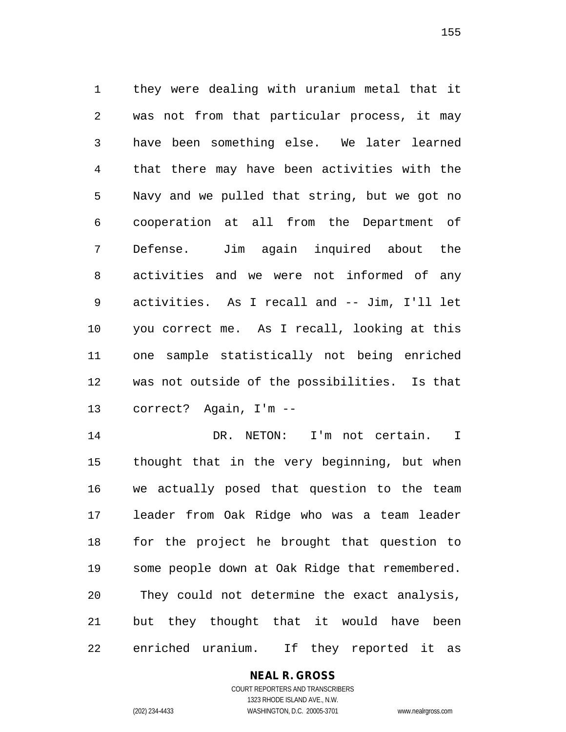they were dealing with uranium metal that it was not from that particular process, it may have been something else. We later learned that there may have been activities with the Navy and we pulled that string, but we got no cooperation at all from the Department of Defense. Jim again inquired about the activities and we were not informed of any activities. As I recall and -- Jim, I'll let you correct me. As I recall, looking at this one sample statistically not being enriched was not outside of the possibilities. Is that correct? Again, I'm --

14 DR. NETON: I'm not certain. I thought that in the very beginning, but when we actually posed that question to the team leader from Oak Ridge who was a team leader for the project he brought that question to some people down at Oak Ridge that remembered. They could not determine the exact analysis, but they thought that it would have been enriched uranium. If they reported it as

### **NEAL R. GROSS** COURT REPORTERS AND TRANSCRIBERS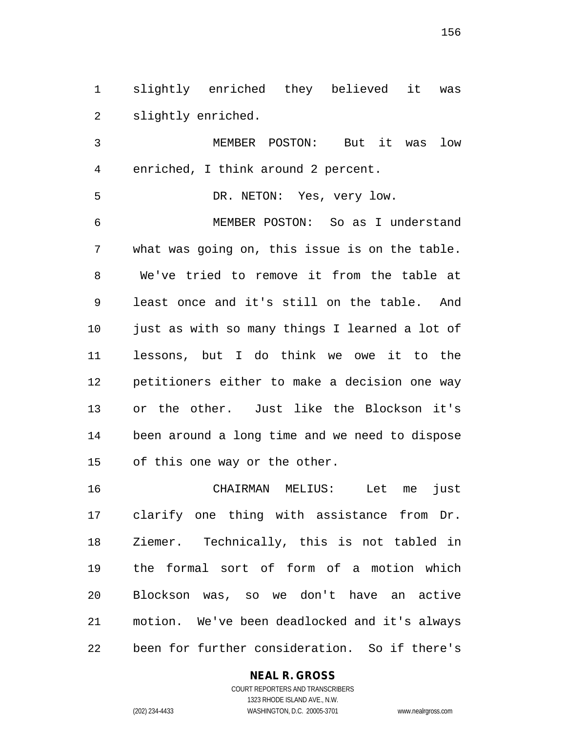slightly enriched they believed it was slightly enriched.

 MEMBER POSTON: But it was low enriched, I think around 2 percent.

 DR. NETON: Yes, very low. MEMBER POSTON: So as I understand what was going on, this issue is on the table. We've tried to remove it from the table at least once and it's still on the table. And just as with so many things I learned a lot of lessons, but I do think we owe it to the petitioners either to make a decision one way or the other. Just like the Blockson it's been around a long time and we need to dispose of this one way or the other.

 CHAIRMAN MELIUS: Let me just clarify one thing with assistance from Dr. Ziemer. Technically, this is not tabled in the formal sort of form of a motion which Blockson was, so we don't have an active motion. We've been deadlocked and it's always been for further consideration. So if there's

## **NEAL R. GROSS**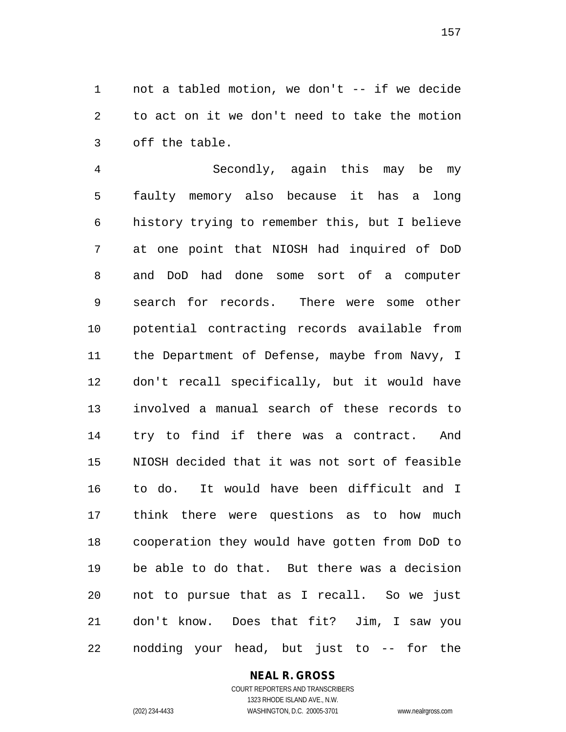not a tabled motion, we don't -- if we decide to act on it we don't need to take the motion off the table.

 Secondly, again this may be my faulty memory also because it has a long history trying to remember this, but I believe at one point that NIOSH had inquired of DoD and DoD had done some sort of a computer search for records. There were some other potential contracting records available from the Department of Defense, maybe from Navy, I don't recall specifically, but it would have involved a manual search of these records to try to find if there was a contract. And NIOSH decided that it was not sort of feasible to do. It would have been difficult and I think there were questions as to how much cooperation they would have gotten from DoD to be able to do that. But there was a decision not to pursue that as I recall. So we just don't know. Does that fit? Jim, I saw you nodding your head, but just to -- for the

# **NEAL R. GROSS**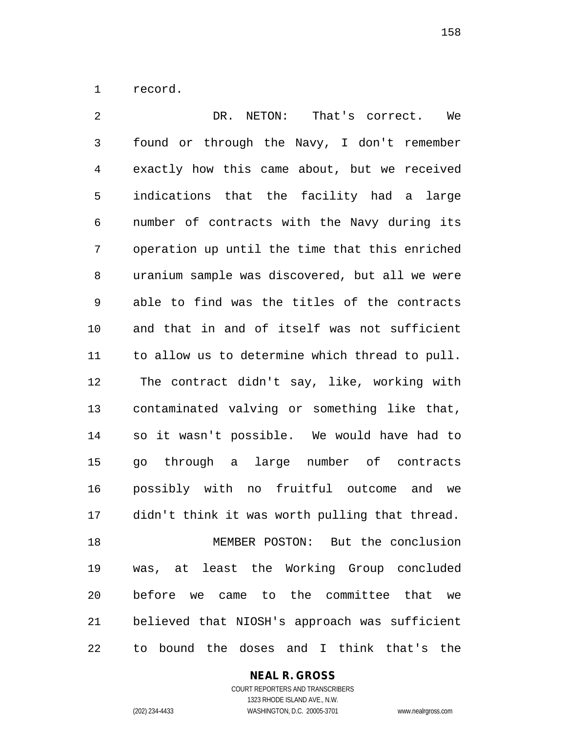record.

 DR. NETON: That's correct. We found or through the Navy, I don't remember exactly how this came about, but we received indications that the facility had a large number of contracts with the Navy during its operation up until the time that this enriched uranium sample was discovered, but all we were able to find was the titles of the contracts and that in and of itself was not sufficient to allow us to determine which thread to pull. The contract didn't say, like, working with contaminated valving or something like that, so it wasn't possible. We would have had to go through a large number of contracts possibly with no fruitful outcome and we didn't think it was worth pulling that thread. MEMBER POSTON: But the conclusion was, at least the Working Group concluded before we came to the committee that we believed that NIOSH's approach was sufficient to bound the doses and I think that's the

#### **NEAL R. GROSS**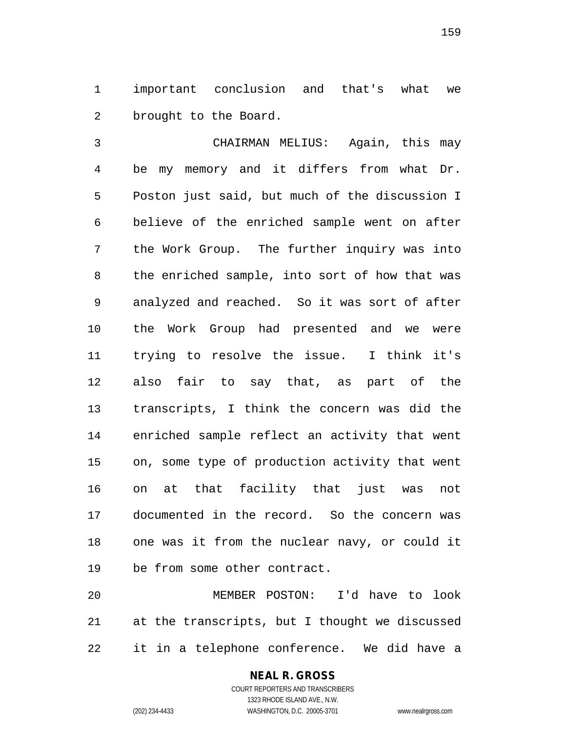important conclusion and that's what we brought to the Board.

 CHAIRMAN MELIUS: Again, this may be my memory and it differs from what Dr. Poston just said, but much of the discussion I believe of the enriched sample went on after the Work Group. The further inquiry was into the enriched sample, into sort of how that was analyzed and reached. So it was sort of after the Work Group had presented and we were trying to resolve the issue. I think it's also fair to say that, as part of the transcripts, I think the concern was did the enriched sample reflect an activity that went on, some type of production activity that went on at that facility that just was not documented in the record. So the concern was one was it from the nuclear navy, or could it be from some other contract.

 MEMBER POSTON: I'd have to look at the transcripts, but I thought we discussed it in a telephone conference. We did have a

# **NEAL R. GROSS**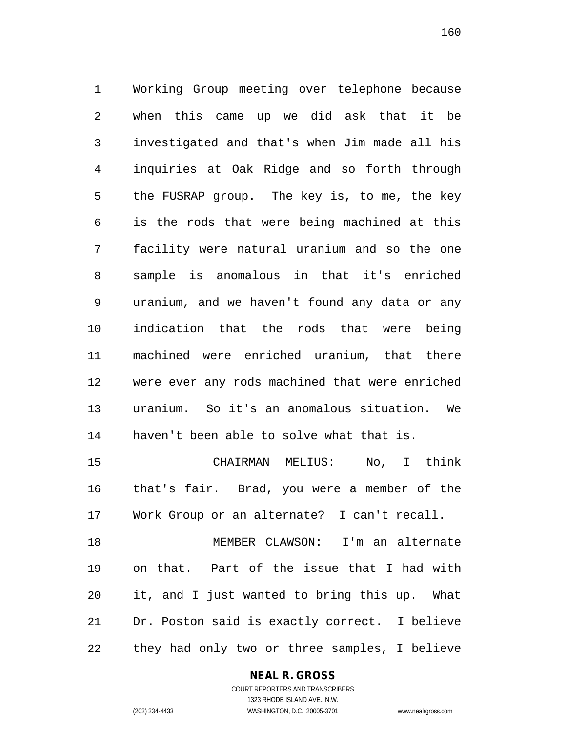Working Group meeting over telephone because when this came up we did ask that it be investigated and that's when Jim made all his inquiries at Oak Ridge and so forth through the FUSRAP group. The key is, to me, the key is the rods that were being machined at this facility were natural uranium and so the one sample is anomalous in that it's enriched uranium, and we haven't found any data or any indication that the rods that were being machined were enriched uranium, that there were ever any rods machined that were enriched uranium. So it's an anomalous situation. We haven't been able to solve what that is.

 CHAIRMAN MELIUS: No, I think that's fair. Brad, you were a member of the Work Group or an alternate? I can't recall.

 MEMBER CLAWSON: I'm an alternate on that. Part of the issue that I had with it, and I just wanted to bring this up. What Dr. Poston said is exactly correct. I believe they had only two or three samples, I believe

#### **NEAL R. GROSS**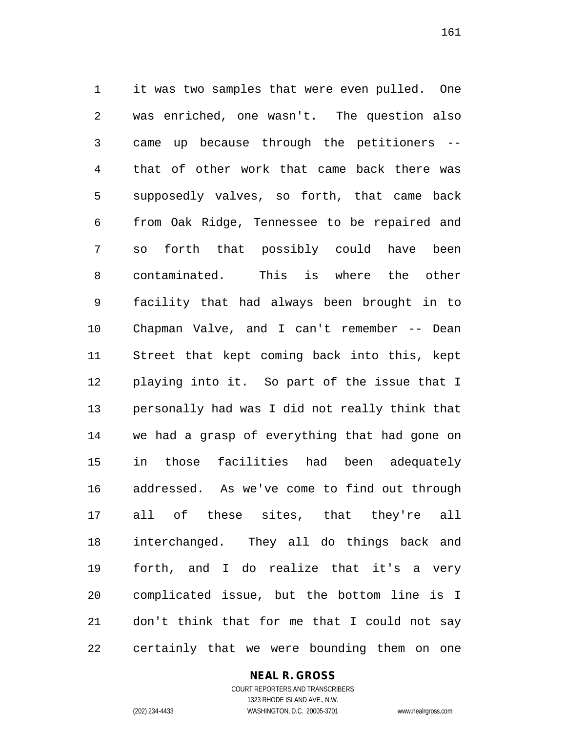it was two samples that were even pulled. One was enriched, one wasn't. The question also came up because through the petitioners -- that of other work that came back there was supposedly valves, so forth, that came back from Oak Ridge, Tennessee to be repaired and so forth that possibly could have been contaminated. This is where the other facility that had always been brought in to Chapman Valve, and I can't remember -- Dean Street that kept coming back into this, kept playing into it. So part of the issue that I personally had was I did not really think that we had a grasp of everything that had gone on in those facilities had been adequately addressed. As we've come to find out through all of these sites, that they're all interchanged. They all do things back and forth, and I do realize that it's a very complicated issue, but the bottom line is I don't think that for me that I could not say certainly that we were bounding them on one

#### **NEAL R. GROSS**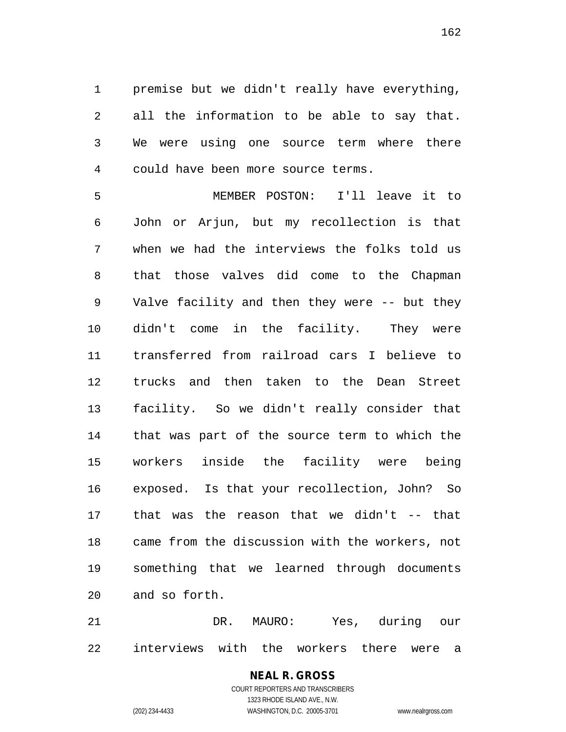premise but we didn't really have everything, all the information to be able to say that. We were using one source term where there could have been more source terms.

 MEMBER POSTON: I'll leave it to John or Arjun, but my recollection is that when we had the interviews the folks told us that those valves did come to the Chapman Valve facility and then they were -- but they didn't come in the facility. They were transferred from railroad cars I believe to trucks and then taken to the Dean Street facility. So we didn't really consider that that was part of the source term to which the workers inside the facility were being exposed. Is that your recollection, John? So that was the reason that we didn't -- that came from the discussion with the workers, not something that we learned through documents and so forth.

 DR. MAURO: Yes, during our interviews with the workers there were a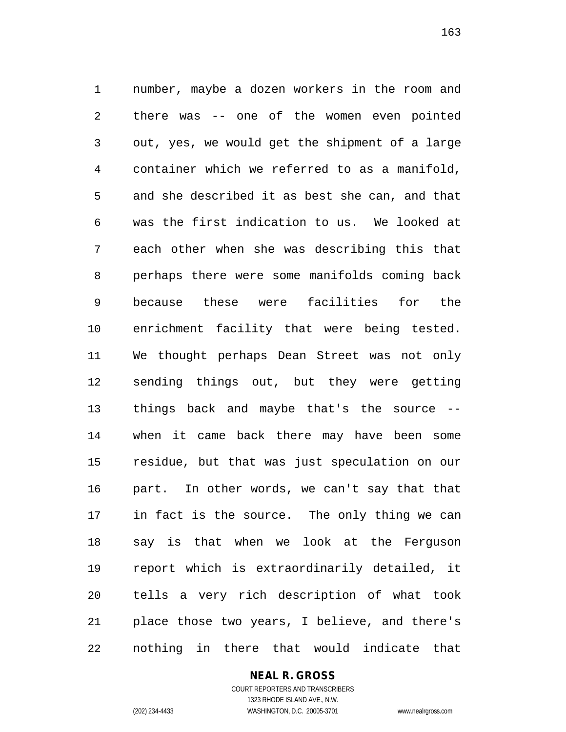number, maybe a dozen workers in the room and there was -- one of the women even pointed out, yes, we would get the shipment of a large container which we referred to as a manifold, and she described it as best she can, and that was the first indication to us. We looked at each other when she was describing this that perhaps there were some manifolds coming back because these were facilities for the enrichment facility that were being tested. We thought perhaps Dean Street was not only sending things out, but they were getting things back and maybe that's the source -- when it came back there may have been some residue, but that was just speculation on our part. In other words, we can't say that that in fact is the source. The only thing we can say is that when we look at the Ferguson report which is extraordinarily detailed, it tells a very rich description of what took place those two years, I believe, and there's nothing in there that would indicate that

**NEAL R. GROSS**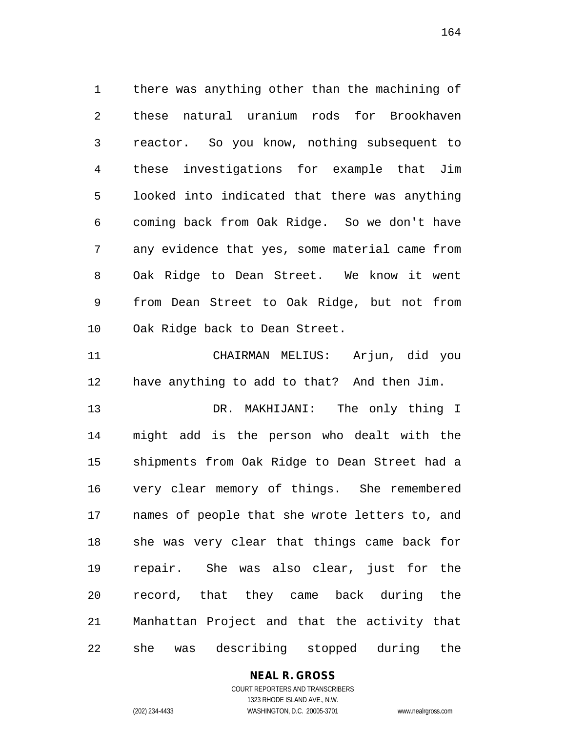there was anything other than the machining of these natural uranium rods for Brookhaven reactor. So you know, nothing subsequent to these investigations for example that Jim looked into indicated that there was anything coming back from Oak Ridge. So we don't have any evidence that yes, some material came from Oak Ridge to Dean Street. We know it went from Dean Street to Oak Ridge, but not from Oak Ridge back to Dean Street.

 CHAIRMAN MELIUS: Arjun, did you have anything to add to that? And then Jim.

 DR. MAKHIJANI: The only thing I might add is the person who dealt with the shipments from Oak Ridge to Dean Street had a very clear memory of things. She remembered names of people that she wrote letters to, and she was very clear that things came back for repair. She was also clear, just for the record, that they came back during the Manhattan Project and that the activity that she was describing stopped during the

# **NEAL R. GROSS**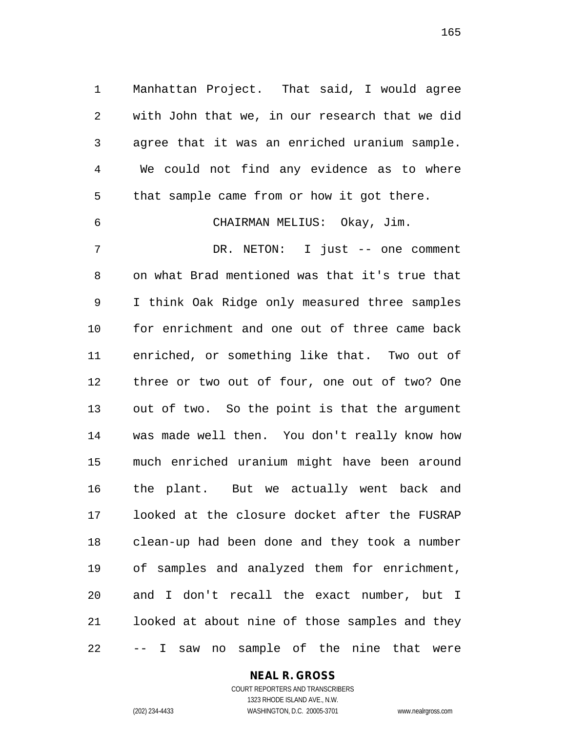Manhattan Project. That said, I would agree with John that we, in our research that we did agree that it was an enriched uranium sample. We could not find any evidence as to where that sample came from or how it got there.

CHAIRMAN MELIUS: Okay, Jim.

 DR. NETON: I just -- one comment on what Brad mentioned was that it's true that I think Oak Ridge only measured three samples for enrichment and one out of three came back enriched, or something like that. Two out of three or two out of four, one out of two? One out of two. So the point is that the argument was made well then. You don't really know how much enriched uranium might have been around the plant. But we actually went back and looked at the closure docket after the FUSRAP clean-up had been done and they took a number of samples and analyzed them for enrichment, and I don't recall the exact number, but I looked at about nine of those samples and they -- I saw no sample of the nine that were

**NEAL R. GROSS**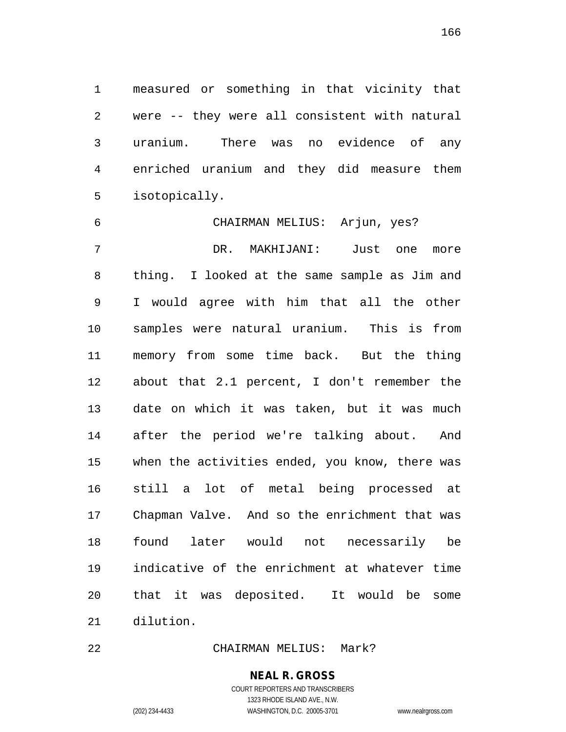measured or something in that vicinity that were -- they were all consistent with natural uranium. There was no evidence of any enriched uranium and they did measure them isotopically.

 CHAIRMAN MELIUS: Arjun, yes? DR. MAKHIJANI: Just one more thing. I looked at the same sample as Jim and I would agree with him that all the other samples were natural uranium. This is from memory from some time back. But the thing about that 2.1 percent, I don't remember the date on which it was taken, but it was much after the period we're talking about. And when the activities ended, you know, there was still a lot of metal being processed at Chapman Valve. And so the enrichment that was found later would not necessarily be indicative of the enrichment at whatever time that it was deposited. It would be some dilution.

CHAIRMAN MELIUS: Mark?

# **NEAL R. GROSS**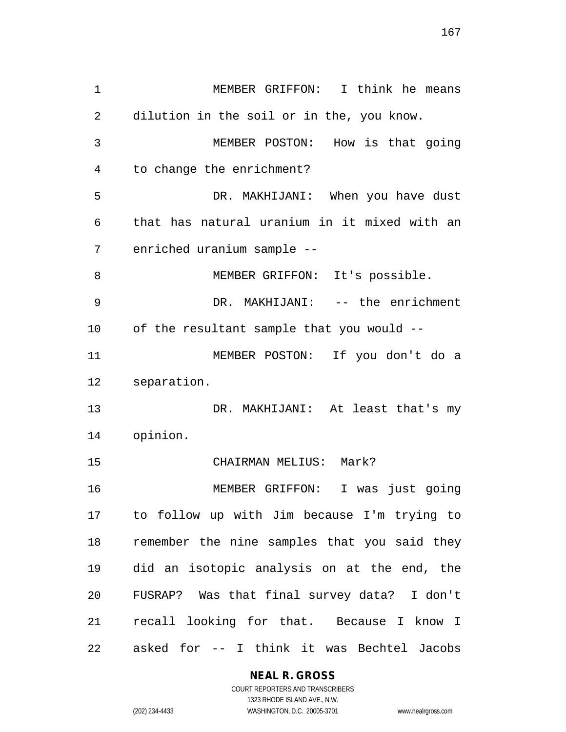MEMBER GRIFFON: I think he means dilution in the soil or in the, you know. MEMBER POSTON: How is that going to change the enrichment? DR. MAKHIJANI: When you have dust that has natural uranium in it mixed with an enriched uranium sample -- 8 MEMBER GRIFFON: It's possible. DR. MAKHIJANI: -- the enrichment of the resultant sample that you would -- MEMBER POSTON: If you don't do a separation. DR. MAKHIJANI: At least that's my opinion. CHAIRMAN MELIUS: Mark? MEMBER GRIFFON: I was just going to follow up with Jim because I'm trying to remember the nine samples that you said they did an isotopic analysis on at the end, the FUSRAP? Was that final survey data? I don't recall looking for that. Because I know I asked for -- I think it was Bechtel Jacobs

## **NEAL R. GROSS**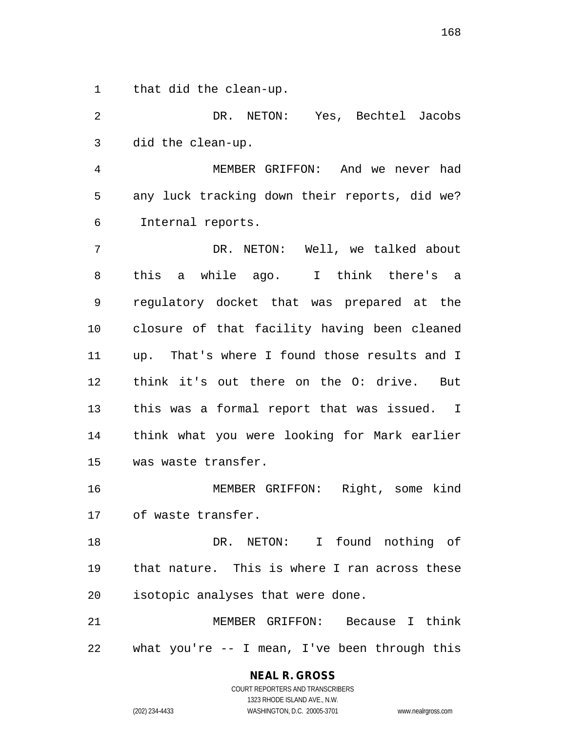that did the clean-up.

 DR. NETON: Yes, Bechtel Jacobs did the clean-up.

 MEMBER GRIFFON: And we never had any luck tracking down their reports, did we? Internal reports.

 DR. NETON: Well, we talked about this a while ago. I think there's a regulatory docket that was prepared at the closure of that facility having been cleaned up. That's where I found those results and I think it's out there on the O: drive. But this was a formal report that was issued. I think what you were looking for Mark earlier was waste transfer.

 MEMBER GRIFFON: Right, some kind of waste transfer.

 DR. NETON: I found nothing of that nature. This is where I ran across these isotopic analyses that were done.

 MEMBER GRIFFON: Because I think what you're -- I mean, I've been through this

> COURT REPORTERS AND TRANSCRIBERS 1323 RHODE ISLAND AVE., N.W. (202) 234-4433 WASHINGTON, D.C. 20005-3701 www.nealrgross.com

**NEAL R. GROSS**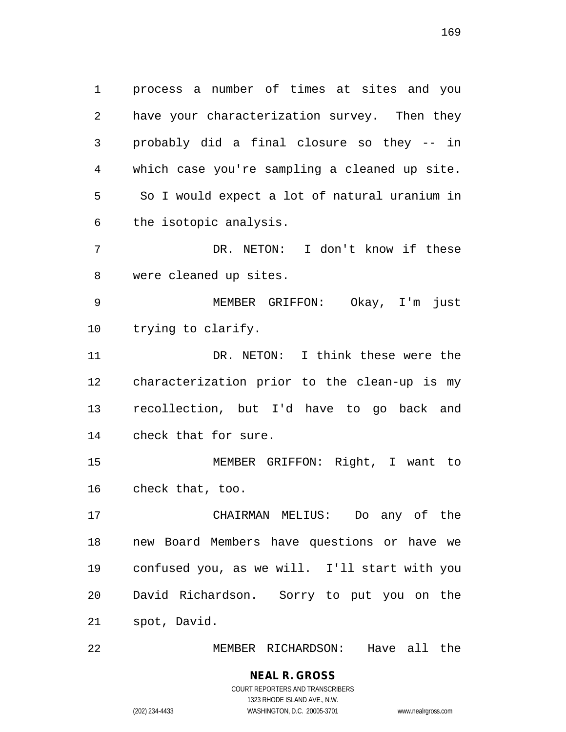process a number of times at sites and you have your characterization survey. Then they probably did a final closure so they -- in which case you're sampling a cleaned up site. So I would expect a lot of natural uranium in the isotopic analysis.

 DR. NETON: I don't know if these were cleaned up sites.

 MEMBER GRIFFON: Okay, I'm just trying to clarify.

 DR. NETON: I think these were the characterization prior to the clean-up is my recollection, but I'd have to go back and check that for sure.

 MEMBER GRIFFON: Right, I want to check that, too.

 CHAIRMAN MELIUS: Do any of the new Board Members have questions or have we confused you, as we will. I'll start with you David Richardson. Sorry to put you on the spot, David.

MEMBER RICHARDSON: Have all the

### **NEAL R. GROSS** COURT REPORTERS AND TRANSCRIBERS

1323 RHODE ISLAND AVE., N.W. (202) 234-4433 WASHINGTON, D.C. 20005-3701 www.nealrgross.com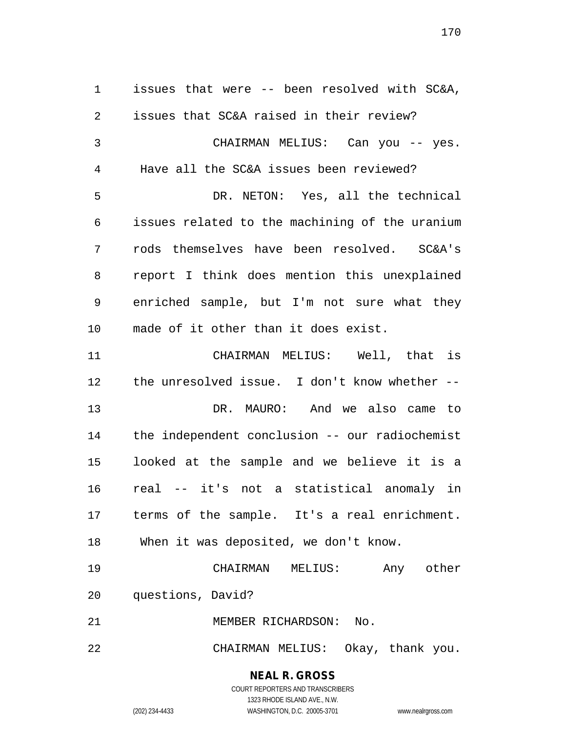issues that were -- been resolved with SC&A, issues that SC&A raised in their review? CHAIRMAN MELIUS: Can you -- yes. Have all the SC&A issues been reviewed? DR. NETON: Yes, all the technical issues related to the machining of the uranium rods themselves have been resolved. SC&A's report I think does mention this unexplained enriched sample, but I'm not sure what they made of it other than it does exist. CHAIRMAN MELIUS: Well, that is the unresolved issue. I don't know whether -- DR. MAURO: And we also came to the independent conclusion -- our radiochemist looked at the sample and we believe it is a real -- it's not a statistical anomaly in terms of the sample. It's a real enrichment. When it was deposited, we don't know.

 CHAIRMAN MELIUS: Any other questions, David?

MEMBER RICHARDSON: No.

CHAIRMAN MELIUS: Okay, thank you.

## **NEAL R. GROSS**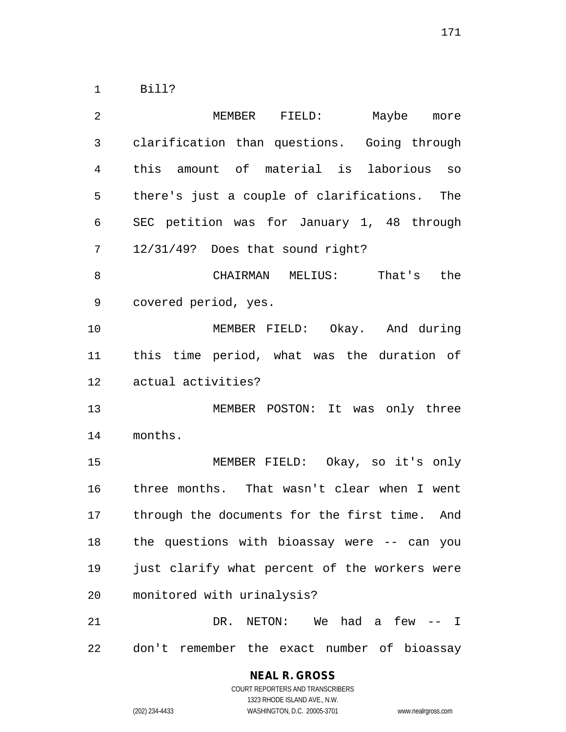Bill?

| 2  | FIELD: Maybe<br>MEMBER<br>more                |
|----|-----------------------------------------------|
| 3  | clarification than questions. Going through   |
| 4  | this amount of material is laborious so       |
| 5  | there's just a couple of clarifications. The  |
| 6  | SEC petition was for January 1, 48 through    |
| 7  | 12/31/49? Does that sound right?              |
| 8  | CHAIRMAN MELIUS: That's the                   |
| 9  | covered period, yes.                          |
| 10 | MEMBER FIELD: Okay. And during                |
| 11 | this time period, what was the duration of    |
| 12 | actual activities?                            |
| 13 | MEMBER POSTON: It was only three              |
| 14 | months.                                       |
| 15 | MEMBER FIELD: Okay, so it's only              |
| 16 | three months. That wasn't clear when I went   |
| 17 | through the documents for the first time. And |
| 18 | the questions with bioassay were -- can you   |
| 19 | just clarify what percent of the workers were |
| 20 | monitored with urinalysis?                    |
| 21 | NETON: We had a few -- I<br>DR.               |
| 22 | don't remember the exact number of bioassay   |

COURT REPORTERS AND TRANSCRIBERS 1323 RHODE ISLAND AVE., N.W. (202) 234-4433 WASHINGTON, D.C. 20005-3701 www.nealrgross.com

**NEAL R. GROSS**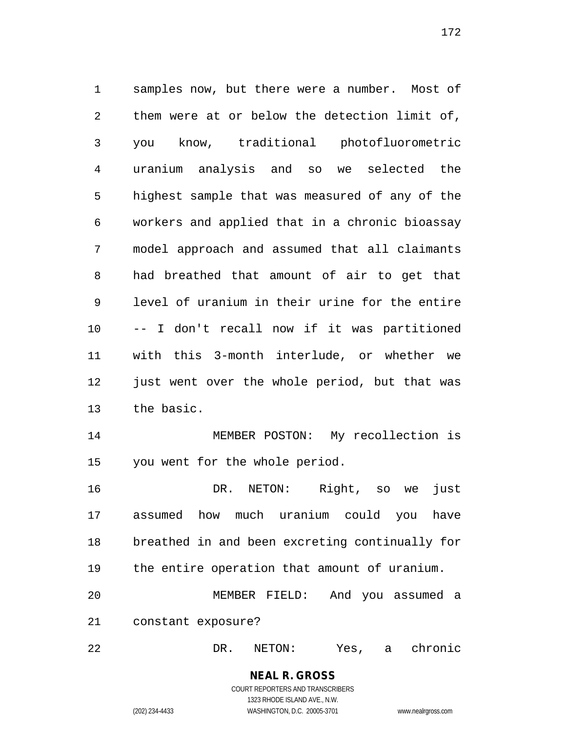samples now, but there were a number. Most of them were at or below the detection limit of, you know, traditional photofluorometric uranium analysis and so we selected the highest sample that was measured of any of the workers and applied that in a chronic bioassay model approach and assumed that all claimants had breathed that amount of air to get that level of uranium in their urine for the entire -- I don't recall now if it was partitioned with this 3-month interlude, or whether we 12 just went over the whole period, but that was the basic.

 MEMBER POSTON: My recollection is you went for the whole period.

 DR. NETON: Right, so we just assumed how much uranium could you have breathed in and been excreting continually for the entire operation that amount of uranium. MEMBER FIELD: And you assumed a constant exposure?

DR. NETON: Yes, a chronic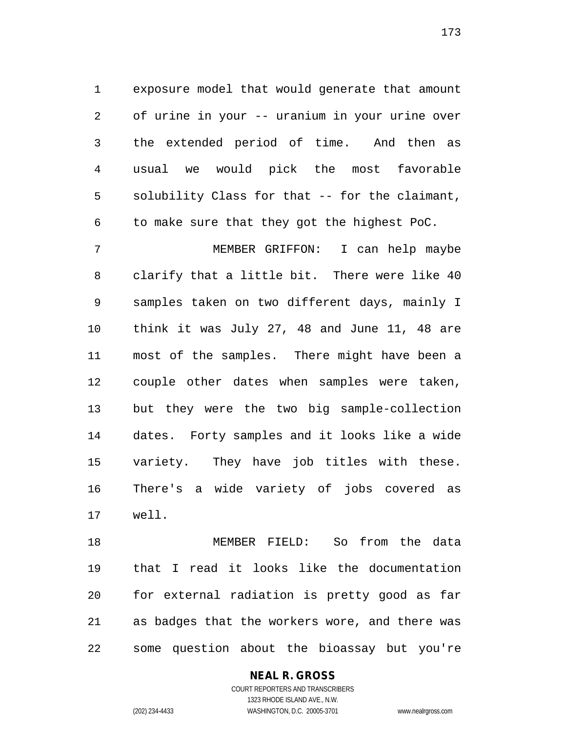exposure model that would generate that amount of urine in your -- uranium in your urine over the extended period of time. And then as usual we would pick the most favorable solubility Class for that -- for the claimant, to make sure that they got the highest PoC.

 MEMBER GRIFFON: I can help maybe clarify that a little bit. There were like 40 samples taken on two different days, mainly I think it was July 27, 48 and June 11, 48 are most of the samples. There might have been a couple other dates when samples were taken, but they were the two big sample-collection dates. Forty samples and it looks like a wide variety. They have job titles with these. There's a wide variety of jobs covered as well.

 MEMBER FIELD: So from the data that I read it looks like the documentation for external radiation is pretty good as far as badges that the workers wore, and there was some question about the bioassay but you're

## **NEAL R. GROSS**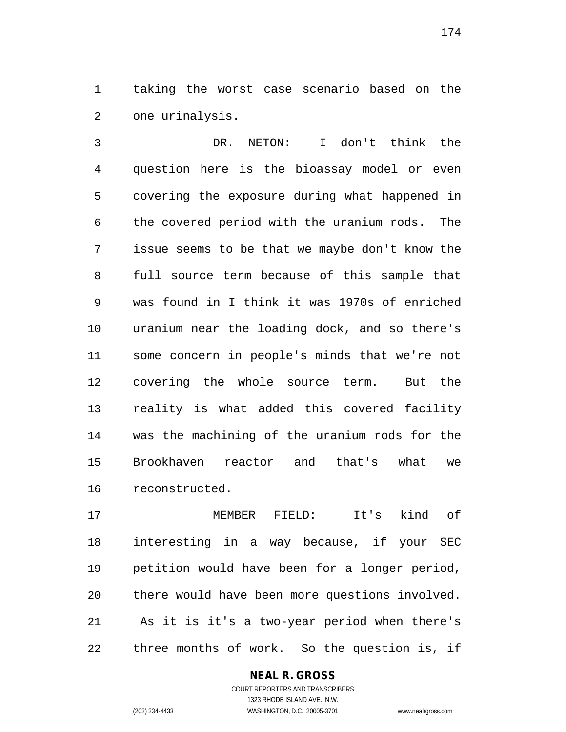taking the worst case scenario based on the one urinalysis.

 DR. NETON: I don't think the question here is the bioassay model or even covering the exposure during what happened in the covered period with the uranium rods. The issue seems to be that we maybe don't know the full source term because of this sample that was found in I think it was 1970s of enriched uranium near the loading dock, and so there's some concern in people's minds that we're not covering the whole source term. But the reality is what added this covered facility was the machining of the uranium rods for the Brookhaven reactor and that's what we reconstructed.

 MEMBER FIELD: It's kind of interesting in a way because, if your SEC petition would have been for a longer period, there would have been more questions involved. As it is it's a two-year period when there's three months of work. So the question is, if

# **NEAL R. GROSS**

COURT REPORTERS AND TRANSCRIBERS 1323 RHODE ISLAND AVE., N.W. (202) 234-4433 WASHINGTON, D.C. 20005-3701 www.nealrgross.com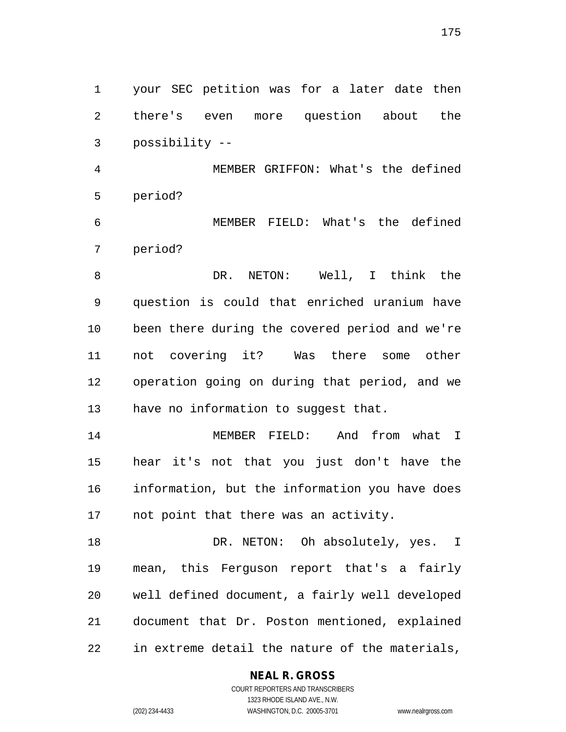your SEC petition was for a later date then there's even more question about the possibility --

 MEMBER GRIFFON: What's the defined period?

 MEMBER FIELD: What's the defined period?

 DR. NETON: Well, I think the question is could that enriched uranium have been there during the covered period and we're not covering it? Was there some other operation going on during that period, and we 13 have no information to suggest that.

 MEMBER FIELD: And from what I hear it's not that you just don't have the information, but the information you have does not point that there was an activity.

18 DR. NETON: Oh absolutely, yes. I mean, this Ferguson report that's a fairly well defined document, a fairly well developed document that Dr. Poston mentioned, explained in extreme detail the nature of the materials,

**NEAL R. GROSS**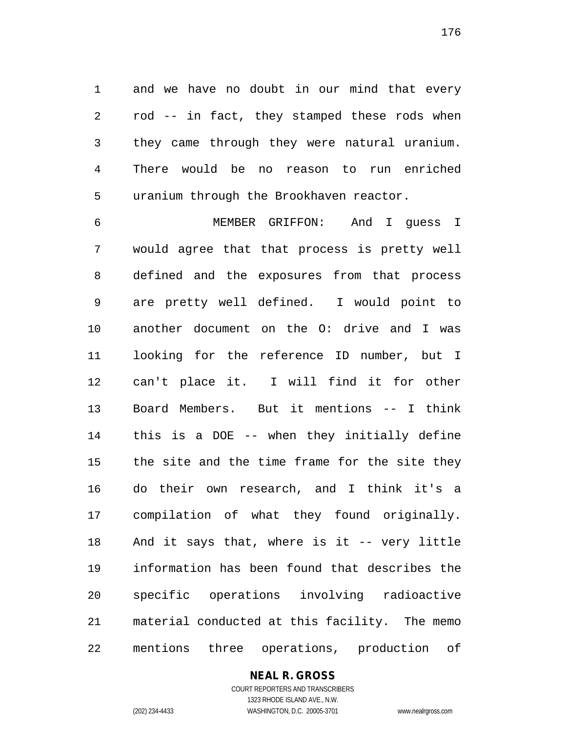and we have no doubt in our mind that every rod -- in fact, they stamped these rods when they came through they were natural uranium. There would be no reason to run enriched uranium through the Brookhaven reactor.

 MEMBER GRIFFON: And I guess I would agree that that process is pretty well defined and the exposures from that process are pretty well defined. I would point to another document on the O: drive and I was looking for the reference ID number, but I can't place it. I will find it for other Board Members. But it mentions -- I think this is a DOE -- when they initially define the site and the time frame for the site they do their own research, and I think it's a compilation of what they found originally. And it says that, where is it -- very little information has been found that describes the specific operations involving radioactive material conducted at this facility. The memo mentions three operations, production of

## **NEAL R. GROSS**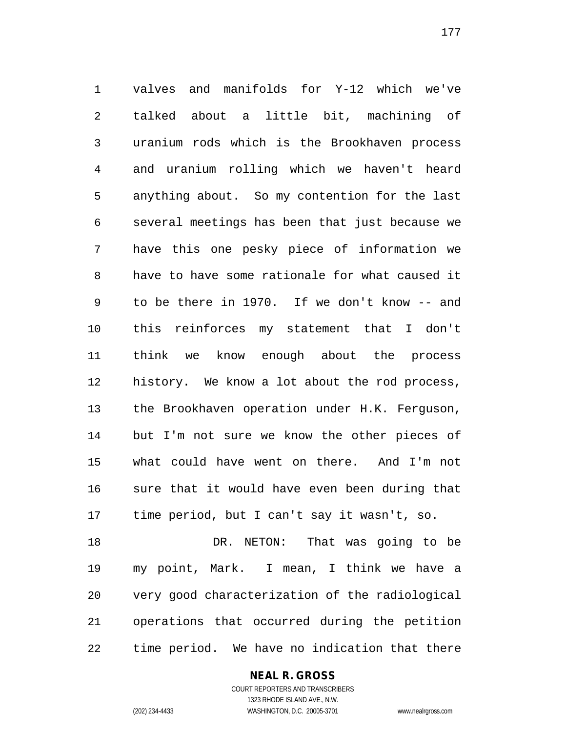valves and manifolds for Y-12 which we've talked about a little bit, machining of uranium rods which is the Brookhaven process and uranium rolling which we haven't heard anything about. So my contention for the last several meetings has been that just because we have this one pesky piece of information we have to have some rationale for what caused it to be there in 1970. If we don't know -- and this reinforces my statement that I don't think we know enough about the process history. We know a lot about the rod process, the Brookhaven operation under H.K. Ferguson, but I'm not sure we know the other pieces of what could have went on there. And I'm not sure that it would have even been during that time period, but I can't say it wasn't, so.

 DR. NETON: That was going to be my point, Mark. I mean, I think we have a very good characterization of the radiological operations that occurred during the petition time period. We have no indication that there

#### **NEAL R. GROSS**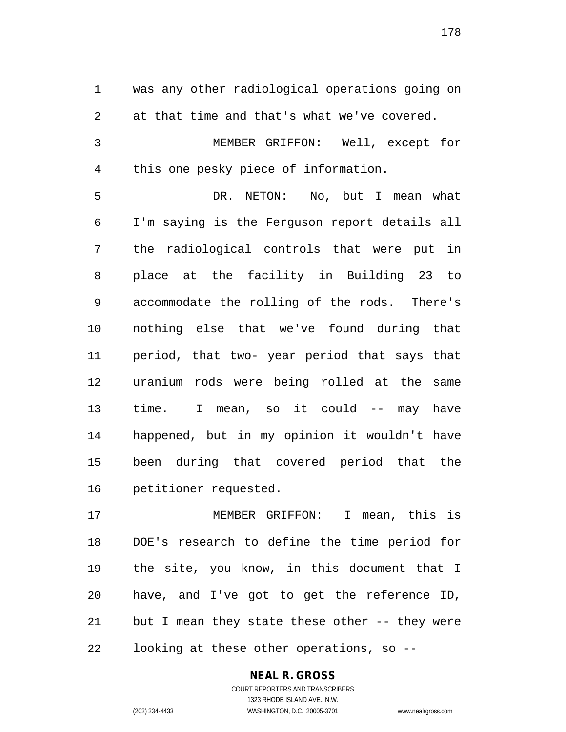was any other radiological operations going on at that time and that's what we've covered. MEMBER GRIFFON: Well, except for this one pesky piece of information. DR. NETON: No, but I mean what

 I'm saying is the Ferguson report details all the radiological controls that were put in place at the facility in Building 23 to accommodate the rolling of the rods. There's nothing else that we've found during that period, that two- year period that says that uranium rods were being rolled at the same time. I mean, so it could -- may have happened, but in my opinion it wouldn't have been during that covered period that the petitioner requested.

 MEMBER GRIFFON: I mean, this is DOE's research to define the time period for the site, you know, in this document that I have, and I've got to get the reference ID, but I mean they state these other -- they were looking at these other operations, so --

# **NEAL R. GROSS**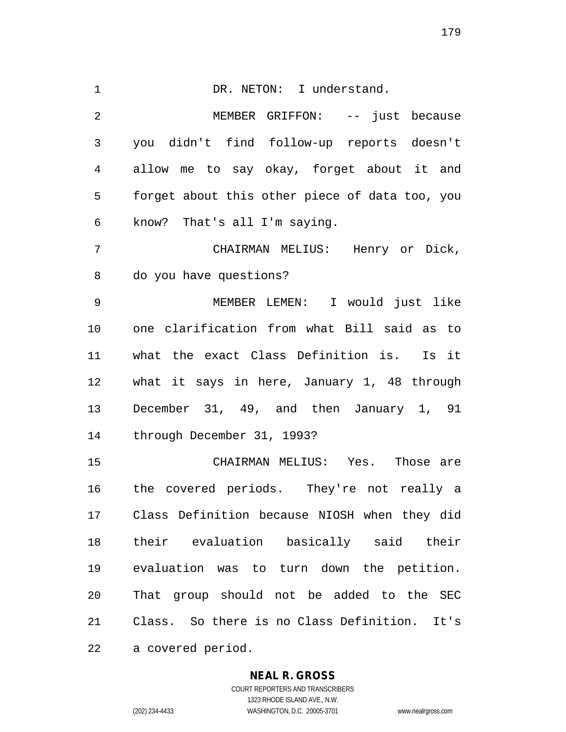1 DR. NETON: I understand. MEMBER GRIFFON: -- just because you didn't find follow-up reports doesn't allow me to say okay, forget about it and forget about this other piece of data too, you know? That's all I'm saying. CHAIRMAN MELIUS: Henry or Dick, do you have questions? MEMBER LEMEN: I would just like one clarification from what Bill said as to what the exact Class Definition is. Is it what it says in here, January 1, 48 through December 31, 49, and then January 1, 91 through December 31, 1993? CHAIRMAN MELIUS: Yes. Those are the covered periods. They're not really a Class Definition because NIOSH when they did their evaluation basically said their evaluation was to turn down the petition. That group should not be added to the SEC Class. So there is no Class Definition. It's a covered period.

#### **NEAL R. GROSS**

COURT REPORTERS AND TRANSCRIBERS 1323 RHODE ISLAND AVE., N.W. (202) 234-4433 WASHINGTON, D.C. 20005-3701 www.nealrgross.com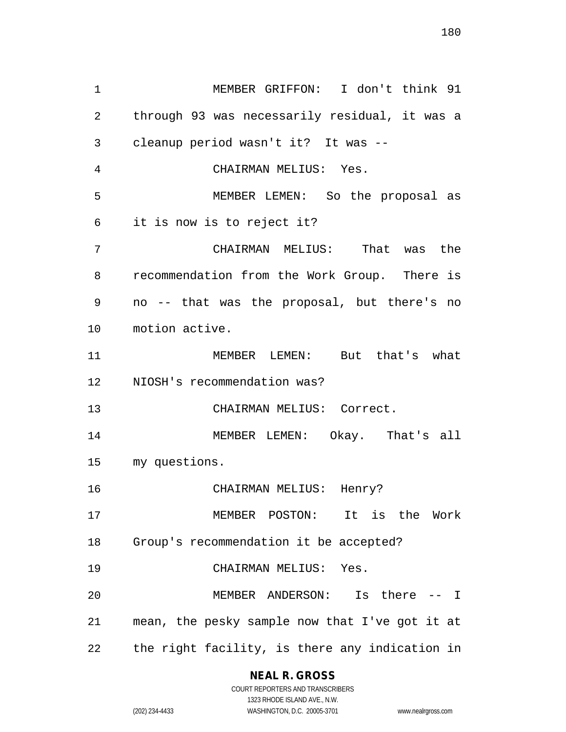MEMBER GRIFFON: I don't think 91 through 93 was necessarily residual, it was a cleanup period wasn't it? It was -- CHAIRMAN MELIUS: Yes. MEMBER LEMEN: So the proposal as it is now is to reject it? CHAIRMAN MELIUS: That was the recommendation from the Work Group. There is no -- that was the proposal, but there's no motion active. MEMBER LEMEN: But that's what NIOSH's recommendation was? CHAIRMAN MELIUS: Correct. MEMBER LEMEN: Okay. That's all my questions. CHAIRMAN MELIUS: Henry? MEMBER POSTON: It is the Work Group's recommendation it be accepted? CHAIRMAN MELIUS: Yes. MEMBER ANDERSON: Is there -- I mean, the pesky sample now that I've got it at the right facility, is there any indication in

## **NEAL R. GROSS**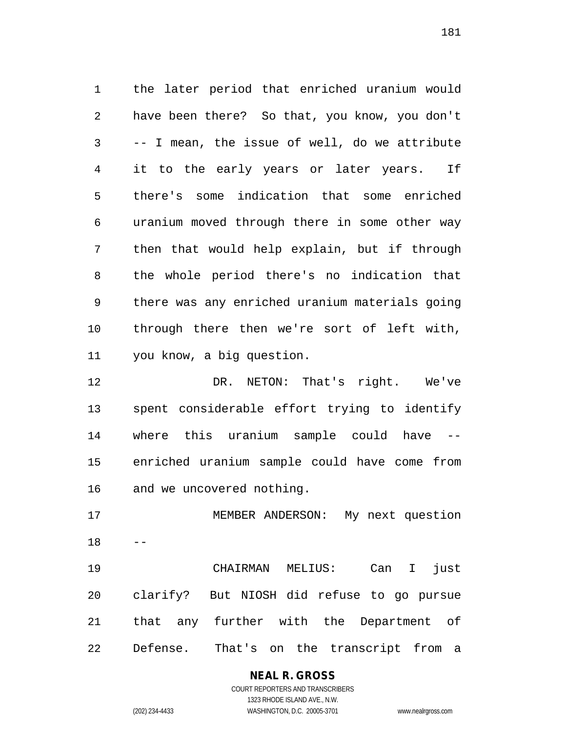the later period that enriched uranium would have been there? So that, you know, you don't -- I mean, the issue of well, do we attribute it to the early years or later years. If there's some indication that some enriched uranium moved through there in some other way then that would help explain, but if through the whole period there's no indication that there was any enriched uranium materials going through there then we're sort of left with, you know, a big question.

 DR. NETON: That's right. We've spent considerable effort trying to identify where this uranium sample could have -- enriched uranium sample could have come from and we uncovered nothing.

 MEMBER ANDERSON: My next question 

 CHAIRMAN MELIUS: Can I just clarify? But NIOSH did refuse to go pursue that any further with the Department of Defense. That's on the transcript from a

> **NEAL R. GROSS** COURT REPORTERS AND TRANSCRIBERS 1323 RHODE ISLAND AVE., N.W.

(202) 234-4433 WASHINGTON, D.C. 20005-3701 www.nealrgross.com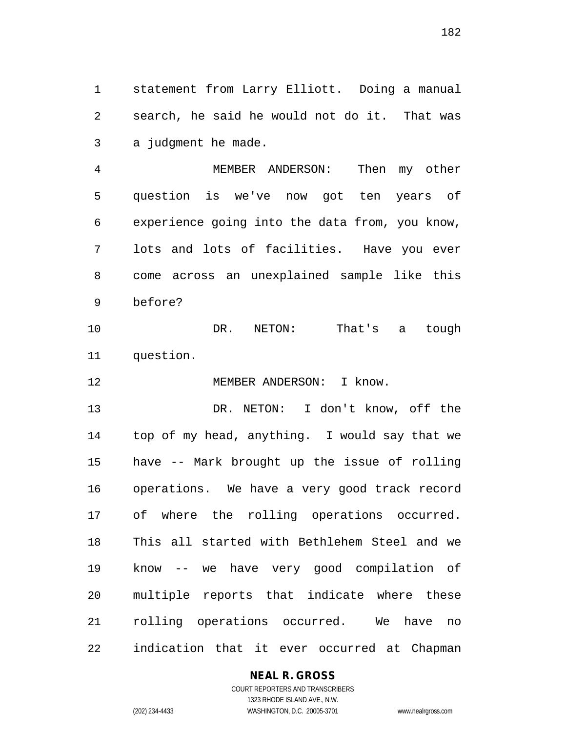statement from Larry Elliott. Doing a manual search, he said he would not do it. That was a judgment he made.

 MEMBER ANDERSON: Then my other question is we've now got ten years of experience going into the data from, you know, lots and lots of facilities. Have you ever come across an unexplained sample like this before?

 DR. NETON: That's a tough question.

12 MEMBER ANDERSON: I know.

 DR. NETON: I don't know, off the top of my head, anything. I would say that we have -- Mark brought up the issue of rolling operations. We have a very good track record of where the rolling operations occurred. This all started with Bethlehem Steel and we know -- we have very good compilation of multiple reports that indicate where these rolling operations occurred. We have no indication that it ever occurred at Chapman

# **NEAL R. GROSS**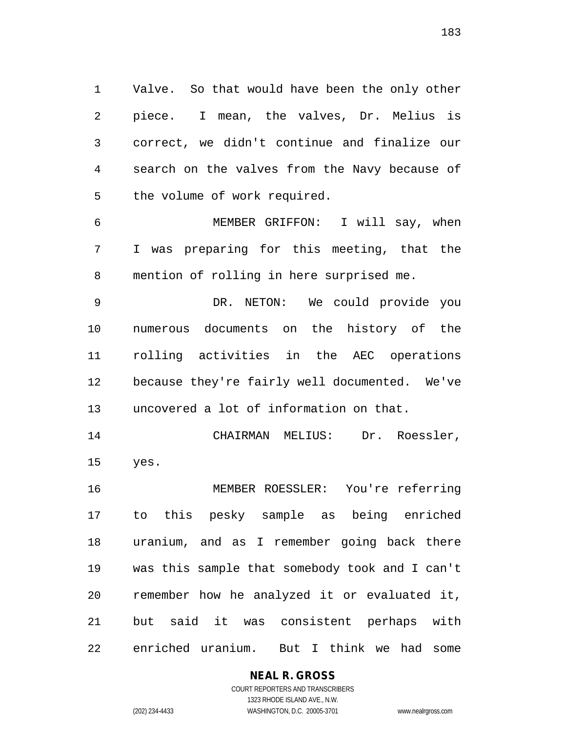Valve. So that would have been the only other piece. I mean, the valves, Dr. Melius is correct, we didn't continue and finalize our search on the valves from the Navy because of the volume of work required.

 MEMBER GRIFFON: I will say, when I was preparing for this meeting, that the mention of rolling in here surprised me.

 DR. NETON: We could provide you numerous documents on the history of the rolling activities in the AEC operations because they're fairly well documented. We've uncovered a lot of information on that.

 CHAIRMAN MELIUS: Dr. Roessler, yes.

 MEMBER ROESSLER: You're referring to this pesky sample as being enriched uranium, and as I remember going back there was this sample that somebody took and I can't remember how he analyzed it or evaluated it, but said it was consistent perhaps with enriched uranium. But I think we had some

# **NEAL R. GROSS**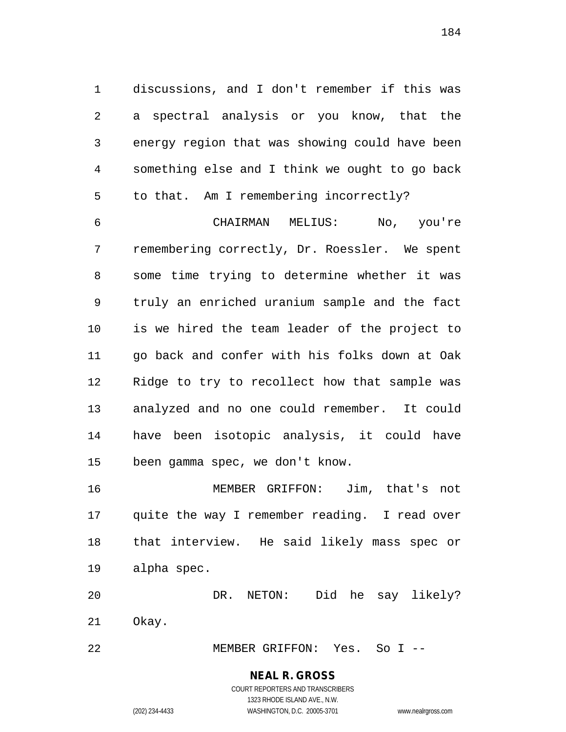discussions, and I don't remember if this was a spectral analysis or you know, that the energy region that was showing could have been something else and I think we ought to go back to that. Am I remembering incorrectly?

 CHAIRMAN MELIUS: No, you're remembering correctly, Dr. Roessler. We spent some time trying to determine whether it was truly an enriched uranium sample and the fact is we hired the team leader of the project to go back and confer with his folks down at Oak Ridge to try to recollect how that sample was analyzed and no one could remember. It could have been isotopic analysis, it could have been gamma spec, we don't know.

 MEMBER GRIFFON: Jim, that's not quite the way I remember reading. I read over that interview. He said likely mass spec or alpha spec.

 DR. NETON: Did he say likely? Okay.

MEMBER GRIFFON: Yes. So I --

#### **NEAL R. GROSS** COURT REPORTERS AND TRANSCRIBERS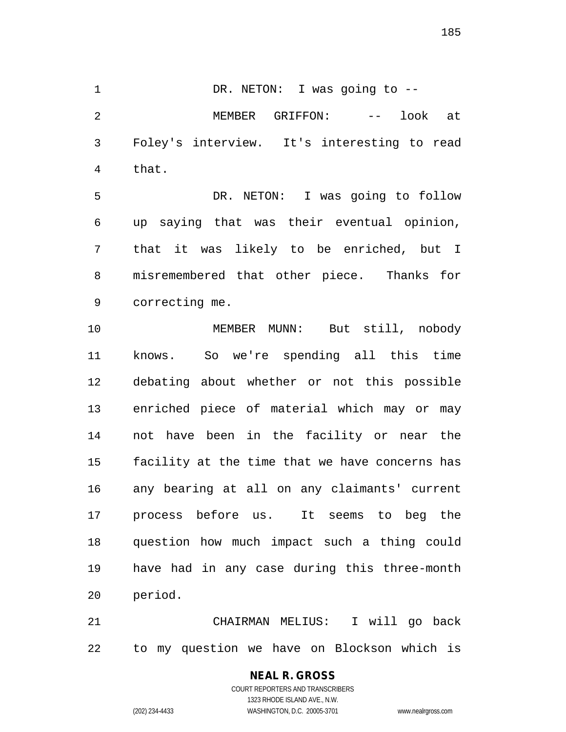1 DR. NETON: I was going to --2 MEMBER GRIFFON: -- look at Foley's interview. It's interesting to read that.

 DR. NETON: I was going to follow up saying that was their eventual opinion, that it was likely to be enriched, but I misremembered that other piece. Thanks for correcting me.

 MEMBER MUNN: But still, nobody knows. So we're spending all this time debating about whether or not this possible enriched piece of material which may or may not have been in the facility or near the facility at the time that we have concerns has any bearing at all on any claimants' current process before us. It seems to beg the question how much impact such a thing could have had in any case during this three-month period.

 CHAIRMAN MELIUS: I will go back to my question we have on Blockson which is

# **NEAL R. GROSS**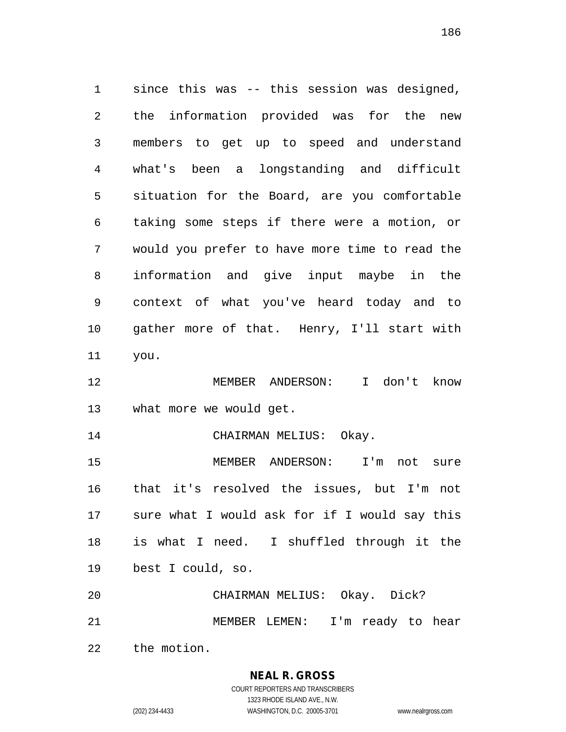since this was -- this session was designed, the information provided was for the new members to get up to speed and understand what's been a longstanding and difficult situation for the Board, are you comfortable taking some steps if there were a motion, or would you prefer to have more time to read the information and give input maybe in the context of what you've heard today and to gather more of that. Henry, I'll start with you. MEMBER ANDERSON: I don't know what more we would get.

14 CHAIRMAN MELIUS: Okay.

 MEMBER ANDERSON: I'm not sure that it's resolved the issues, but I'm not sure what I would ask for if I would say this is what I need. I shuffled through it the best I could, so.

 CHAIRMAN MELIUS: Okay. Dick? MEMBER LEMEN: I'm ready to hear

the motion.

**NEAL R. GROSS**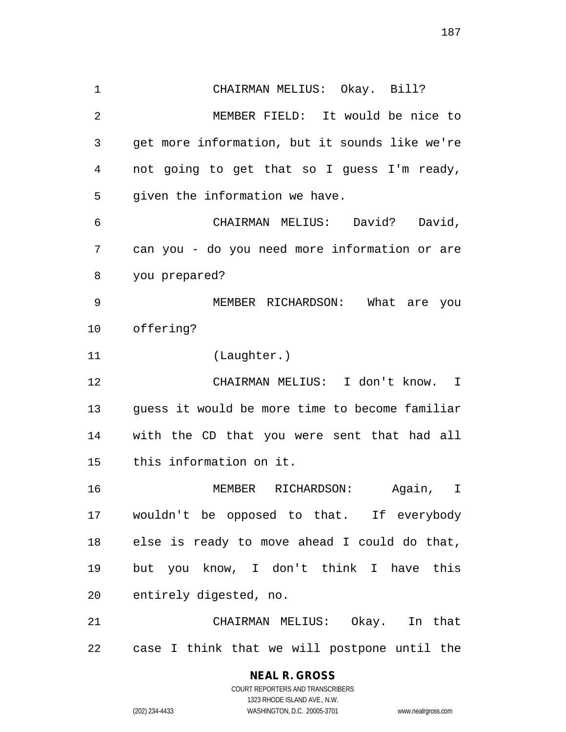CHAIRMAN MELIUS: Okay. Bill? MEMBER FIELD: It would be nice to get more information, but it sounds like we're not going to get that so I guess I'm ready, given the information we have. CHAIRMAN MELIUS: David? David, can you - do you need more information or are you prepared? MEMBER RICHARDSON: What are you offering? (Laughter.) CHAIRMAN MELIUS: I don't know. I guess it would be more time to become familiar with the CD that you were sent that had all this information on it. MEMBER RICHARDSON: Again, I wouldn't be opposed to that. If everybody else is ready to move ahead I could do that, but you know, I don't think I have this entirely digested, no. CHAIRMAN MELIUS: Okay. In that

case I think that we will postpone until the

**NEAL R. GROSS** COURT REPORTERS AND TRANSCRIBERS

1323 RHODE ISLAND AVE., N.W.

(202) 234-4433 WASHINGTON, D.C. 20005-3701 www.nealrgross.com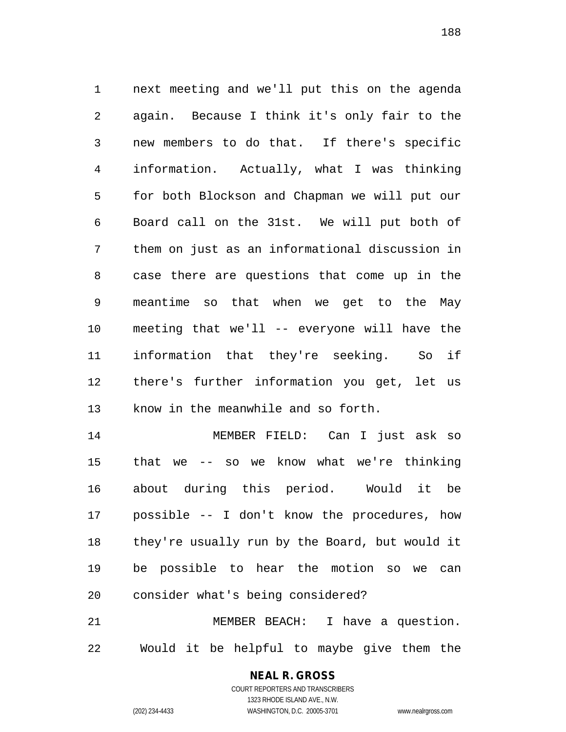next meeting and we'll put this on the agenda again. Because I think it's only fair to the new members to do that. If there's specific information. Actually, what I was thinking for both Blockson and Chapman we will put our Board call on the 31st. We will put both of them on just as an informational discussion in case there are questions that come up in the meantime so that when we get to the May meeting that we'll -- everyone will have the information that they're seeking. So if there's further information you get, let us know in the meanwhile and so forth.

 MEMBER FIELD: Can I just ask so that we -- so we know what we're thinking about during this period. Would it be possible -- I don't know the procedures, how they're usually run by the Board, but would it be possible to hear the motion so we can consider what's being considered?

 MEMBER BEACH: I have a question. Would it be helpful to maybe give them the

# **NEAL R. GROSS**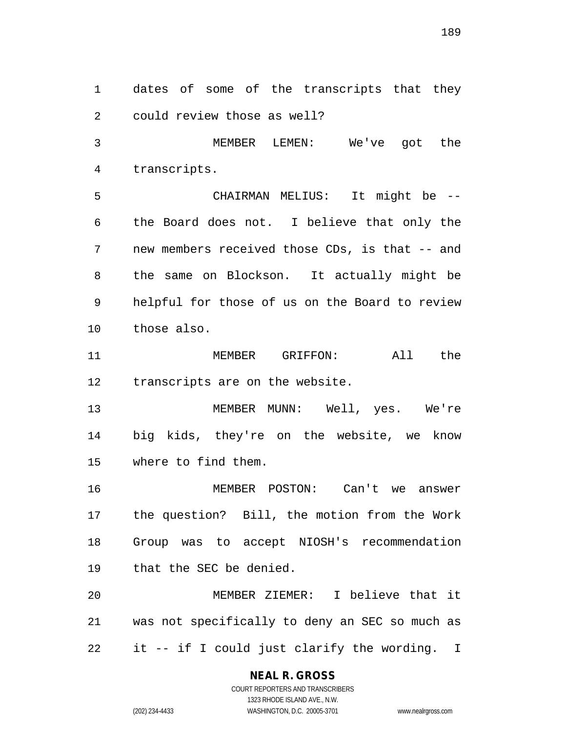dates of some of the transcripts that they could review those as well?

 MEMBER LEMEN: We've got the transcripts.

 CHAIRMAN MELIUS: It might be -- the Board does not. I believe that only the new members received those CDs, is that -- and the same on Blockson. It actually might be helpful for those of us on the Board to review those also.

 MEMBER GRIFFON: All the transcripts are on the website.

 MEMBER MUNN: Well, yes. We're big kids, they're on the website, we know where to find them.

 MEMBER POSTON: Can't we answer the question? Bill, the motion from the Work Group was to accept NIOSH's recommendation that the SEC be denied.

 MEMBER ZIEMER: I believe that it was not specifically to deny an SEC so much as it -- if I could just clarify the wording. I

# **NEAL R. GROSS**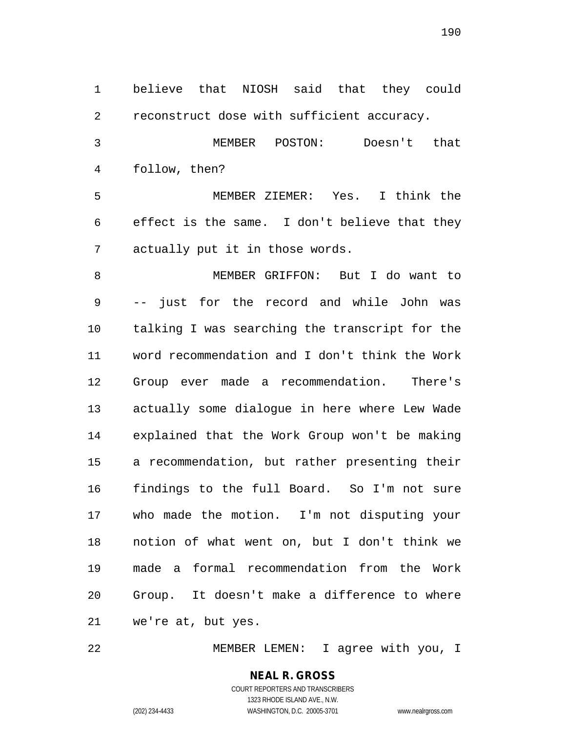believe that NIOSH said that they could reconstruct dose with sufficient accuracy. MEMBER POSTON: Doesn't that follow, then? MEMBER ZIEMER: Yes. I think the effect is the same. I don't believe that they actually put it in those words. MEMBER GRIFFON: But I do want to -- just for the record and while John was talking I was searching the transcript for the word recommendation and I don't think the Work Group ever made a recommendation. There's actually some dialogue in here where Lew Wade explained that the Work Group won't be making a recommendation, but rather presenting their findings to the full Board. So I'm not sure who made the motion. I'm not disputing your notion of what went on, but I don't think we made a formal recommendation from the Work Group. It doesn't make a difference to where we're at, but yes.

MEMBER LEMEN: I agree with you, I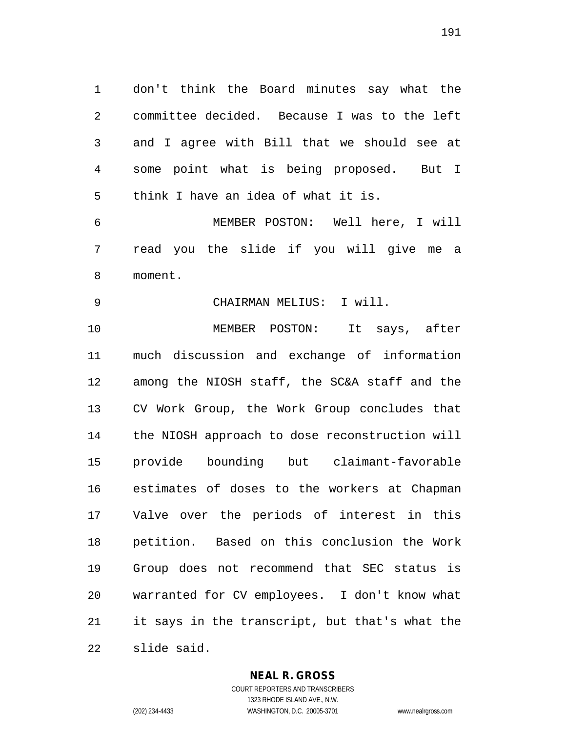don't think the Board minutes say what the committee decided. Because I was to the left and I agree with Bill that we should see at some point what is being proposed. But I think I have an idea of what it is.

 MEMBER POSTON: Well here, I will read you the slide if you will give me a moment.

CHAIRMAN MELIUS: I will.

 MEMBER POSTON: It says, after much discussion and exchange of information among the NIOSH staff, the SC&A staff and the CV Work Group, the Work Group concludes that the NIOSH approach to dose reconstruction will provide bounding but claimant-favorable estimates of doses to the workers at Chapman Valve over the periods of interest in this petition. Based on this conclusion the Work Group does not recommend that SEC status is warranted for CV employees. I don't know what it says in the transcript, but that's what the slide said.

# **NEAL R. GROSS**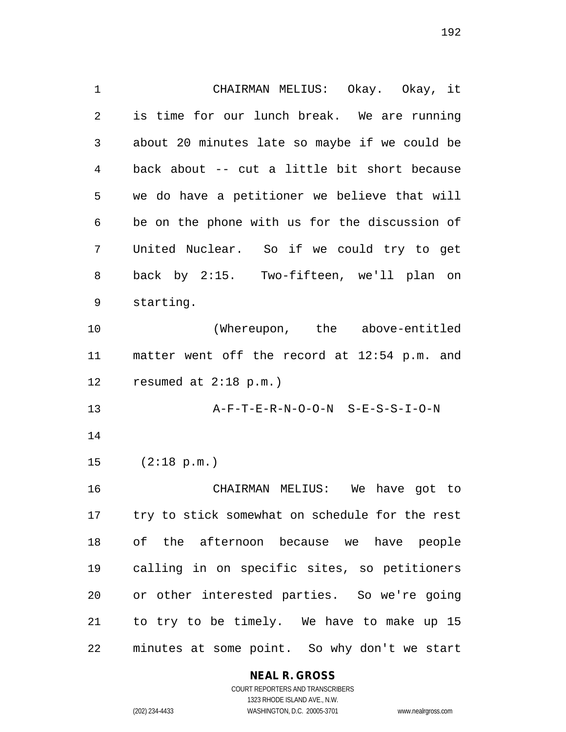CHAIRMAN MELIUS: Okay. Okay, it is time for our lunch break. We are running about 20 minutes late so maybe if we could be back about -- cut a little bit short because we do have a petitioner we believe that will be on the phone with us for the discussion of United Nuclear. So if we could try to get back by 2:15. Two-fifteen, we'll plan on starting. (Whereupon, the above-entitled matter went off the record at 12:54 p.m. and resumed at 2:18 p.m.) A-F-T-E-R-N-O-O-N S-E-S-S-I-O-N (2:18 p.m.) CHAIRMAN MELIUS: We have got to try to stick somewhat on schedule for the rest of the afternoon because we have people calling in on specific sites, so petitioners or other interested parties. So we're going to try to be timely. We have to make up 15 minutes at some point. So why don't we start

**NEAL R. GROSS**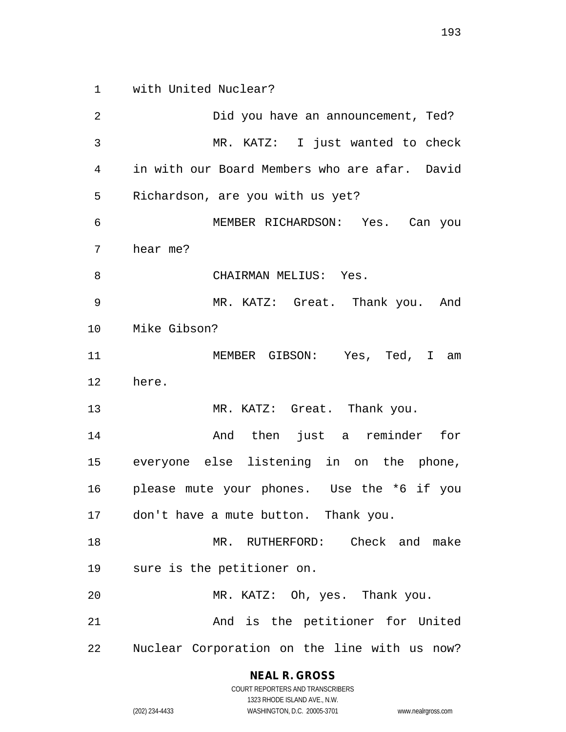with United Nuclear?

2 Did you have an announcement, Ted? MR. KATZ: I just wanted to check in with our Board Members who are afar. David Richardson, are you with us yet? MEMBER RICHARDSON: Yes. Can you hear me? 8 CHAIRMAN MELIUS: Yes. MR. KATZ: Great. Thank you. And Mike Gibson? MEMBER GIBSON: Yes, Ted, I am here. 13 MR. KATZ: Great. Thank you. And then just a reminder for everyone else listening in on the phone, please mute your phones. Use the \*6 if you don't have a mute button. Thank you. MR. RUTHERFORD: Check and make sure is the petitioner on. MR. KATZ: Oh, yes. Thank you. And is the petitioner for United Nuclear Corporation on the line with us now?

# **NEAL R. GROSS**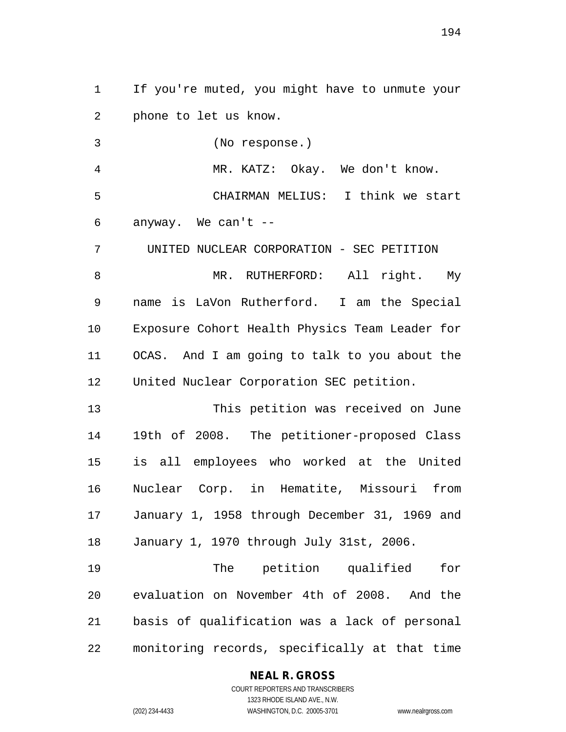If you're muted, you might have to unmute your phone to let us know.

(No response.)

 MR. KATZ: Okay. We don't know. CHAIRMAN MELIUS: I think we start anyway. We can't --

UNITED NUCLEAR CORPORATION - SEC PETITION

8 MR. RUTHERFORD: All right. My name is LaVon Rutherford. I am the Special Exposure Cohort Health Physics Team Leader for OCAS. And I am going to talk to you about the United Nuclear Corporation SEC petition.

 This petition was received on June 19th of 2008. The petitioner-proposed Class is all employees who worked at the United Nuclear Corp. in Hematite, Missouri from January 1, 1958 through December 31, 1969 and January 1, 1970 through July 31st, 2006.

 The petition qualified for evaluation on November 4th of 2008. And the basis of qualification was a lack of personal monitoring records, specifically at that time

#### **NEAL R. GROSS** COURT REPORTERS AND TRANSCRIBERS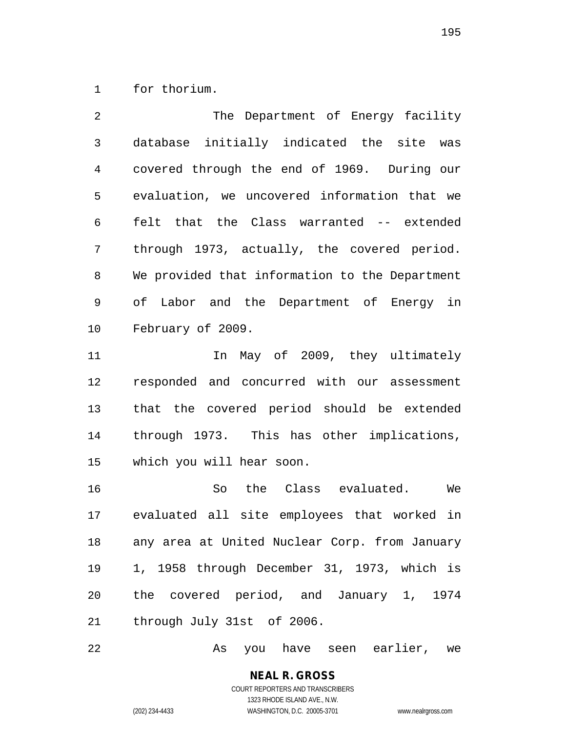for thorium.

2 The Department of Energy facility database initially indicated the site was covered through the end of 1969. During our evaluation, we uncovered information that we felt that the Class warranted -- extended through 1973, actually, the covered period. We provided that information to the Department of Labor and the Department of Energy in February of 2009. 11 11 In May of 2009, they ultimately responded and concurred with our assessment that the covered period should be extended

 through 1973. This has other implications, which you will hear soon.

 So the Class evaluated. We evaluated all site employees that worked in any area at United Nuclear Corp. from January 1, 1958 through December 31, 1973, which is the covered period, and January 1, 1974 through July 31st of 2006.

As you have seen earlier, we

**NEAL R. GROSS** COURT REPORTERS AND TRANSCRIBERS

1323 RHODE ISLAND AVE., N.W.

(202) 234-4433 WASHINGTON, D.C. 20005-3701 www.nealrgross.com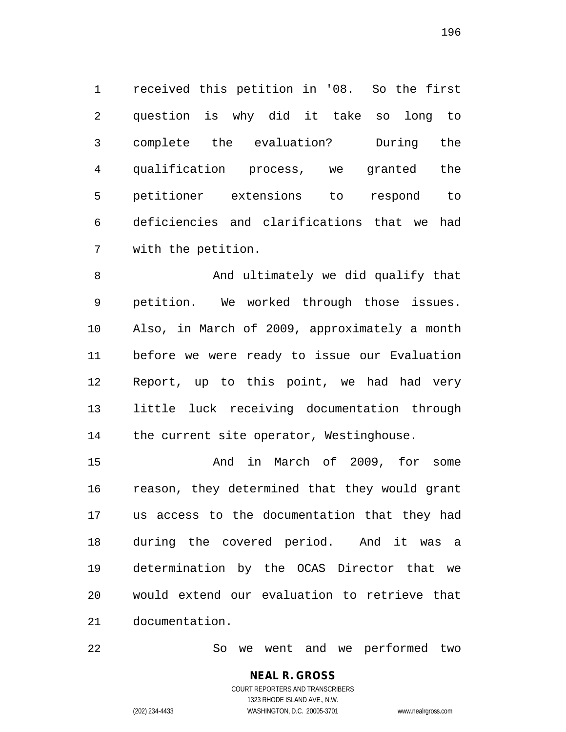received this petition in '08. So the first question is why did it take so long to complete the evaluation? During the qualification process, we granted the petitioner extensions to respond to deficiencies and clarifications that we had with the petition.

8 And ultimately we did qualify that petition. We worked through those issues. Also, in March of 2009, approximately a month before we were ready to issue our Evaluation Report, up to this point, we had had very little luck receiving documentation through 14 the current site operator, Westinghouse.

 And in March of 2009, for some reason, they determined that they would grant us access to the documentation that they had during the covered period. And it was a determination by the OCAS Director that we would extend our evaluation to retrieve that documentation.

So we went and we performed two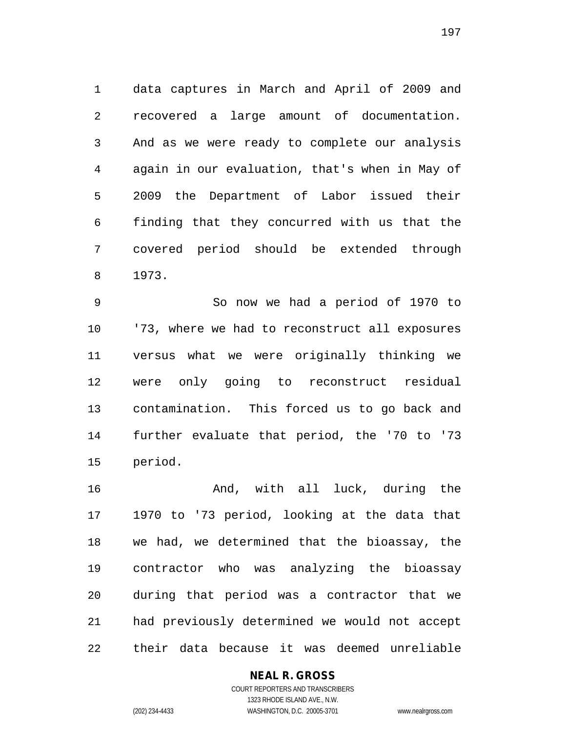data captures in March and April of 2009 and recovered a large amount of documentation. And as we were ready to complete our analysis again in our evaluation, that's when in May of 2009 the Department of Labor issued their finding that they concurred with us that the covered period should be extended through 1973.

 So now we had a period of 1970 to '73, where we had to reconstruct all exposures versus what we were originally thinking we were only going to reconstruct residual contamination. This forced us to go back and further evaluate that period, the '70 to '73 period.

16 And, with all luck, during the 1970 to '73 period, looking at the data that we had, we determined that the bioassay, the contractor who was analyzing the bioassay during that period was a contractor that we had previously determined we would not accept their data because it was deemed unreliable

# **NEAL R. GROSS**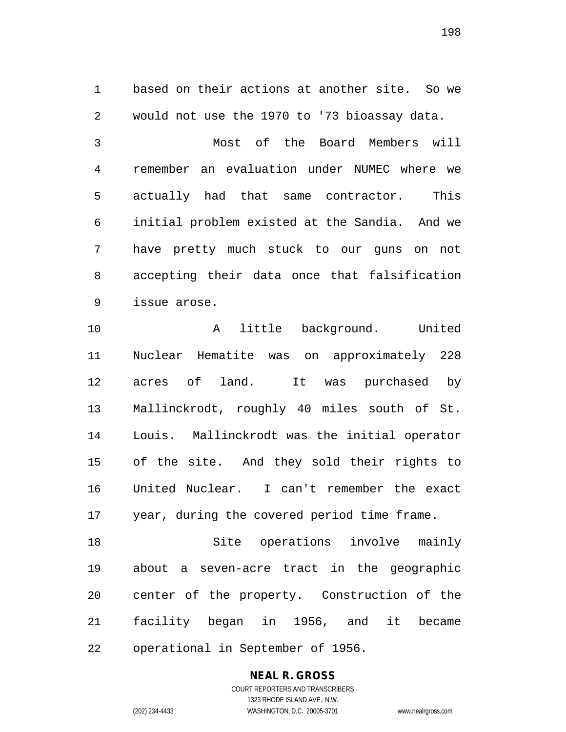based on their actions at another site. So we would not use the 1970 to '73 bioassay data.

 Most of the Board Members will remember an evaluation under NUMEC where we actually had that same contractor. This initial problem existed at the Sandia. And we have pretty much stuck to our guns on not accepting their data once that falsification issue arose.

 A little background. United Nuclear Hematite was on approximately 228 acres of land. It was purchased by Mallinckrodt, roughly 40 miles south of St. Louis. Mallinckrodt was the initial operator of the site. And they sold their rights to United Nuclear. I can't remember the exact year, during the covered period time frame.

 Site operations involve mainly about a seven-acre tract in the geographic center of the property. Construction of the facility began in 1956, and it became operational in September of 1956.

#### **NEAL R. GROSS** COURT REPORTERS AND TRANSCRIBERS

1323 RHODE ISLAND AVE., N.W. (202) 234-4433 WASHINGTON, D.C. 20005-3701 www.nealrgross.com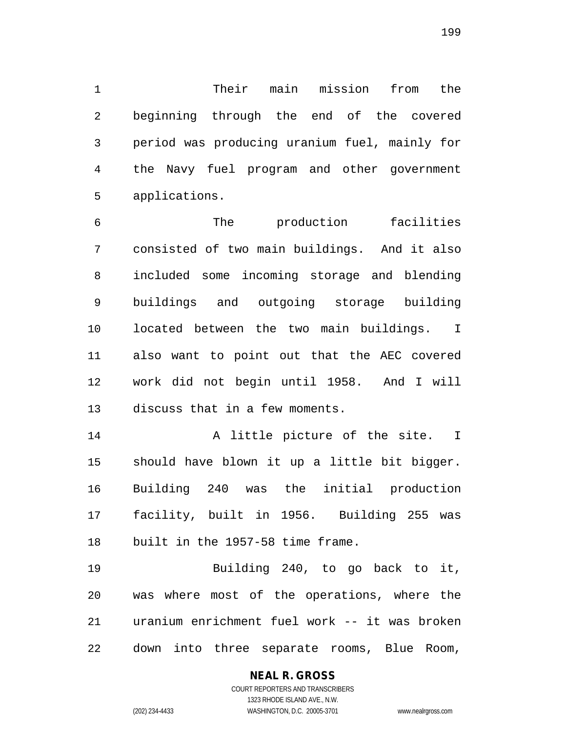Their main mission from the beginning through the end of the covered period was producing uranium fuel, mainly for the Navy fuel program and other government applications.

 The production facilities consisted of two main buildings. And it also included some incoming storage and blending buildings and outgoing storage building located between the two main buildings. I also want to point out that the AEC covered work did not begin until 1958. And I will discuss that in a few moments.

 A little picture of the site. I should have blown it up a little bit bigger. Building 240 was the initial production facility, built in 1956. Building 255 was built in the 1957-58 time frame.

 Building 240, to go back to it, was where most of the operations, where the uranium enrichment fuel work -- it was broken down into three separate rooms, Blue Room,

# **NEAL R. GROSS**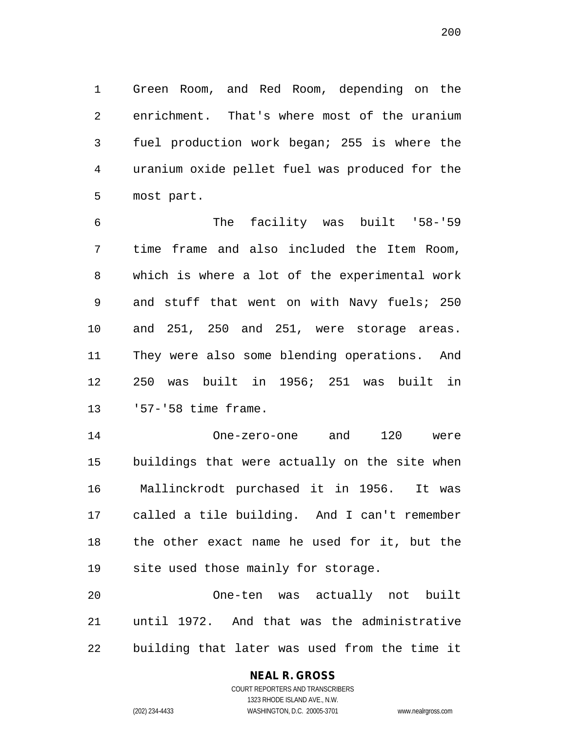Green Room, and Red Room, depending on the enrichment. That's where most of the uranium fuel production work began; 255 is where the uranium oxide pellet fuel was produced for the most part.

 The facility was built '58-'59 time frame and also included the Item Room, which is where a lot of the experimental work and stuff that went on with Navy fuels; 250 and 251, 250 and 251, were storage areas. They were also some blending operations. And 250 was built in 1956; 251 was built in '57-'58 time frame.

 One-zero-one and 120 were buildings that were actually on the site when Mallinckrodt purchased it in 1956. It was called a tile building. And I can't remember the other exact name he used for it, but the site used those mainly for storage.

 One-ten was actually not built until 1972. And that was the administrative building that later was used from the time it

# **NEAL R. GROSS**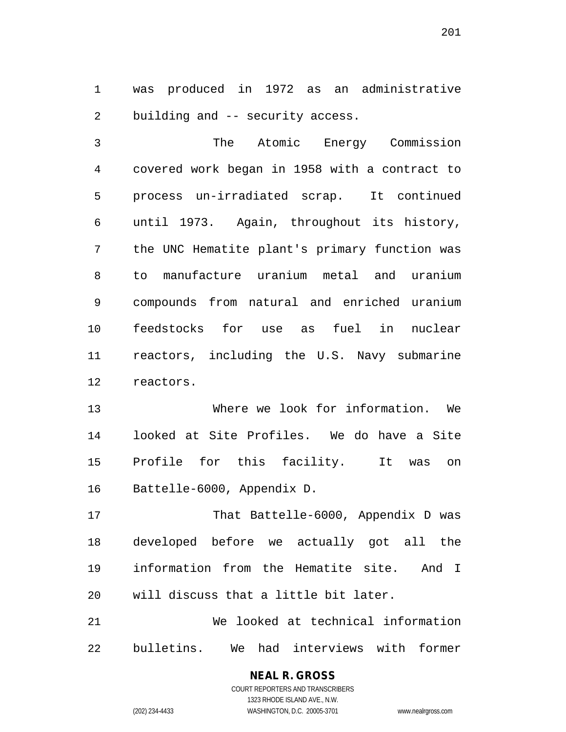was produced in 1972 as an administrative building and -- security access.

 The Atomic Energy Commission covered work began in 1958 with a contract to process un-irradiated scrap. It continued until 1973. Again, throughout its history, the UNC Hematite plant's primary function was to manufacture uranium metal and uranium compounds from natural and enriched uranium feedstocks for use as fuel in nuclear reactors, including the U.S. Navy submarine reactors.

 Where we look for information. We looked at Site Profiles. We do have a Site Profile for this facility. It was on Battelle-6000, Appendix D.

 That Battelle-6000, Appendix D was developed before we actually got all the information from the Hematite site. And I will discuss that a little bit later.

 We looked at technical information bulletins. We had interviews with former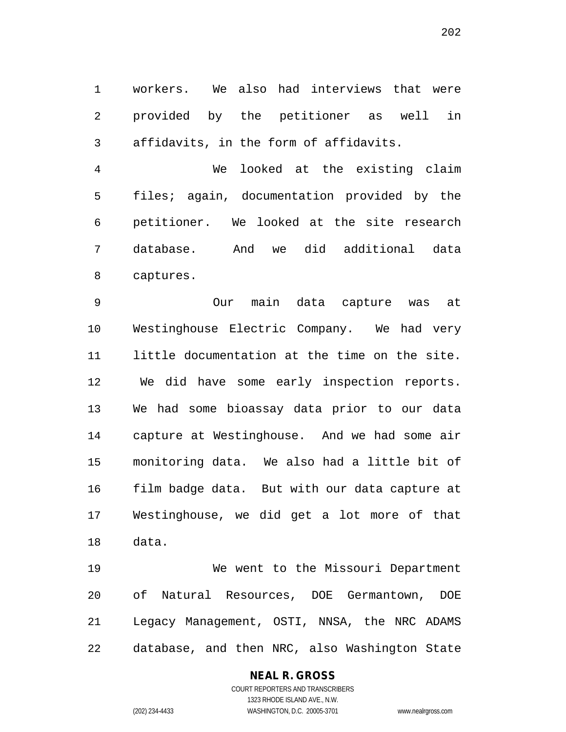workers. We also had interviews that were provided by the petitioner as well in affidavits, in the form of affidavits.

 We looked at the existing claim files; again, documentation provided by the petitioner. We looked at the site research database. And we did additional data captures.

 Our main data capture was at Westinghouse Electric Company. We had very little documentation at the time on the site. We did have some early inspection reports. We had some bioassay data prior to our data capture at Westinghouse. And we had some air monitoring data. We also had a little bit of film badge data. But with our data capture at Westinghouse, we did get a lot more of that data.

 We went to the Missouri Department of Natural Resources, DOE Germantown, DOE Legacy Management, OSTI, NNSA, the NRC ADAMS database, and then NRC, also Washington State

#### **NEAL R. GROSS** COURT REPORTERS AND TRANSCRIBERS

1323 RHODE ISLAND AVE., N.W. (202) 234-4433 WASHINGTON, D.C. 20005-3701 www.nealrgross.com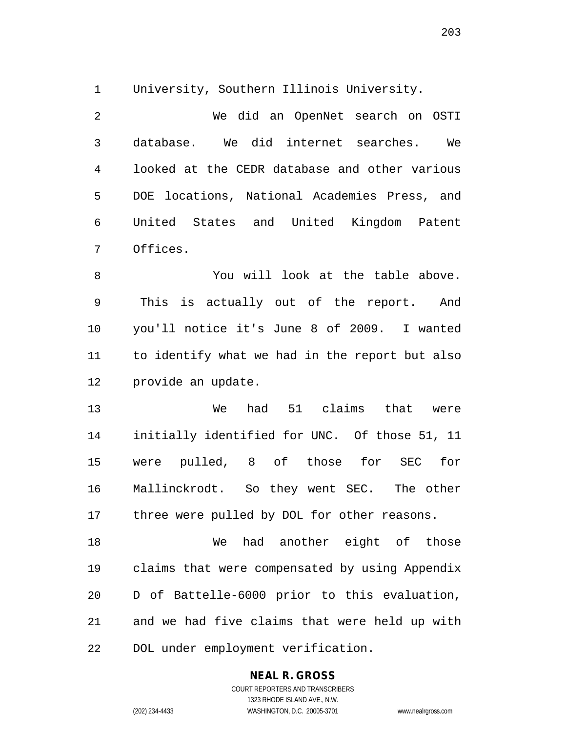University, Southern Illinois University.

 We did an OpenNet search on OSTI database. We did internet searches. We looked at the CEDR database and other various DOE locations, National Academies Press, and United States and United Kingdom Patent Offices.

 You will look at the table above. This is actually out of the report. And you'll notice it's June 8 of 2009. I wanted to identify what we had in the report but also provide an update.

 We had 51 claims that were initially identified for UNC. Of those 51, 11 were pulled, 8 of those for SEC for Mallinckrodt. So they went SEC. The other three were pulled by DOL for other reasons.

 We had another eight of those claims that were compensated by using Appendix D of Battelle-6000 prior to this evaluation, and we had five claims that were held up with DOL under employment verification.

#### **NEAL R. GROSS**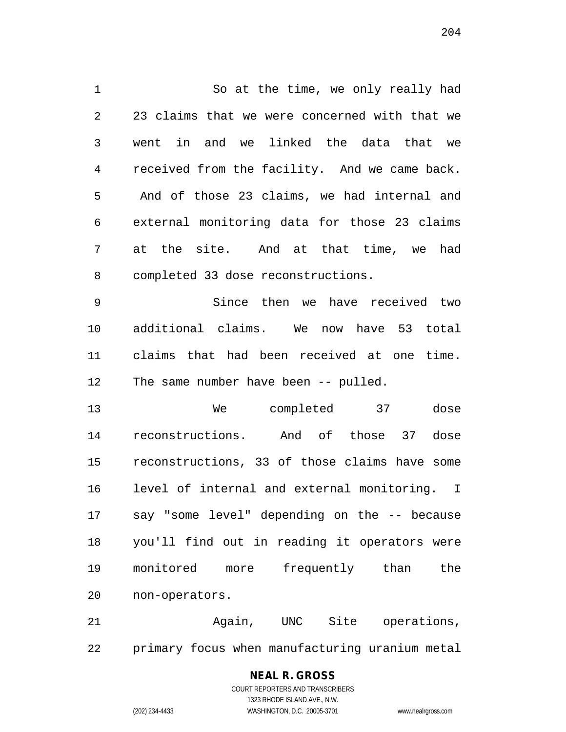So at the time, we only really had 23 claims that we were concerned with that we went in and we linked the data that we received from the facility. And we came back. And of those 23 claims, we had internal and external monitoring data for those 23 claims at the site. And at that time, we had completed 33 dose reconstructions.

 Since then we have received two additional claims. We now have 53 total claims that had been received at one time. The same number have been -- pulled.

 We completed 37 dose reconstructions. And of those 37 dose reconstructions, 33 of those claims have some level of internal and external monitoring. I say "some level" depending on the -- because you'll find out in reading it operators were monitored more frequently than the non-operators.

 Again, UNC Site operations, primary focus when manufacturing uranium metal

# **NEAL R. GROSS**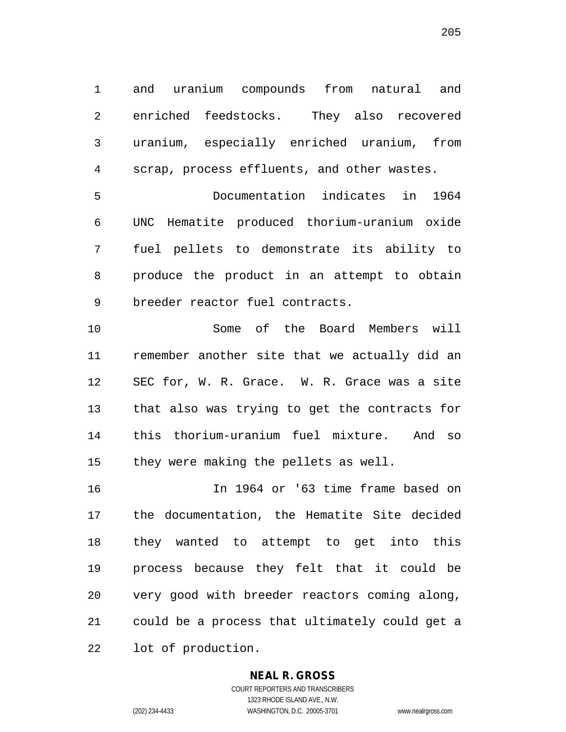and uranium compounds from natural and enriched feedstocks. They also recovered uranium, especially enriched uranium, from scrap, process effluents, and other wastes.

 Documentation indicates in 1964 UNC Hematite produced thorium-uranium oxide fuel pellets to demonstrate its ability to produce the product in an attempt to obtain breeder reactor fuel contracts.

 Some of the Board Members will remember another site that we actually did an SEC for, W. R. Grace. W. R. Grace was a site that also was trying to get the contracts for this thorium-uranium fuel mixture. And so they were making the pellets as well.

 In 1964 or '63 time frame based on the documentation, the Hematite Site decided they wanted to attempt to get into this process because they felt that it could be very good with breeder reactors coming along, could be a process that ultimately could get a lot of production.

# **NEAL R. GROSS**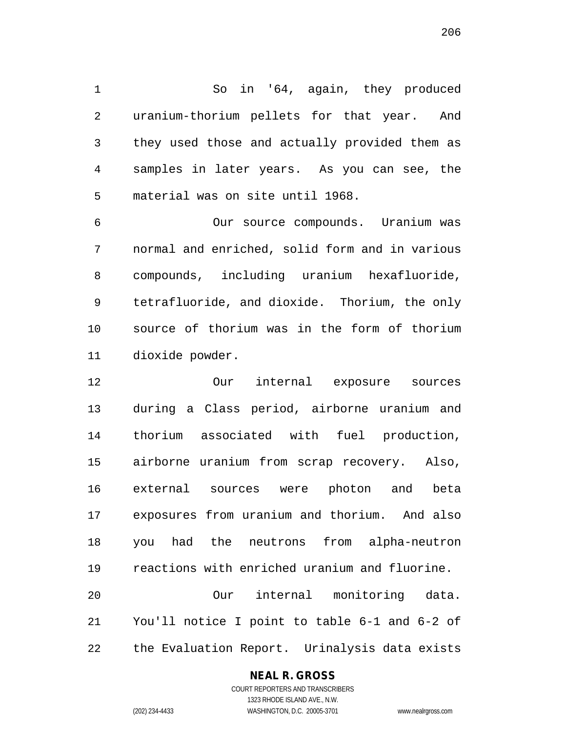So in '64, again, they produced uranium-thorium pellets for that year. And they used those and actually provided them as samples in later years. As you can see, the material was on site until 1968.

 Our source compounds. Uranium was normal and enriched, solid form and in various compounds, including uranium hexafluoride, tetrafluoride, and dioxide. Thorium, the only source of thorium was in the form of thorium dioxide powder.

 Our internal exposure sources during a Class period, airborne uranium and thorium associated with fuel production, airborne uranium from scrap recovery. Also, external sources were photon and beta exposures from uranium and thorium. And also you had the neutrons from alpha-neutron reactions with enriched uranium and fluorine. Our internal monitoring data. You'll notice I point to table 6-1 and 6-2 of the Evaluation Report. Urinalysis data exists

# **NEAL R. GROSS**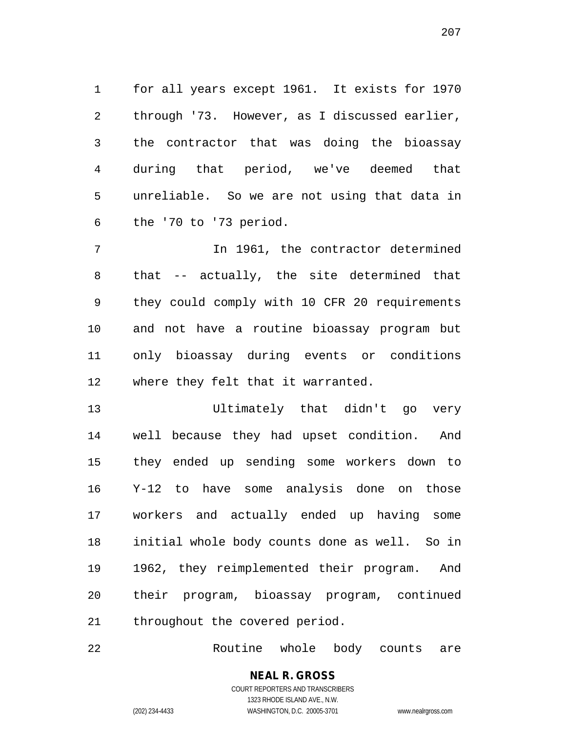for all years except 1961. It exists for 1970 through '73. However, as I discussed earlier, the contractor that was doing the bioassay during that period, we've deemed that unreliable. So we are not using that data in the '70 to '73 period.

 In 1961, the contractor determined that -- actually, the site determined that they could comply with 10 CFR 20 requirements and not have a routine bioassay program but only bioassay during events or conditions where they felt that it warranted.

 Ultimately that didn't go very well because they had upset condition. And they ended up sending some workers down to Y-12 to have some analysis done on those workers and actually ended up having some initial whole body counts done as well. So in 1962, they reimplemented their program. And their program, bioassay program, continued throughout the covered period.

Routine whole body counts are

#### **NEAL R. GROSS** COURT REPORTERS AND TRANSCRIBERS 1323 RHODE ISLAND AVE., N.W.

(202) 234-4433 WASHINGTON, D.C. 20005-3701 www.nealrgross.com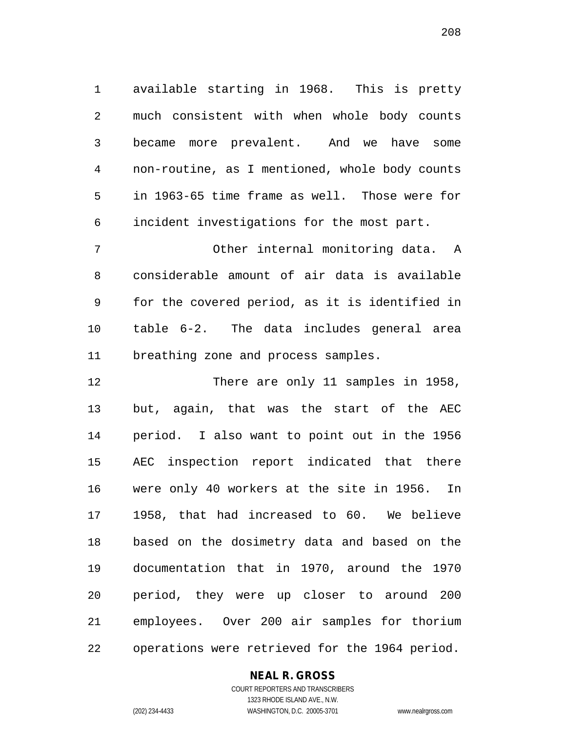available starting in 1968. This is pretty much consistent with when whole body counts became more prevalent. And we have some non-routine, as I mentioned, whole body counts in 1963-65 time frame as well. Those were for incident investigations for the most part.

 Other internal monitoring data. A considerable amount of air data is available for the covered period, as it is identified in table 6-2. The data includes general area breathing zone and process samples.

 There are only 11 samples in 1958, but, again, that was the start of the AEC period. I also want to point out in the 1956 AEC inspection report indicated that there were only 40 workers at the site in 1956. In 1958, that had increased to 60. We believe based on the dosimetry data and based on the documentation that in 1970, around the 1970 period, they were up closer to around 200 employees. Over 200 air samples for thorium operations were retrieved for the 1964 period.

#### **NEAL R. GROSS** COURT REPORTERS AND TRANSCRIBERS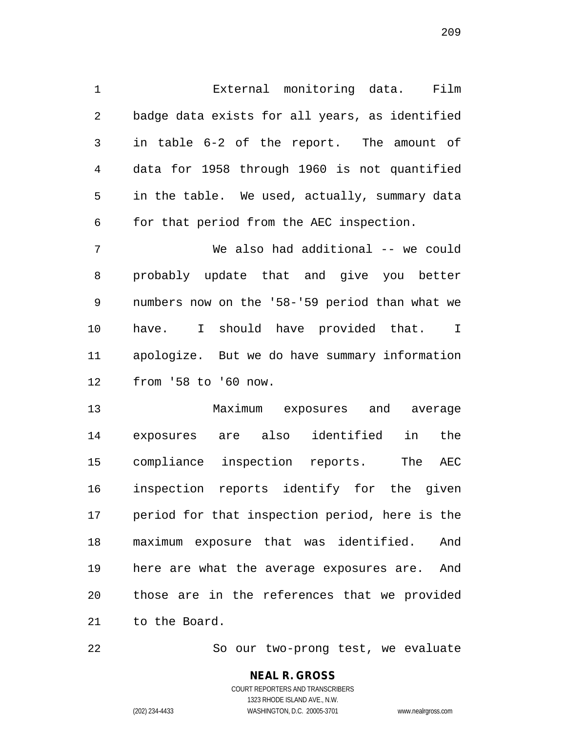External monitoring data. Film badge data exists for all years, as identified in table 6-2 of the report. The amount of data for 1958 through 1960 is not quantified in the table. We used, actually, summary data for that period from the AEC inspection. We also had additional -- we could probably update that and give you better numbers now on the '58-'59 period than what we

 have. I should have provided that. I apologize. But we do have summary information from '58 to '60 now.

 Maximum exposures and average exposures are also identified in the compliance inspection reports. The AEC inspection reports identify for the given period for that inspection period, here is the maximum exposure that was identified. And here are what the average exposures are. And those are in the references that we provided to the Board.

So our two-prong test, we evaluate

#### **NEAL R. GROSS** COURT REPORTERS AND TRANSCRIBERS 1323 RHODE ISLAND AVE., N.W.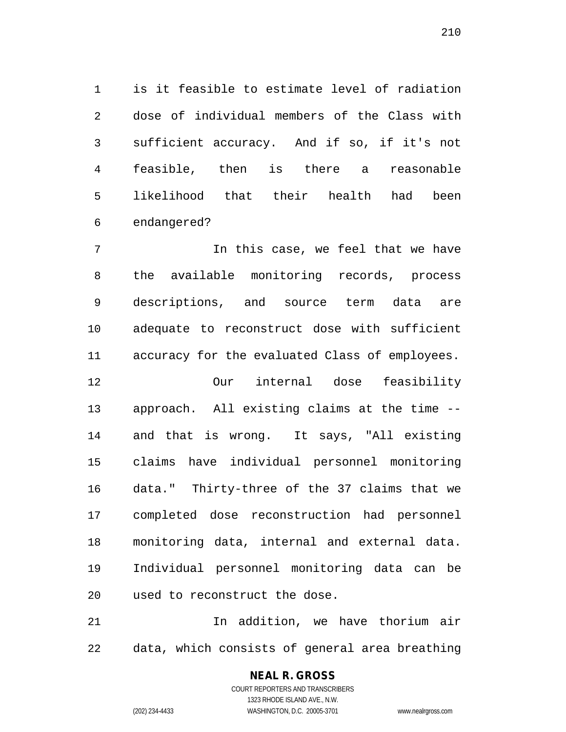is it feasible to estimate level of radiation dose of individual members of the Class with sufficient accuracy. And if so, if it's not feasible, then is there a reasonable likelihood that their health had been endangered?

 In this case, we feel that we have the available monitoring records, process descriptions, and source term data are adequate to reconstruct dose with sufficient accuracy for the evaluated Class of employees. Our internal dose feasibility approach. All existing claims at the time -- and that is wrong. It says, "All existing claims have individual personnel monitoring data." Thirty-three of the 37 claims that we completed dose reconstruction had personnel monitoring data, internal and external data. Individual personnel monitoring data can be used to reconstruct the dose.

 In addition, we have thorium air data, which consists of general area breathing

# **NEAL R. GROSS**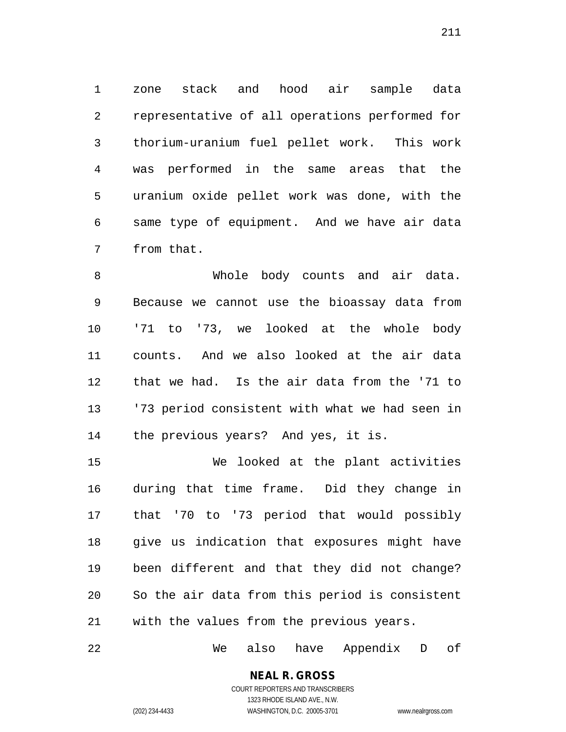zone stack and hood air sample data representative of all operations performed for thorium-uranium fuel pellet work. This work was performed in the same areas that the uranium oxide pellet work was done, with the same type of equipment. And we have air data from that.

 Whole body counts and air data. Because we cannot use the bioassay data from '71 to '73, we looked at the whole body counts. And we also looked at the air data that we had. Is the air data from the '71 to '73 period consistent with what we had seen in the previous years? And yes, it is.

 We looked at the plant activities during that time frame. Did they change in that '70 to '73 period that would possibly give us indication that exposures might have been different and that they did not change? So the air data from this period is consistent with the values from the previous years.

We also have Appendix D of

# **NEAL R. GROSS**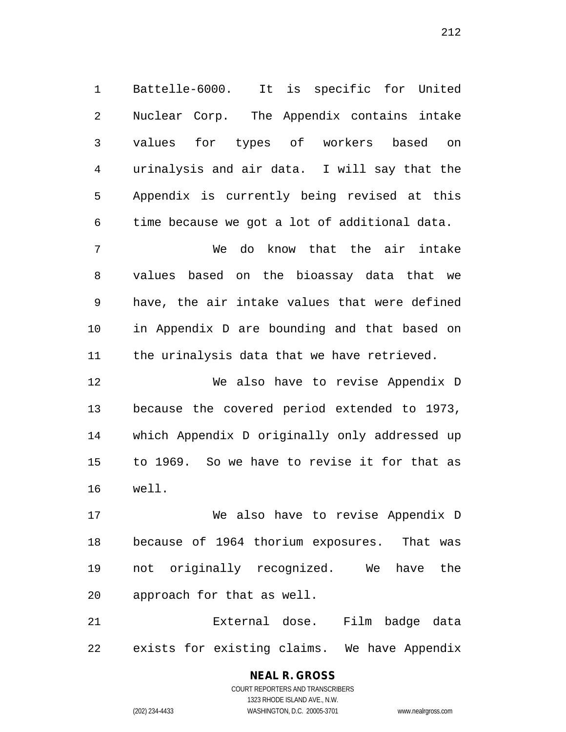Battelle-6000. It is specific for United Nuclear Corp. The Appendix contains intake values for types of workers based on urinalysis and air data. I will say that the Appendix is currently being revised at this time because we got a lot of additional data.

 We do know that the air intake values based on the bioassay data that we have, the air intake values that were defined in Appendix D are bounding and that based on the urinalysis data that we have retrieved.

 We also have to revise Appendix D because the covered period extended to 1973, which Appendix D originally only addressed up to 1969. So we have to revise it for that as well.

 We also have to revise Appendix D because of 1964 thorium exposures. That was not originally recognized. We have the approach for that as well.

 External dose. Film badge data exists for existing claims. We have Appendix

> **NEAL R. GROSS** COURT REPORTERS AND TRANSCRIBERS 1323 RHODE ISLAND AVE., N.W. (202) 234-4433 WASHINGTON, D.C. 20005-3701 www.nealrgross.com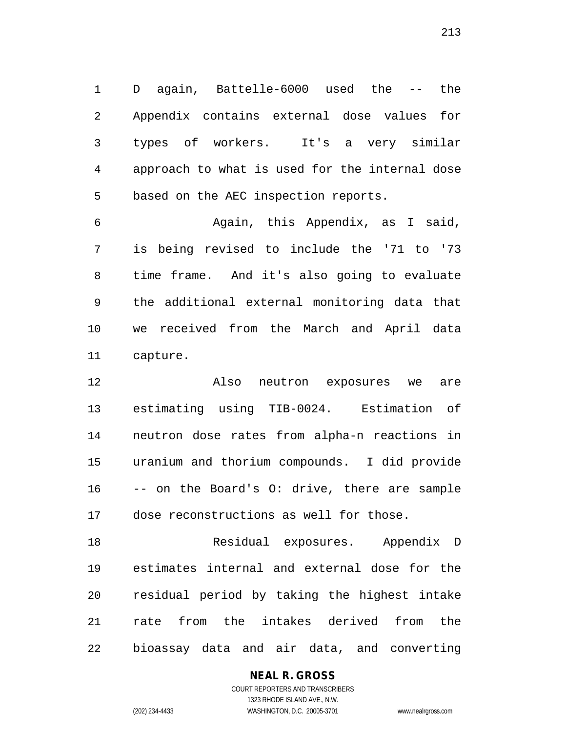D again, Battelle-6000 used the -- the Appendix contains external dose values for types of workers. It's a very similar approach to what is used for the internal dose based on the AEC inspection reports.

 Again, this Appendix, as I said, is being revised to include the '71 to '73 time frame. And it's also going to evaluate the additional external monitoring data that we received from the March and April data capture.

 Also neutron exposures we are estimating using TIB-0024. Estimation of neutron dose rates from alpha-n reactions in uranium and thorium compounds. I did provide -- on the Board's O: drive, there are sample dose reconstructions as well for those.

 Residual exposures. Appendix D estimates internal and external dose for the residual period by taking the highest intake rate from the intakes derived from the bioassay data and air data, and converting

# **NEAL R. GROSS**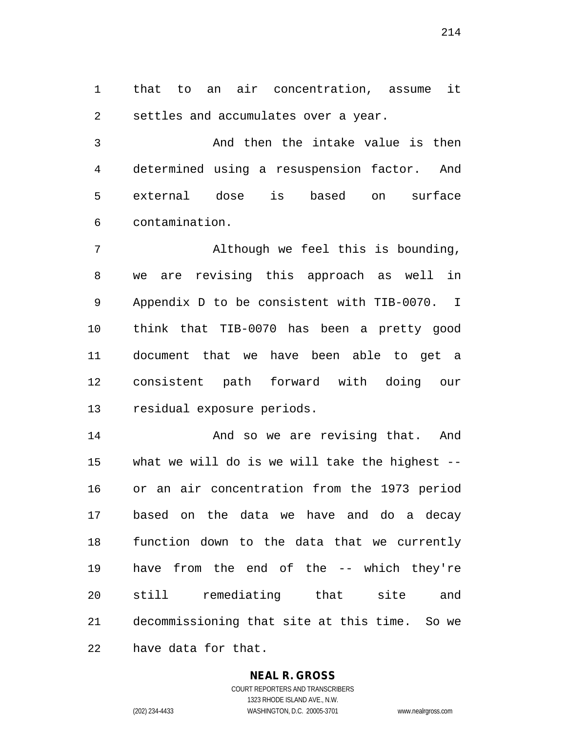that to an air concentration, assume it settles and accumulates over a year.

 And then the intake value is then determined using a resuspension factor. And external dose is based on surface contamination.

 Although we feel this is bounding, we are revising this approach as well in Appendix D to be consistent with TIB-0070. I think that TIB-0070 has been a pretty good document that we have been able to get a consistent path forward with doing our residual exposure periods.

**And so we are revising that.** And what we will do is we will take the highest -- or an air concentration from the 1973 period based on the data we have and do a decay function down to the data that we currently have from the end of the -- which they're still remediating that site and decommissioning that site at this time. So we have data for that.

# **NEAL R. GROSS**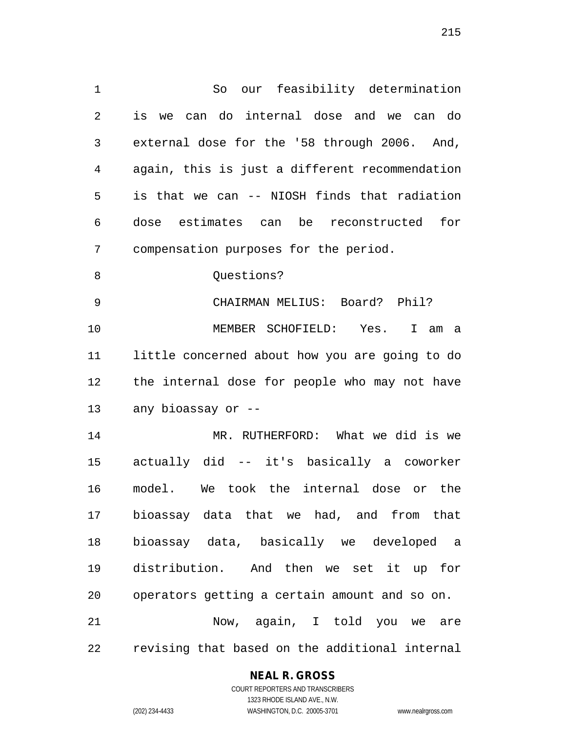So our feasibility determination is we can do internal dose and we can do external dose for the '58 through 2006. And, again, this is just a different recommendation is that we can -- NIOSH finds that radiation dose estimates can be reconstructed for compensation purposes for the period. 8 Ouestions? CHAIRMAN MELIUS: Board? Phil? MEMBER SCHOFIELD: Yes. I am a little concerned about how you are going to do the internal dose for people who may not have any bioassay or -- MR. RUTHERFORD: What we did is we

 actually did -- it's basically a coworker model. We took the internal dose or the bioassay data that we had, and from that bioassay data, basically we developed a distribution. And then we set it up for operators getting a certain amount and so on. Now, again, I told you we are revising that based on the additional internal

# **NEAL R. GROSS**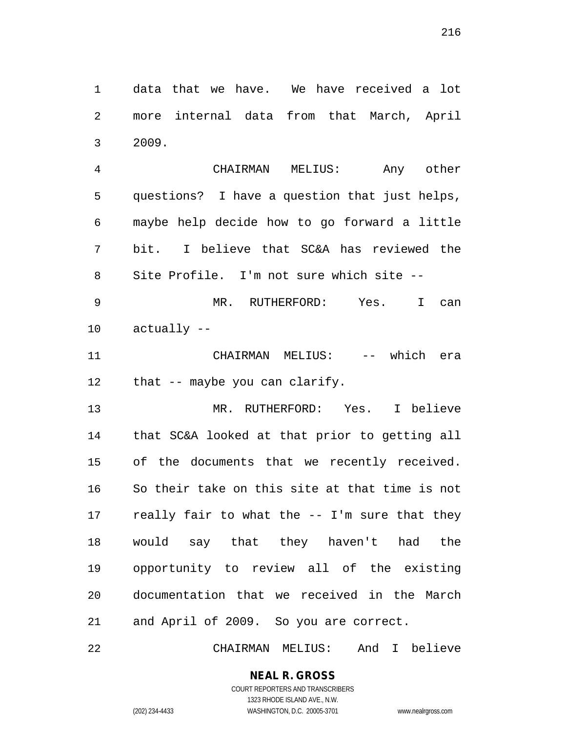data that we have. We have received a lot more internal data from that March, April 2009.

 CHAIRMAN MELIUS: Any other questions? I have a question that just helps, maybe help decide how to go forward a little bit. I believe that SC&A has reviewed the Site Profile. I'm not sure which site --

 MR. RUTHERFORD: Yes. I can actually --

11 CHAIRMAN MELIUS: -- which era that -- maybe you can clarify.

 MR. RUTHERFORD: Yes. I believe that SC&A looked at that prior to getting all of the documents that we recently received. So their take on this site at that time is not really fair to what the -- I'm sure that they would say that they haven't had the opportunity to review all of the existing documentation that we received in the March and April of 2009. So you are correct.

CHAIRMAN MELIUS: And I believe

**NEAL R. GROSS**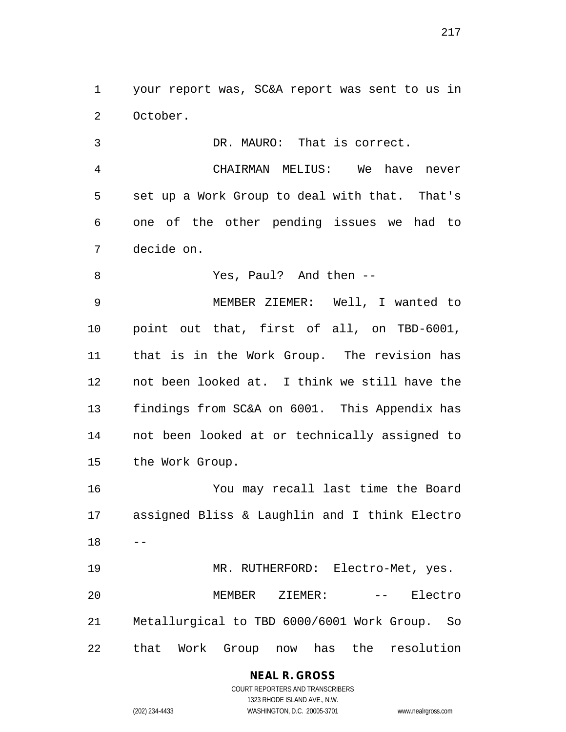your report was, SC&A report was sent to us in October.

 DR. MAURO: That is correct. CHAIRMAN MELIUS: We have never set up a Work Group to deal with that. That's one of the other pending issues we had to decide on.

Yes, Paul? And then --

 MEMBER ZIEMER: Well, I wanted to point out that, first of all, on TBD-6001, that is in the Work Group. The revision has not been looked at. I think we still have the findings from SC&A on 6001. This Appendix has not been looked at or technically assigned to the Work Group.

 You may recall last time the Board assigned Bliss & Laughlin and I think Electro  $18 - -$ 

19 MR. RUTHERFORD: Electro-Met, yes. MEMBER ZIEMER: -- Electro Metallurgical to TBD 6000/6001 Work Group. So that Work Group now has the resolution

> **NEAL R. GROSS** COURT REPORTERS AND TRANSCRIBERS

1323 RHODE ISLAND AVE., N.W. (202) 234-4433 WASHINGTON, D.C. 20005-3701 www.nealrgross.com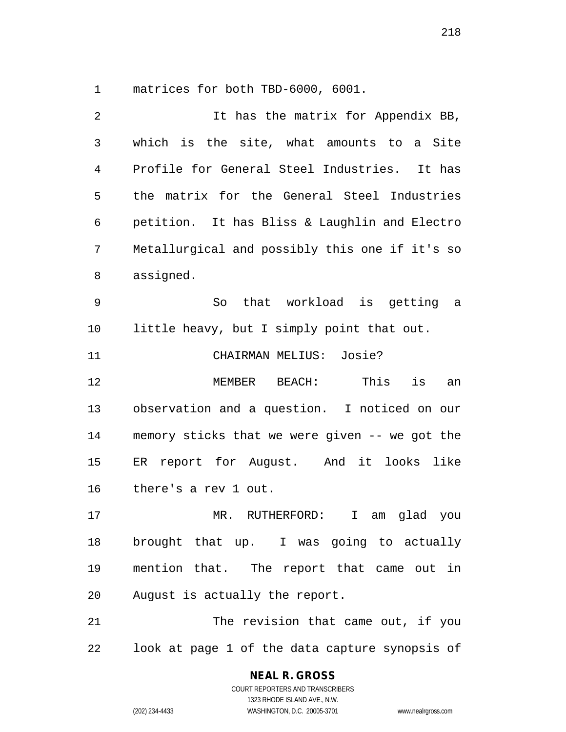matrices for both TBD-6000, 6001.

 It has the matrix for Appendix BB, which is the site, what amounts to a Site Profile for General Steel Industries. It has the matrix for the General Steel Industries petition. It has Bliss & Laughlin and Electro Metallurgical and possibly this one if it's so assigned. So that workload is getting a little heavy, but I simply point that out. CHAIRMAN MELIUS: Josie? MEMBER BEACH: This is an observation and a question. I noticed on our memory sticks that we were given -- we got the ER report for August. And it looks like there's a rev 1 out. MR. RUTHERFORD: I am glad you brought that up. I was going to actually mention that. The report that came out in August is actually the report. 21 The revision that came out, if you look at page 1 of the data capture synopsis of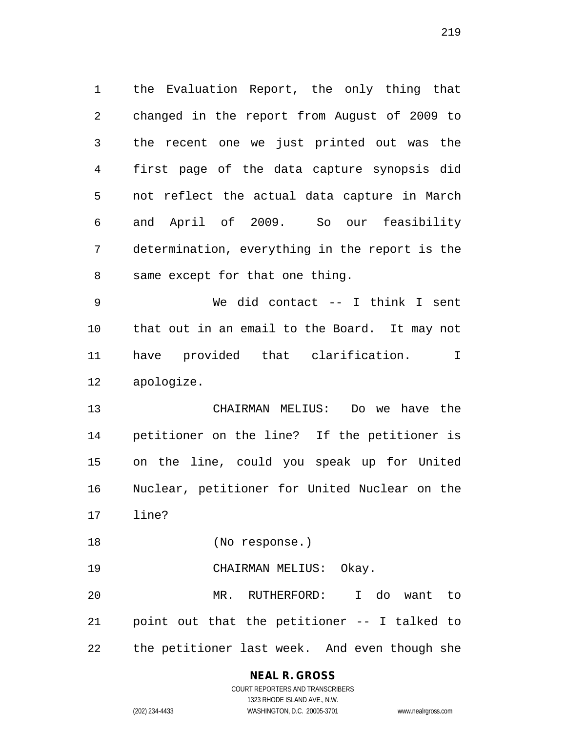the Evaluation Report, the only thing that changed in the report from August of 2009 to the recent one we just printed out was the first page of the data capture synopsis did not reflect the actual data capture in March and April of 2009. So our feasibility determination, everything in the report is the same except for that one thing.

 We did contact -- I think I sent that out in an email to the Board. It may not have provided that clarification. I apologize.

 CHAIRMAN MELIUS: Do we have the petitioner on the line? If the petitioner is on the line, could you speak up for United Nuclear, petitioner for United Nuclear on the line?

(No response.)

CHAIRMAN MELIUS: Okay.

 MR. RUTHERFORD: I do want to point out that the petitioner -- I talked to the petitioner last week. And even though she

# **NEAL R. GROSS**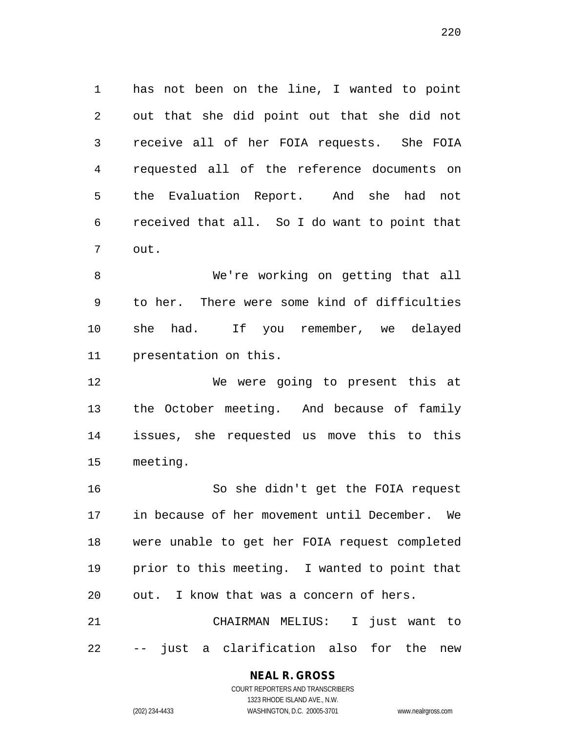has not been on the line, I wanted to point out that she did point out that she did not receive all of her FOIA requests. She FOIA requested all of the reference documents on the Evaluation Report. And she had not received that all. So I do want to point that out.

 We're working on getting that all to her. There were some kind of difficulties she had. If you remember, we delayed presentation on this.

 We were going to present this at the October meeting. And because of family issues, she requested us move this to this meeting.

 So she didn't get the FOIA request in because of her movement until December. We were unable to get her FOIA request completed prior to this meeting. I wanted to point that out. I know that was a concern of hers.

 CHAIRMAN MELIUS: I just want to -- just a clarification also for the new

> **NEAL R. GROSS** COURT REPORTERS AND TRANSCRIBERS

1323 RHODE ISLAND AVE., N.W. (202) 234-4433 WASHINGTON, D.C. 20005-3701 www.nealrgross.com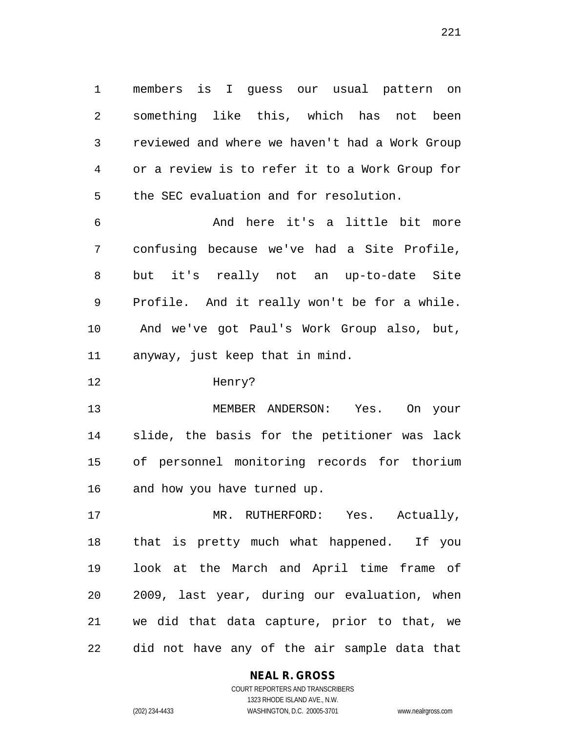members is I guess our usual pattern on something like this, which has not been reviewed and where we haven't had a Work Group or a review is to refer it to a Work Group for the SEC evaluation and for resolution.

 And here it's a little bit more confusing because we've had a Site Profile, but it's really not an up-to-date Site Profile. And it really won't be for a while. And we've got Paul's Work Group also, but, anyway, just keep that in mind.

Henry?

 MEMBER ANDERSON: Yes. On your slide, the basis for the petitioner was lack of personnel monitoring records for thorium and how you have turned up.

17 MR. RUTHERFORD: Yes. Actually, that is pretty much what happened. If you look at the March and April time frame of 2009, last year, during our evaluation, when we did that data capture, prior to that, we did not have any of the air sample data that

**NEAL R. GROSS**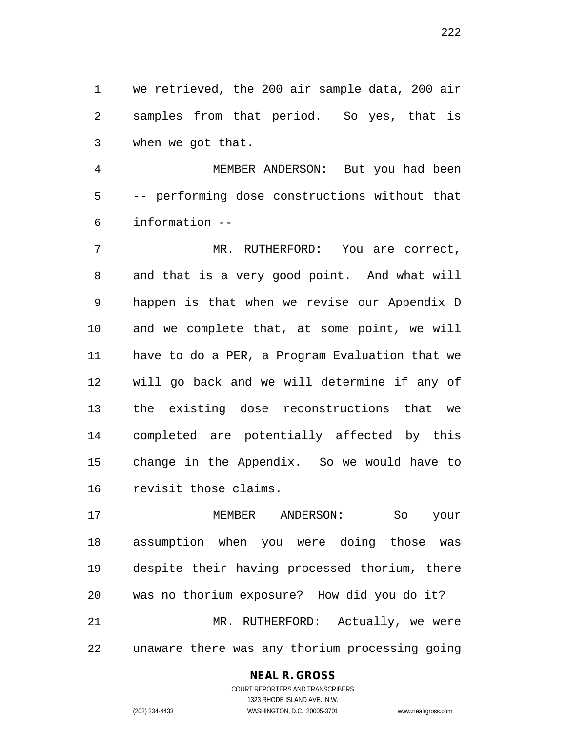we retrieved, the 200 air sample data, 200 air samples from that period. So yes, that is when we got that.

 MEMBER ANDERSON: But you had been -- performing dose constructions without that information --

 MR. RUTHERFORD: You are correct, and that is a very good point. And what will happen is that when we revise our Appendix D and we complete that, at some point, we will have to do a PER, a Program Evaluation that we will go back and we will determine if any of the existing dose reconstructions that we completed are potentially affected by this change in the Appendix. So we would have to revisit those claims.

 MEMBER ANDERSON: So your assumption when you were doing those was despite their having processed thorium, there was no thorium exposure? How did you do it? MR. RUTHERFORD: Actually, we were unaware there was any thorium processing going

#### **NEAL R. GROSS**

COURT REPORTERS AND TRANSCRIBERS 1323 RHODE ISLAND AVE., N.W. (202) 234-4433 WASHINGTON, D.C. 20005-3701 www.nealrgross.com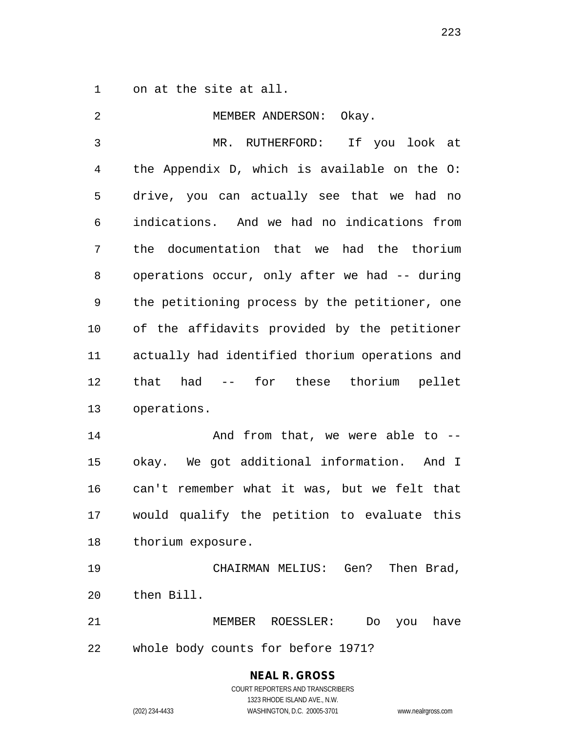on at the site at all.

| 2            | MEMBER ANDERSON: Okay.                         |
|--------------|------------------------------------------------|
| $\mathbf{3}$ | MR. RUTHERFORD: If you look at                 |
| 4            | the Appendix D, which is available on the O:   |
| 5            | drive, you can actually see that we had no     |
| 6            | indications. And we had no indications from    |
| 7            | the documentation that we had the thorium      |
| 8            | operations occur, only after we had -- during  |
| 9            | the petitioning process by the petitioner, one |
| 10           | of the affidavits provided by the petitioner   |
| 11           | actually had identified thorium operations and |
| 12           | had -- for these thorium pellet<br>that        |
| 13           | operations.                                    |
| 14           | And from that, we were able to --              |
| 15           | okay. We got additional information. And I     |
| 16           | can't remember what it was, but we felt that   |
| 17           | would qualify the petition to evaluate this    |
|              |                                                |
| 18           | thorium exposure.                              |
| 19           | CHAIRMAN MELIUS: Gen?<br>Then Brad,            |
| 20           | then Bill.                                     |
| 21           | MEMBER ROESSLER:<br>Do you<br>have             |

**NEAL R. GROSS** COURT REPORTERS AND TRANSCRIBERS 1323 RHODE ISLAND AVE., N.W. (202) 234-4433 WASHINGTON, D.C. 20005-3701 www.nealrgross.com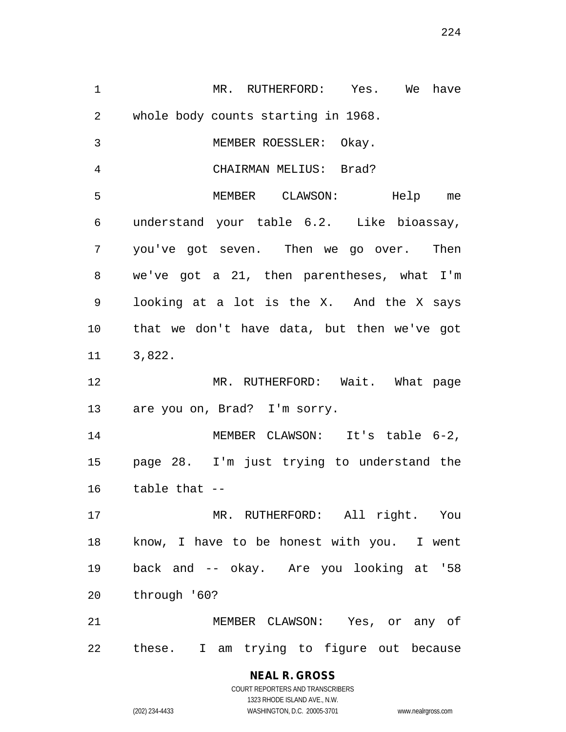MR. RUTHERFORD: Yes. We have whole body counts starting in 1968. MEMBER ROESSLER: Okay. CHAIRMAN MELIUS: Brad? MEMBER CLAWSON: Help me understand your table 6.2. Like bioassay, you've got seven. Then we go over. Then we've got a 21, then parentheses, what I'm looking at a lot is the X. And the X says that we don't have data, but then we've got 3,822. MR. RUTHERFORD: Wait. What page are you on, Brad? I'm sorry. MEMBER CLAWSON: It's table 6-2, page 28. I'm just trying to understand the table that -- MR. RUTHERFORD: All right. You know, I have to be honest with you. I went back and -- okay. Are you looking at '58 through '60? MEMBER CLAWSON: Yes, or any of these. I am trying to figure out because

> **NEAL R. GROSS** COURT REPORTERS AND TRANSCRIBERS 1323 RHODE ISLAND AVE., N.W. (202) 234-4433 WASHINGTON, D.C. 20005-3701 www.nealrgross.com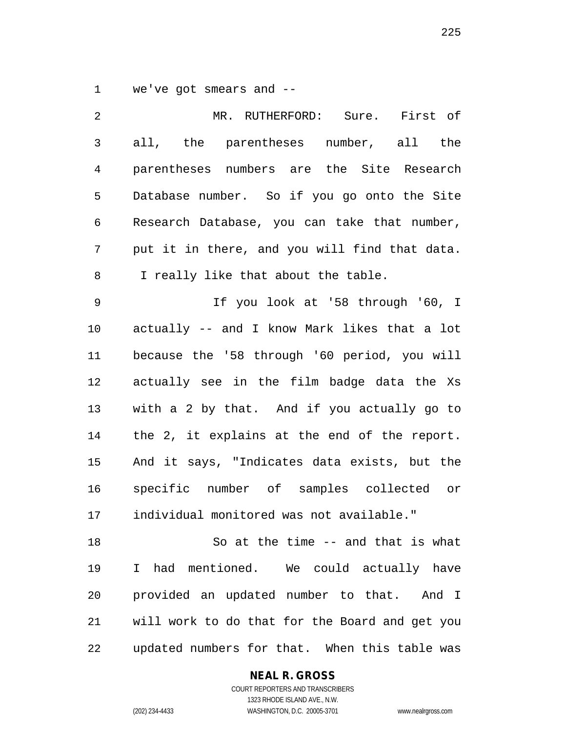we've got smears and --

| 2              | MR. RUTHERFORD: Sure. First of                        |
|----------------|-------------------------------------------------------|
| $\mathsf{3}$   | all, the parentheses number, all the                  |
| $\overline{4}$ | parentheses numbers are the Site Research             |
| 5              | Database number. So if you go onto the Site           |
| 6              | Research Database, you can take that number,          |
| 7              | put it in there, and you will find that data.         |
| 8              | I really like that about the table.                   |
| $\mathsf 9$    | If you look at '58 through '60, I                     |
| 10             | actually -- and I know Mark likes that a lot          |
| 11             | because the '58 through '60 period, you will          |
| 12             | actually see in the film badge data the Xs            |
| 13             | with a 2 by that. And if you actually go to           |
| 14             | the 2, it explains at the end of the report.          |
| 15             | And it says, "Indicates data exists, but the          |
| 16             | specific number of samples collected or               |
| 17             | individual monitored was not available."              |
| 18             | So at the time -- and that is what                    |
| 19             | had mentioned. We could actually have<br>$\mathbb{I}$ |
| 20             | provided an updated number to that. And I             |
| 21             | will work to do that for the Board and get you        |
| 22             | updated numbers for that. When this table was         |

**NEAL R. GROSS**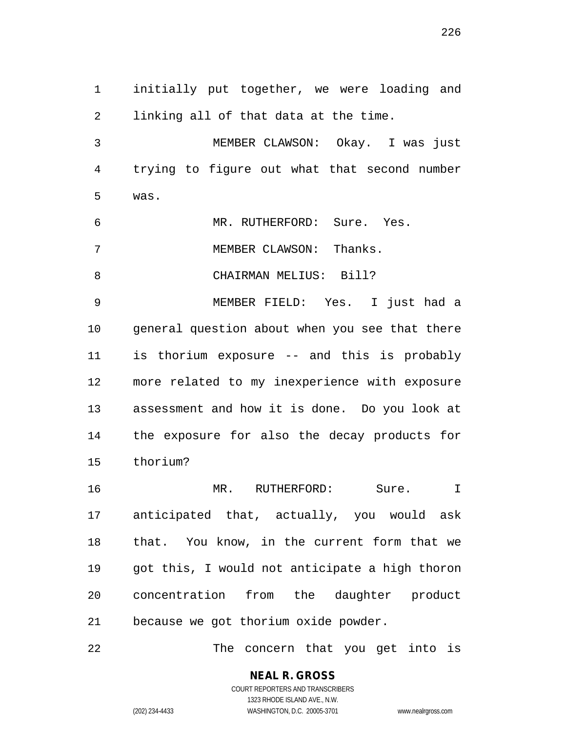initially put together, we were loading and linking all of that data at the time.

 MEMBER CLAWSON: Okay. I was just trying to figure out what that second number was.

MR. RUTHERFORD: Sure. Yes.

MEMBER CLAWSON: Thanks.

8 CHAIRMAN MELIUS: Bill?

 MEMBER FIELD: Yes. I just had a general question about when you see that there is thorium exposure -- and this is probably more related to my inexperience with exposure assessment and how it is done. Do you look at the exposure for also the decay products for thorium?

 MR. RUTHERFORD: Sure. I anticipated that, actually, you would ask that. You know, in the current form that we got this, I would not anticipate a high thoron concentration from the daughter product because we got thorium oxide powder.

22 The concern that you get into is

**NEAL R. GROSS** COURT REPORTERS AND TRANSCRIBERS

1323 RHODE ISLAND AVE., N.W.

(202) 234-4433 WASHINGTON, D.C. 20005-3701 www.nealrgross.com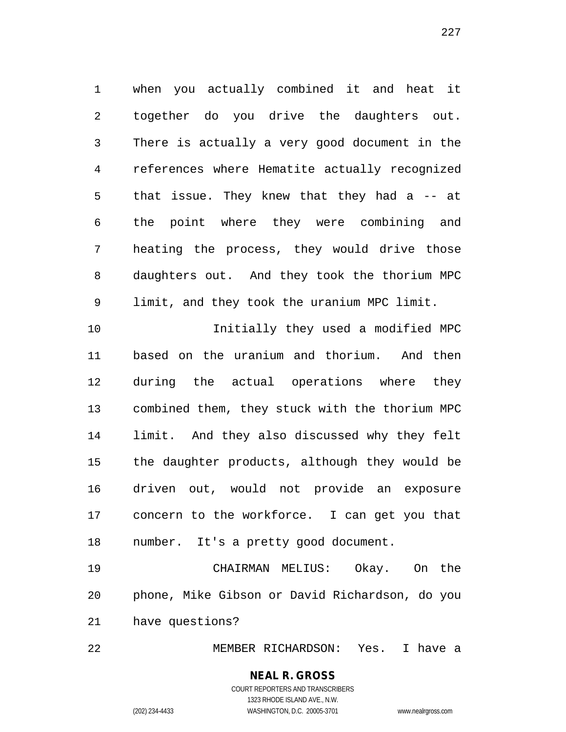when you actually combined it and heat it together do you drive the daughters out. There is actually a very good document in the references where Hematite actually recognized that issue. They knew that they had a -- at the point where they were combining and heating the process, they would drive those daughters out. And they took the thorium MPC limit, and they took the uranium MPC limit.

 Initially they used a modified MPC based on the uranium and thorium. And then during the actual operations where they combined them, they stuck with the thorium MPC limit. And they also discussed why they felt the daughter products, although they would be driven out, would not provide an exposure concern to the workforce. I can get you that number. It's a pretty good document.

 CHAIRMAN MELIUS: Okay. On the phone, Mike Gibson or David Richardson, do you have questions?

MEMBER RICHARDSON: Yes. I have a

#### **NEAL R. GROSS** COURT REPORTERS AND TRANSCRIBERS

1323 RHODE ISLAND AVE., N.W. (202) 234-4433 WASHINGTON, D.C. 20005-3701 www.nealrgross.com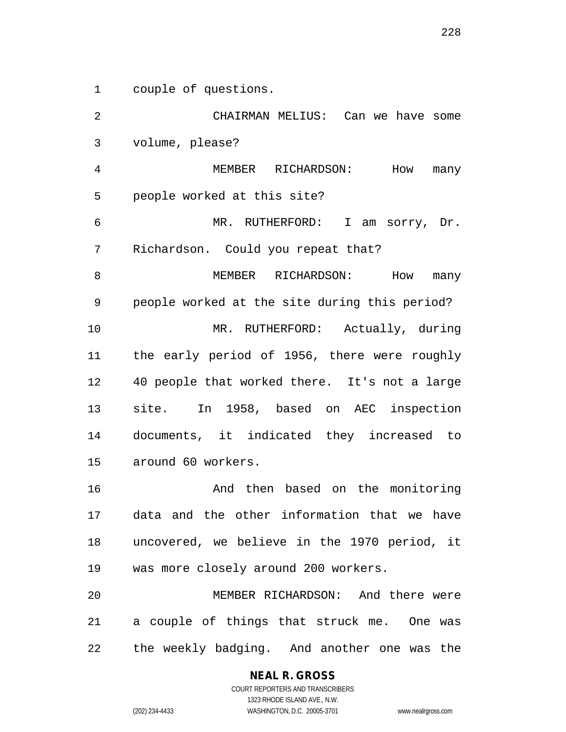couple of questions.

 CHAIRMAN MELIUS: Can we have some volume, please? MEMBER RICHARDSON: How many people worked at this site? MR. RUTHERFORD: I am sorry, Dr. Richardson. Could you repeat that? 8 MEMBER RICHARDSON: How many people worked at the site during this period? MR. RUTHERFORD: Actually, during the early period of 1956, there were roughly 40 people that worked there. It's not a large site. In 1958, based on AEC inspection documents, it indicated they increased to around 60 workers. 16 And then based on the monitoring data and the other information that we have uncovered, we believe in the 1970 period, it was more closely around 200 workers.

 MEMBER RICHARDSON: And there were a couple of things that struck me. One was the weekly badging. And another one was the

## **NEAL R. GROSS**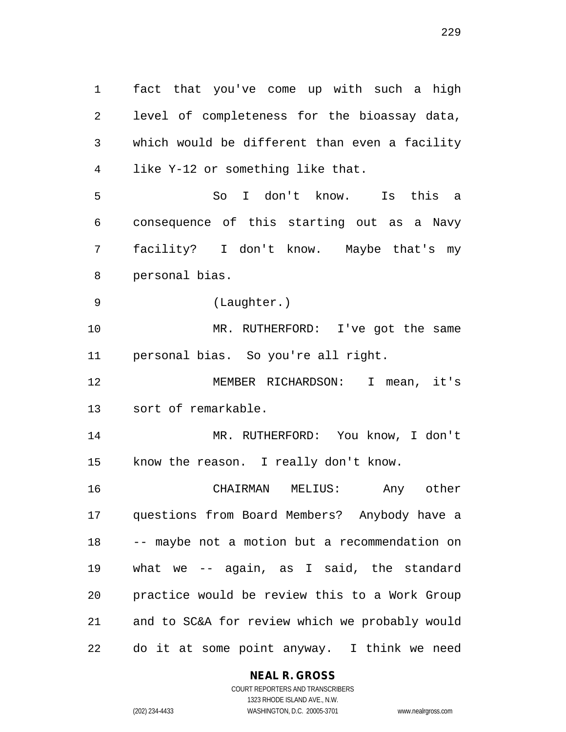fact that you've come up with such a high level of completeness for the bioassay data, which would be different than even a facility like Y-12 or something like that.

 So I don't know. Is this a consequence of this starting out as a Navy facility? I don't know. Maybe that's my personal bias.

(Laughter.)

 MR. RUTHERFORD: I've got the same personal bias. So you're all right.

 MEMBER RICHARDSON: I mean, it's sort of remarkable.

 MR. RUTHERFORD: You know, I don't know the reason. I really don't know.

 CHAIRMAN MELIUS: Any other questions from Board Members? Anybody have a -- maybe not a motion but a recommendation on what we -- again, as I said, the standard practice would be review this to a Work Group and to SC&A for review which we probably would do it at some point anyway. I think we need

**NEAL R. GROSS**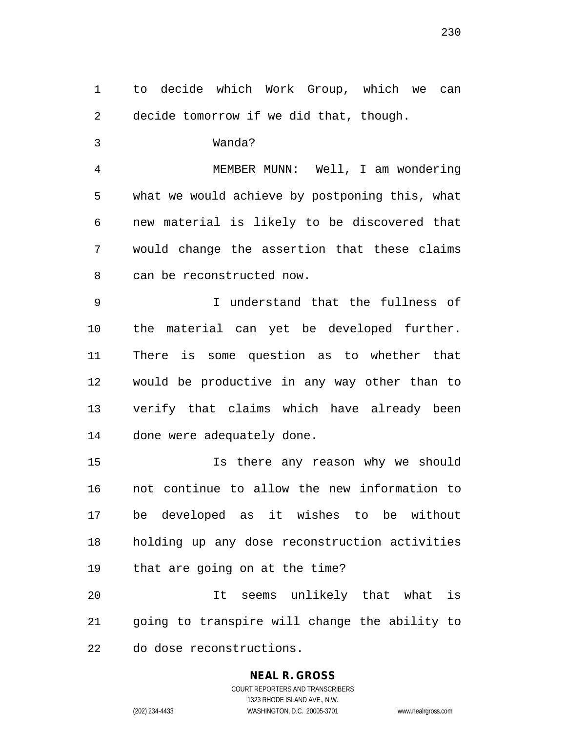to decide which Work Group, which we can decide tomorrow if we did that, though. Wanda?

 MEMBER MUNN: Well, I am wondering what we would achieve by postponing this, what new material is likely to be discovered that would change the assertion that these claims can be reconstructed now.

 I understand that the fullness of the material can yet be developed further. There is some question as to whether that would be productive in any way other than to verify that claims which have already been done were adequately done.

 Is there any reason why we should not continue to allow the new information to be developed as it wishes to be without holding up any dose reconstruction activities that are going on at the time? It seems unlikely that what is

 going to transpire will change the ability to do dose reconstructions.

## **NEAL R. GROSS**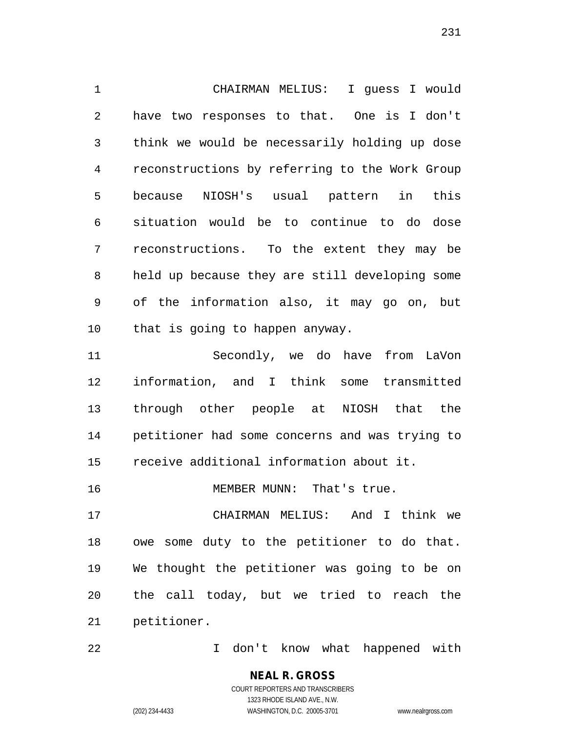CHAIRMAN MELIUS: I guess I would have two responses to that. One is I don't think we would be necessarily holding up dose reconstructions by referring to the Work Group because NIOSH's usual pattern in this situation would be to continue to do dose reconstructions. To the extent they may be held up because they are still developing some of the information also, it may go on, but that is going to happen anyway.

 Secondly, we do have from LaVon information, and I think some transmitted through other people at NIOSH that the petitioner had some concerns and was trying to receive additional information about it.

16 MEMBER MUNN: That's true.

 CHAIRMAN MELIUS: And I think we owe some duty to the petitioner to do that. We thought the petitioner was going to be on the call today, but we tried to reach the petitioner.

I don't know what happened with

**NEAL R. GROSS** COURT REPORTERS AND TRANSCRIBERS 1323 RHODE ISLAND AVE., N.W. (202) 234-4433 WASHINGTON, D.C. 20005-3701 www.nealrgross.com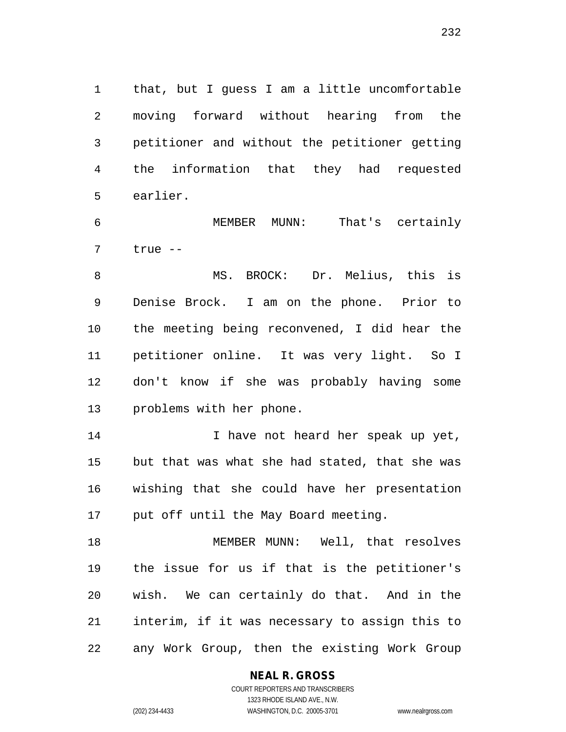that, but I guess I am a little uncomfortable moving forward without hearing from the petitioner and without the petitioner getting the information that they had requested earlier.

 MEMBER MUNN: That's certainly true --

 MS. BROCK: Dr. Melius, this is Denise Brock. I am on the phone. Prior to the meeting being reconvened, I did hear the petitioner online. It was very light. So I don't know if she was probably having some problems with her phone.

 I have not heard her speak up yet, but that was what she had stated, that she was wishing that she could have her presentation put off until the May Board meeting.

 MEMBER MUNN: Well, that resolves the issue for us if that is the petitioner's wish. We can certainly do that. And in the interim, if it was necessary to assign this to any Work Group, then the existing Work Group

#### **NEAL R. GROSS**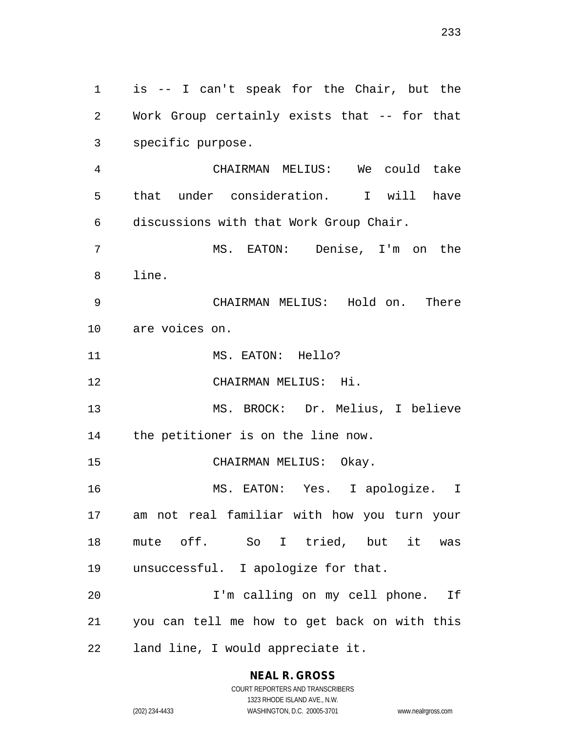is -- I can't speak for the Chair, but the Work Group certainly exists that -- for that specific purpose. CHAIRMAN MELIUS: We could take that under consideration. I will have

discussions with that Work Group Chair.

- MS. EATON: Denise, I'm on the line.
- CHAIRMAN MELIUS: Hold on. There are voices on.
- 11 MS. EATON: Hello?
- CHAIRMAN MELIUS: Hi.
- MS. BROCK: Dr. Melius, I believe the petitioner is on the line now.
- CHAIRMAN MELIUS: Okay.

 MS. EATON: Yes. I apologize. I am not real familiar with how you turn your mute off. So I tried, but it was unsuccessful. I apologize for that.

 I'm calling on my cell phone. If you can tell me how to get back on with this land line, I would appreciate it.

## **NEAL R. GROSS**

COURT REPORTERS AND TRANSCRIBERS 1323 RHODE ISLAND AVE., N.W. (202) 234-4433 WASHINGTON, D.C. 20005-3701 www.nealrgross.com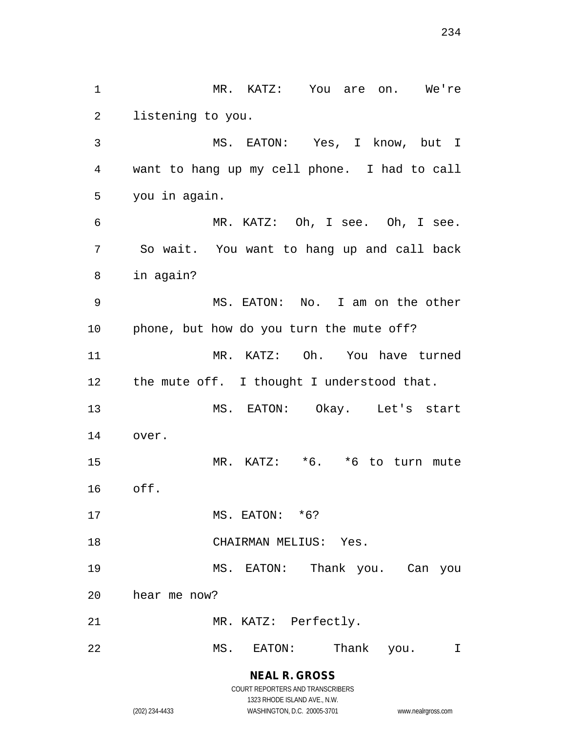**NEAL R. GROSS** MR. KATZ: You are on. We're listening to you. MS. EATON: Yes, I know, but I want to hang up my cell phone. I had to call you in again. MR. KATZ: Oh, I see. Oh, I see. So wait. You want to hang up and call back in again? MS. EATON: No. I am on the other phone, but how do you turn the mute off? MR. KATZ: Oh. You have turned the mute off. I thought I understood that. MS. EATON: Okay. Let's start over. MR. KATZ: \*6. \*6 to turn mute off. 17 MS. EATON: \*6? 18 CHAIRMAN MELIUS: Yes. MS. EATON: Thank you. Can you hear me now? MR. KATZ: Perfectly. MS. EATON: Thank you. I

> COURT REPORTERS AND TRANSCRIBERS 1323 RHODE ISLAND AVE., N.W. (202) 234-4433 WASHINGTON, D.C. 20005-3701 www.nealrgross.com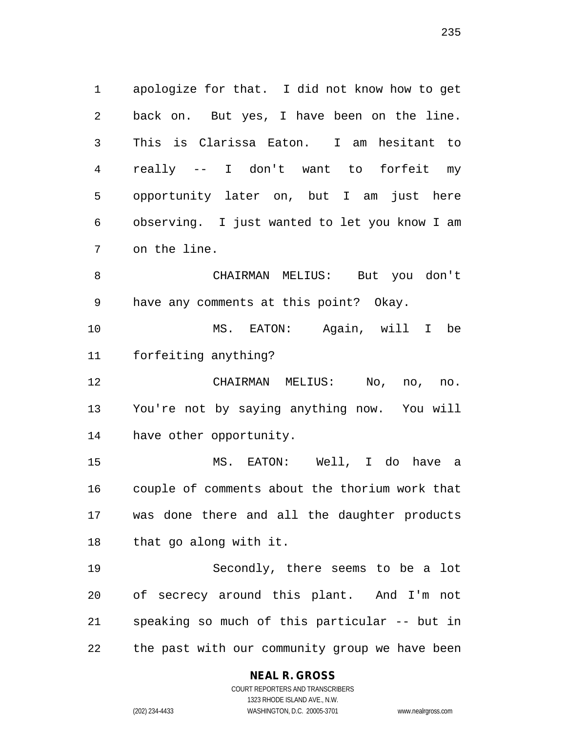apologize for that. I did not know how to get back on. But yes, I have been on the line. This is Clarissa Eaton. I am hesitant to really -- I don't want to forfeit my opportunity later on, but I am just here observing. I just wanted to let you know I am on the line.

 CHAIRMAN MELIUS: But you don't have any comments at this point? Okay.

 MS. EATON: Again, will I be forfeiting anything?

 CHAIRMAN MELIUS: No, no, no. You're not by saying anything now. You will have other opportunity.

 MS. EATON: Well, I do have a couple of comments about the thorium work that was done there and all the daughter products that go along with it.

 Secondly, there seems to be a lot of secrecy around this plant. And I'm not speaking so much of this particular -- but in the past with our community group we have been

#### **NEAL R. GROSS**

COURT REPORTERS AND TRANSCRIBERS 1323 RHODE ISLAND AVE., N.W. (202) 234-4433 WASHINGTON, D.C. 20005-3701 www.nealrgross.com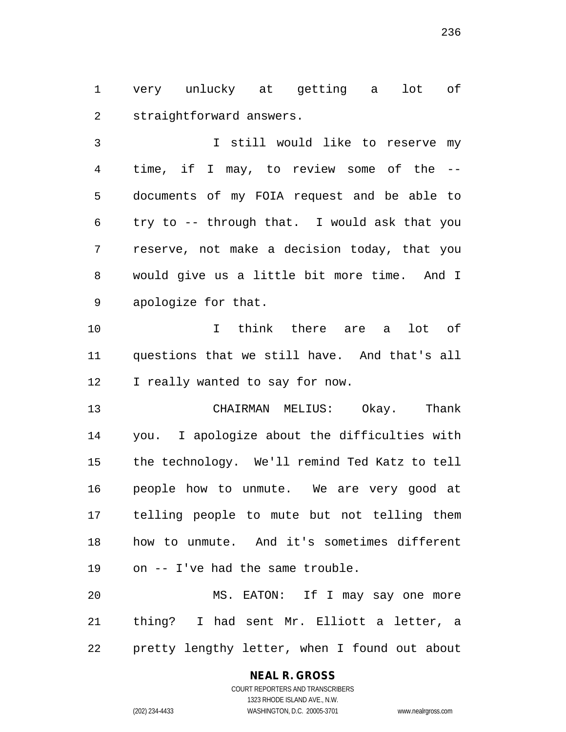very unlucky at getting a lot of straightforward answers.

 I still would like to reserve my time, if I may, to review some of the -- documents of my FOIA request and be able to try to -- through that. I would ask that you reserve, not make a decision today, that you would give us a little bit more time. And I apologize for that.

 I think there are a lot of questions that we still have. And that's all 12 I really wanted to say for now.

 CHAIRMAN MELIUS: Okay. Thank you. I apologize about the difficulties with the technology. We'll remind Ted Katz to tell people how to unmute. We are very good at telling people to mute but not telling them how to unmute. And it's sometimes different on -- I've had the same trouble.

 MS. EATON: If I may say one more thing? I had sent Mr. Elliott a letter, a pretty lengthy letter, when I found out about

## **NEAL R. GROSS**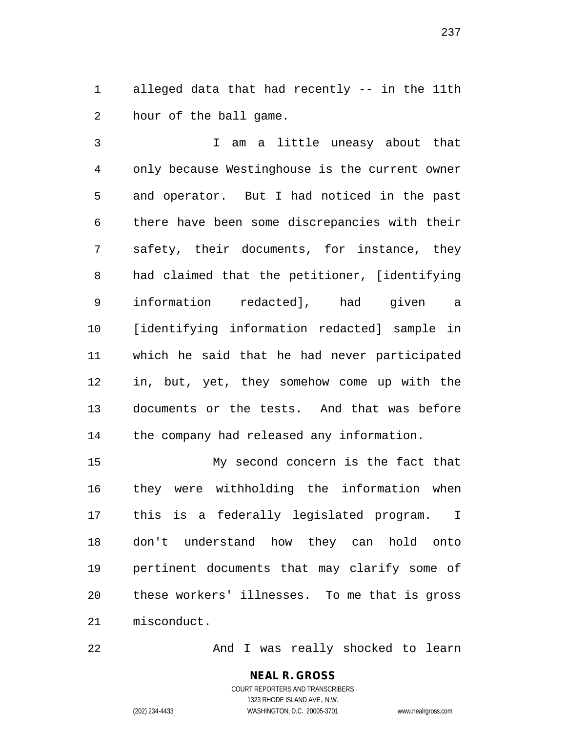alleged data that had recently -- in the 11th hour of the ball game.

 I am a little uneasy about that only because Westinghouse is the current owner and operator. But I had noticed in the past there have been some discrepancies with their safety, their documents, for instance, they had claimed that the petitioner, [identifying information redacted], had given a [identifying information redacted] sample in which he said that he had never participated in, but, yet, they somehow come up with the documents or the tests. And that was before the company had released any information.

 My second concern is the fact that they were withholding the information when this is a federally legislated program. I don't understand how they can hold onto pertinent documents that may clarify some of these workers' illnesses. To me that is gross misconduct.

And I was really shocked to learn

**NEAL R. GROSS** COURT REPORTERS AND TRANSCRIBERS 1323 RHODE ISLAND AVE., N.W. (202) 234-4433 WASHINGTON, D.C. 20005-3701 www.nealrgross.com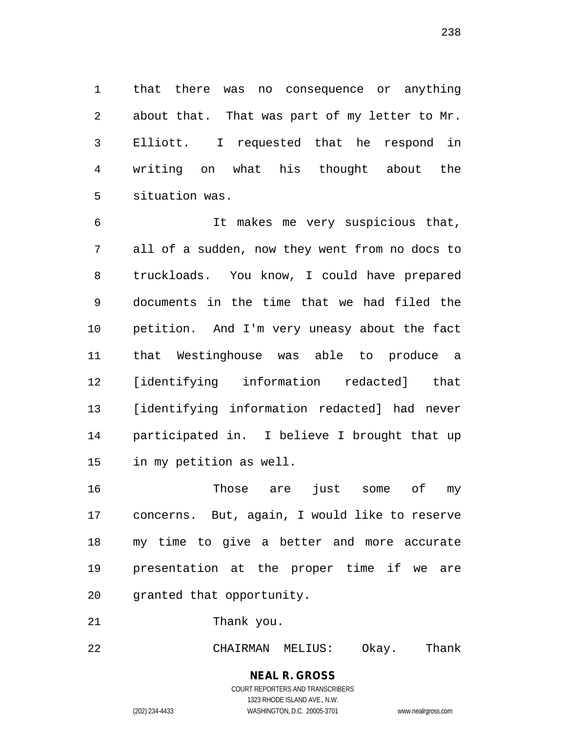that there was no consequence or anything about that. That was part of my letter to Mr. Elliott. I requested that he respond in writing on what his thought about the situation was.

 It makes me very suspicious that, all of a sudden, now they went from no docs to truckloads. You know, I could have prepared documents in the time that we had filed the petition. And I'm very uneasy about the fact that Westinghouse was able to produce a [identifying information redacted] that [identifying information redacted] had never participated in. I believe I brought that up in my petition as well.

 Those are just some of my concerns. But, again, I would like to reserve my time to give a better and more accurate presentation at the proper time if we are granted that opportunity.

21 Thank you.

CHAIRMAN MELIUS: Okay. Thank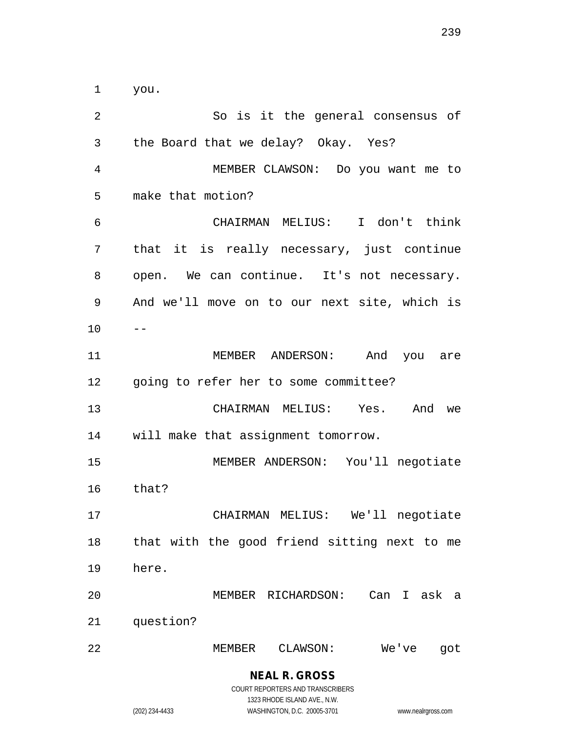you.

**NEAL R. GROSS** So is it the general consensus of the Board that we delay? Okay. Yes? MEMBER CLAWSON: Do you want me to make that motion? CHAIRMAN MELIUS: I don't think that it is really necessary, just continue open. We can continue. It's not necessary. And we'll move on to our next site, which is  $10 - -$  MEMBER ANDERSON: And you are going to refer her to some committee? CHAIRMAN MELIUS: Yes. And we will make that assignment tomorrow. MEMBER ANDERSON: You'll negotiate that? CHAIRMAN MELIUS: We'll negotiate that with the good friend sitting next to me here. MEMBER RICHARDSON: Can I ask a question? MEMBER CLAWSON: We've got

> COURT REPORTERS AND TRANSCRIBERS 1323 RHODE ISLAND AVE., N.W.

(202) 234-4433 WASHINGTON, D.C. 20005-3701 www.nealrgross.com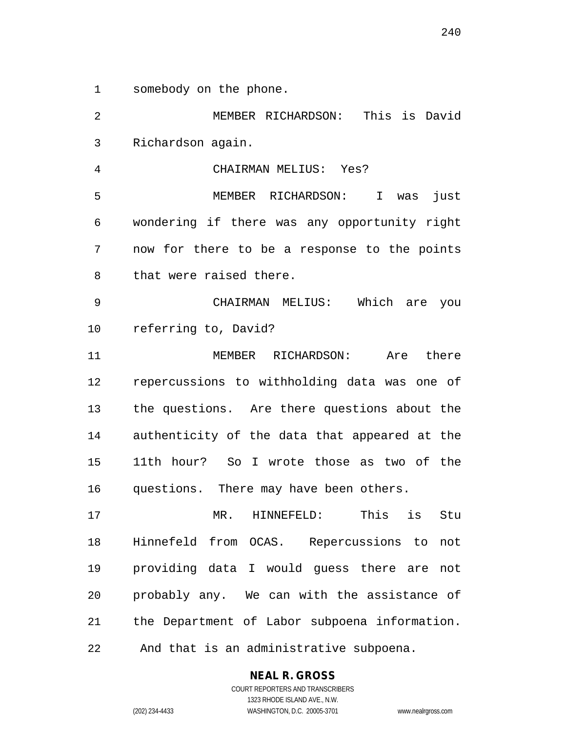somebody on the phone.

 MEMBER RICHARDSON: This is David Richardson again.

CHAIRMAN MELIUS: Yes?

 MEMBER RICHARDSON: I was just wondering if there was any opportunity right now for there to be a response to the points that were raised there.

 CHAIRMAN MELIUS: Which are you referring to, David?

 MEMBER RICHARDSON: Are there repercussions to withholding data was one of the questions. Are there questions about the authenticity of the data that appeared at the 11th hour? So I wrote those as two of the questions. There may have been others.

 MR. HINNEFELD: This is Stu Hinnefeld from OCAS. Repercussions to not providing data I would guess there are not probably any. We can with the assistance of the Department of Labor subpoena information. And that is an administrative subpoena.

#### **NEAL R. GROSS**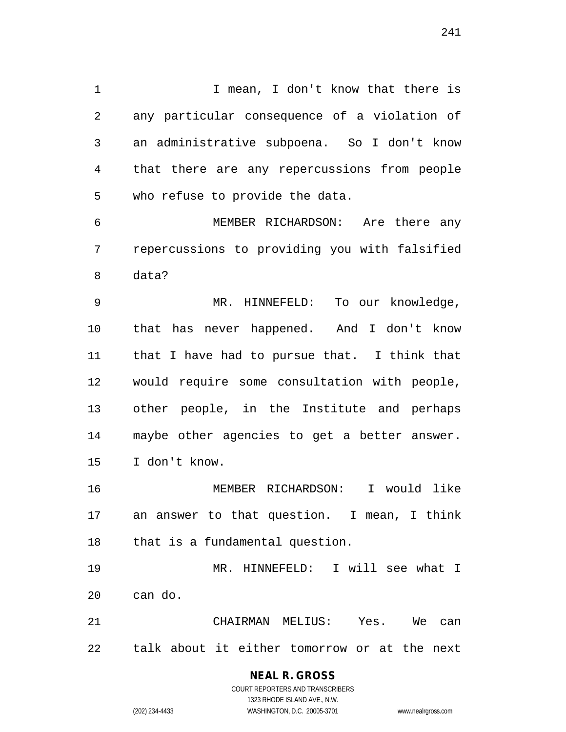1 1 I mean, I don't know that there is any particular consequence of a violation of an administrative subpoena. So I don't know that there are any repercussions from people who refuse to provide the data.

 MEMBER RICHARDSON: Are there any repercussions to providing you with falsified data?

 MR. HINNEFELD: To our knowledge, that has never happened. And I don't know that I have had to pursue that. I think that would require some consultation with people, other people, in the Institute and perhaps maybe other agencies to get a better answer. I don't know.

 MEMBER RICHARDSON: I would like an answer to that question. I mean, I think that is a fundamental question.

 MR. HINNEFELD: I will see what I can do.

 CHAIRMAN MELIUS: Yes. We can talk about it either tomorrow or at the next

# **NEAL R. GROSS**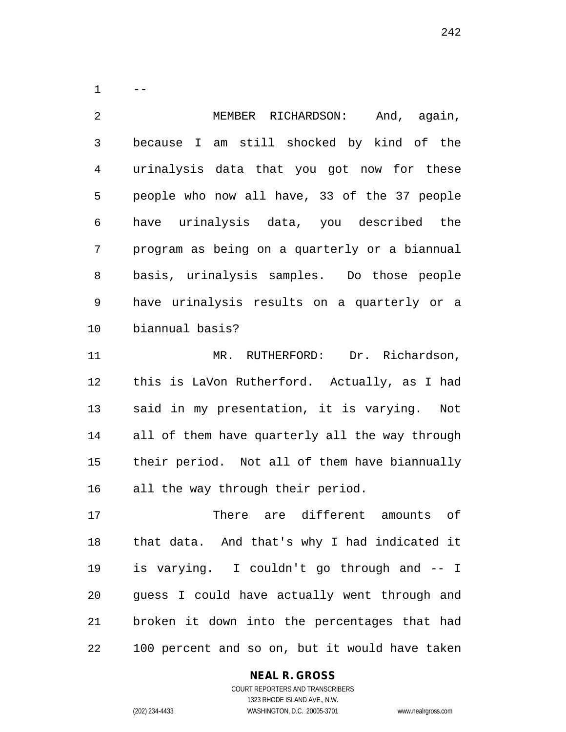$1 - -$ 

 MEMBER RICHARDSON: And, again, because I am still shocked by kind of the urinalysis data that you got now for these people who now all have, 33 of the 37 people have urinalysis data, you described the program as being on a quarterly or a biannual basis, urinalysis samples. Do those people have urinalysis results on a quarterly or a biannual basis? 11 MR. RUTHERFORD: Dr. Richardson,

 this is LaVon Rutherford. Actually, as I had said in my presentation, it is varying. Not all of them have quarterly all the way through their period. Not all of them have biannually all the way through their period.

 There are different amounts of that data. And that's why I had indicated it is varying. I couldn't go through and -- I guess I could have actually went through and broken it down into the percentages that had 100 percent and so on, but it would have taken

#### **NEAL R. GROSS**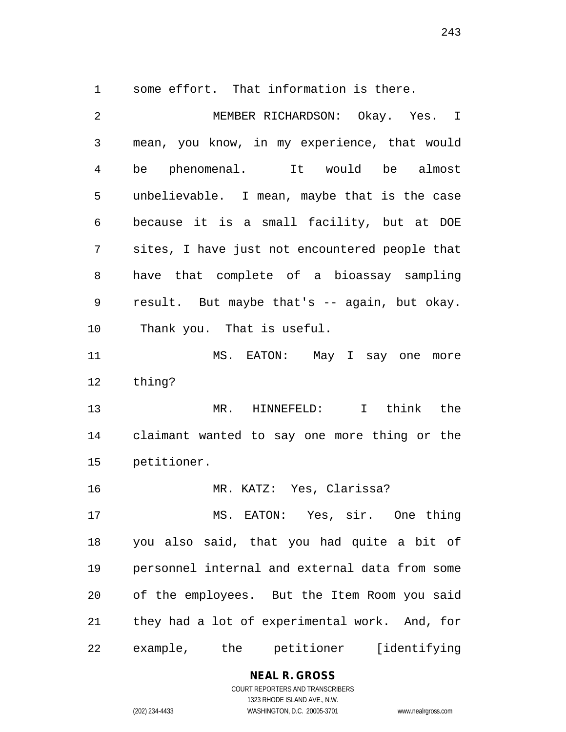some effort. That information is there.

| $\overline{2}$ | MEMBER RICHARDSON: Okay. Yes. I                |
|----------------|------------------------------------------------|
| $\mathfrak{Z}$ | mean, you know, in my experience, that would   |
| 4              | be phenomenal. It would be almost              |
| 5              | unbelievable. I mean, maybe that is the case   |
| 6              | because it is a small facility, but at DOE     |
| 7              | sites, I have just not encountered people that |
| 8              | have that complete of a bioassay sampling      |
| 9              | result. But maybe that's -- again, but okay.   |
| 10             | Thank you. That is useful.                     |
| 11             | MS. EATON: May I say one more                  |
| 12             | thing?                                         |
| 13             | MR. HINNEFELD: I think the                     |
| 14             | claimant wanted to say one more thing or the   |
| 15             | petitioner.                                    |
| 16             | MR. KATZ: Yes, Clarissa?                       |
| 17             | MS. EATON: Yes, sir. One thing                 |
| 18             | you also said, that you had quite a bit of     |
| 19             | personnel internal and external data from some |
| 20             | of the employees. But the Item Room you said   |
| 21             | they had a lot of experimental work. And, for  |
| 22             | example, the petitioner [identifying           |

**NEAL R. GROSS** COURT REPORTERS AND TRANSCRIBERS

1323 RHODE ISLAND AVE., N.W.

(202) 234-4433 WASHINGTON, D.C. 20005-3701 www.nealrgross.com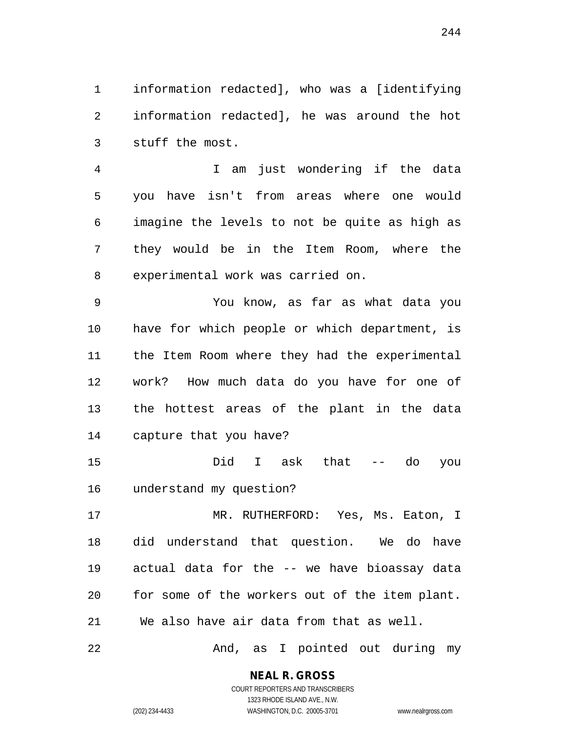information redacted], who was a [identifying information redacted], he was around the hot stuff the most.

 I am just wondering if the data you have isn't from areas where one would imagine the levels to not be quite as high as they would be in the Item Room, where the experimental work was carried on.

 You know, as far as what data you have for which people or which department, is the Item Room where they had the experimental work? How much data do you have for one of the hottest areas of the plant in the data capture that you have?

 Did I ask that -- do you understand my question?

 MR. RUTHERFORD: Yes, Ms. Eaton, I did understand that question. We do have actual data for the -- we have bioassay data for some of the workers out of the item plant. We also have air data from that as well.

And, as I pointed out during my

**NEAL R. GROSS** COURT REPORTERS AND TRANSCRIBERS

1323 RHODE ISLAND AVE., N.W. (202) 234-4433 WASHINGTON, D.C. 20005-3701 www.nealrgross.com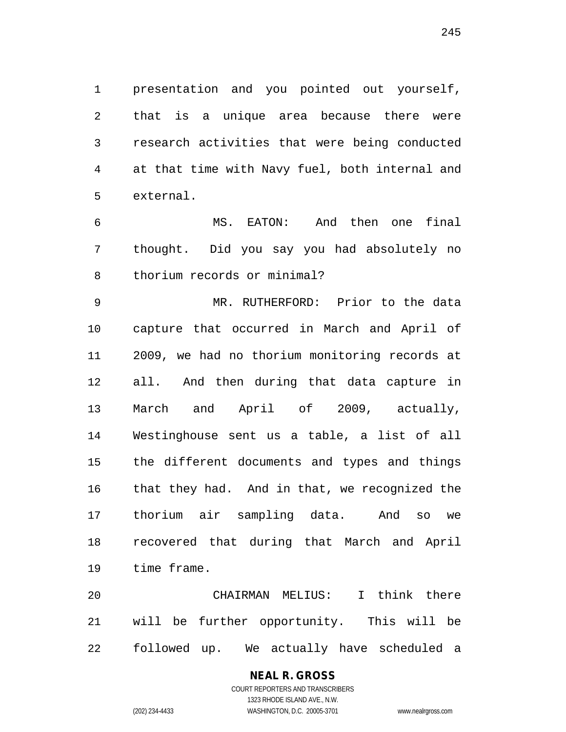presentation and you pointed out yourself, that is a unique area because there were research activities that were being conducted at that time with Navy fuel, both internal and external.

 MS. EATON: And then one final thought. Did you say you had absolutely no thorium records or minimal?

 MR. RUTHERFORD: Prior to the data capture that occurred in March and April of 2009, we had no thorium monitoring records at all. And then during that data capture in March and April of 2009, actually, Westinghouse sent us a table, a list of all the different documents and types and things that they had. And in that, we recognized the thorium air sampling data. And so we recovered that during that March and April time frame.

 CHAIRMAN MELIUS: I think there will be further opportunity. This will be followed up. We actually have scheduled a

## **NEAL R. GROSS**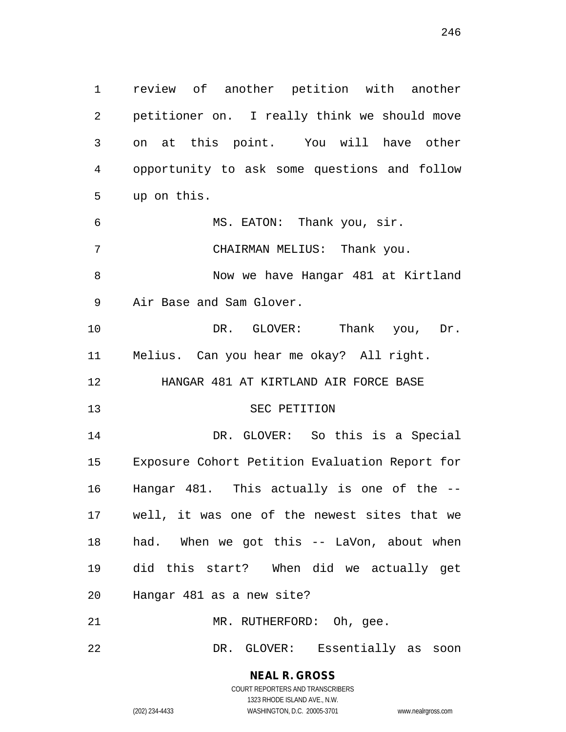review of another petition with another petitioner on. I really think we should move on at this point. You will have other opportunity to ask some questions and follow up on this. MS. EATON: Thank you, sir. CHAIRMAN MELIUS: Thank you. Now we have Hangar 481 at Kirtland Air Base and Sam Glover. 10 DR. GLOVER: Thank you, Dr. Melius. Can you hear me okay? All right. HANGAR 481 AT KIRTLAND AIR FORCE BASE 13 SEC PETITION DR. GLOVER: So this is a Special Exposure Cohort Petition Evaluation Report for Hangar 481. This actually is one of the -- well, it was one of the newest sites that we

 had. When we got this -- LaVon, about when did this start? When did we actually get Hangar 481 as a new site?

21 MR. RUTHERFORD: Oh, gee.

DR. GLOVER: Essentially as soon

**NEAL R. GROSS** COURT REPORTERS AND TRANSCRIBERS

1323 RHODE ISLAND AVE., N.W.

(202) 234-4433 WASHINGTON, D.C. 20005-3701 www.nealrgross.com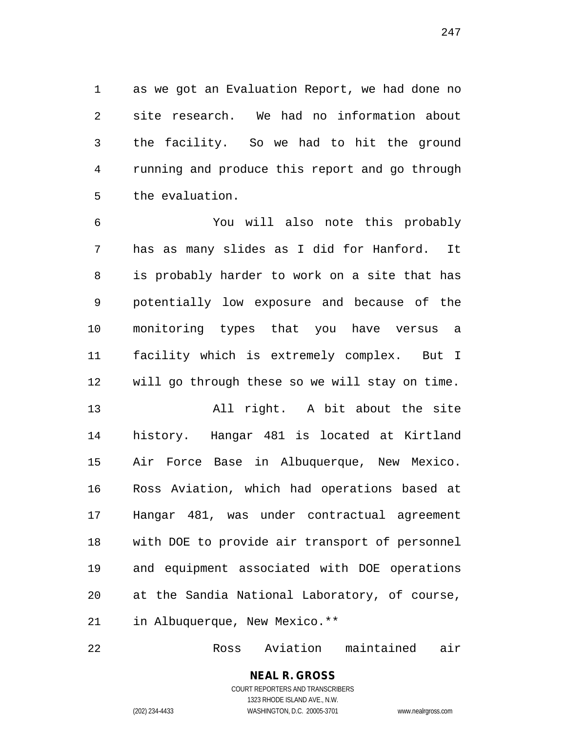as we got an Evaluation Report, we had done no site research. We had no information about the facility. So we had to hit the ground running and produce this report and go through the evaluation.

 You will also note this probably has as many slides as I did for Hanford. It is probably harder to work on a site that has potentially low exposure and because of the monitoring types that you have versus a facility which is extremely complex. But I will go through these so we will stay on time.

 All right. A bit about the site history. Hangar 481 is located at Kirtland Air Force Base in Albuquerque, New Mexico. Ross Aviation, which had operations based at Hangar 481, was under contractual agreement with DOE to provide air transport of personnel and equipment associated with DOE operations at the Sandia National Laboratory, of course, in Albuquerque, New Mexico.\*\*

Ross Aviation maintained air

**NEAL R. GROSS** COURT REPORTERS AND TRANSCRIBERS

1323 RHODE ISLAND AVE., N.W.

(202) 234-4433 WASHINGTON, D.C. 20005-3701 www.nealrgross.com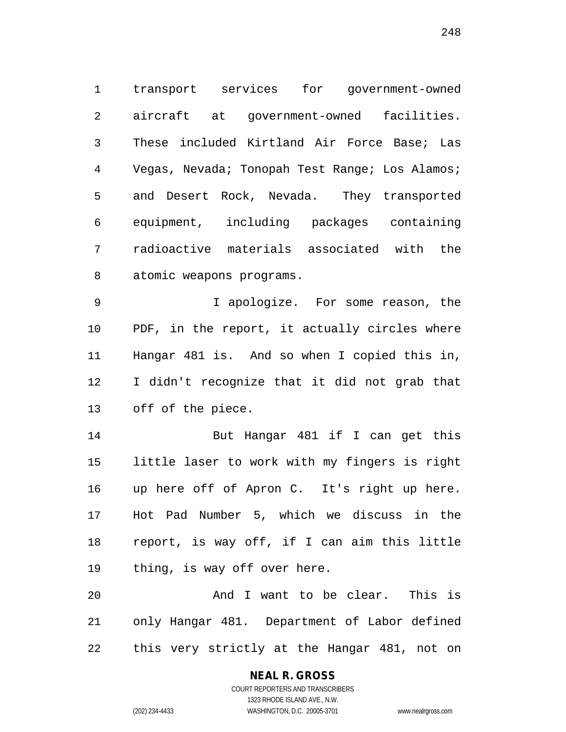transport services for government-owned aircraft at government-owned facilities. These included Kirtland Air Force Base; Las Vegas, Nevada; Tonopah Test Range; Los Alamos; and Desert Rock, Nevada. They transported equipment, including packages containing radioactive materials associated with the atomic weapons programs.

 I apologize. For some reason, the PDF, in the report, it actually circles where Hangar 481 is. And so when I copied this in, I didn't recognize that it did not grab that off of the piece.

 But Hangar 481 if I can get this little laser to work with my fingers is right up here off of Apron C. It's right up here. Hot Pad Number 5, which we discuss in the report, is way off, if I can aim this little thing, is way off over here.

 And I want to be clear. This is only Hangar 481. Department of Labor defined this very strictly at the Hangar 481, not on

## **NEAL R. GROSS**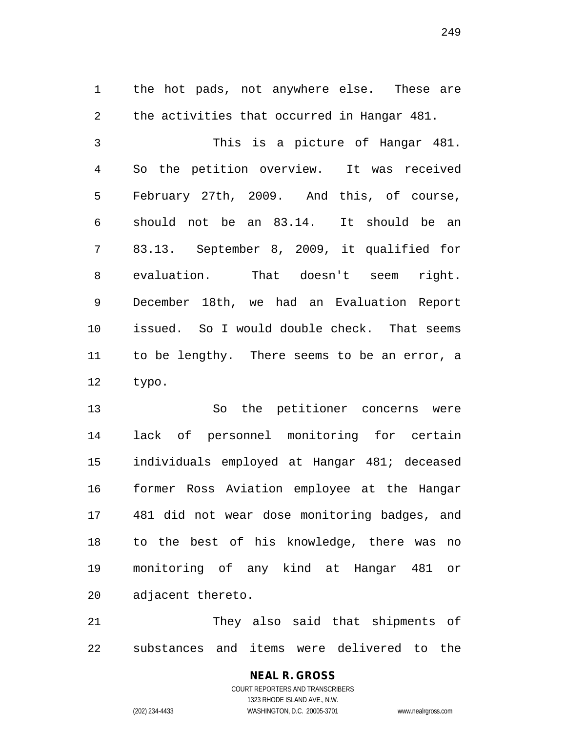the hot pads, not anywhere else. These are the activities that occurred in Hangar 481. This is a picture of Hangar 481. So the petition overview. It was received February 27th, 2009. And this, of course, should not be an 83.14. It should be an 83.13. September 8, 2009, it qualified for evaluation. That doesn't seem right. December 18th, we had an Evaluation Report issued. So I would double check. That seems to be lengthy. There seems to be an error, a typo.

 So the petitioner concerns were lack of personnel monitoring for certain individuals employed at Hangar 481; deceased former Ross Aviation employee at the Hangar 481 did not wear dose monitoring badges, and to the best of his knowledge, there was no monitoring of any kind at Hangar 481 or adjacent thereto.

 They also said that shipments of substances and items were delivered to the

# **NEAL R. GROSS**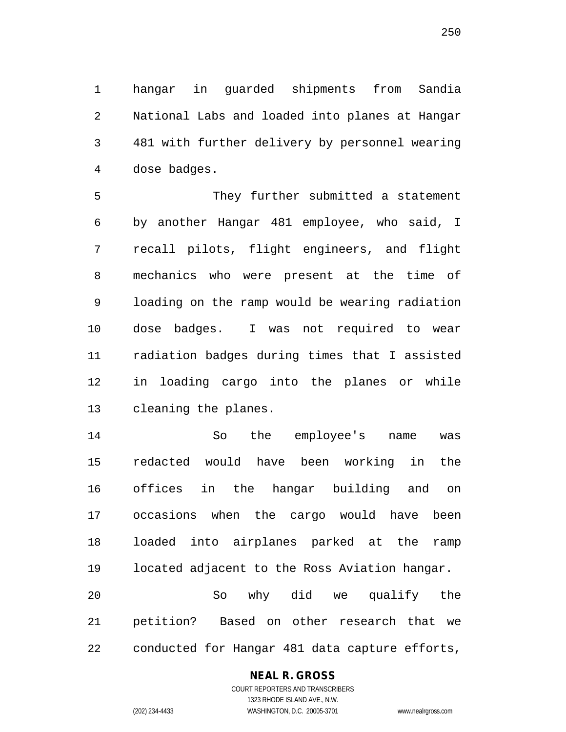hangar in guarded shipments from Sandia National Labs and loaded into planes at Hangar 481 with further delivery by personnel wearing dose badges.

 They further submitted a statement by another Hangar 481 employee, who said, I recall pilots, flight engineers, and flight mechanics who were present at the time of loading on the ramp would be wearing radiation dose badges. I was not required to wear radiation badges during times that I assisted in loading cargo into the planes or while cleaning the planes.

 So the employee's name was redacted would have been working in the offices in the hangar building and on occasions when the cargo would have been loaded into airplanes parked at the ramp located adjacent to the Ross Aviation hangar. So why did we qualify the petition? Based on other research that we

#### **NEAL R. GROSS** COURT REPORTERS AND TRANSCRIBERS

conducted for Hangar 481 data capture efforts,

1323 RHODE ISLAND AVE., N.W. (202) 234-4433 WASHINGTON, D.C. 20005-3701 www.nealrgross.com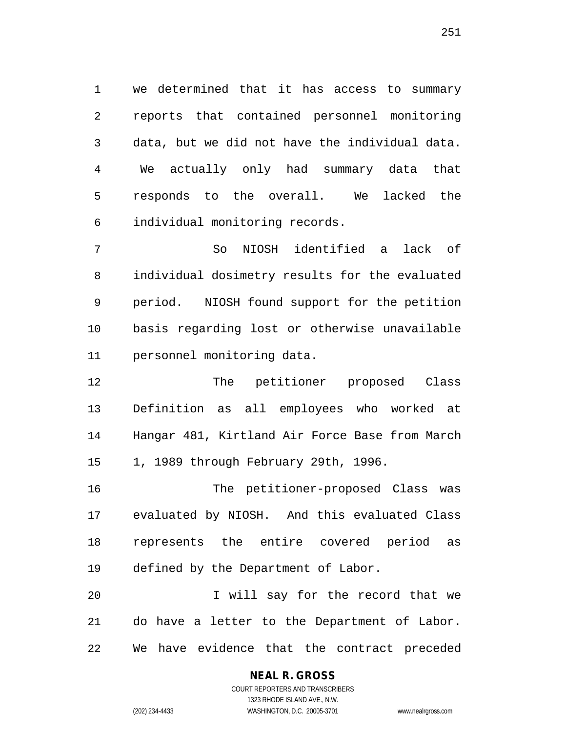we determined that it has access to summary reports that contained personnel monitoring data, but we did not have the individual data. We actually only had summary data that responds to the overall. We lacked the individual monitoring records.

 So NIOSH identified a lack of individual dosimetry results for the evaluated period. NIOSH found support for the petition basis regarding lost or otherwise unavailable personnel monitoring data.

 The petitioner proposed Class Definition as all employees who worked at Hangar 481, Kirtland Air Force Base from March 1, 1989 through February 29th, 1996.

 The petitioner-proposed Class was evaluated by NIOSH. And this evaluated Class represents the entire covered period as defined by the Department of Labor.

 I will say for the record that we do have a letter to the Department of Labor. We have evidence that the contract preceded

# **NEAL R. GROSS**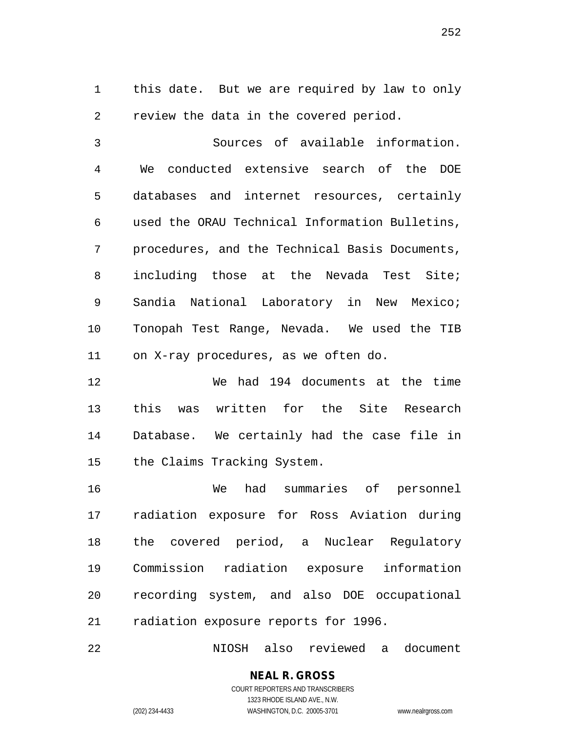this date. But we are required by law to only review the data in the covered period.

 Sources of available information. We conducted extensive search of the DOE databases and internet resources, certainly used the ORAU Technical Information Bulletins, procedures, and the Technical Basis Documents, including those at the Nevada Test Site; Sandia National Laboratory in New Mexico; Tonopah Test Range, Nevada. We used the TIB on X-ray procedures, as we often do.

 We had 194 documents at the time this was written for the Site Research Database. We certainly had the case file in the Claims Tracking System.

 We had summaries of personnel radiation exposure for Ross Aviation during the covered period, a Nuclear Regulatory Commission radiation exposure information recording system, and also DOE occupational radiation exposure reports for 1996.

NIOSH also reviewed a document

# **NEAL R. GROSS**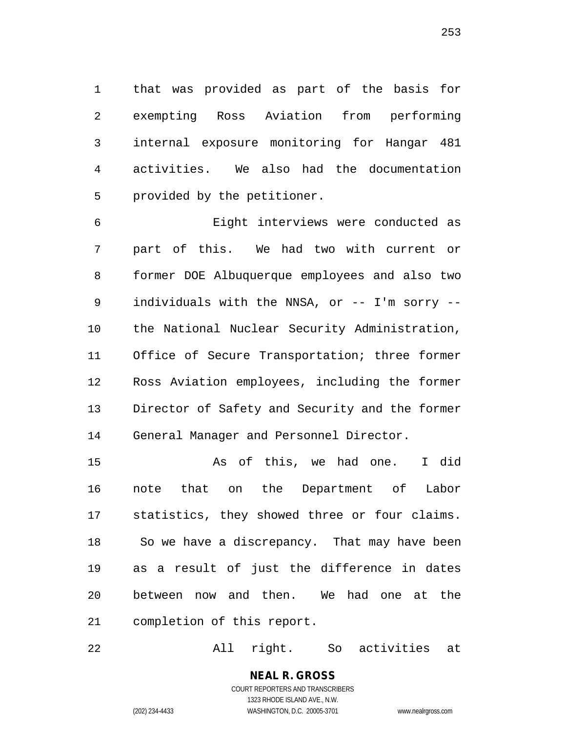that was provided as part of the basis for exempting Ross Aviation from performing internal exposure monitoring for Hangar 481 activities. We also had the documentation provided by the petitioner.

 Eight interviews were conducted as part of this. We had two with current or former DOE Albuquerque employees and also two individuals with the NNSA, or -- I'm sorry -- the National Nuclear Security Administration, Office of Secure Transportation; three former Ross Aviation employees, including the former Director of Safety and Security and the former General Manager and Personnel Director.

 As of this, we had one. I did note that on the Department of Labor statistics, they showed three or four claims. 18 So we have a discrepancy. That may have been as a result of just the difference in dates between now and then. We had one at the completion of this report.

All right. So activities at

**NEAL R. GROSS** COURT REPORTERS AND TRANSCRIBERS 1323 RHODE ISLAND AVE., N.W.

(202) 234-4433 WASHINGTON, D.C. 20005-3701 www.nealrgross.com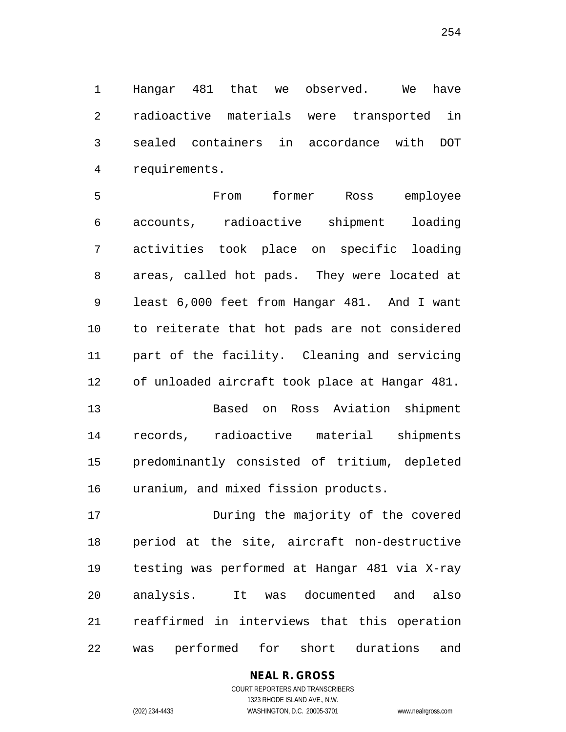Hangar 481 that we observed. We have radioactive materials were transported in sealed containers in accordance with DOT requirements.

 From former Ross employee accounts, radioactive shipment loading activities took place on specific loading areas, called hot pads. They were located at least 6,000 feet from Hangar 481. And I want to reiterate that hot pads are not considered part of the facility. Cleaning and servicing of unloaded aircraft took place at Hangar 481. Based on Ross Aviation shipment records, radioactive material shipments predominantly consisted of tritium, depleted

uranium, and mixed fission products.

 During the majority of the covered period at the site, aircraft non-destructive testing was performed at Hangar 481 via X-ray analysis. It was documented and also reaffirmed in interviews that this operation was performed for short durations and

> **NEAL R. GROSS** COURT REPORTERS AND TRANSCRIBERS 1323 RHODE ISLAND AVE., N.W.

(202) 234-4433 WASHINGTON, D.C. 20005-3701 www.nealrgross.com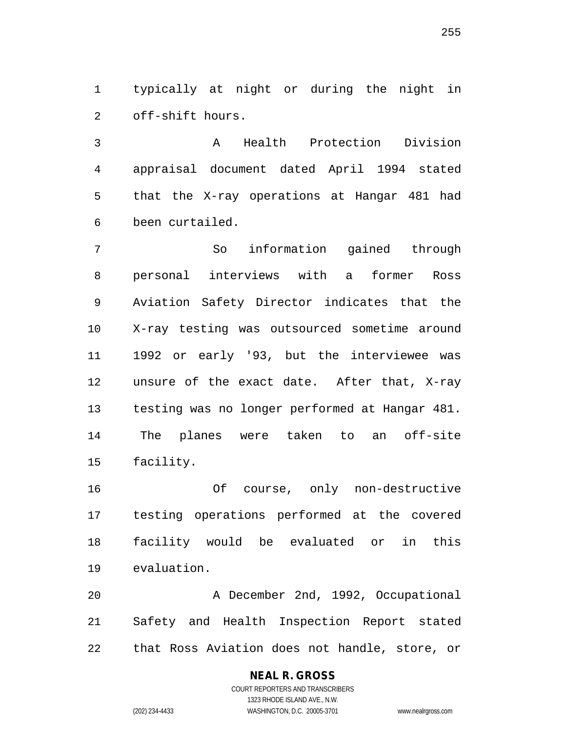typically at night or during the night in off-shift hours.

 A Health Protection Division appraisal document dated April 1994 stated that the X-ray operations at Hangar 481 had been curtailed.

 So information gained through personal interviews with a former Ross Aviation Safety Director indicates that the X-ray testing was outsourced sometime around 1992 or early '93, but the interviewee was unsure of the exact date. After that, X-ray testing was no longer performed at Hangar 481. The planes were taken to an off-site facility.

 Of course, only non-destructive testing operations performed at the covered facility would be evaluated or in this evaluation.

 A December 2nd, 1992, Occupational Safety and Health Inspection Report stated that Ross Aviation does not handle, store, or

#### **NEAL R. GROSS**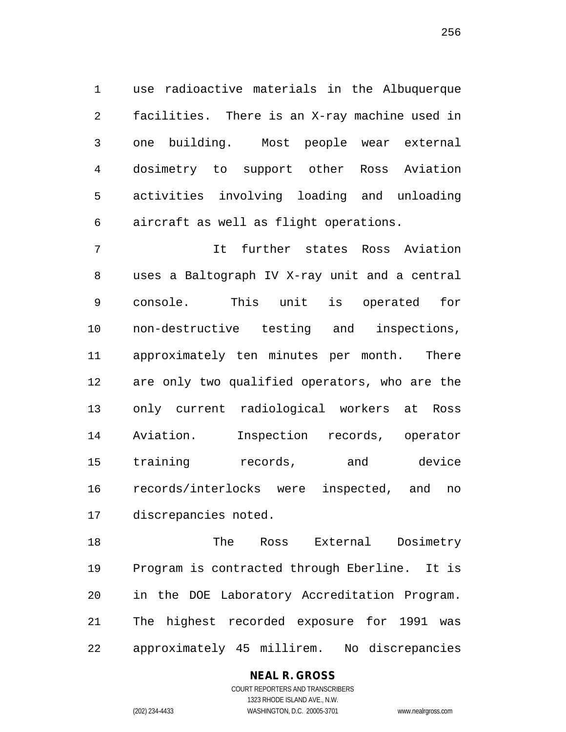use radioactive materials in the Albuquerque facilities. There is an X-ray machine used in one building. Most people wear external dosimetry to support other Ross Aviation activities involving loading and unloading aircraft as well as flight operations.

 It further states Ross Aviation uses a Baltograph IV X-ray unit and a central console. This unit is operated for non-destructive testing and inspections, approximately ten minutes per month. There are only two qualified operators, who are the only current radiological workers at Ross Aviation. Inspection records, operator training records, and device records/interlocks were inspected, and no discrepancies noted.

 The Ross External Dosimetry Program is contracted through Eberline. It is in the DOE Laboratory Accreditation Program. The highest recorded exposure for 1991 was approximately 45 millirem. No discrepancies

#### **NEAL R. GROSS**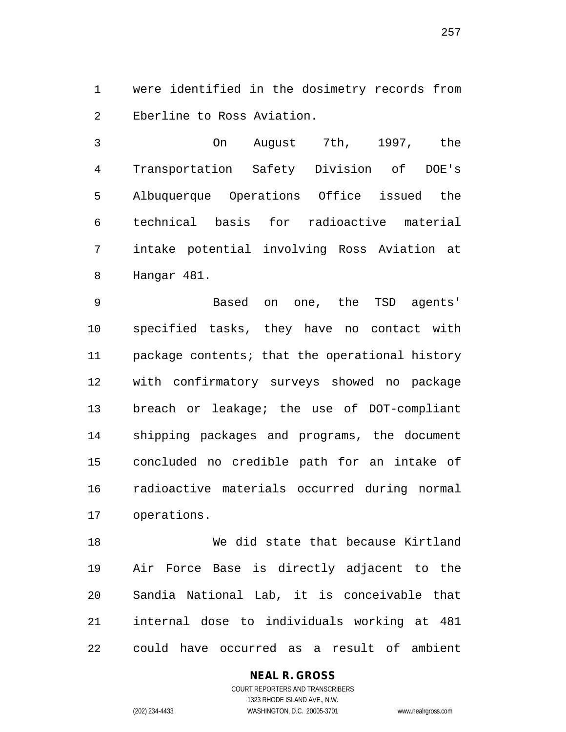were identified in the dosimetry records from Eberline to Ross Aviation.

 On August 7th, 1997, the Transportation Safety Division of DOE's Albuquerque Operations Office issued the technical basis for radioactive material intake potential involving Ross Aviation at Hangar 481.

 Based on one, the TSD agents' specified tasks, they have no contact with package contents; that the operational history with confirmatory surveys showed no package breach or leakage; the use of DOT-compliant shipping packages and programs, the document concluded no credible path for an intake of radioactive materials occurred during normal operations.

 We did state that because Kirtland Air Force Base is directly adjacent to the Sandia National Lab, it is conceivable that internal dose to individuals working at 481 could have occurred as a result of ambient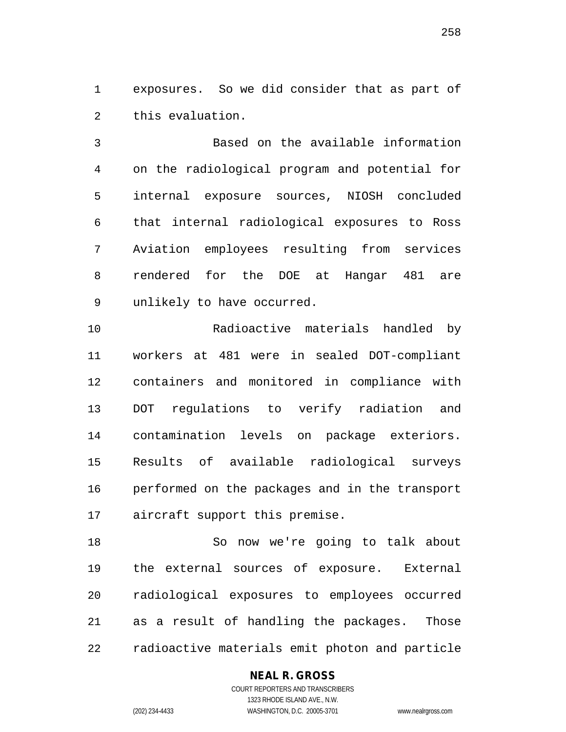exposures. So we did consider that as part of this evaluation.

 Based on the available information on the radiological program and potential for internal exposure sources, NIOSH concluded that internal radiological exposures to Ross Aviation employees resulting from services rendered for the DOE at Hangar 481 are unlikely to have occurred.

 Radioactive materials handled by workers at 481 were in sealed DOT-compliant containers and monitored in compliance with DOT regulations to verify radiation and contamination levels on package exteriors. Results of available radiological surveys performed on the packages and in the transport aircraft support this premise.

 So now we're going to talk about the external sources of exposure. External radiological exposures to employees occurred as a result of handling the packages. Those radioactive materials emit photon and particle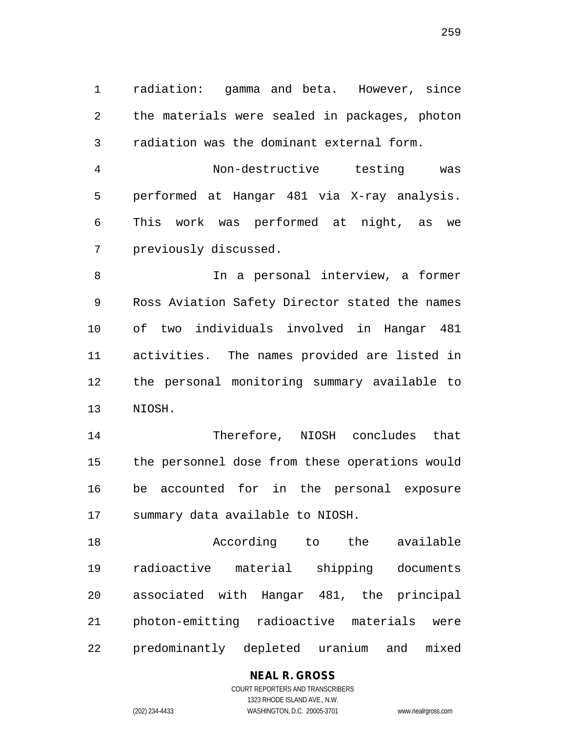radiation: gamma and beta. However, since the materials were sealed in packages, photon radiation was the dominant external form.

 Non-destructive testing was performed at Hangar 481 via X-ray analysis. This work was performed at night, as we previously discussed.

 In a personal interview, a former Ross Aviation Safety Director stated the names of two individuals involved in Hangar 481 activities. The names provided are listed in the personal monitoring summary available to NIOSH.

 Therefore, NIOSH concludes that the personnel dose from these operations would be accounted for in the personal exposure summary data available to NIOSH.

 According to the available radioactive material shipping documents associated with Hangar 481, the principal photon-emitting radioactive materials were predominantly depleted uranium and mixed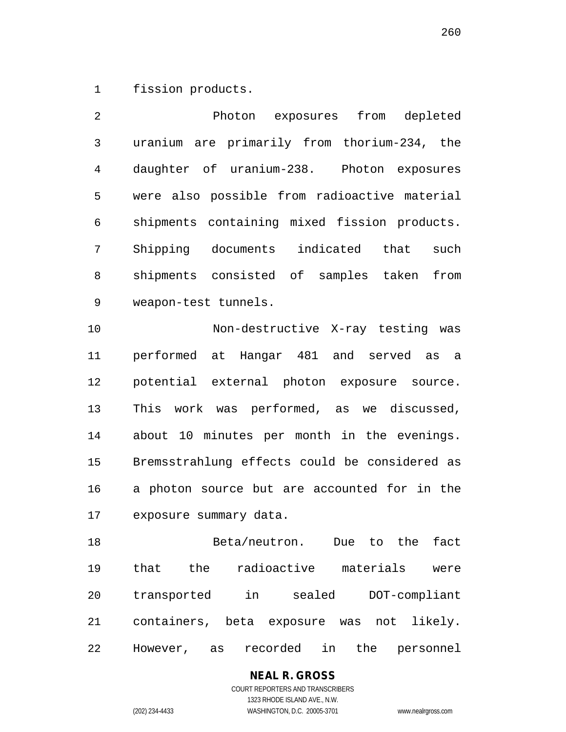fission products.

 Photon exposures from depleted uranium are primarily from thorium-234, the daughter of uranium-238. Photon exposures were also possible from radioactive material shipments containing mixed fission products. Shipping documents indicated that such shipments consisted of samples taken from weapon-test tunnels.

 Non-destructive X-ray testing was performed at Hangar 481 and served as a potential external photon exposure source. This work was performed, as we discussed, about 10 minutes per month in the evenings. Bremsstrahlung effects could be considered as a photon source but are accounted for in the exposure summary data.

 Beta/neutron. Due to the fact that the radioactive materials were transported in sealed DOT-compliant containers, beta exposure was not likely. However, as recorded in the personnel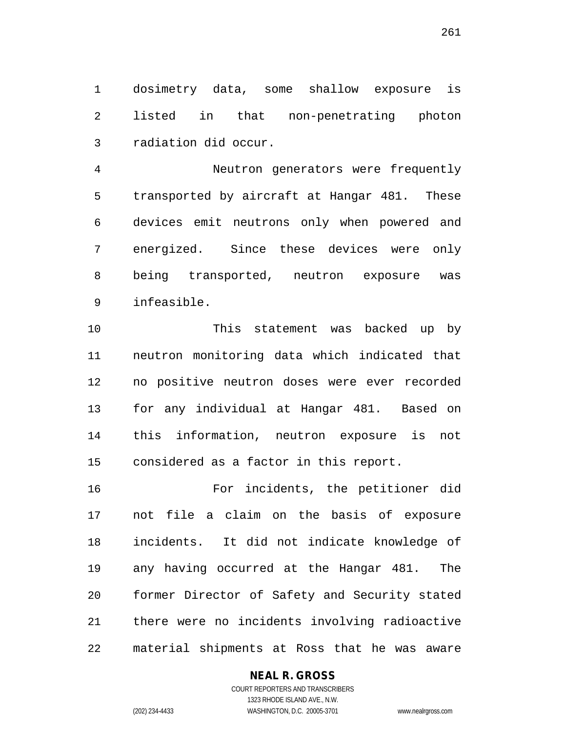dosimetry data, some shallow exposure is listed in that non-penetrating photon radiation did occur.

 Neutron generators were frequently transported by aircraft at Hangar 481. These devices emit neutrons only when powered and energized. Since these devices were only being transported, neutron exposure was infeasible.

 This statement was backed up by neutron monitoring data which indicated that no positive neutron doses were ever recorded for any individual at Hangar 481. Based on this information, neutron exposure is not considered as a factor in this report.

 For incidents, the petitioner did not file a claim on the basis of exposure incidents. It did not indicate knowledge of any having occurred at the Hangar 481. The former Director of Safety and Security stated there were no incidents involving radioactive material shipments at Ross that he was aware

#### **NEAL R. GROSS**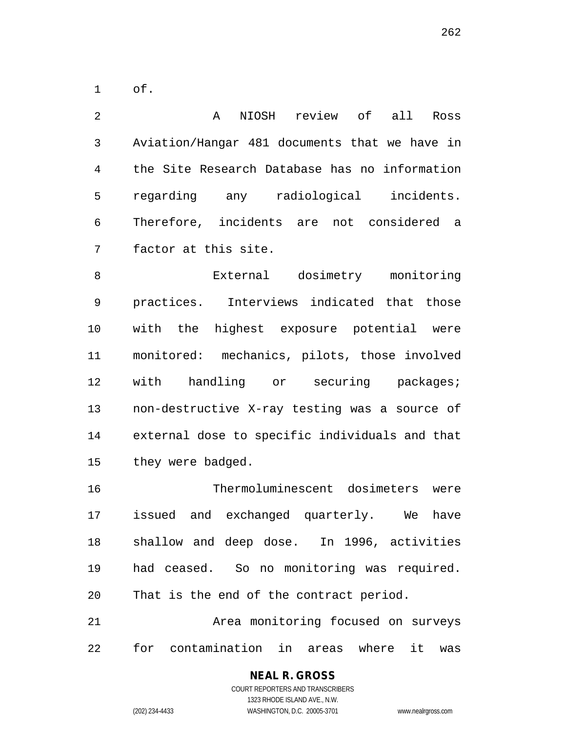of.

 A NIOSH review of all Ross Aviation/Hangar 481 documents that we have in the Site Research Database has no information regarding any radiological incidents. Therefore, incidents are not considered a factor at this site.

 External dosimetry monitoring practices. Interviews indicated that those with the highest exposure potential were monitored: mechanics, pilots, those involved with handling or securing packages; non-destructive X-ray testing was a source of external dose to specific individuals and that they were badged.

 Thermoluminescent dosimeters were issued and exchanged quarterly. We have shallow and deep dose. In 1996, activities had ceased. So no monitoring was required. That is the end of the contract period.

 Area monitoring focused on surveys for contamination in areas where it was

# **NEAL R. GROSS**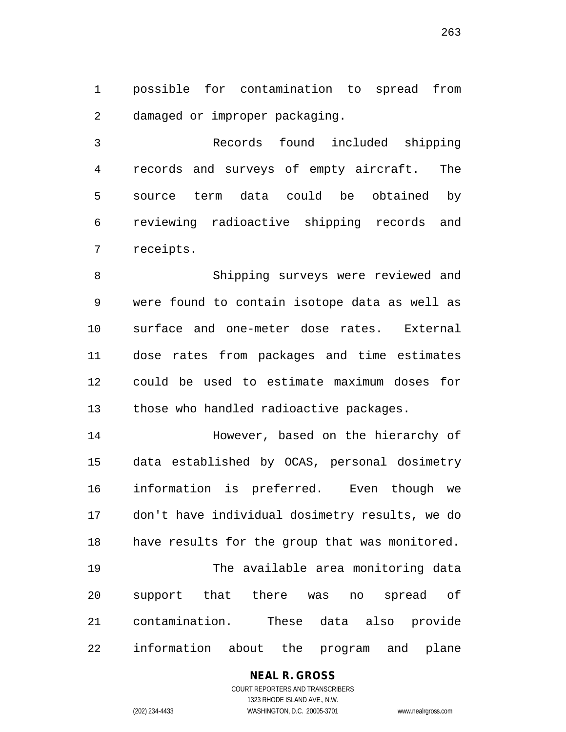possible for contamination to spread from damaged or improper packaging.

 Records found included shipping records and surveys of empty aircraft. The source term data could be obtained by reviewing radioactive shipping records and receipts.

 Shipping surveys were reviewed and were found to contain isotope data as well as surface and one-meter dose rates. External dose rates from packages and time estimates could be used to estimate maximum doses for those who handled radioactive packages.

 However, based on the hierarchy of data established by OCAS, personal dosimetry information is preferred. Even though we don't have individual dosimetry results, we do have results for the group that was monitored. The available area monitoring data support that there was no spread of contamination. These data also provide information about the program and plane

## **NEAL R. GROSS**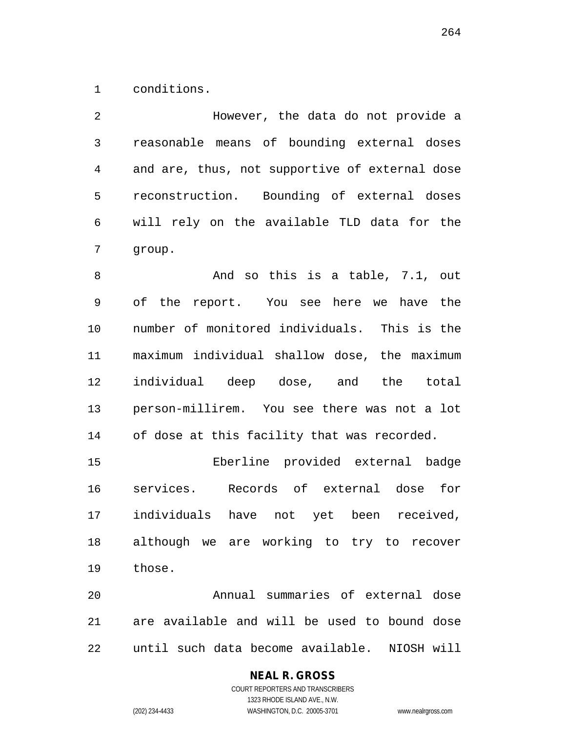conditions.

| $\overline{2}$ | However, the data do not provide a             |
|----------------|------------------------------------------------|
| $\mathsf{3}$   | reasonable means of bounding external doses    |
| 4              | and are, thus, not supportive of external dose |
| 5              | reconstruction. Bounding of external doses     |
| 6              | will rely on the available TLD data for the    |
| 7              | group.                                         |
| 8              | And so this is a table, 7.1, out               |
| 9              | of the report. You see here we have the        |
| 10             | number of monitored individuals. This is the   |
| 11             | maximum individual shallow dose, the maximum   |
| 12             | individual deep dose, and the total            |
| 13             | person-millirem. You see there was not a lot   |
| 14             | of dose at this facility that was recorded.    |
|                |                                                |

 Eberline provided external badge services. Records of external dose for individuals have not yet been received, although we are working to try to recover those.

 Annual summaries of external dose are available and will be used to bound dose until such data become available. NIOSH will

#### **NEAL R. GROSS**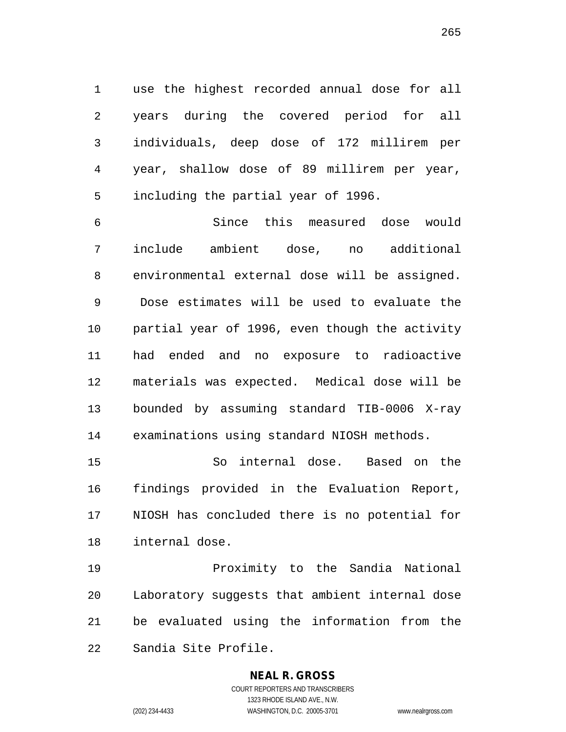use the highest recorded annual dose for all years during the covered period for all individuals, deep dose of 172 millirem per year, shallow dose of 89 millirem per year, including the partial year of 1996.

 Since this measured dose would include ambient dose, no additional environmental external dose will be assigned. Dose estimates will be used to evaluate the partial year of 1996, even though the activity had ended and no exposure to radioactive materials was expected. Medical dose will be bounded by assuming standard TIB-0006 X-ray examinations using standard NIOSH methods.

 So internal dose. Based on the findings provided in the Evaluation Report, NIOSH has concluded there is no potential for internal dose.

 Proximity to the Sandia National Laboratory suggests that ambient internal dose be evaluated using the information from the Sandia Site Profile.

#### **NEAL R. GROSS**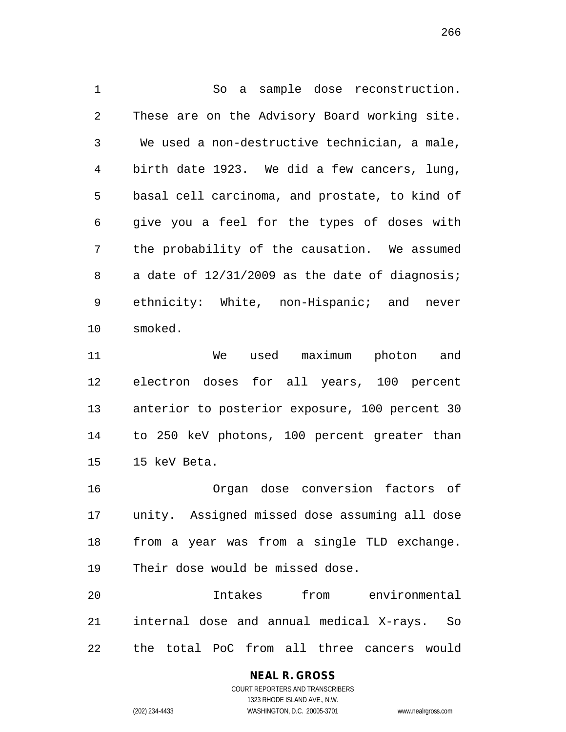So a sample dose reconstruction. These are on the Advisory Board working site. We used a non-destructive technician, a male, birth date 1923. We did a few cancers, lung, basal cell carcinoma, and prostate, to kind of give you a feel for the types of doses with the probability of the causation. We assumed 8 a date of  $12/31/2009$  as the date of diagnosis; ethnicity: White, non-Hispanic; and never smoked.

 We used maximum photon and electron doses for all years, 100 percent anterior to posterior exposure, 100 percent 30 to 250 keV photons, 100 percent greater than 15 keV Beta.

 Organ dose conversion factors of unity. Assigned missed dose assuming all dose from a year was from a single TLD exchange. Their dose would be missed dose.

 Intakes from environmental internal dose and annual medical X-rays. So the total PoC from all three cancers would

1323 RHODE ISLAND AVE., N.W. (202) 234-4433 WASHINGTON, D.C. 20005-3701 www.nealrgross.com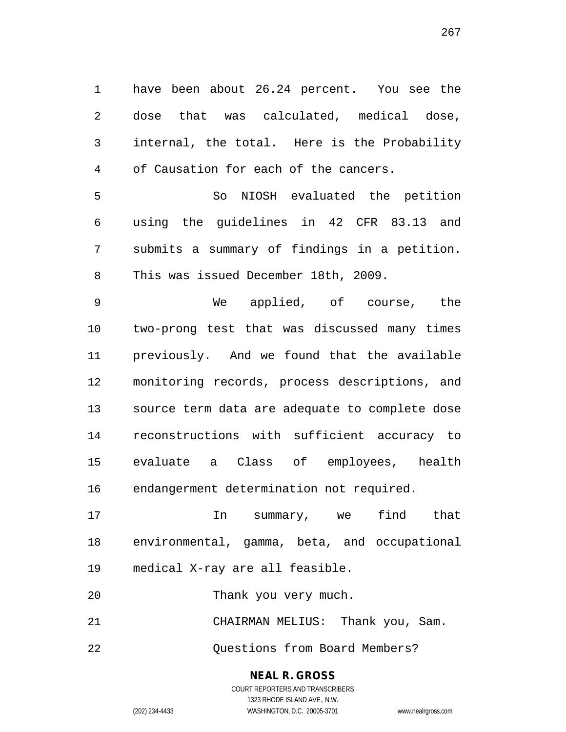have been about 26.24 percent. You see the dose that was calculated, medical dose, internal, the total. Here is the Probability of Causation for each of the cancers.

 So NIOSH evaluated the petition using the guidelines in 42 CFR 83.13 and submits a summary of findings in a petition. This was issued December 18th, 2009.

 We applied, of course, the two-prong test that was discussed many times previously. And we found that the available monitoring records, process descriptions, and source term data are adequate to complete dose reconstructions with sufficient accuracy to evaluate a Class of employees, health endangerment determination not required.

17 17 In summary, we find that environmental, gamma, beta, and occupational medical X-ray are all feasible.

Thank you very much.

CHAIRMAN MELIUS: Thank you, Sam.

22 Ouestions from Board Members?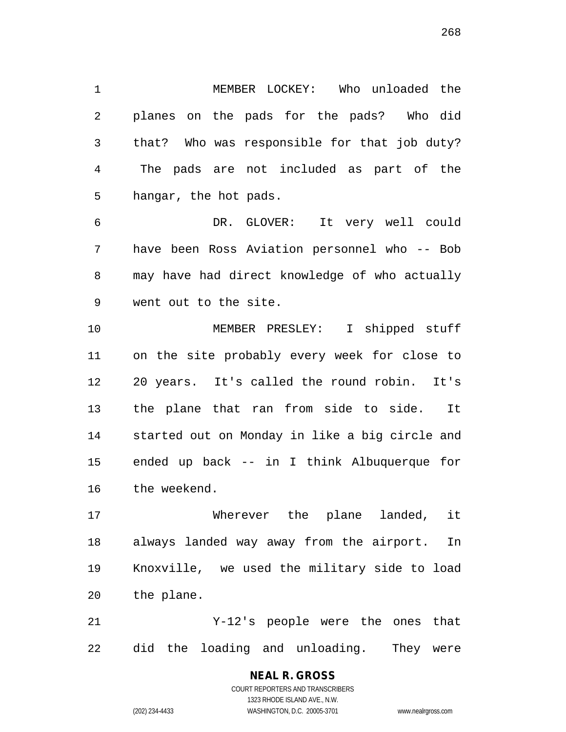MEMBER LOCKEY: Who unloaded the planes on the pads for the pads? Who did that? Who was responsible for that job duty? The pads are not included as part of the hangar, the hot pads.

 DR. GLOVER: It very well could have been Ross Aviation personnel who -- Bob may have had direct knowledge of who actually went out to the site.

 MEMBER PRESLEY: I shipped stuff on the site probably every week for close to 20 years. It's called the round robin. It's the plane that ran from side to side. It started out on Monday in like a big circle and ended up back -- in I think Albuquerque for the weekend.

 Wherever the plane landed, it always landed way away from the airport. In Knoxville, we used the military side to load the plane.

 Y-12's people were the ones that did the loading and unloading. They were

#### **NEAL R. GROSS** COURT REPORTERS AND TRANSCRIBERS

1323 RHODE ISLAND AVE., N.W. (202) 234-4433 WASHINGTON, D.C. 20005-3701 www.nealrgross.com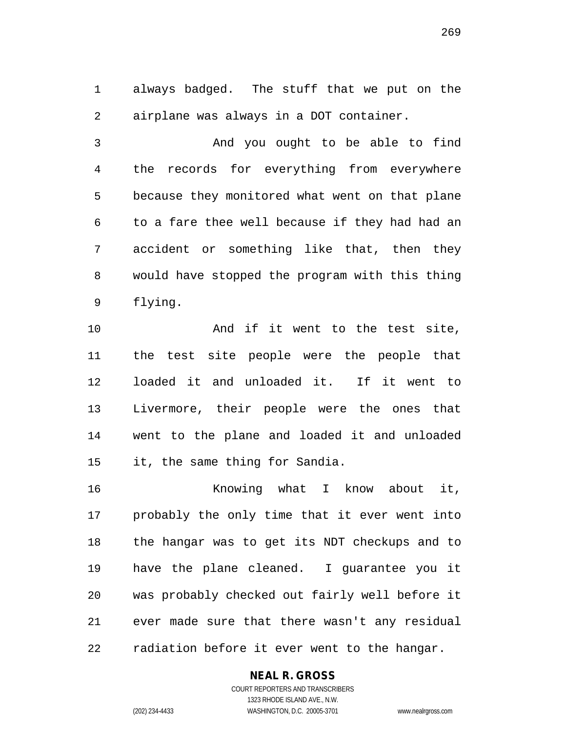always badged. The stuff that we put on the airplane was always in a DOT container.

 And you ought to be able to find the records for everything from everywhere because they monitored what went on that plane to a fare thee well because if they had had an accident or something like that, then they would have stopped the program with this thing flying.

 And if it went to the test site, the test site people were the people that loaded it and unloaded it. If it went to Livermore, their people were the ones that went to the plane and loaded it and unloaded it, the same thing for Sandia.

 Knowing what I know about it, probably the only time that it ever went into the hangar was to get its NDT checkups and to have the plane cleaned. I guarantee you it was probably checked out fairly well before it ever made sure that there wasn't any residual radiation before it ever went to the hangar.

#### **NEAL R. GROSS**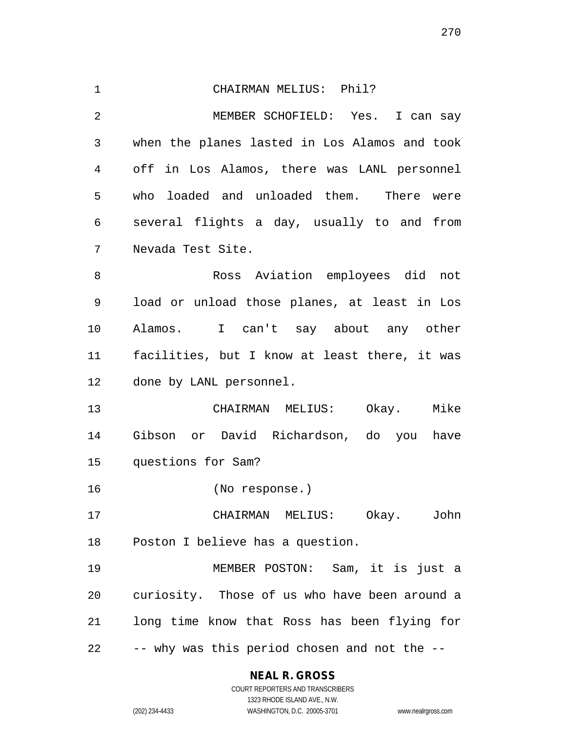| $\mathbf 1$    | CHAIRMAN MELIUS: Phil?                        |
|----------------|-----------------------------------------------|
| $\overline{2}$ | MEMBER SCHOFIELD: Yes. I can say              |
| 3              | when the planes lasted in Los Alamos and took |
| 4              | off in Los Alamos, there was LANL personnel   |
| 5              | who loaded and unloaded them. There were      |
| 6              | several flights a day, usually to and from    |
| 7              | Nevada Test Site.                             |
| 8              | Ross Aviation employees did not               |
| 9              | load or unload those planes, at least in Los  |
| 10             | Alamos. I can't say about any other           |
| 11             | facilities, but I know at least there, it was |
| 12             | done by LANL personnel.                       |
| 13             | CHAIRMAN MELIUS: Okay. Mike                   |
| 14             | Gibson or David Richardson, do you have       |
| 15             | questions for Sam?                            |
| 16             | (No response.)                                |
| 17             | CHAIRMAN MELIUS: Okay.<br>John                |
| 18             | Poston I believe has a question.              |
| 19             | MEMBER POSTON: Sam, it is just a              |
| 20             | curiosity. Those of us who have been around a |
| 21             | long time know that Ross has been flying for  |
| 22             | -- why was this period chosen and not the --  |

**NEAL R. GROSS**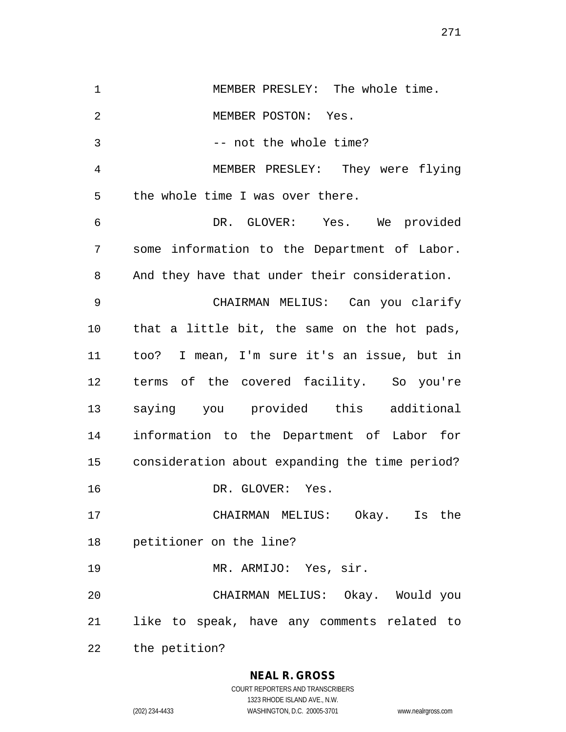MEMBER PRESLEY: The whole time. MEMBER POSTON: Yes. 3 -- not the whole time? MEMBER PRESLEY: They were flying the whole time I was over there. DR. GLOVER: Yes. We provided some information to the Department of Labor. And they have that under their consideration. CHAIRMAN MELIUS: Can you clarify that a little bit, the same on the hot pads, too? I mean, I'm sure it's an issue, but in terms of the covered facility. So you're saying you provided this additional information to the Department of Labor for consideration about expanding the time period? DR. GLOVER: Yes. CHAIRMAN MELIUS: Okay. Is the petitioner on the line? MR. ARMIJO: Yes, sir. CHAIRMAN MELIUS: Okay. Would you like to speak, have any comments related to the petition?

#### **NEAL R. GROSS**

COURT REPORTERS AND TRANSCRIBERS 1323 RHODE ISLAND AVE., N.W. (202) 234-4433 WASHINGTON, D.C. 20005-3701 www.nealrgross.com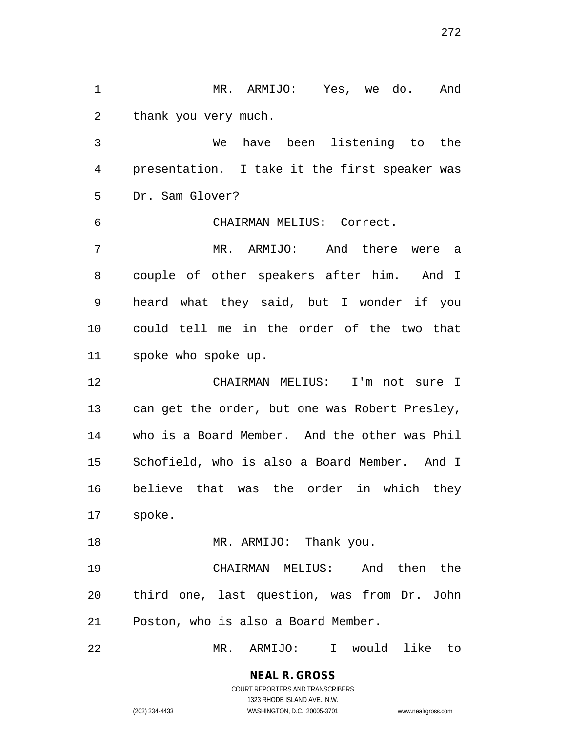MR. ARMIJO: Yes, we do. And thank you very much.

 We have been listening to the presentation. I take it the first speaker was Dr. Sam Glover?

CHAIRMAN MELIUS: Correct.

 MR. ARMIJO: And there were a couple of other speakers after him. And I heard what they said, but I wonder if you could tell me in the order of the two that spoke who spoke up.

 CHAIRMAN MELIUS: I'm not sure I can get the order, but one was Robert Presley, who is a Board Member. And the other was Phil Schofield, who is also a Board Member. And I believe that was the order in which they spoke.

18 MR. ARMIJO: Thank you.

 CHAIRMAN MELIUS: And then the third one, last question, was from Dr. John Poston, who is also a Board Member.

MR. ARMIJO: I would like to

**NEAL R. GROSS** COURT REPORTERS AND TRANSCRIBERS

1323 RHODE ISLAND AVE., N.W.

(202) 234-4433 WASHINGTON, D.C. 20005-3701 www.nealrgross.com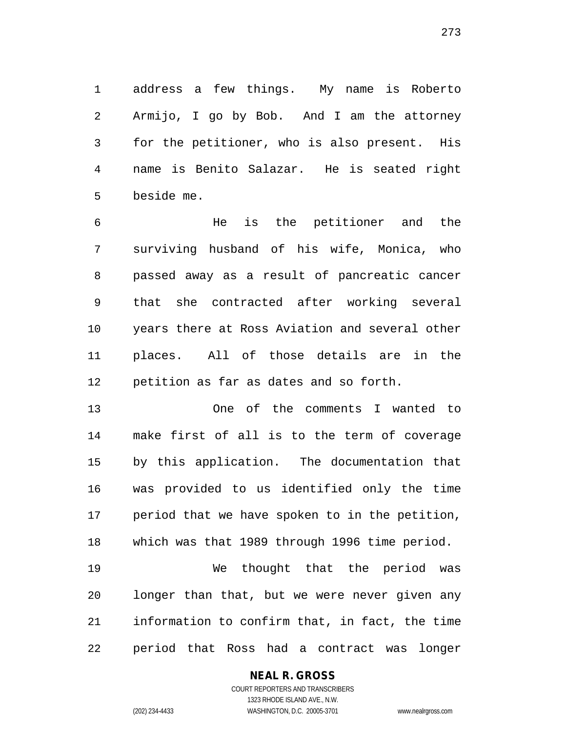address a few things. My name is Roberto Armijo, I go by Bob. And I am the attorney for the petitioner, who is also present. His name is Benito Salazar. He is seated right beside me.

 He is the petitioner and the surviving husband of his wife, Monica, who passed away as a result of pancreatic cancer that she contracted after working several years there at Ross Aviation and several other places. All of those details are in the petition as far as dates and so forth.

 One of the comments I wanted to make first of all is to the term of coverage by this application. The documentation that was provided to us identified only the time period that we have spoken to in the petition, which was that 1989 through 1996 time period.

 We thought that the period was longer than that, but we were never given any information to confirm that, in fact, the time period that Ross had a contract was longer

#### **NEAL R. GROSS**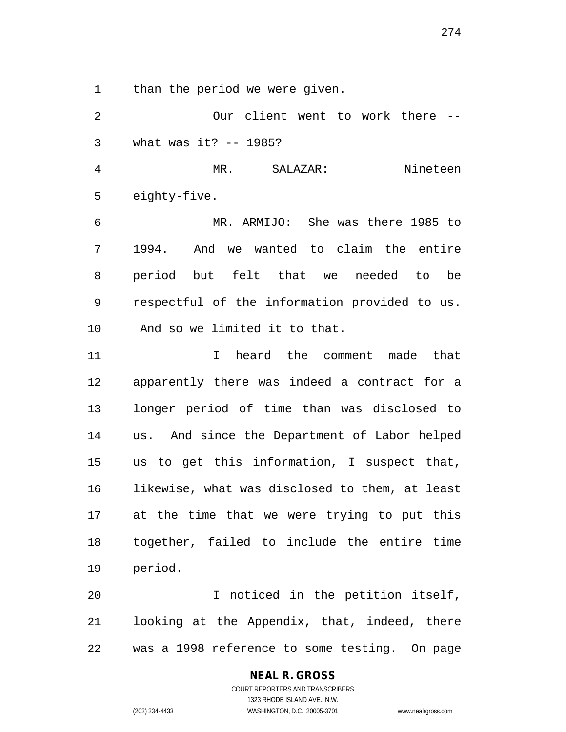than the period we were given.

 Our client went to work there -- what was it? -- 1985? MR. SALAZAR: Nineteen eighty-five. MR. ARMIJO: She was there 1985 to

 1994. And we wanted to claim the entire period but felt that we needed to be respectful of the information provided to us. And so we limited it to that.

 I heard the comment made that apparently there was indeed a contract for a longer period of time than was disclosed to us. And since the Department of Labor helped us to get this information, I suspect that, likewise, what was disclosed to them, at least at the time that we were trying to put this together, failed to include the entire time period.

 I noticed in the petition itself, looking at the Appendix, that, indeed, there was a 1998 reference to some testing. On page

## **NEAL R. GROSS**

COURT REPORTERS AND TRANSCRIBERS 1323 RHODE ISLAND AVE., N.W. (202) 234-4433 WASHINGTON, D.C. 20005-3701 www.nealrgross.com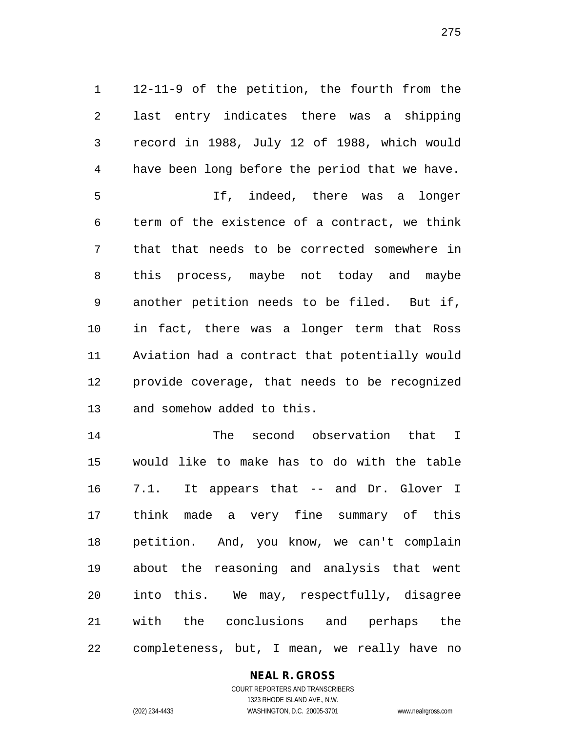12-11-9 of the petition, the fourth from the last entry indicates there was a shipping record in 1988, July 12 of 1988, which would have been long before the period that we have. If, indeed, there was a longer term of the existence of a contract, we think that that needs to be corrected somewhere in this process, maybe not today and maybe another petition needs to be filed. But if, in fact, there was a longer term that Ross Aviation had a contract that potentially would provide coverage, that needs to be recognized and somehow added to this.

 The second observation that I would like to make has to do with the table 7.1. It appears that -- and Dr. Glover I think made a very fine summary of this petition. And, you know, we can't complain about the reasoning and analysis that went into this. We may, respectfully, disagree with the conclusions and perhaps the completeness, but, I mean, we really have no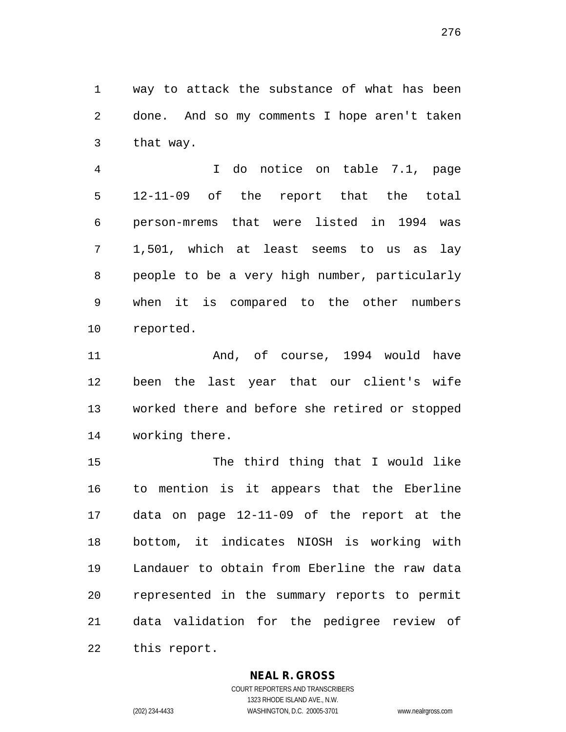way to attack the substance of what has been done. And so my comments I hope aren't taken that way.

 I do notice on table 7.1, page 12-11-09 of the report that the total person-mrems that were listed in 1994 was 1,501, which at least seems to us as lay people to be a very high number, particularly when it is compared to the other numbers reported.

 And, of course, 1994 would have been the last year that our client's wife worked there and before she retired or stopped working there.

 The third thing that I would like to mention is it appears that the Eberline data on page 12-11-09 of the report at the bottom, it indicates NIOSH is working with Landauer to obtain from Eberline the raw data represented in the summary reports to permit data validation for the pedigree review of this report.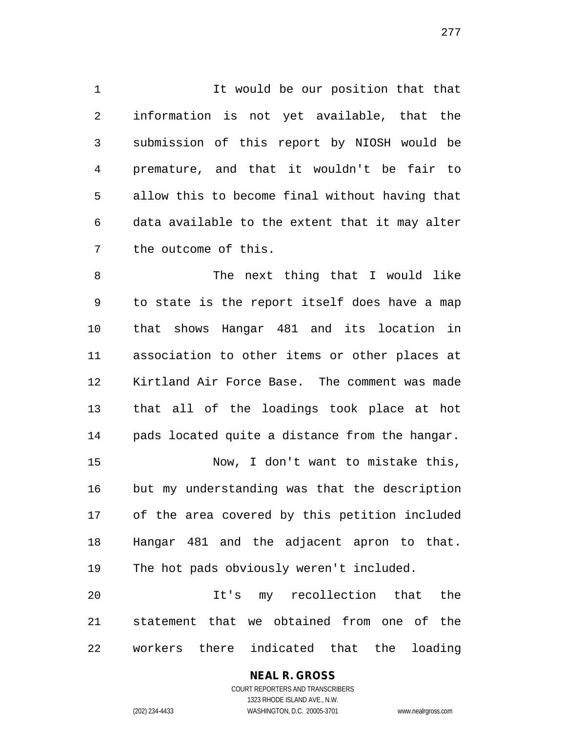1 1 It would be our position that that information is not yet available, that the submission of this report by NIOSH would be premature, and that it wouldn't be fair to allow this to become final without having that data available to the extent that it may alter the outcome of this.

 The next thing that I would like to state is the report itself does have a map that shows Hangar 481 and its location in association to other items or other places at Kirtland Air Force Base. The comment was made that all of the loadings took place at hot pads located quite a distance from the hangar.

 Now, I don't want to mistake this, but my understanding was that the description of the area covered by this petition included Hangar 481 and the adjacent apron to that. The hot pads obviously weren't included.

 It's my recollection that the statement that we obtained from one of the workers there indicated that the loading

## **NEAL R. GROSS**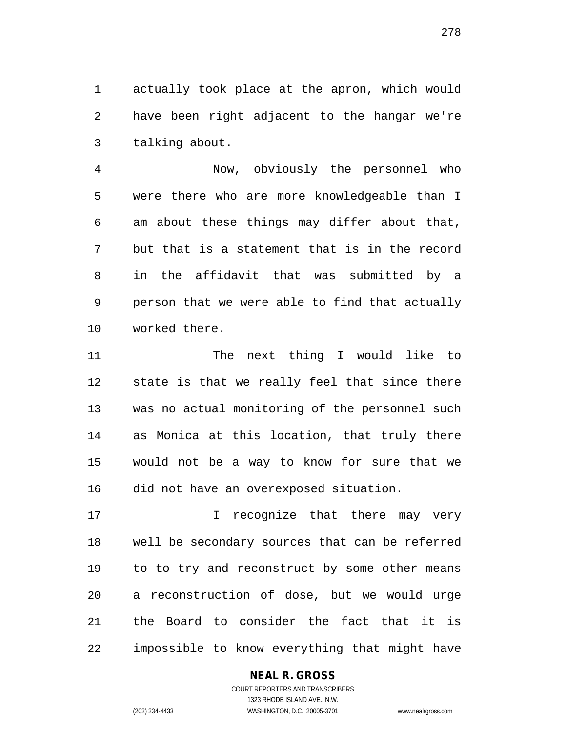actually took place at the apron, which would have been right adjacent to the hangar we're talking about.

 Now, obviously the personnel who were there who are more knowledgeable than I am about these things may differ about that, but that is a statement that is in the record in the affidavit that was submitted by a person that we were able to find that actually worked there.

 The next thing I would like to state is that we really feel that since there was no actual monitoring of the personnel such as Monica at this location, that truly there would not be a way to know for sure that we did not have an overexposed situation.

17 The recognize that there may very well be secondary sources that can be referred to to try and reconstruct by some other means a reconstruction of dose, but we would urge the Board to consider the fact that it is impossible to know everything that might have

#### **NEAL R. GROSS**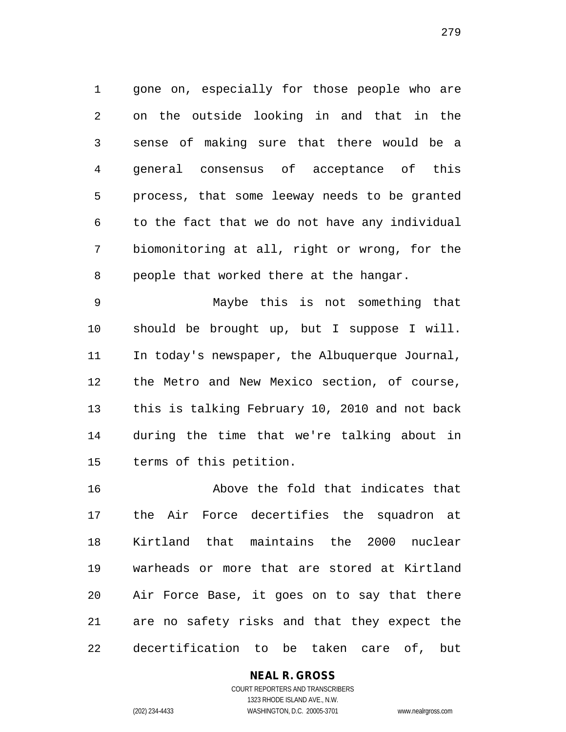gone on, especially for those people who are on the outside looking in and that in the sense of making sure that there would be a general consensus of acceptance of this process, that some leeway needs to be granted to the fact that we do not have any individual biomonitoring at all, right or wrong, for the people that worked there at the hangar.

 Maybe this is not something that should be brought up, but I suppose I will. In today's newspaper, the Albuquerque Journal, the Metro and New Mexico section, of course, this is talking February 10, 2010 and not back during the time that we're talking about in terms of this petition.

 Above the fold that indicates that the Air Force decertifies the squadron at Kirtland that maintains the 2000 nuclear warheads or more that are stored at Kirtland Air Force Base, it goes on to say that there are no safety risks and that they expect the decertification to be taken care of, but

**NEAL R. GROSS**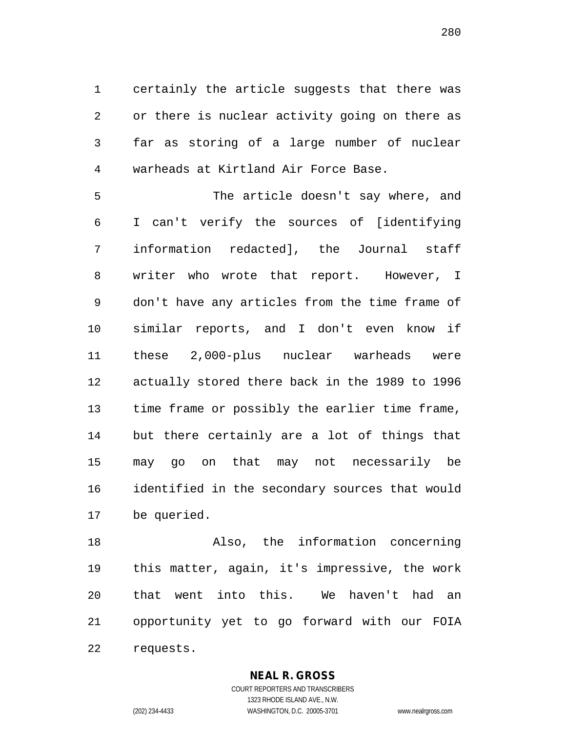certainly the article suggests that there was or there is nuclear activity going on there as far as storing of a large number of nuclear warheads at Kirtland Air Force Base.

 The article doesn't say where, and I can't verify the sources of [identifying information redacted], the Journal staff writer who wrote that report. However, I don't have any articles from the time frame of similar reports, and I don't even know if these 2,000-plus nuclear warheads were actually stored there back in the 1989 to 1996 time frame or possibly the earlier time frame, but there certainly are a lot of things that may go on that may not necessarily be identified in the secondary sources that would be queried.

 Also, the information concerning this matter, again, it's impressive, the work that went into this. We haven't had an opportunity yet to go forward with our FOIA requests.

> **NEAL R. GROSS** COURT REPORTERS AND TRANSCRIBERS 1323 RHODE ISLAND AVE., N.W.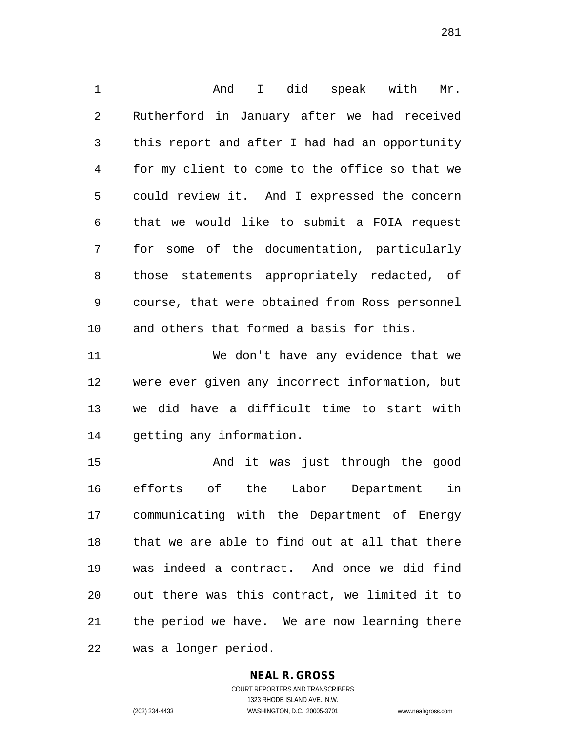And I did speak with Mr. Rutherford in January after we had received this report and after I had had an opportunity for my client to come to the office so that we could review it. And I expressed the concern that we would like to submit a FOIA request for some of the documentation, particularly those statements appropriately redacted, of course, that were obtained from Ross personnel and others that formed a basis for this.

 We don't have any evidence that we were ever given any incorrect information, but we did have a difficult time to start with getting any information.

 And it was just through the good efforts of the Labor Department in communicating with the Department of Energy that we are able to find out at all that there was indeed a contract. And once we did find out there was this contract, we limited it to the period we have. We are now learning there was a longer period.

#### **NEAL R. GROSS**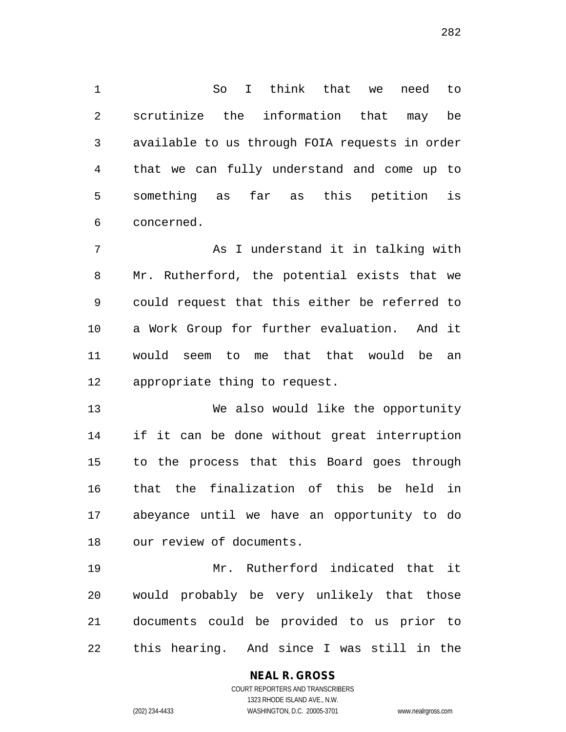So I think that we need to scrutinize the information that may be available to us through FOIA requests in order that we can fully understand and come up to something as far as this petition is concerned.

7 As I understand it in talking with Mr. Rutherford, the potential exists that we could request that this either be referred to a Work Group for further evaluation. And it would seem to me that that would be an appropriate thing to request.

 We also would like the opportunity if it can be done without great interruption to the process that this Board goes through that the finalization of this be held in abeyance until we have an opportunity to do our review of documents.

 Mr. Rutherford indicated that it would probably be very unlikely that those documents could be provided to us prior to this hearing. And since I was still in the

> **NEAL R. GROSS** COURT REPORTERS AND TRANSCRIBERS

> > 1323 RHODE ISLAND AVE., N.W.

(202) 234-4433 WASHINGTON, D.C. 20005-3701 www.nealrgross.com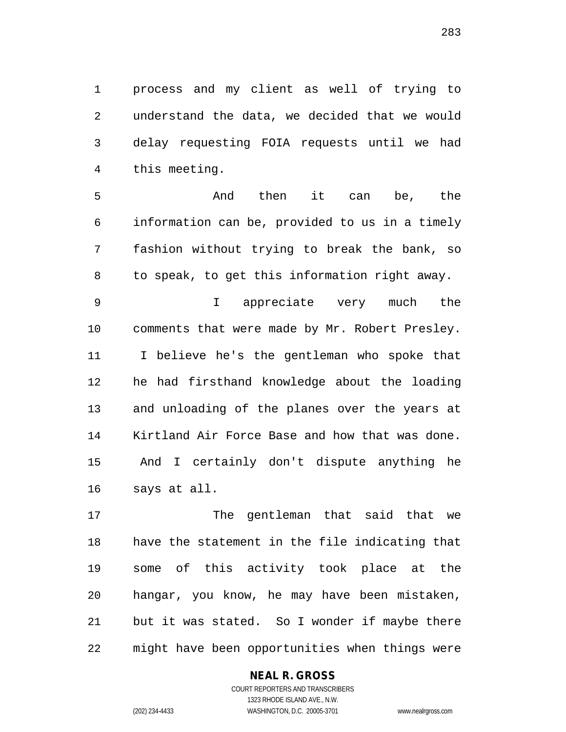process and my client as well of trying to understand the data, we decided that we would delay requesting FOIA requests until we had this meeting.

 And then it can be, the information can be, provided to us in a timely fashion without trying to break the bank, so to speak, to get this information right away.

 I appreciate very much the comments that were made by Mr. Robert Presley. I believe he's the gentleman who spoke that he had firsthand knowledge about the loading and unloading of the planes over the years at Kirtland Air Force Base and how that was done. And I certainly don't dispute anything he says at all.

 The gentleman that said that we have the statement in the file indicating that some of this activity took place at the hangar, you know, he may have been mistaken, but it was stated. So I wonder if maybe there might have been opportunities when things were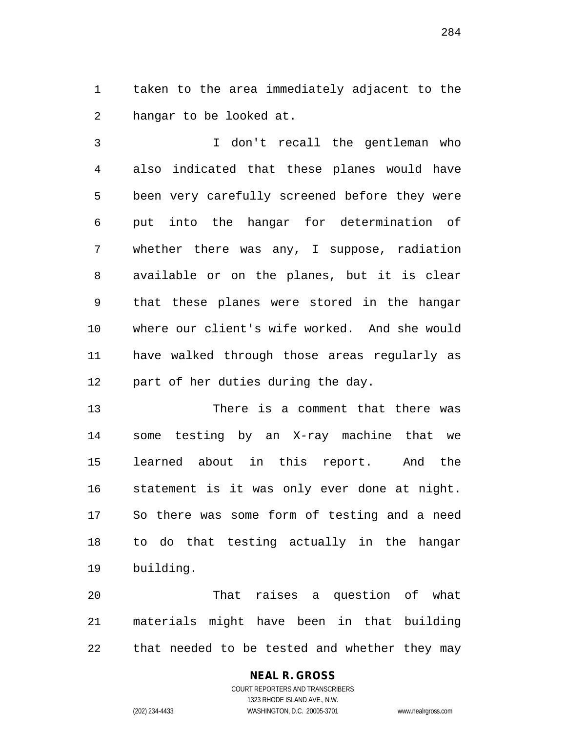taken to the area immediately adjacent to the hangar to be looked at.

 I don't recall the gentleman who also indicated that these planes would have been very carefully screened before they were put into the hangar for determination of whether there was any, I suppose, radiation available or on the planes, but it is clear that these planes were stored in the hangar where our client's wife worked. And she would have walked through those areas regularly as 12 part of her duties during the day.

 There is a comment that there was some testing by an X-ray machine that we learned about in this report. And the statement is it was only ever done at night. So there was some form of testing and a need to do that testing actually in the hangar building.

 That raises a question of what materials might have been in that building that needed to be tested and whether they may

#### **NEAL R. GROSS**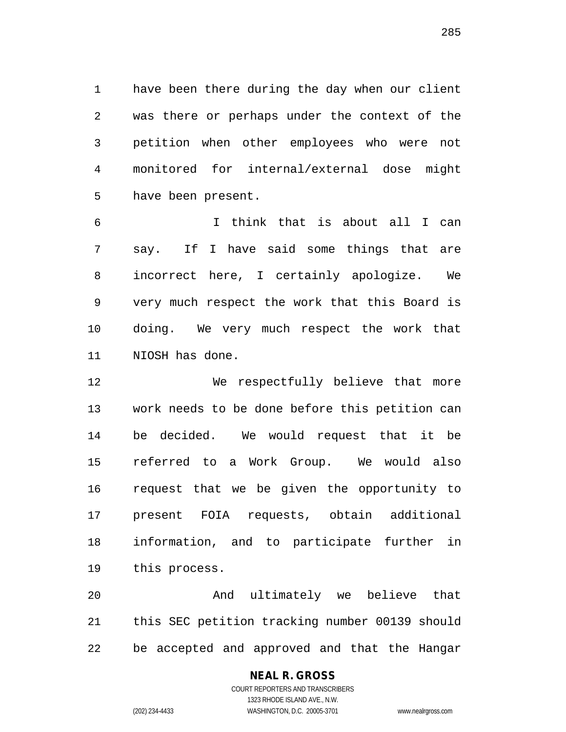have been there during the day when our client was there or perhaps under the context of the petition when other employees who were not monitored for internal/external dose might have been present.

 I think that is about all I can say. If I have said some things that are incorrect here, I certainly apologize. We very much respect the work that this Board is doing. We very much respect the work that NIOSH has done.

 We respectfully believe that more work needs to be done before this petition can be decided. We would request that it be referred to a Work Group. We would also request that we be given the opportunity to present FOIA requests, obtain additional information, and to participate further in this process.

 And ultimately we believe that this SEC petition tracking number 00139 should be accepted and approved and that the Hangar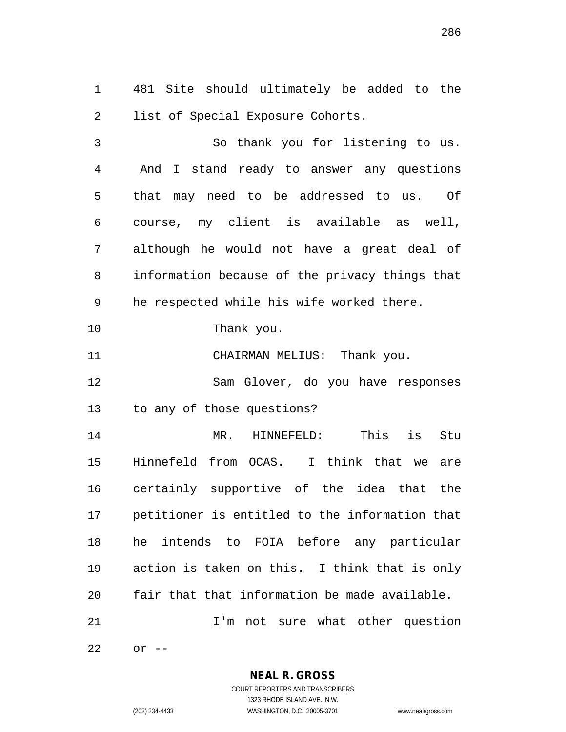481 Site should ultimately be added to the list of Special Exposure Cohorts.

 So thank you for listening to us. And I stand ready to answer any questions that may need to be addressed to us. Of course, my client is available as well, although he would not have a great deal of information because of the privacy things that he respected while his wife worked there.

Thank you.

11 CHAIRMAN MELIUS: Thank you.

 Sam Glover, do you have responses to any of those questions?

 MR. HINNEFELD: This is Stu Hinnefeld from OCAS. I think that we are certainly supportive of the idea that the petitioner is entitled to the information that he intends to FOIA before any particular action is taken on this. I think that is only fair that that information be made available. I'm not sure what other question

or --

**NEAL R. GROSS** COURT REPORTERS AND TRANSCRIBERS

1323 RHODE ISLAND AVE., N.W.

(202) 234-4433 WASHINGTON, D.C. 20005-3701 www.nealrgross.com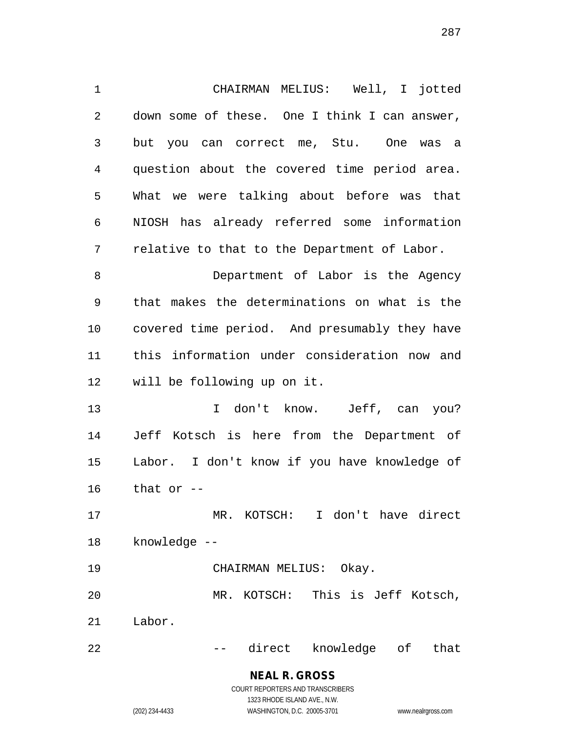CHAIRMAN MELIUS: Well, I jotted down some of these. One I think I can answer, but you can correct me, Stu. One was a question about the covered time period area. What we were talking about before was that NIOSH has already referred some information relative to that to the Department of Labor. Department of Labor is the Agency that makes the determinations on what is the covered time period. And presumably they have this information under consideration now and will be following up on it. 13 I don't know. Jeff, can you? Jeff Kotsch is here from the Department of

 Labor. I don't know if you have knowledge of that or  $-$ 

 MR. KOTSCH: I don't have direct knowledge --

CHAIRMAN MELIUS: Okay.

 MR. KOTSCH: This is Jeff Kotsch, Labor.

22 -- direct knowledge of that

#### **NEAL R. GROSS** COURT REPORTERS AND TRANSCRIBERS 1323 RHODE ISLAND AVE., N.W.

(202) 234-4433 WASHINGTON, D.C. 20005-3701 www.nealrgross.com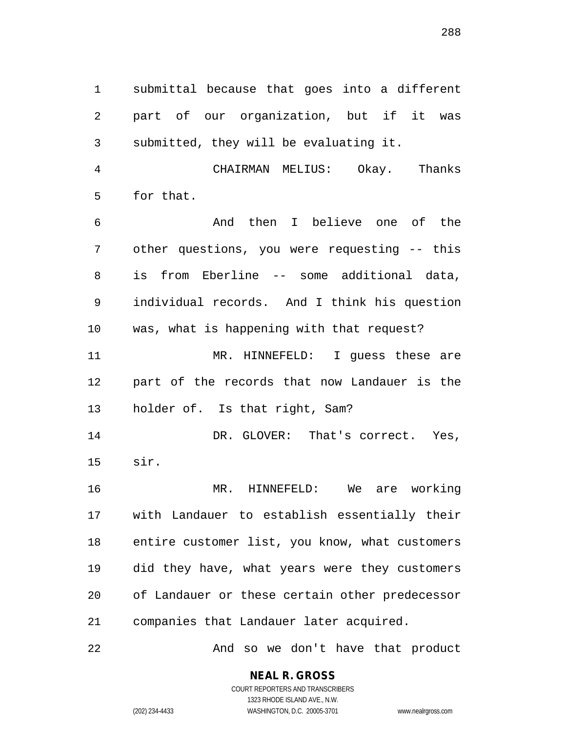submittal because that goes into a different part of our organization, but if it was submitted, they will be evaluating it.

 CHAIRMAN MELIUS: Okay. Thanks for that.

 And then I believe one of the other questions, you were requesting -- this is from Eberline -- some additional data, individual records. And I think his question was, what is happening with that request? MR. HINNEFELD: I guess these are

 part of the records that now Landauer is the holder of. Is that right, Sam?

14 DR. GLOVER: That's correct. Yes, sir.

 MR. HINNEFELD: We are working with Landauer to establish essentially their entire customer list, you know, what customers did they have, what years were they customers of Landauer or these certain other predecessor companies that Landauer later acquired.

22 And so we don't have that product

## **NEAL R. GROSS**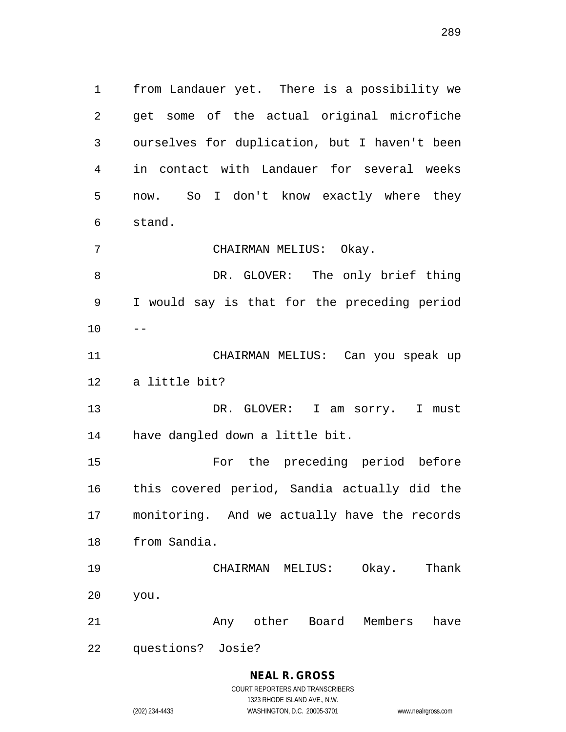from Landauer yet. There is a possibility we get some of the actual original microfiche ourselves for duplication, but I haven't been in contact with Landauer for several weeks now. So I don't know exactly where they stand. CHAIRMAN MELIUS: Okay. 8 DR. GLOVER: The only brief thing I would say is that for the preceding period  $10 - -$  CHAIRMAN MELIUS: Can you speak up a little bit?

 DR. GLOVER: I am sorry. I must have dangled down a little bit.

 For the preceding period before this covered period, Sandia actually did the monitoring. And we actually have the records from Sandia.

 CHAIRMAN MELIUS: Okay. Thank you. 21 Any other Board Members have

questions? Josie?

# **NEAL R. GROSS**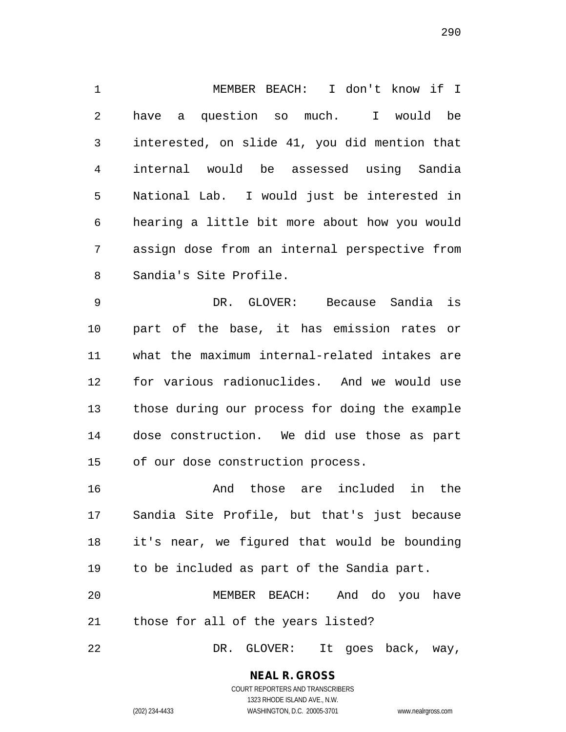MEMBER BEACH: I don't know if I have a question so much. I would be interested, on slide 41, you did mention that internal would be assessed using Sandia National Lab. I would just be interested in hearing a little bit more about how you would assign dose from an internal perspective from Sandia's Site Profile.

 DR. GLOVER: Because Sandia is part of the base, it has emission rates or what the maximum internal-related intakes are for various radionuclides. And we would use those during our process for doing the example dose construction. We did use those as part of our dose construction process.

 And those are included in the Sandia Site Profile, but that's just because it's near, we figured that would be bounding to be included as part of the Sandia part. MEMBER BEACH: And do you have

those for all of the years listed?

DR. GLOVER: It goes back, way,

# **NEAL R. GROSS**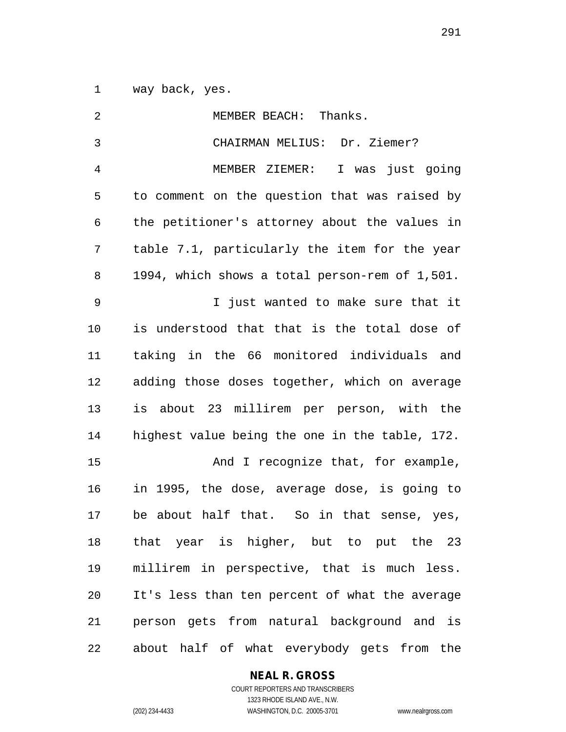way back, yes.

| 2  | MEMBER BEACH: Thanks.                          |
|----|------------------------------------------------|
| 3  | CHAIRMAN MELIUS: Dr. Ziemer?                   |
| 4  | MEMBER ZIEMER: I was just going                |
| 5  | to comment on the question that was raised by  |
| 6  | the petitioner's attorney about the values in  |
| 7  | table 7.1, particularly the item for the year  |
| 8  | 1994, which shows a total person-rem of 1,501. |
| 9  | I just wanted to make sure that it             |
| 10 | is understood that that is the total dose of   |
| 11 | taking in the 66 monitored individuals and     |
| 12 | adding those doses together, which on average  |
| 13 | is about 23 millirem per person, with the      |
| 14 | highest value being the one in the table, 172. |
| 15 | And I recognize that, for example,             |
| 16 | in 1995, the dose, average dose, is going to   |
| 17 | be about half that. So in that sense, yes,     |
| 18 | that year is higher, but to put the 23         |
| 19 | millirem in perspective, that is much less.    |
| 20 | It's less than ten percent of what the average |
| 21 | person gets from natural background and is     |
| 22 | about half of what everybody gets from the     |

**NEAL R. GROSS**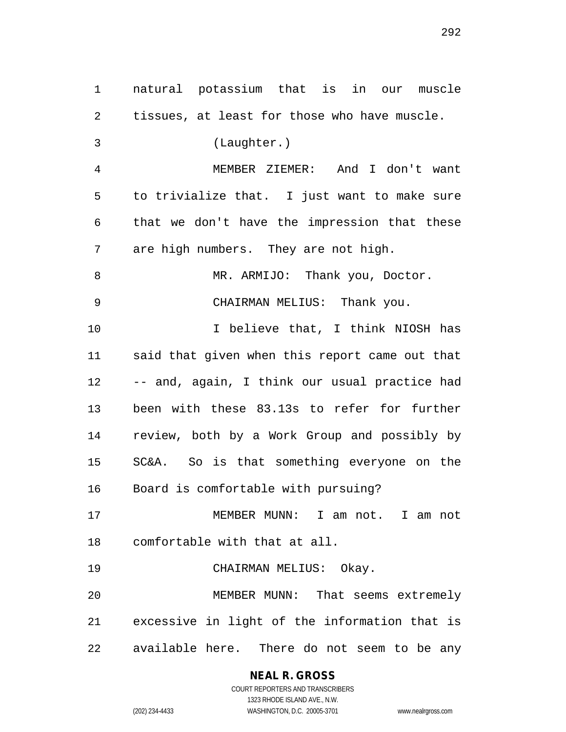natural potassium that is in our muscle tissues, at least for those who have muscle. (Laughter.) MEMBER ZIEMER: And I don't want to trivialize that. I just want to make sure that we don't have the impression that these are high numbers. They are not high. 8 MR. ARMIJO: Thank you, Doctor. CHAIRMAN MELIUS: Thank you. I believe that, I think NIOSH has said that given when this report came out that -- and, again, I think our usual practice had been with these 83.13s to refer for further review, both by a Work Group and possibly by SC&A. So is that something everyone on the Board is comfortable with pursuing? MEMBER MUNN: I am not. I am not comfortable with that at all. CHAIRMAN MELIUS: Okay. MEMBER MUNN: That seems extremely excessive in light of the information that is available here. There do not seem to be any

#### **NEAL R. GROSS** COURT REPORTERS AND TRANSCRIBERS

1323 RHODE ISLAND AVE., N.W. (202) 234-4433 WASHINGTON, D.C. 20005-3701 www.nealrgross.com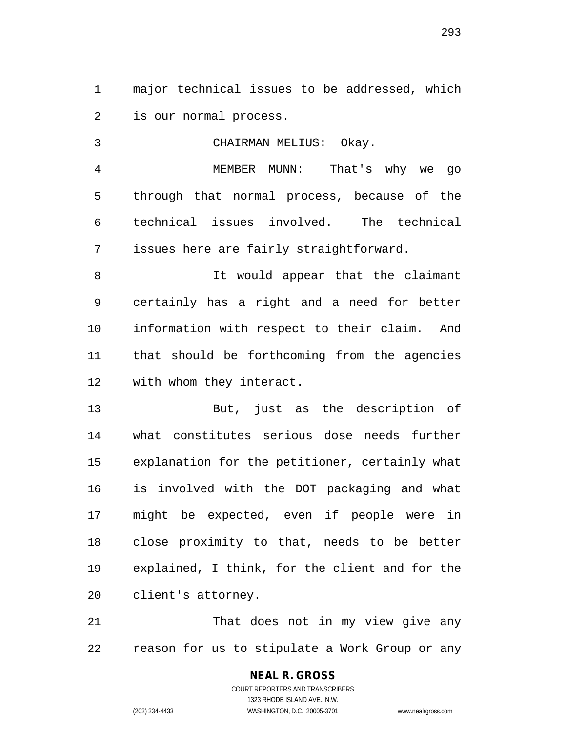major technical issues to be addressed, which is our normal process.

CHAIRMAN MELIUS: Okay.

 MEMBER MUNN: That's why we go through that normal process, because of the technical issues involved. The technical issues here are fairly straightforward.

8 11 It would appear that the claimant certainly has a right and a need for better information with respect to their claim. And that should be forthcoming from the agencies with whom they interact.

 But, just as the description of what constitutes serious dose needs further explanation for the petitioner, certainly what is involved with the DOT packaging and what might be expected, even if people were in close proximity to that, needs to be better explained, I think, for the client and for the client's attorney.

 That does not in my view give any reason for us to stipulate a Work Group or any

#### **NEAL R. GROSS** COURT REPORTERS AND TRANSCRIBERS 1323 RHODE ISLAND AVE., N.W.

(202) 234-4433 WASHINGTON, D.C. 20005-3701 www.nealrgross.com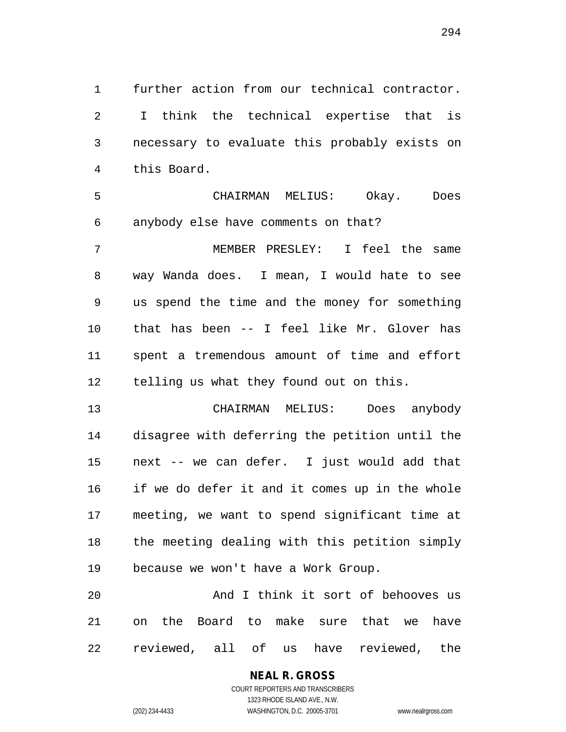further action from our technical contractor. I think the technical expertise that is necessary to evaluate this probably exists on this Board.

 CHAIRMAN MELIUS: Okay. Does anybody else have comments on that?

 MEMBER PRESLEY: I feel the same way Wanda does. I mean, I would hate to see us spend the time and the money for something that has been -- I feel like Mr. Glover has spent a tremendous amount of time and effort telling us what they found out on this.

 CHAIRMAN MELIUS: Does anybody disagree with deferring the petition until the next -- we can defer. I just would add that if we do defer it and it comes up in the whole meeting, we want to spend significant time at the meeting dealing with this petition simply because we won't have a Work Group.

20 And I think it sort of behooves us on the Board to make sure that we have reviewed, all of us have reviewed, the

> **NEAL R. GROSS** COURT REPORTERS AND TRANSCRIBERS 1323 RHODE ISLAND AVE., N.W. (202) 234-4433 WASHINGTON, D.C. 20005-3701 www.nealrgross.com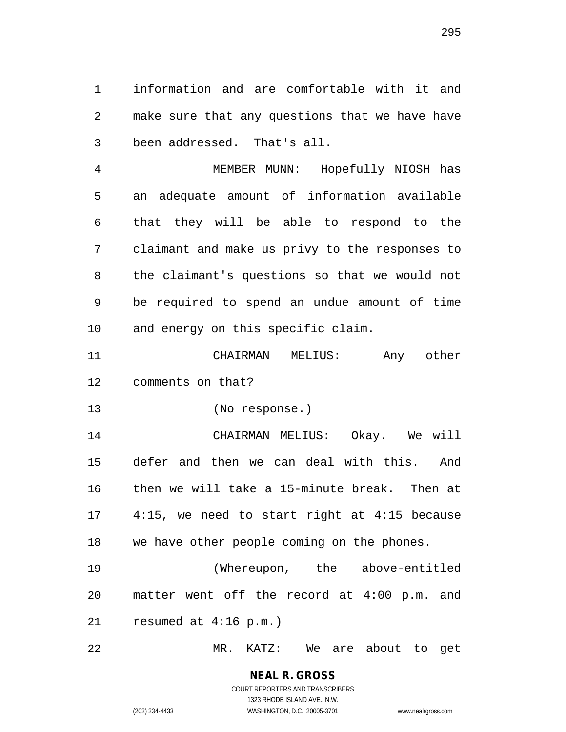information and are comfortable with it and make sure that any questions that we have have been addressed. That's all.

 MEMBER MUNN: Hopefully NIOSH has an adequate amount of information available that they will be able to respond to the claimant and make us privy to the responses to the claimant's questions so that we would not be required to spend an undue amount of time and energy on this specific claim.

 CHAIRMAN MELIUS: Any other comments on that?

(No response.)

 CHAIRMAN MELIUS: Okay. We will defer and then we can deal with this. And then we will take a 15-minute break. Then at 4:15, we need to start right at 4:15 because we have other people coming on the phones.

 (Whereupon, the above-entitled matter went off the record at 4:00 p.m. and resumed at 4:16 p.m.)

MR. KATZ: We are about to get

**NEAL R. GROSS** COURT REPORTERS AND TRANSCRIBERS 1323 RHODE ISLAND AVE., N.W.

(202) 234-4433 WASHINGTON, D.C. 20005-3701 www.nealrgross.com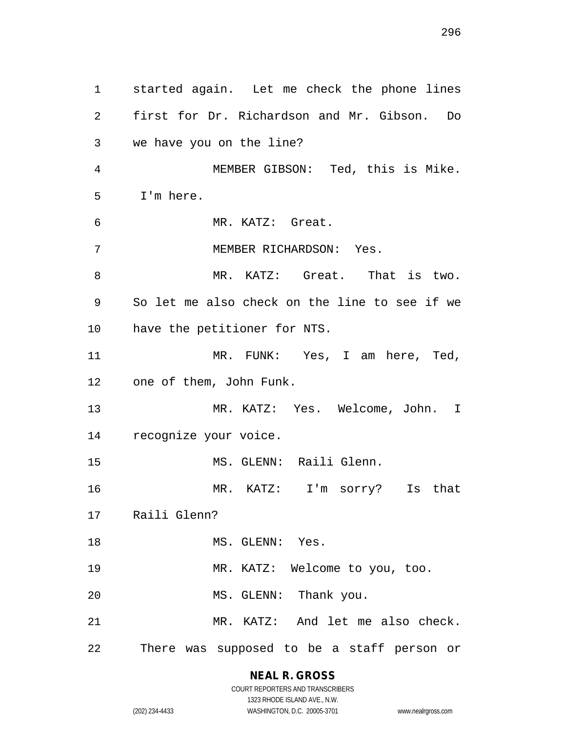started again. Let me check the phone lines first for Dr. Richardson and Mr. Gibson. Do we have you on the line? MEMBER GIBSON: Ted, this is Mike. I'm here. MR. KATZ: Great. MEMBER RICHARDSON: Yes. MR. KATZ: Great. That is two. So let me also check on the line to see if we have the petitioner for NTS. MR. FUNK: Yes, I am here, Ted, one of them, John Funk. MR. KATZ: Yes. Welcome, John. I recognize your voice. MS. GLENN: Raili Glenn. MR. KATZ: I'm sorry? Is that Raili Glenn? 18 MS. GLENN: Yes. MR. KATZ: Welcome to you, too. 20 MS. GLENN: Thank you. MR. KATZ: And let me also check. There was supposed to be a staff person or

### **NEAL R. GROSS**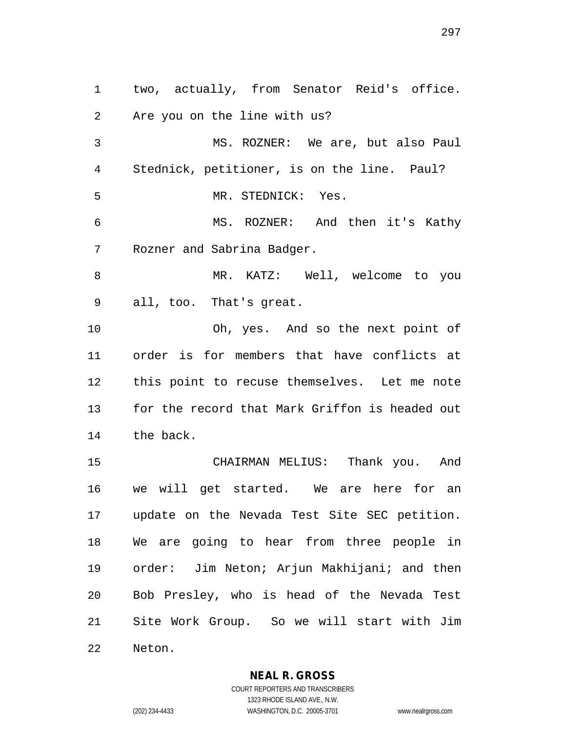two, actually, from Senator Reid's office. Are you on the line with us? MS. ROZNER: We are, but also Paul Stednick, petitioner, is on the line. Paul? MR. STEDNICK: Yes. MS. ROZNER: And then it's Kathy Rozner and Sabrina Badger. 8 MR. KATZ: Well, welcome to you all, too. That's great. Oh, yes. And so the next point of order is for members that have conflicts at this point to recuse themselves. Let me note for the record that Mark Griffon is headed out the back. CHAIRMAN MELIUS: Thank you. And we will get started. We are here for an update on the Nevada Test Site SEC petition. We are going to hear from three people in order: Jim Neton; Arjun Makhijani; and then Bob Presley, who is head of the Nevada Test Site Work Group. So we will start with Jim

Neton.

**NEAL R. GROSS**

COURT REPORTERS AND TRANSCRIBERS 1323 RHODE ISLAND AVE., N.W. (202) 234-4433 WASHINGTON, D.C. 20005-3701 www.nealrgross.com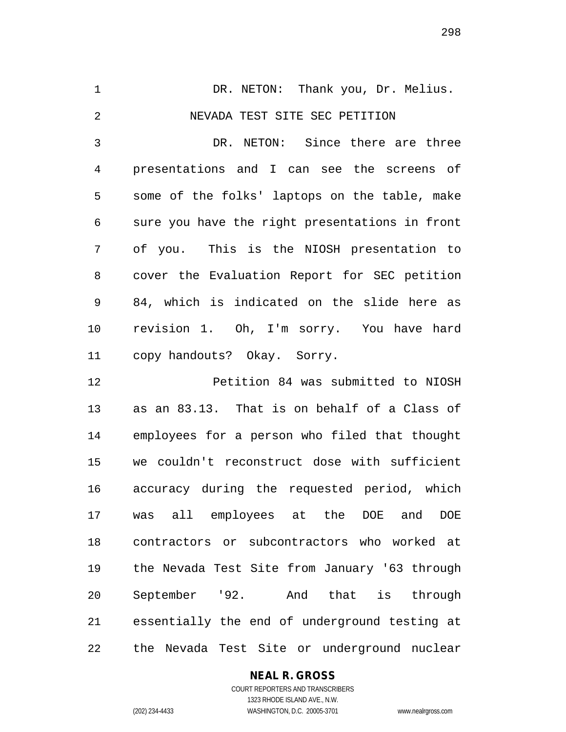DR. NETON: Thank you, Dr. Melius. NEVADA TEST SITE SEC PETITION DR. NETON: Since there are three presentations and I can see the screens of some of the folks' laptops on the table, make sure you have the right presentations in front of you. This is the NIOSH presentation to cover the Evaluation Report for SEC petition 84, which is indicated on the slide here as revision 1. Oh, I'm sorry. You have hard copy handouts? Okay. Sorry.

 Petition 84 was submitted to NIOSH as an 83.13. That is on behalf of a Class of employees for a person who filed that thought we couldn't reconstruct dose with sufficient accuracy during the requested period, which was all employees at the DOE and DOE contractors or subcontractors who worked at the Nevada Test Site from January '63 through September '92. And that is through essentially the end of underground testing at the Nevada Test Site or underground nuclear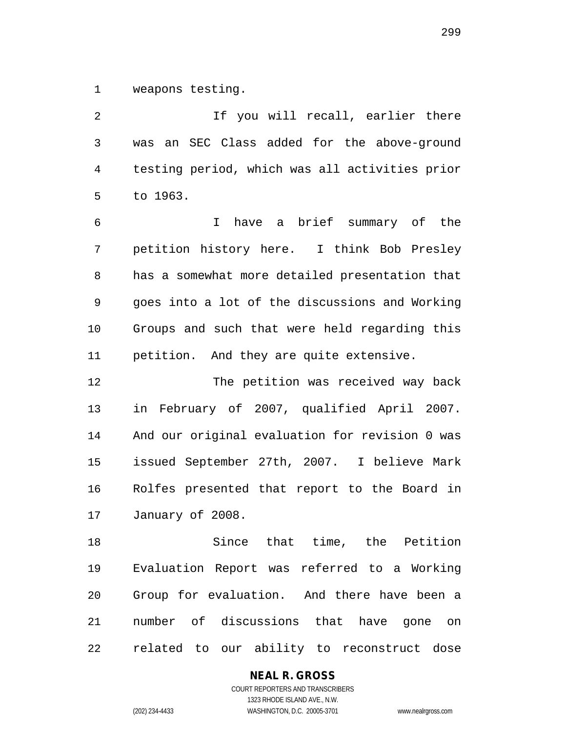weapons testing.

 If you will recall, earlier there was an SEC Class added for the above-ground testing period, which was all activities prior to 1963.

 I have a brief summary of the petition history here. I think Bob Presley has a somewhat more detailed presentation that goes into a lot of the discussions and Working Groups and such that were held regarding this petition. And they are quite extensive.

 The petition was received way back in February of 2007, qualified April 2007. And our original evaluation for revision 0 was issued September 27th, 2007. I believe Mark Rolfes presented that report to the Board in January of 2008.

 Since that time, the Petition Evaluation Report was referred to a Working Group for evaluation. And there have been a number of discussions that have gone on related to our ability to reconstruct dose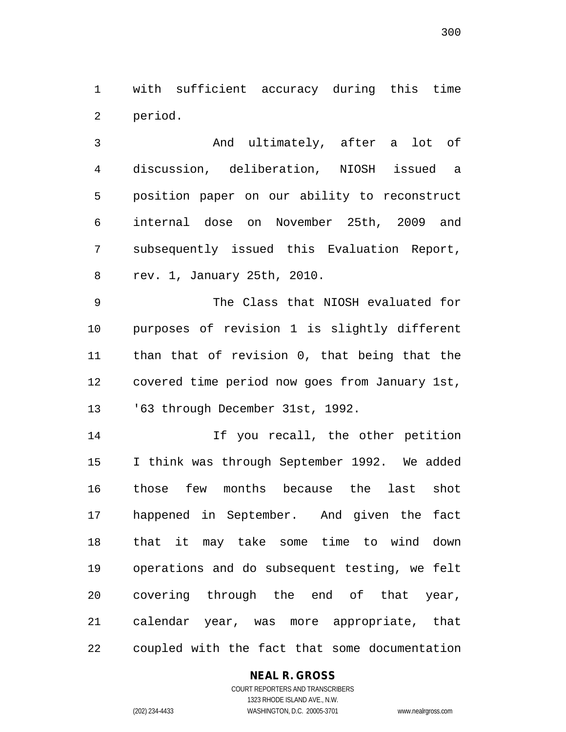with sufficient accuracy during this time period.

 And ultimately, after a lot of discussion, deliberation, NIOSH issued a position paper on our ability to reconstruct internal dose on November 25th, 2009 and subsequently issued this Evaluation Report, rev. 1, January 25th, 2010.

 The Class that NIOSH evaluated for purposes of revision 1 is slightly different than that of revision 0, that being that the covered time period now goes from January 1st, '63 through December 31st, 1992.

 If you recall, the other petition I think was through September 1992. We added those few months because the last shot happened in September. And given the fact that it may take some time to wind down operations and do subsequent testing, we felt covering through the end of that year, calendar year, was more appropriate, that coupled with the fact that some documentation

### **NEAL R. GROSS**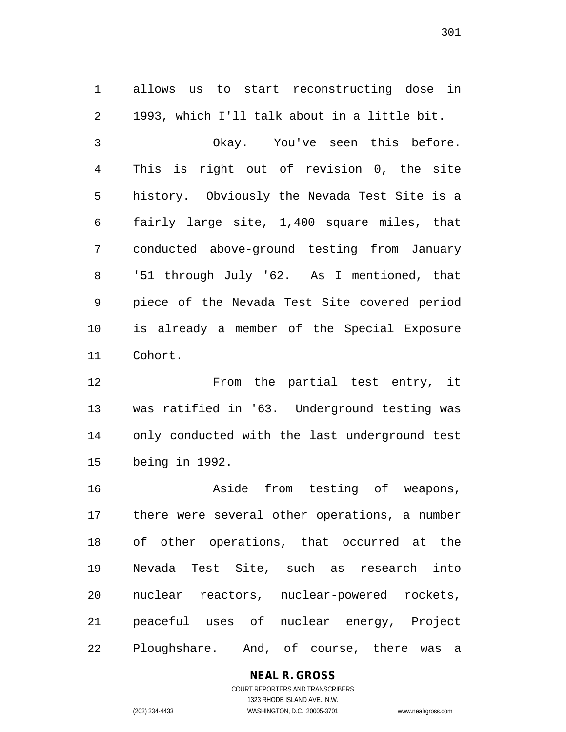allows us to start reconstructing dose in 1993, which I'll talk about in a little bit. Okay. You've seen this before. This is right out of revision 0, the site history. Obviously the Nevada Test Site is a fairly large site, 1,400 square miles, that conducted above-ground testing from January '51 through July '62. As I mentioned, that piece of the Nevada Test Site covered period is already a member of the Special Exposure Cohort.

 From the partial test entry, it was ratified in '63. Underground testing was only conducted with the last underground test being in 1992.

 Aside from testing of weapons, there were several other operations, a number of other operations, that occurred at the Nevada Test Site, such as research into nuclear reactors, nuclear-powered rockets, peaceful uses of nuclear energy, Project Ploughshare. And, of course, there was a

> **NEAL R. GROSS** COURT REPORTERS AND TRANSCRIBERS

> > 1323 RHODE ISLAND AVE., N.W.

(202) 234-4433 WASHINGTON, D.C. 20005-3701 www.nealrgross.com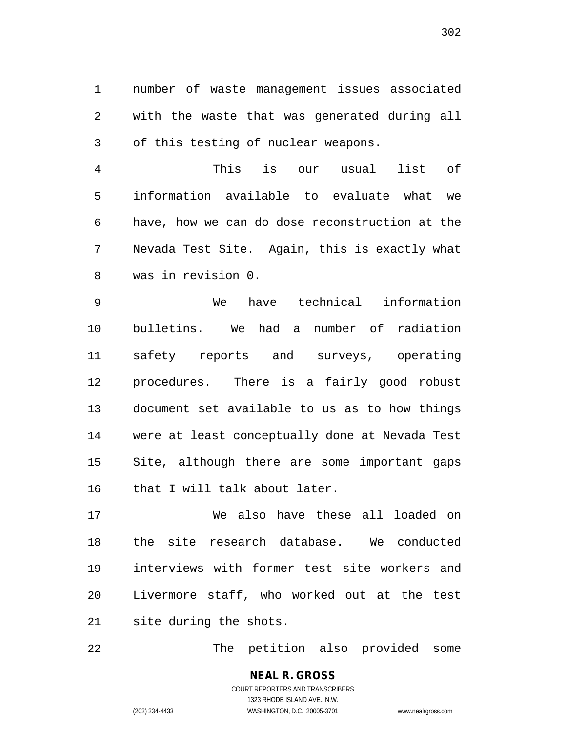number of waste management issues associated with the waste that was generated during all of this testing of nuclear weapons.

 This is our usual list of information available to evaluate what we have, how we can do dose reconstruction at the Nevada Test Site. Again, this is exactly what was in revision 0.

 We have technical information bulletins. We had a number of radiation safety reports and surveys, operating procedures. There is a fairly good robust document set available to us as to how things were at least conceptually done at Nevada Test Site, although there are some important gaps that I will talk about later.

 We also have these all loaded on the site research database. We conducted interviews with former test site workers and Livermore staff, who worked out at the test site during the shots.

The petition also provided some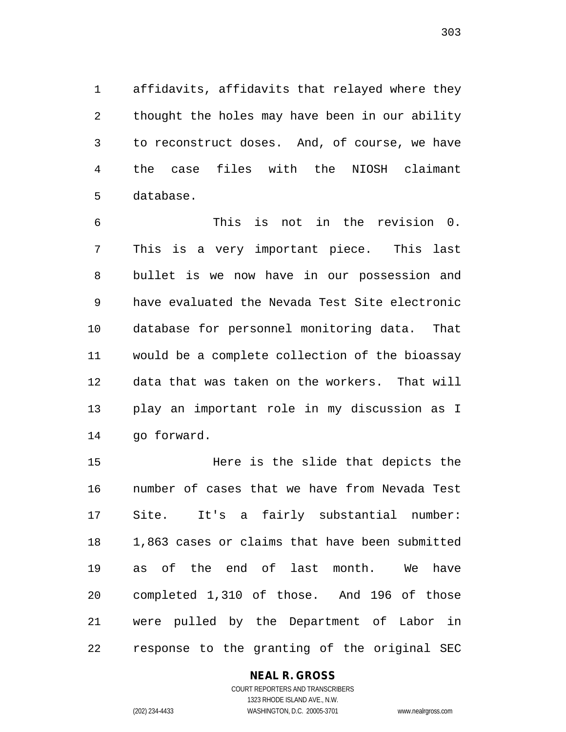affidavits, affidavits that relayed where they thought the holes may have been in our ability to reconstruct doses. And, of course, we have the case files with the NIOSH claimant database.

 This is not in the revision 0. This is a very important piece. This last bullet is we now have in our possession and have evaluated the Nevada Test Site electronic database for personnel monitoring data. That would be a complete collection of the bioassay data that was taken on the workers. That will play an important role in my discussion as I go forward.

 Here is the slide that depicts the number of cases that we have from Nevada Test Site. It's a fairly substantial number: 1,863 cases or claims that have been submitted as of the end of last month. We have completed 1,310 of those. And 196 of those were pulled by the Department of Labor in response to the granting of the original SEC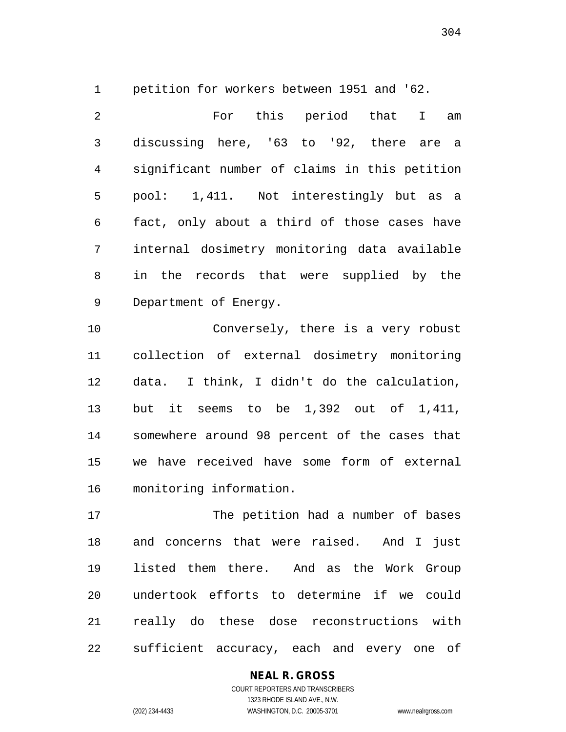petition for workers between 1951 and '62.

 For this period that I am discussing here, '63 to '92, there are a significant number of claims in this petition pool: 1,411. Not interestingly but as a fact, only about a third of those cases have internal dosimetry monitoring data available in the records that were supplied by the Department of Energy.

 Conversely, there is a very robust collection of external dosimetry monitoring data. I think, I didn't do the calculation, but it seems to be 1,392 out of 1,411, somewhere around 98 percent of the cases that we have received have some form of external monitoring information.

 The petition had a number of bases and concerns that were raised. And I just listed them there. And as the Work Group undertook efforts to determine if we could really do these dose reconstructions with sufficient accuracy, each and every one of

### **NEAL R. GROSS**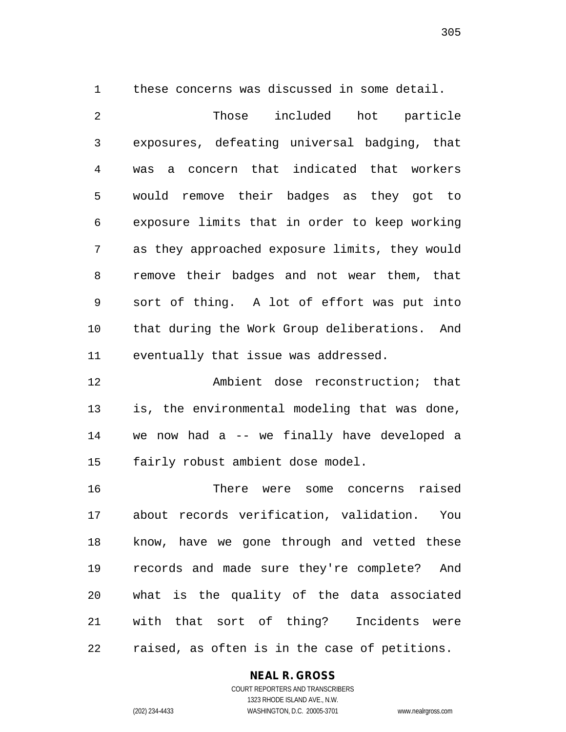these concerns was discussed in some detail.

 Those included hot particle exposures, defeating universal badging, that was a concern that indicated that workers would remove their badges as they got to exposure limits that in order to keep working as they approached exposure limits, they would remove their badges and not wear them, that sort of thing. A lot of effort was put into that during the Work Group deliberations. And eventually that issue was addressed.

 Ambient dose reconstruction; that is, the environmental modeling that was done, we now had a -- we finally have developed a fairly robust ambient dose model.

 There were some concerns raised about records verification, validation. You know, have we gone through and vetted these records and made sure they're complete? And what is the quality of the data associated with that sort of thing? Incidents were raised, as often is in the case of petitions.

#### **NEAL R. GROSS**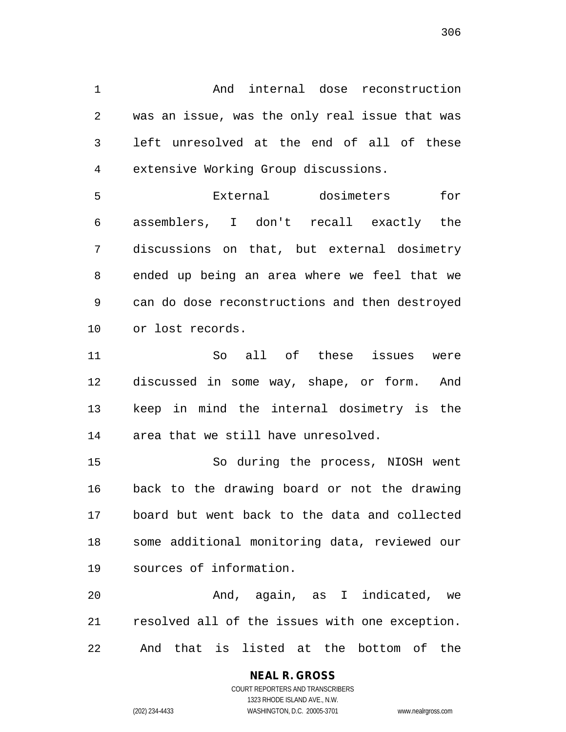And internal dose reconstruction was an issue, was the only real issue that was left unresolved at the end of all of these extensive Working Group discussions.

 External dosimeters for assemblers, I don't recall exactly the discussions on that, but external dosimetry ended up being an area where we feel that we can do dose reconstructions and then destroyed or lost records.

 So all of these issues were discussed in some way, shape, or form. And keep in mind the internal dosimetry is the area that we still have unresolved.

 So during the process, NIOSH went back to the drawing board or not the drawing board but went back to the data and collected some additional monitoring data, reviewed our sources of information.

 And, again, as I indicated, we resolved all of the issues with one exception. And that is listed at the bottom of the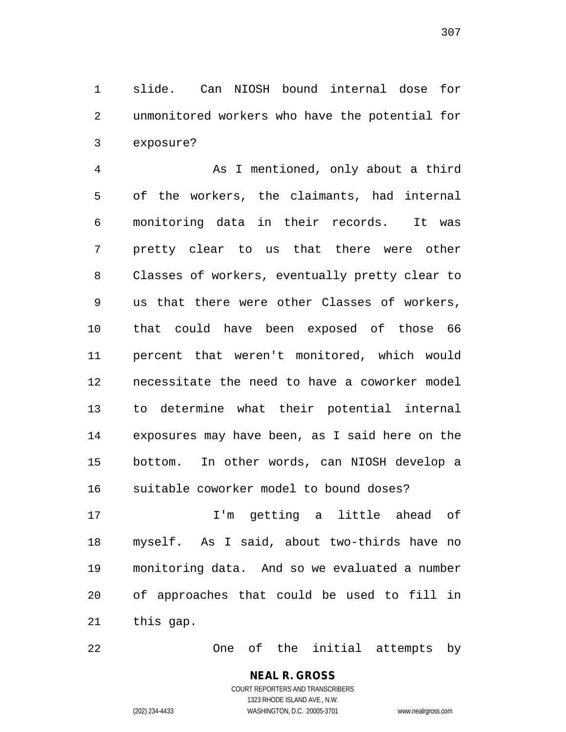slide. Can NIOSH bound internal dose for unmonitored workers who have the potential for exposure?

 As I mentioned, only about a third of the workers, the claimants, had internal monitoring data in their records. It was pretty clear to us that there were other Classes of workers, eventually pretty clear to us that there were other Classes of workers, that could have been exposed of those 66 percent that weren't monitored, which would necessitate the need to have a coworker model to determine what their potential internal exposures may have been, as I said here on the bottom. In other words, can NIOSH develop a suitable coworker model to bound doses?

 I'm getting a little ahead of myself. As I said, about two-thirds have no monitoring data. And so we evaluated a number of approaches that could be used to fill in this gap.

One of the initial attempts by

### **NEAL R. GROSS** COURT REPORTERS AND TRANSCRIBERS

1323 RHODE ISLAND AVE., N.W. (202) 234-4433 WASHINGTON, D.C. 20005-3701 www.nealrgross.com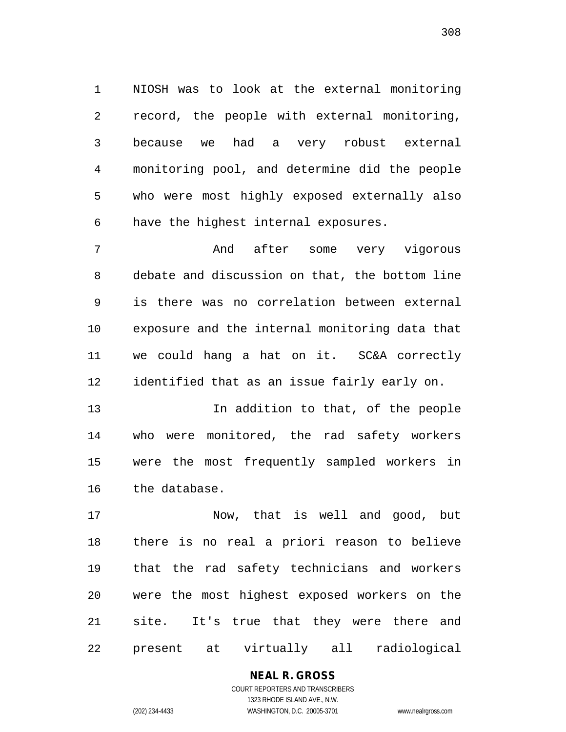NIOSH was to look at the external monitoring record, the people with external monitoring, because we had a very robust external monitoring pool, and determine did the people who were most highly exposed externally also have the highest internal exposures.

 And after some very vigorous debate and discussion on that, the bottom line is there was no correlation between external exposure and the internal monitoring data that we could hang a hat on it. SC&A correctly identified that as an issue fairly early on.

**In addition to that, of the people**  who were monitored, the rad safety workers were the most frequently sampled workers in the database.

 Now, that is well and good, but there is no real a priori reason to believe that the rad safety technicians and workers were the most highest exposed workers on the site. It's true that they were there and present at virtually all radiological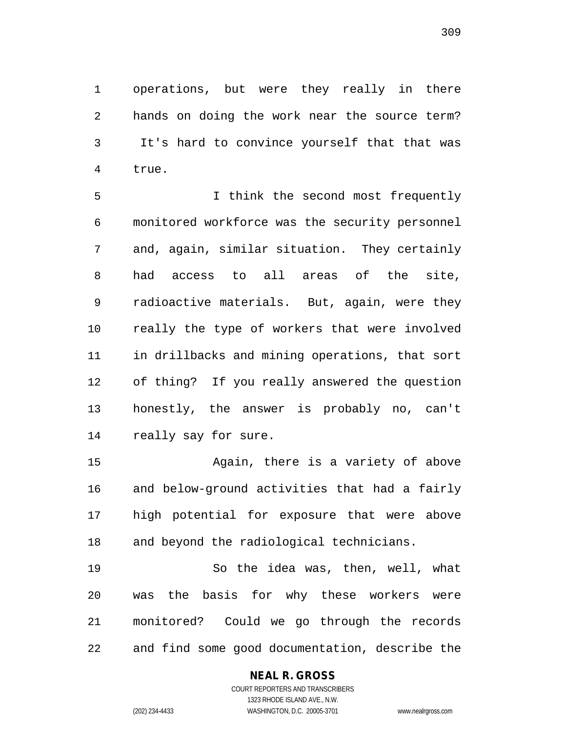operations, but were they really in there hands on doing the work near the source term? It's hard to convince yourself that that was true.

 I think the second most frequently monitored workforce was the security personnel and, again, similar situation. They certainly had access to all areas of the site, radioactive materials. But, again, were they really the type of workers that were involved in drillbacks and mining operations, that sort of thing? If you really answered the question honestly, the answer is probably no, can't really say for sure.

 Again, there is a variety of above and below-ground activities that had a fairly high potential for exposure that were above and beyond the radiological technicians.

 So the idea was, then, well, what was the basis for why these workers were monitored? Could we go through the records and find some good documentation, describe the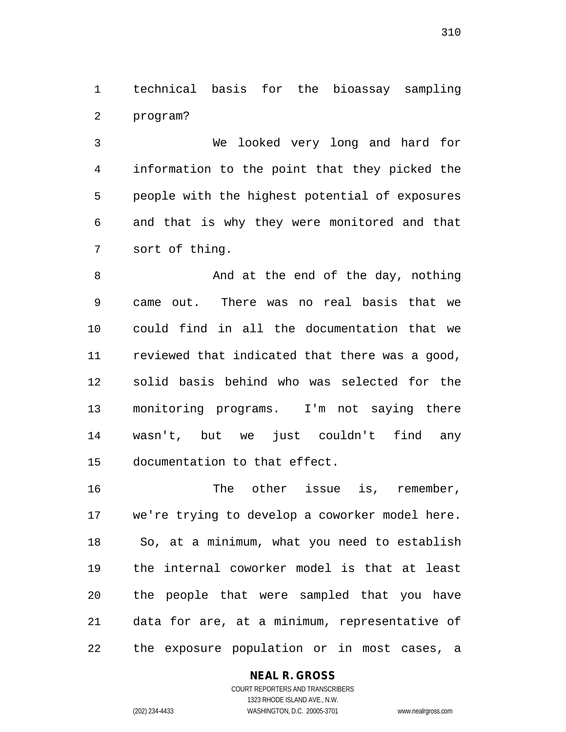technical basis for the bioassay sampling program?

 We looked very long and hard for information to the point that they picked the people with the highest potential of exposures and that is why they were monitored and that sort of thing.

8 And at the end of the day, nothing came out. There was no real basis that we could find in all the documentation that we reviewed that indicated that there was a good, solid basis behind who was selected for the monitoring programs. I'm not saying there wasn't, but we just couldn't find any documentation to that effect.

16 The other issue is, remember, we're trying to develop a coworker model here. So, at a minimum, what you need to establish the internal coworker model is that at least the people that were sampled that you have data for are, at a minimum, representative of the exposure population or in most cases, a

## **NEAL R. GROSS**

COURT REPORTERS AND TRANSCRIBERS 1323 RHODE ISLAND AVE., N.W. (202) 234-4433 WASHINGTON, D.C. 20005-3701 www.nealrgross.com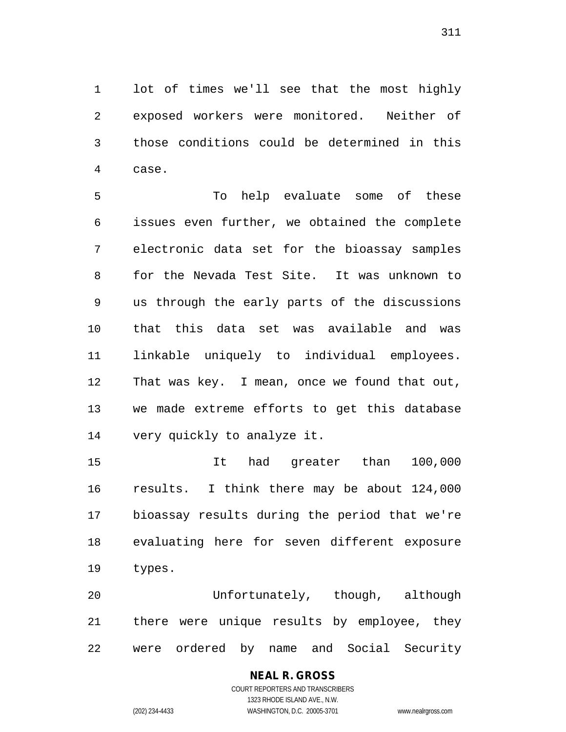lot of times we'll see that the most highly exposed workers were monitored. Neither of those conditions could be determined in this case.

 To help evaluate some of these issues even further, we obtained the complete electronic data set for the bioassay samples for the Nevada Test Site. It was unknown to us through the early parts of the discussions that this data set was available and was linkable uniquely to individual employees. That was key. I mean, once we found that out, we made extreme efforts to get this database very quickly to analyze it.

 It had greater than 100,000 results. I think there may be about 124,000 bioassay results during the period that we're evaluating here for seven different exposure types.

 Unfortunately, though, although there were unique results by employee, they were ordered by name and Social Security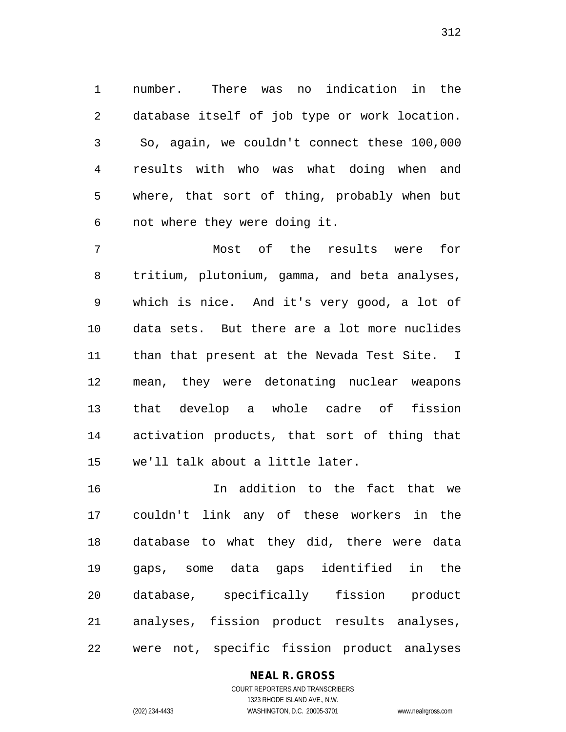number. There was no indication in the database itself of job type or work location. So, again, we couldn't connect these 100,000 results with who was what doing when and where, that sort of thing, probably when but not where they were doing it.

 Most of the results were for tritium, plutonium, gamma, and beta analyses, which is nice. And it's very good, a lot of data sets. But there are a lot more nuclides than that present at the Nevada Test Site. I mean, they were detonating nuclear weapons that develop a whole cadre of fission activation products, that sort of thing that we'll talk about a little later.

 In addition to the fact that we couldn't link any of these workers in the database to what they did, there were data gaps, some data gaps identified in the database, specifically fission product analyses, fission product results analyses, were not, specific fission product analyses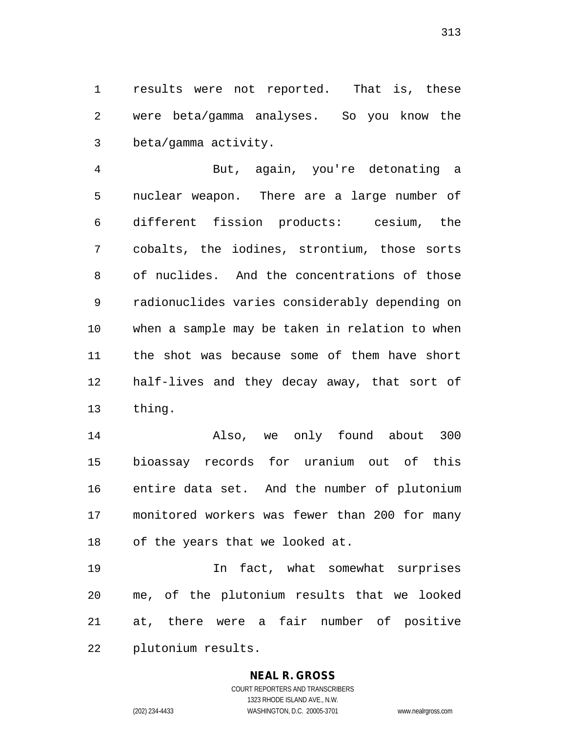results were not reported. That is, these were beta/gamma analyses. So you know the beta/gamma activity.

 But, again, you're detonating a nuclear weapon. There are a large number of different fission products: cesium, the cobalts, the iodines, strontium, those sorts of nuclides. And the concentrations of those radionuclides varies considerably depending on when a sample may be taken in relation to when the shot was because some of them have short half-lives and they decay away, that sort of thing.

 Also, we only found about 300 bioassay records for uranium out of this entire data set. And the number of plutonium monitored workers was fewer than 200 for many of the years that we looked at.

 In fact, what somewhat surprises me, of the plutonium results that we looked at, there were a fair number of positive plutonium results.

### **NEAL R. GROSS**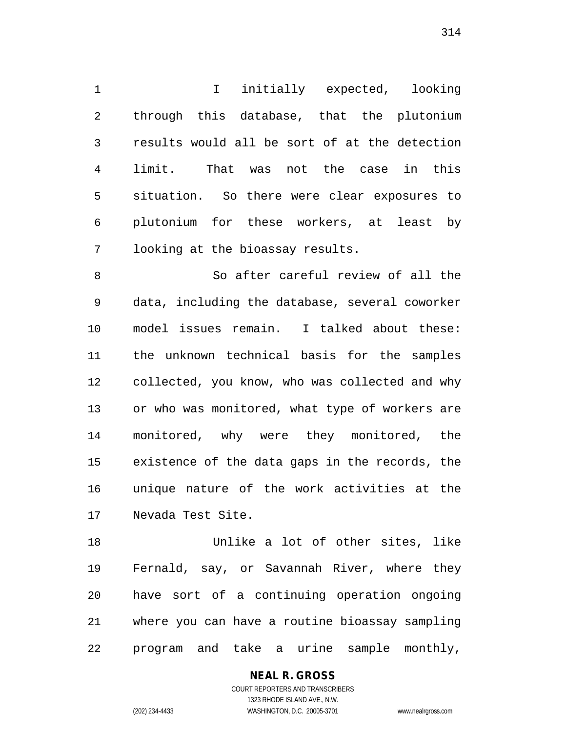1 1 I initially expected, looking through this database, that the plutonium results would all be sort of at the detection limit. That was not the case in this situation. So there were clear exposures to plutonium for these workers, at least by looking at the bioassay results.

 So after careful review of all the data, including the database, several coworker model issues remain. I talked about these: the unknown technical basis for the samples collected, you know, who was collected and why or who was monitored, what type of workers are monitored, why were they monitored, the existence of the data gaps in the records, the unique nature of the work activities at the Nevada Test Site.

 Unlike a lot of other sites, like Fernald, say, or Savannah River, where they have sort of a continuing operation ongoing where you can have a routine bioassay sampling program and take a urine sample monthly,

> COURT REPORTERS AND TRANSCRIBERS 1323 RHODE ISLAND AVE., N.W. (202) 234-4433 WASHINGTON, D.C. 20005-3701 www.nealrgross.com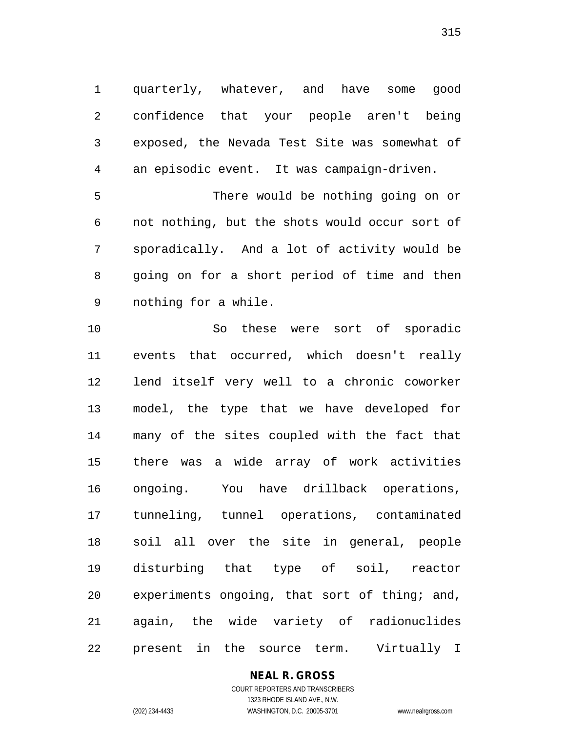quarterly, whatever, and have some good confidence that your people aren't being exposed, the Nevada Test Site was somewhat of an episodic event. It was campaign-driven.

 There would be nothing going on or not nothing, but the shots would occur sort of sporadically. And a lot of activity would be going on for a short period of time and then nothing for a while.

 So these were sort of sporadic events that occurred, which doesn't really lend itself very well to a chronic coworker model, the type that we have developed for many of the sites coupled with the fact that there was a wide array of work activities ongoing. You have drillback operations, tunneling, tunnel operations, contaminated soil all over the site in general, people disturbing that type of soil, reactor experiments ongoing, that sort of thing; and, again, the wide variety of radionuclides present in the source term. Virtually I

# **NEAL R. GROSS**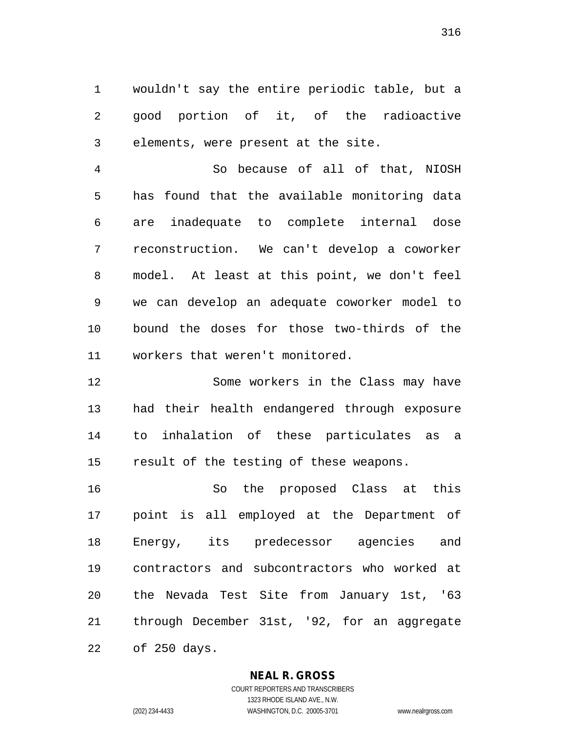wouldn't say the entire periodic table, but a good portion of it, of the radioactive elements, were present at the site.

 So because of all of that, NIOSH has found that the available monitoring data are inadequate to complete internal dose reconstruction. We can't develop a coworker model. At least at this point, we don't feel we can develop an adequate coworker model to bound the doses for those two-thirds of the workers that weren't monitored.

 Some workers in the Class may have had their health endangered through exposure to inhalation of these particulates as a result of the testing of these weapons.

 So the proposed Class at this point is all employed at the Department of Energy, its predecessor agencies and contractors and subcontractors who worked at the Nevada Test Site from January 1st, '63 through December 31st, '92, for an aggregate of 250 days.

#### **NEAL R. GROSS** COURT REPORTERS AND TRANSCRIBERS

1323 RHODE ISLAND AVE., N.W.

(202) 234-4433 WASHINGTON, D.C. 20005-3701 www.nealrgross.com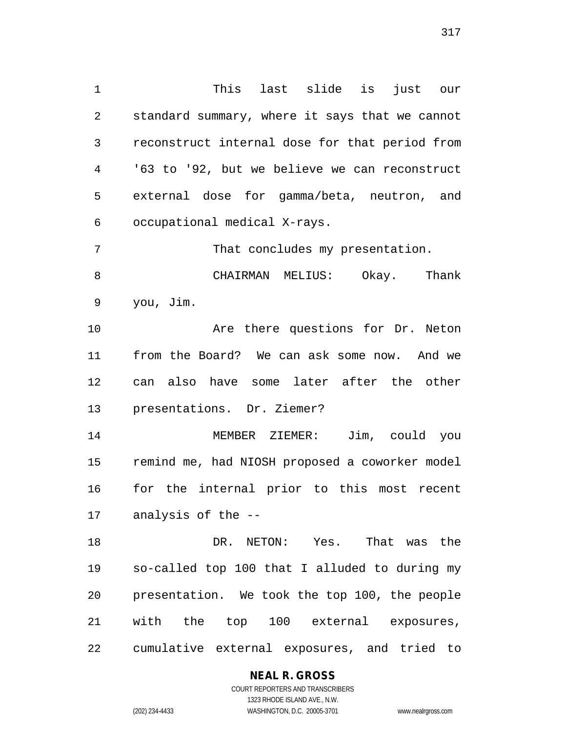This last slide is just our standard summary, where it says that we cannot reconstruct internal dose for that period from '63 to '92, but we believe we can reconstruct external dose for gamma/beta, neutron, and occupational medical X-rays.

 That concludes my presentation. CHAIRMAN MELIUS: Okay. Thank you, Jim.

10 Are there questions for Dr. Neton from the Board? We can ask some now. And we can also have some later after the other presentations. Dr. Ziemer?

 MEMBER ZIEMER: Jim, could you remind me, had NIOSH proposed a coworker model for the internal prior to this most recent analysis of the --

 DR. NETON: Yes. That was the so-called top 100 that I alluded to during my presentation. We took the top 100, the people with the top 100 external exposures, cumulative external exposures, and tried to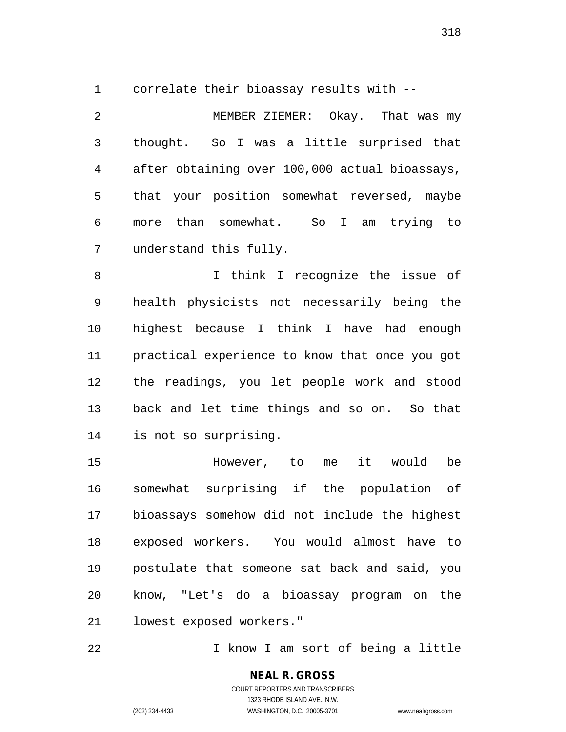correlate their bioassay results with --

 MEMBER ZIEMER: Okay. That was my thought. So I was a little surprised that after obtaining over 100,000 actual bioassays, that your position somewhat reversed, maybe more than somewhat. So I am trying to understand this fully.

 I think I recognize the issue of health physicists not necessarily being the highest because I think I have had enough practical experience to know that once you got the readings, you let people work and stood back and let time things and so on. So that is not so surprising.

 However, to me it would be somewhat surprising if the population of bioassays somehow did not include the highest exposed workers. You would almost have to postulate that someone sat back and said, you know, "Let's do a bioassay program on the lowest exposed workers."

I know I am sort of being a little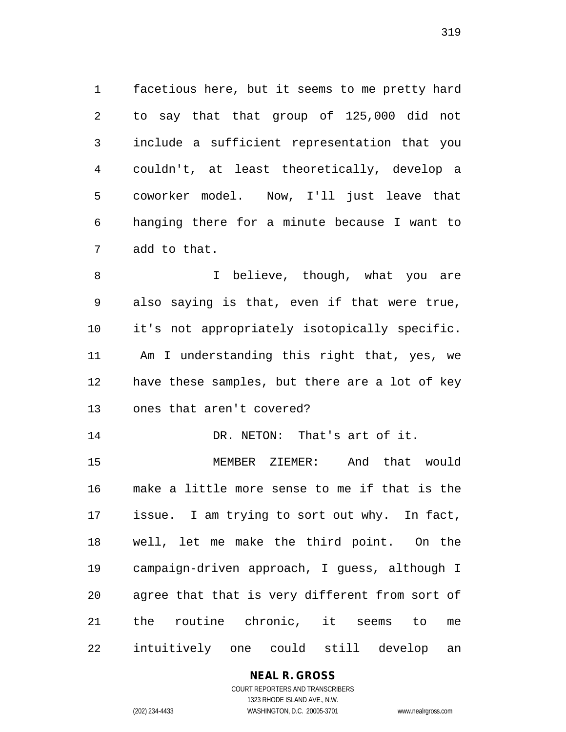facetious here, but it seems to me pretty hard to say that that group of 125,000 did not include a sufficient representation that you couldn't, at least theoretically, develop a coworker model. Now, I'll just leave that hanging there for a minute because I want to add to that.

 I believe, though, what you are also saying is that, even if that were true, it's not appropriately isotopically specific. Am I understanding this right that, yes, we have these samples, but there are a lot of key ones that aren't covered?

14 DR. NETON: That's art of it.

 MEMBER ZIEMER: And that would make a little more sense to me if that is the issue. I am trying to sort out why. In fact, well, let me make the third point. On the campaign-driven approach, I guess, although I agree that that is very different from sort of the routine chronic, it seems to me intuitively one could still develop an

> **NEAL R. GROSS** COURT REPORTERS AND TRANSCRIBERS 1323 RHODE ISLAND AVE., N.W.

(202) 234-4433 WASHINGTON, D.C. 20005-3701 www.nealrgross.com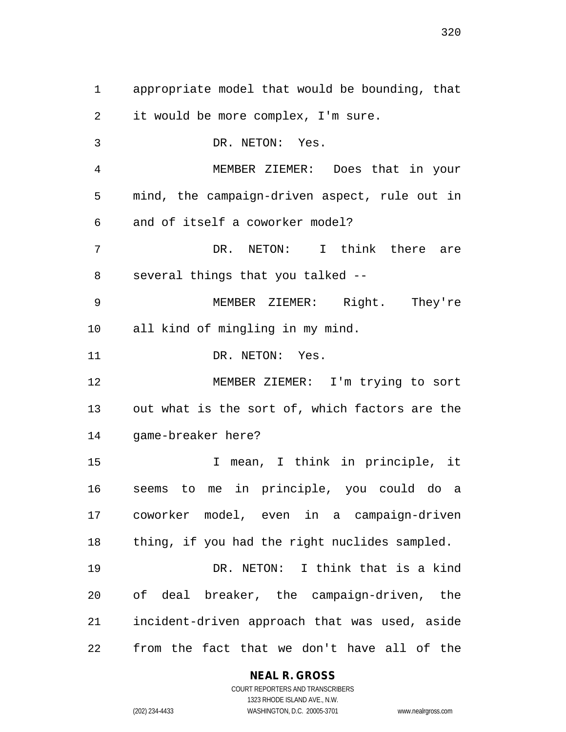appropriate model that would be bounding, that it would be more complex, I'm sure. DR. NETON: Yes. MEMBER ZIEMER: Does that in your mind, the campaign-driven aspect, rule out in and of itself a coworker model? DR. NETON: I think there are several things that you talked -- MEMBER ZIEMER: Right. They're all kind of mingling in my mind. 11 DR. NETON: Yes. MEMBER ZIEMER: I'm trying to sort out what is the sort of, which factors are the game-breaker here? I mean, I think in principle, it seems to me in principle, you could do a coworker model, even in a campaign-driven thing, if you had the right nuclides sampled. DR. NETON: I think that is a kind of deal breaker, the campaign-driven, the incident-driven approach that was used, aside from the fact that we don't have all of the

**NEAL R. GROSS**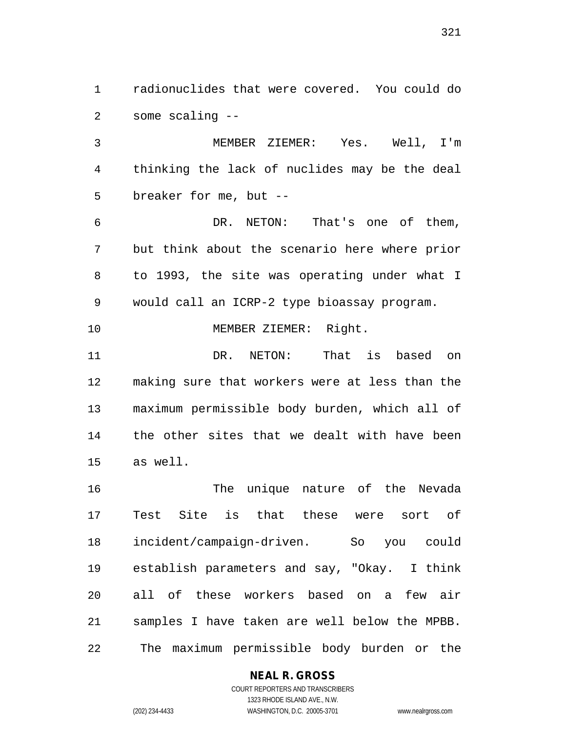radionuclides that were covered. You could do some scaling --

 MEMBER ZIEMER: Yes. Well, I'm thinking the lack of nuclides may be the deal breaker for me, but --

 DR. NETON: That's one of them, but think about the scenario here where prior to 1993, the site was operating under what I would call an ICRP-2 type bioassay program.

MEMBER ZIEMER: Right.

 DR. NETON: That is based on making sure that workers were at less than the maximum permissible body burden, which all of the other sites that we dealt with have been as well.

 The unique nature of the Nevada Test Site is that these were sort of incident/campaign-driven. So you could establish parameters and say, "Okay. I think all of these workers based on a few air samples I have taken are well below the MPBB. The maximum permissible body burden or the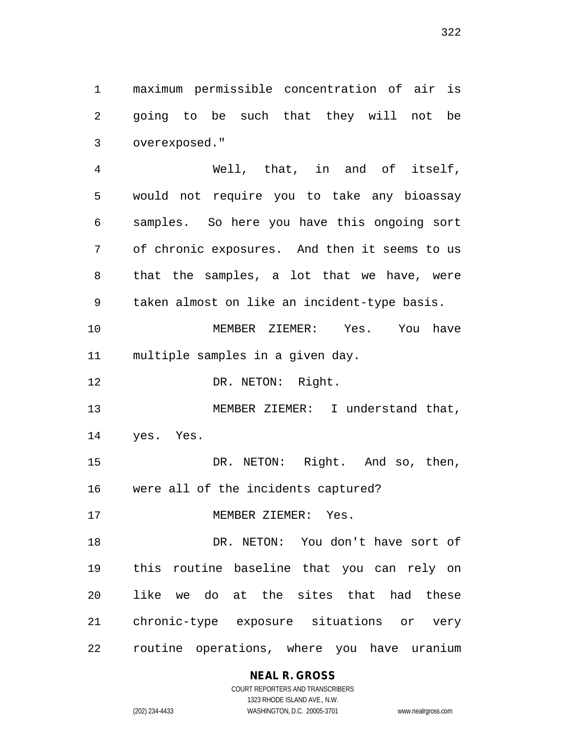maximum permissible concentration of air is going to be such that they will not be overexposed."

 Well, that, in and of itself, would not require you to take any bioassay samples. So here you have this ongoing sort of chronic exposures. And then it seems to us that the samples, a lot that we have, were taken almost on like an incident-type basis.

 MEMBER ZIEMER: Yes. You have multiple samples in a given day.

12 DR. NETON: Right.

13 MEMBER ZIEMER: I understand that, yes. Yes.

 DR. NETON: Right. And so, then, were all of the incidents captured?

17 MEMBER ZIEMER: Yes.

 DR. NETON: You don't have sort of this routine baseline that you can rely on like we do at the sites that had these chronic-type exposure situations or very routine operations, where you have uranium

> **NEAL R. GROSS** COURT REPORTERS AND TRANSCRIBERS

> > 1323 RHODE ISLAND AVE., N.W.

(202) 234-4433 WASHINGTON, D.C. 20005-3701 www.nealrgross.com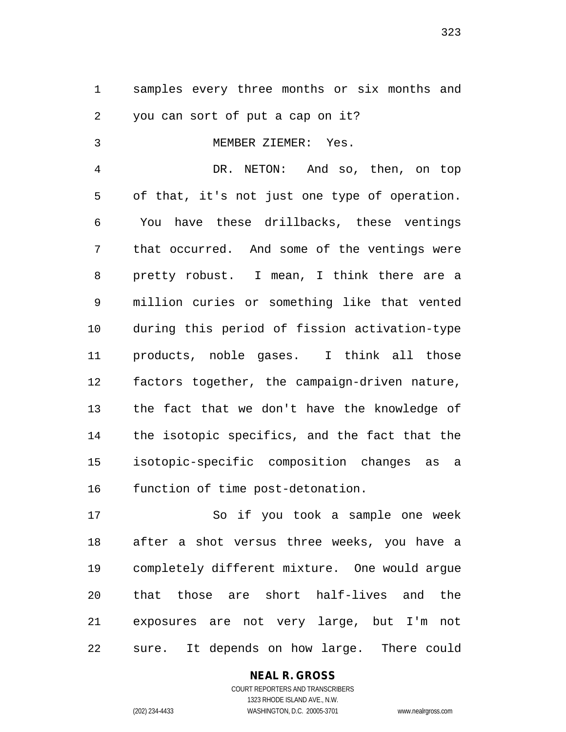samples every three months or six months and you can sort of put a cap on it?

#### MEMBER ZIEMER: Yes.

 DR. NETON: And so, then, on top of that, it's not just one type of operation. You have these drillbacks, these ventings that occurred. And some of the ventings were pretty robust. I mean, I think there are a million curies or something like that vented during this period of fission activation-type products, noble gases. I think all those factors together, the campaign-driven nature, the fact that we don't have the knowledge of the isotopic specifics, and the fact that the isotopic-specific composition changes as a function of time post-detonation.

 So if you took a sample one week after a shot versus three weeks, you have a completely different mixture. One would argue that those are short half-lives and the exposures are not very large, but I'm not sure. It depends on how large. There could

### **NEAL R. GROSS**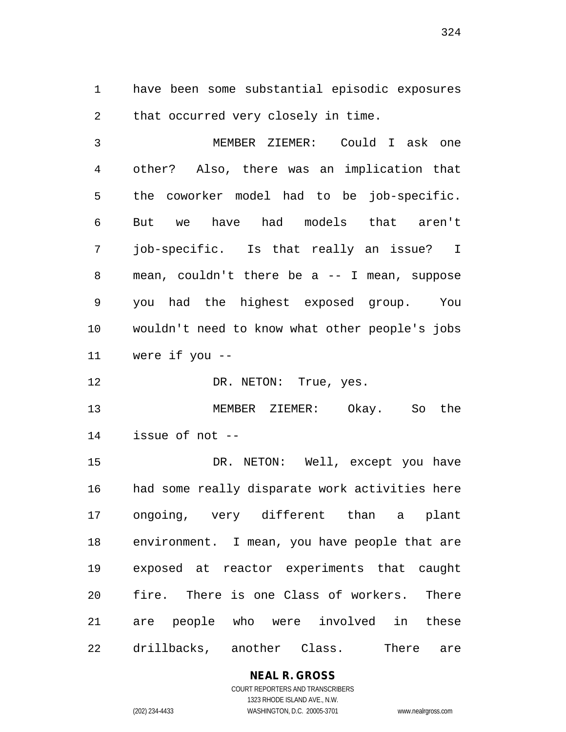have been some substantial episodic exposures that occurred very closely in time.

 MEMBER ZIEMER: Could I ask one other? Also, there was an implication that the coworker model had to be job-specific. But we have had models that aren't job-specific. Is that really an issue? I mean, couldn't there be a -- I mean, suppose you had the highest exposed group. You wouldn't need to know what other people's jobs were if you --

12 DR. NETON: True, yes.

 MEMBER ZIEMER: Okay. So the issue of not --

 DR. NETON: Well, except you have had some really disparate work activities here ongoing, very different than a plant environment. I mean, you have people that are exposed at reactor experiments that caught fire. There is one Class of workers. There are people who were involved in these drillbacks, another Class. There are

# **NEAL R. GROSS**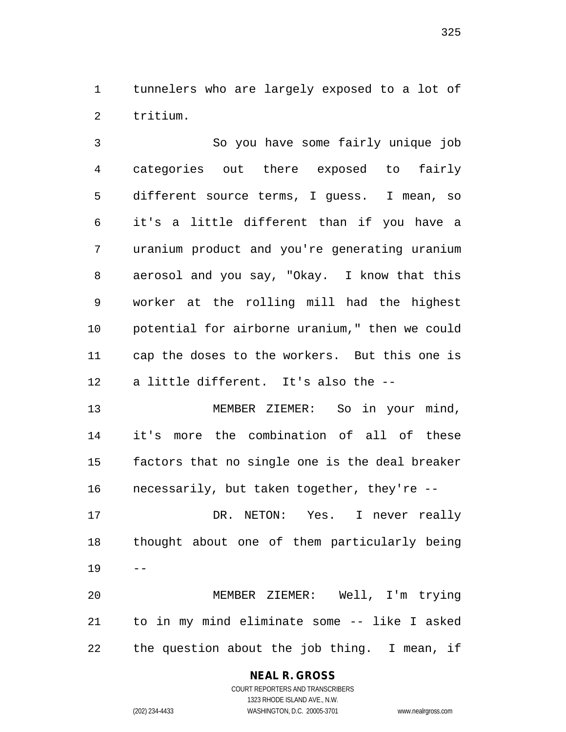tunnelers who are largely exposed to a lot of tritium.

 So you have some fairly unique job categories out there exposed to fairly different source terms, I guess. I mean, so it's a little different than if you have a uranium product and you're generating uranium aerosol and you say, "Okay. I know that this worker at the rolling mill had the highest potential for airborne uranium," then we could cap the doses to the workers. But this one is a little different. It's also the --

 MEMBER ZIEMER: So in your mind, it's more the combination of all of these factors that no single one is the deal breaker necessarily, but taken together, they're --

 DR. NETON: Yes. I never really thought about one of them particularly being  $19 - -$ 

 MEMBER ZIEMER: Well, I'm trying to in my mind eliminate some -- like I asked the question about the job thing. I mean, if

> **NEAL R. GROSS** COURT REPORTERS AND TRANSCRIBERS

1323 RHODE ISLAND AVE., N.W. (202) 234-4433 WASHINGTON, D.C. 20005-3701 www.nealrgross.com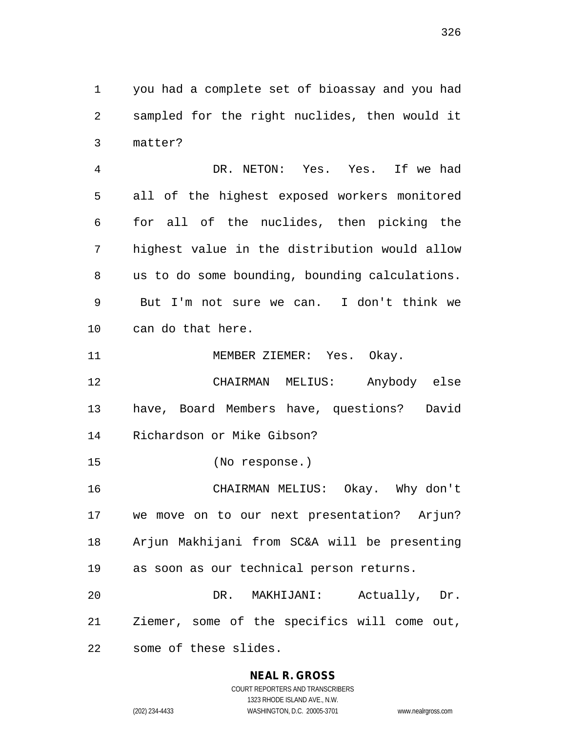you had a complete set of bioassay and you had sampled for the right nuclides, then would it matter?

 DR. NETON: Yes. Yes. If we had all of the highest exposed workers monitored for all of the nuclides, then picking the highest value in the distribution would allow us to do some bounding, bounding calculations. But I'm not sure we can. I don't think we can do that here.

11 MEMBER ZIEMER: Yes. Okay.

 CHAIRMAN MELIUS: Anybody else have, Board Members have, questions? David Richardson or Mike Gibson?

(No response.)

 CHAIRMAN MELIUS: Okay. Why don't we move on to our next presentation? Arjun? Arjun Makhijani from SC&A will be presenting as soon as our technical person returns.

 DR. MAKHIJANI: Actually, Dr. Ziemer, some of the specifics will come out, some of these slides.

#### **NEAL R. GROSS**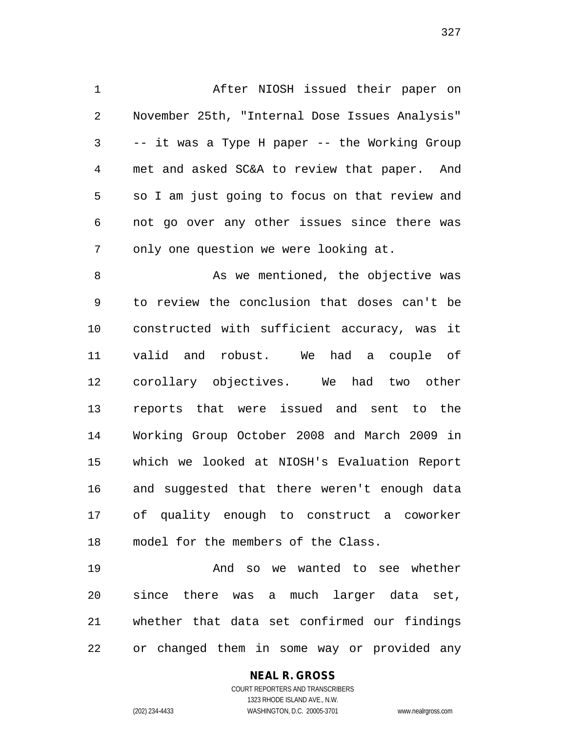After NIOSH issued their paper on November 25th, "Internal Dose Issues Analysis" -- it was a Type H paper -- the Working Group met and asked SC&A to review that paper. And so I am just going to focus on that review and not go over any other issues since there was only one question we were looking at.

8 As we mentioned, the objective was to review the conclusion that doses can't be constructed with sufficient accuracy, was it valid and robust. We had a couple of corollary objectives. We had two other reports that were issued and sent to the Working Group October 2008 and March 2009 in which we looked at NIOSH's Evaluation Report and suggested that there weren't enough data of quality enough to construct a coworker model for the members of the Class.

 And so we wanted to see whether since there was a much larger data set, whether that data set confirmed our findings or changed them in some way or provided any

# **NEAL R. GROSS**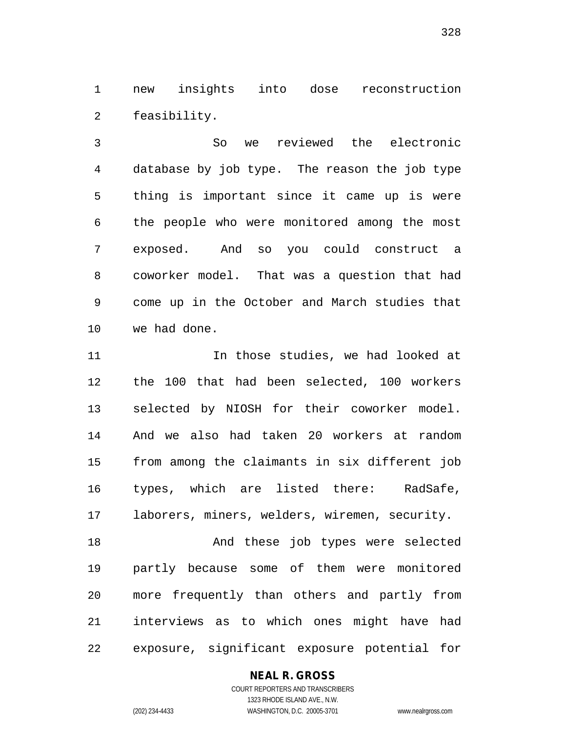new insights into dose reconstruction feasibility.

 So we reviewed the electronic database by job type. The reason the job type thing is important since it came up is were the people who were monitored among the most exposed. And so you could construct a coworker model. That was a question that had come up in the October and March studies that we had done.

11 11 In those studies, we had looked at the 100 that had been selected, 100 workers selected by NIOSH for their coworker model. And we also had taken 20 workers at random from among the claimants in six different job types, which are listed there: RadSafe, laborers, miners, welders, wiremen, security.

 And these job types were selected partly because some of them were monitored more frequently than others and partly from interviews as to which ones might have had exposure, significant exposure potential for

#### **NEAL R. GROSS**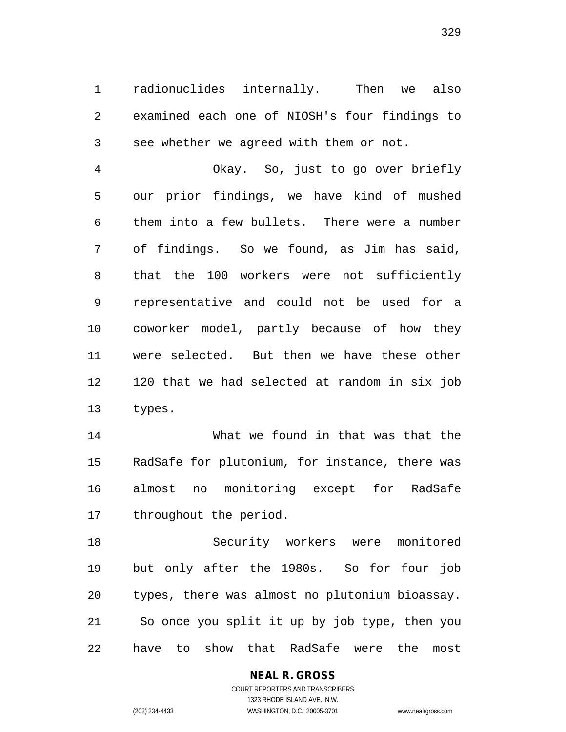radionuclides internally. Then we also examined each one of NIOSH's four findings to see whether we agreed with them or not.

 Okay. So, just to go over briefly our prior findings, we have kind of mushed them into a few bullets. There were a number of findings. So we found, as Jim has said, that the 100 workers were not sufficiently representative and could not be used for a coworker model, partly because of how they were selected. But then we have these other 120 that we had selected at random in six job types.

 What we found in that was that the RadSafe for plutonium, for instance, there was almost no monitoring except for RadSafe throughout the period.

 Security workers were monitored but only after the 1980s. So for four job types, there was almost no plutonium bioassay. So once you split it up by job type, then you have to show that RadSafe were the most

#### **NEAL R. GROSS**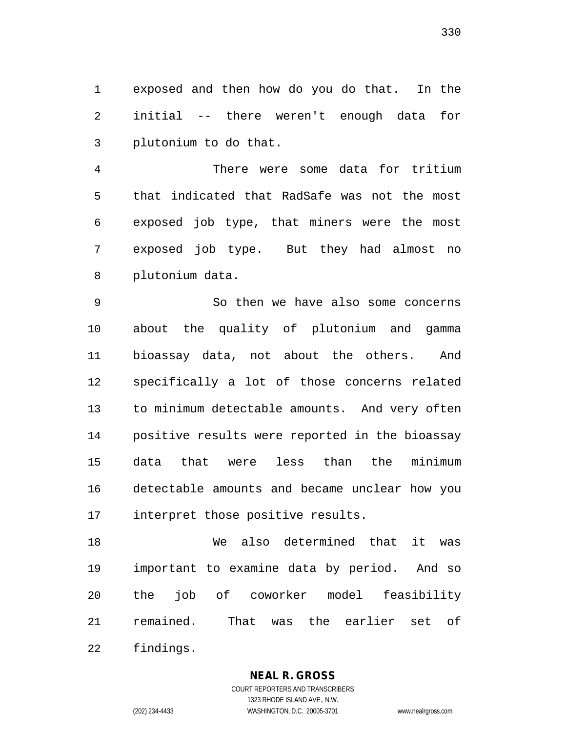exposed and then how do you do that. In the initial -- there weren't enough data for plutonium to do that.

 There were some data for tritium that indicated that RadSafe was not the most exposed job type, that miners were the most exposed job type. But they had almost no plutonium data.

 So then we have also some concerns about the quality of plutonium and gamma bioassay data, not about the others. And specifically a lot of those concerns related to minimum detectable amounts. And very often positive results were reported in the bioassay data that were less than the minimum detectable amounts and became unclear how you interpret those positive results.

 We also determined that it was important to examine data by period. And so the job of coworker model feasibility remained. That was the earlier set of findings.

> **NEAL R. GROSS** COURT REPORTERS AND TRANSCRIBERS

1323 RHODE ISLAND AVE., N.W. (202) 234-4433 WASHINGTON, D.C. 20005-3701 www.nealrgross.com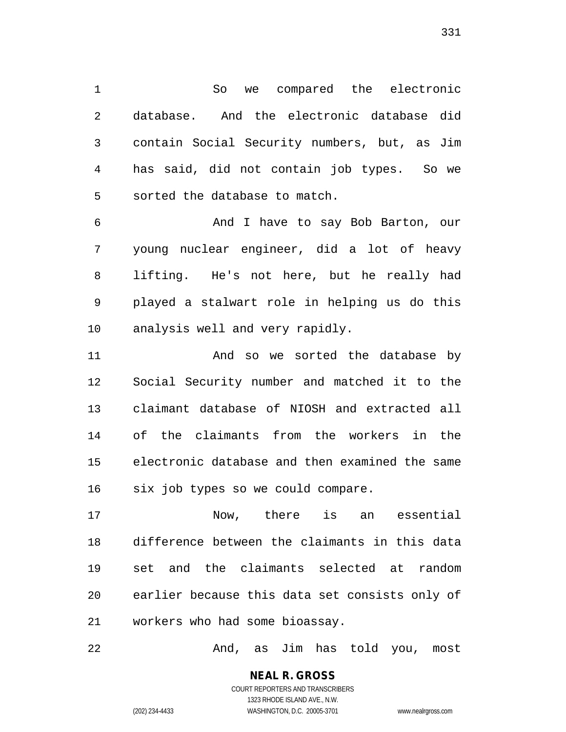So we compared the electronic database. And the electronic database did contain Social Security numbers, but, as Jim has said, did not contain job types. So we sorted the database to match.

 And I have to say Bob Barton, our young nuclear engineer, did a lot of heavy lifting. He's not here, but he really had played a stalwart role in helping us do this analysis well and very rapidly.

 And so we sorted the database by Social Security number and matched it to the claimant database of NIOSH and extracted all of the claimants from the workers in the electronic database and then examined the same six job types so we could compare.

 Now, there is an essential difference between the claimants in this data set and the claimants selected at random earlier because this data set consists only of workers who had some bioassay.

And, as Jim has told you, most

**NEAL R. GROSS** COURT REPORTERS AND TRANSCRIBERS 1323 RHODE ISLAND AVE., N.W.

(202) 234-4433 WASHINGTON, D.C. 20005-3701 www.nealrgross.com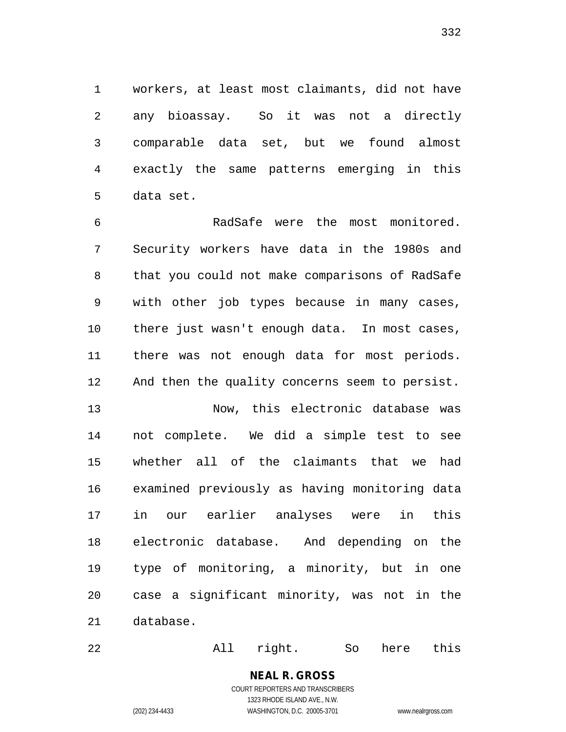workers, at least most claimants, did not have any bioassay. So it was not a directly comparable data set, but we found almost exactly the same patterns emerging in this data set.

 RadSafe were the most monitored. Security workers have data in the 1980s and that you could not make comparisons of RadSafe with other job types because in many cases, there just wasn't enough data. In most cases, there was not enough data for most periods. And then the quality concerns seem to persist.

 Now, this electronic database was not complete. We did a simple test to see whether all of the claimants that we had examined previously as having monitoring data in our earlier analyses were in this electronic database. And depending on the type of monitoring, a minority, but in one case a significant minority, was not in the database.

All right. So here this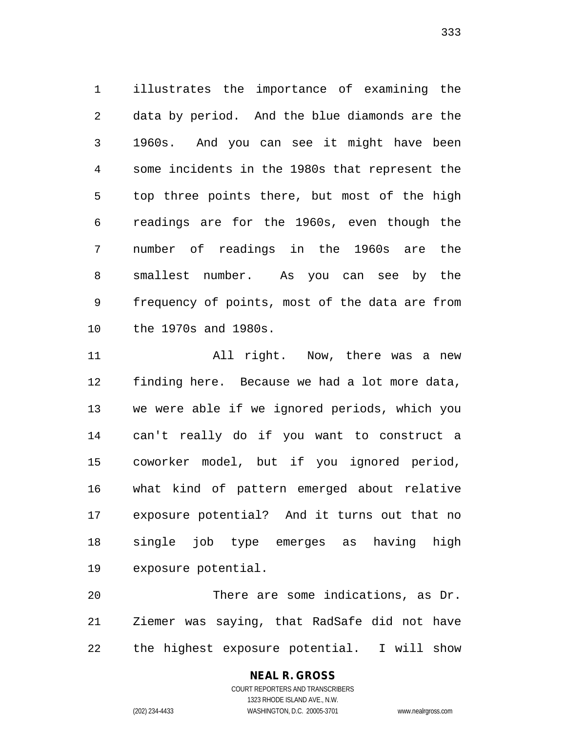illustrates the importance of examining the data by period. And the blue diamonds are the 1960s. And you can see it might have been some incidents in the 1980s that represent the top three points there, but most of the high readings are for the 1960s, even though the number of readings in the 1960s are the smallest number. As you can see by the frequency of points, most of the data are from the 1970s and 1980s.

 All right. Now, there was a new finding here. Because we had a lot more data, we were able if we ignored periods, which you can't really do if you want to construct a coworker model, but if you ignored period, what kind of pattern emerged about relative exposure potential? And it turns out that no single job type emerges as having high exposure potential.

 There are some indications, as Dr. Ziemer was saying, that RadSafe did not have the highest exposure potential. I will show

# **NEAL R. GROSS**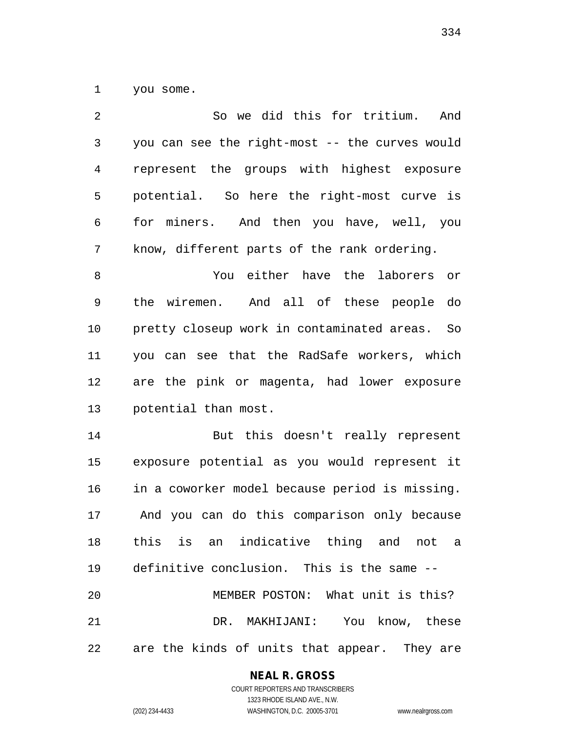you some.

| $\overline{2}$ | So we did this for tritium. And                    |
|----------------|----------------------------------------------------|
| $\mathfrak{Z}$ | you can see the right-most -- the curves would     |
| 4              | represent the groups with highest exposure         |
| 5              | potential. So here the right-most curve is         |
| 6              | for miners. And then you have, well, you           |
| 7              | know, different parts of the rank ordering.        |
| 8              | You either have the laborers or                    |
| 9              | the wiremen. And all of these people do            |
| 10             | pretty closeup work in contaminated areas.<br>– So |
| 11             | you can see that the RadSafe workers, which        |
| 12             | are the pink or magenta, had lower exposure        |
| 13             | potential than most.                               |
| 14             | But this doesn't really represent                  |
| 15             | exposure potential as you would represent it       |
| 16             | in a coworker model because period is missing.     |
| 17             | And you can do this comparison only because        |
| 18             | this is an indicative thing and not a              |
| 19             | definitive conclusion. This is the same --         |
| 20             | MEMBER POSTON: What unit is this?                  |
| 21             | DR. MAKHIJANI: You know, these                     |
|                | 22 are the kinds of units that appear. They are    |

**NEAL R. GROSS**

COURT REPORTERS AND TRANSCRIBERS 1323 RHODE ISLAND AVE., N.W. (202) 234-4433 WASHINGTON, D.C. 20005-3701 www.nealrgross.com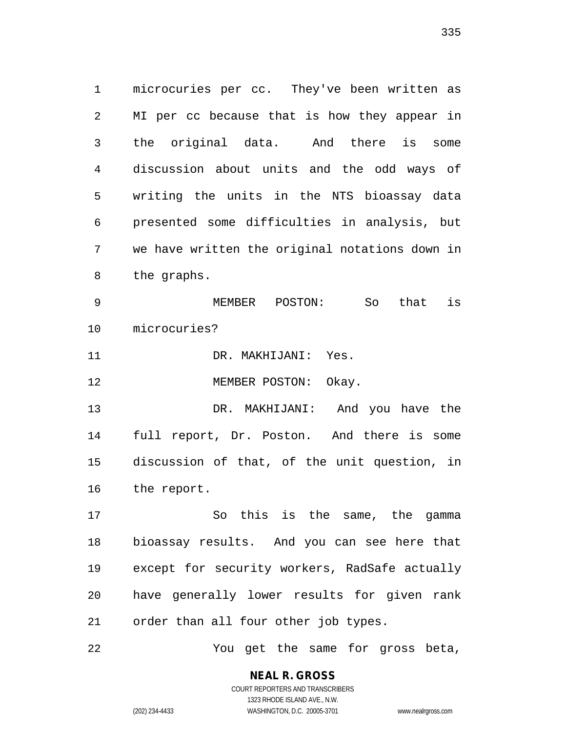microcuries per cc. They've been written as MI per cc because that is how they appear in the original data. And there is some discussion about units and the odd ways of writing the units in the NTS bioassay data presented some difficulties in analysis, but we have written the original notations down in the graphs.

 MEMBER POSTON: So that is microcuries?

DR. MAKHIJANI: Yes.

12 MEMBER POSTON: Okay.

 DR. MAKHIJANI: And you have the full report, Dr. Poston. And there is some discussion of that, of the unit question, in the report.

 So this is the same, the gamma bioassay results. And you can see here that except for security workers, RadSafe actually have generally lower results for given rank order than all four other job types.

You get the same for gross beta,

# **NEAL R. GROSS**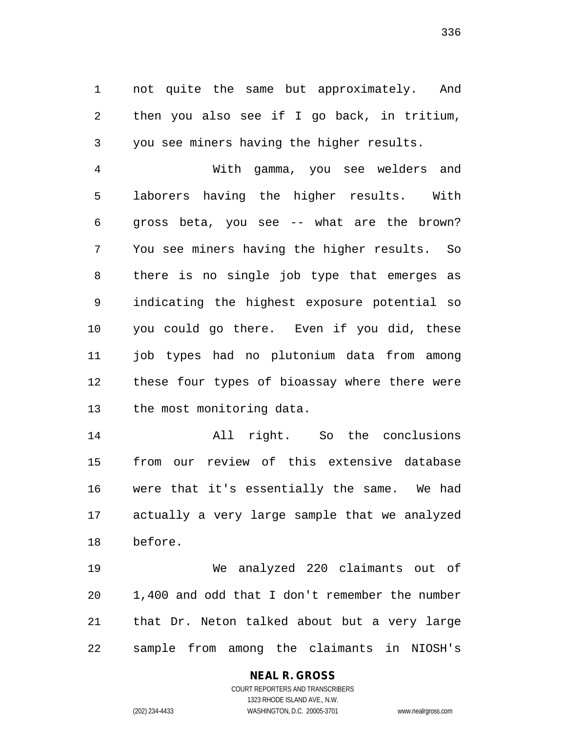not quite the same but approximately. And then you also see if I go back, in tritium, you see miners having the higher results.

 With gamma, you see welders and laborers having the higher results. With gross beta, you see -- what are the brown? You see miners having the higher results. So there is no single job type that emerges as indicating the highest exposure potential so you could go there. Even if you did, these job types had no plutonium data from among these four types of bioassay where there were the most monitoring data.

 All right. So the conclusions from our review of this extensive database were that it's essentially the same. We had actually a very large sample that we analyzed before.

 We analyzed 220 claimants out of 1,400 and odd that I don't remember the number that Dr. Neton talked about but a very large sample from among the claimants in NIOSH's

#### **NEAL R. GROSS**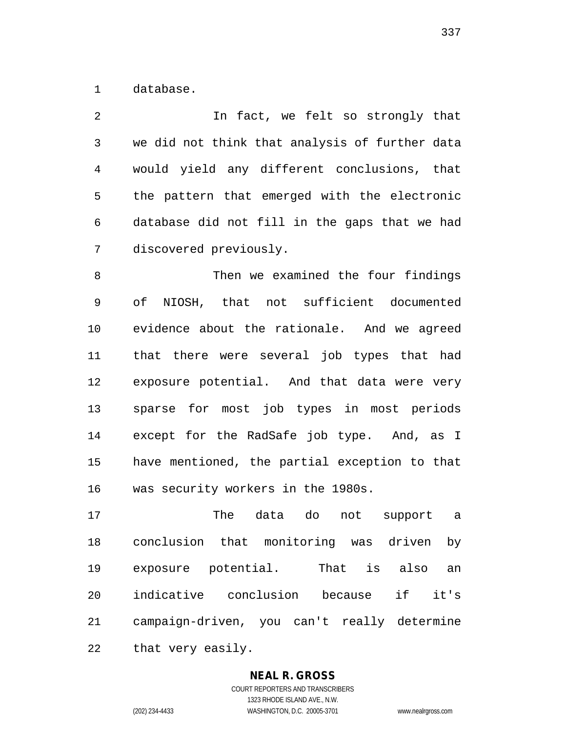database.

 In fact, we felt so strongly that we did not think that analysis of further data would yield any different conclusions, that the pattern that emerged with the electronic database did not fill in the gaps that we had discovered previously. 8 Then we examined the four findings of NIOSH, that not sufficient documented evidence about the rationale. And we agreed that there were several job types that had exposure potential. And that data were very sparse for most job types in most periods except for the RadSafe job type. And, as I have mentioned, the partial exception to that

was security workers in the 1980s.

 The data do not support a conclusion that monitoring was driven by exposure potential. That is also an indicative conclusion because if it's campaign-driven, you can't really determine that very easily.

# **NEAL R. GROSS**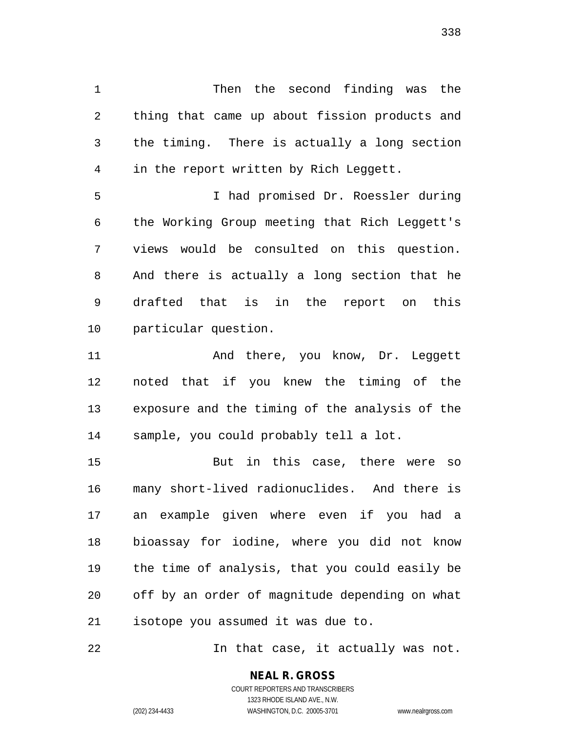Then the second finding was the thing that came up about fission products and the timing. There is actually a long section in the report written by Rich Leggett.

 I had promised Dr. Roessler during the Working Group meeting that Rich Leggett's views would be consulted on this question. And there is actually a long section that he drafted that is in the report on this particular question.

11 And there, you know, Dr. Leggett noted that if you knew the timing of the exposure and the timing of the analysis of the sample, you could probably tell a lot.

 But in this case, there were so many short-lived radionuclides. And there is an example given where even if you had a bioassay for iodine, where you did not know the time of analysis, that you could easily be off by an order of magnitude depending on what isotope you assumed it was due to.

In that case, it actually was not.

#### **NEAL R. GROSS** COURT REPORTERS AND TRANSCRIBERS

1323 RHODE ISLAND AVE., N.W.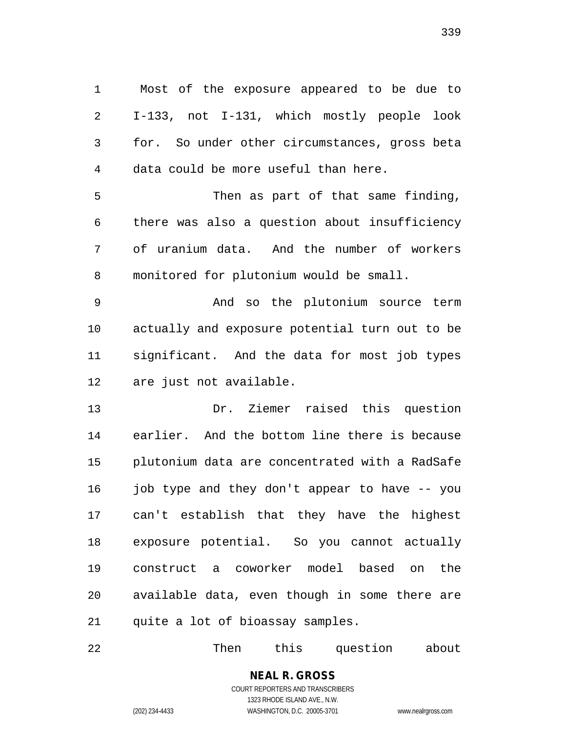Most of the exposure appeared to be due to I-133, not I-131, which mostly people look for. So under other circumstances, gross beta data could be more useful than here.

 Then as part of that same finding, there was also a question about insufficiency of uranium data. And the number of workers monitored for plutonium would be small.

 And so the plutonium source term actually and exposure potential turn out to be significant. And the data for most job types are just not available.

 Dr. Ziemer raised this question earlier. And the bottom line there is because plutonium data are concentrated with a RadSafe 16 job type and they don't appear to have -- you can't establish that they have the highest exposure potential. So you cannot actually construct a coworker model based on the available data, even though in some there are quite a lot of bioassay samples.

Then this question about

**NEAL R. GROSS** COURT REPORTERS AND TRANSCRIBERS 1323 RHODE ISLAND AVE., N.W.

(202) 234-4433 WASHINGTON, D.C. 20005-3701 www.nealrgross.com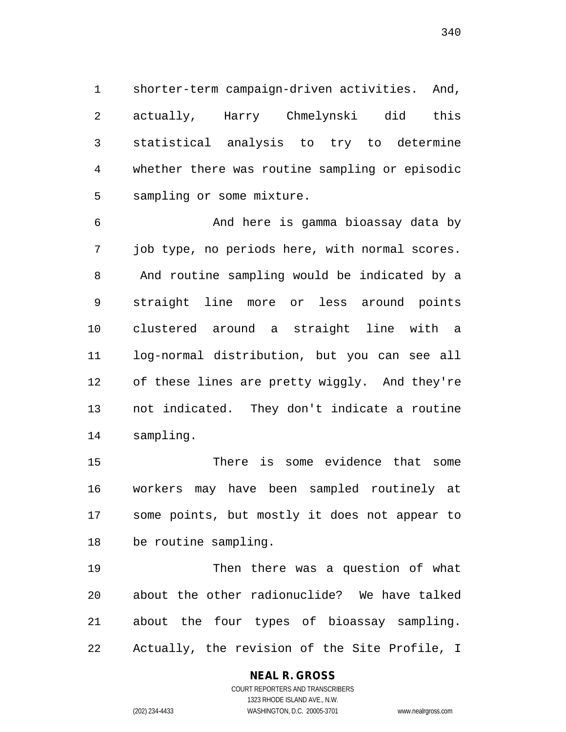shorter-term campaign-driven activities. And, actually, Harry Chmelynski did this statistical analysis to try to determine whether there was routine sampling or episodic sampling or some mixture.

 And here is gamma bioassay data by job type, no periods here, with normal scores. And routine sampling would be indicated by a straight line more or less around points clustered around a straight line with a log-normal distribution, but you can see all of these lines are pretty wiggly. And they're not indicated. They don't indicate a routine sampling.

 There is some evidence that some workers may have been sampled routinely at some points, but mostly it does not appear to be routine sampling.

 Then there was a question of what about the other radionuclide? We have talked about the four types of bioassay sampling. Actually, the revision of the Site Profile, I

# **NEAL R. GROSS**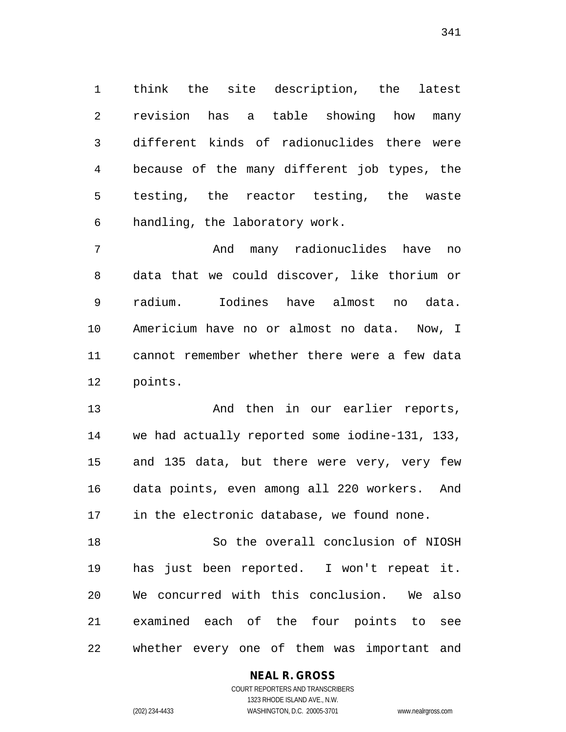think the site description, the latest revision has a table showing how many different kinds of radionuclides there were because of the many different job types, the testing, the reactor testing, the waste handling, the laboratory work.

 And many radionuclides have no data that we could discover, like thorium or radium. Iodines have almost no data. Americium have no or almost no data. Now, I cannot remember whether there were a few data points.

 And then in our earlier reports, we had actually reported some iodine-131, 133, and 135 data, but there were very, very few data points, even among all 220 workers. And in the electronic database, we found none.

 So the overall conclusion of NIOSH has just been reported. I won't repeat it. We concurred with this conclusion. We also examined each of the four points to see whether every one of them was important and

#### **NEAL R. GROSS**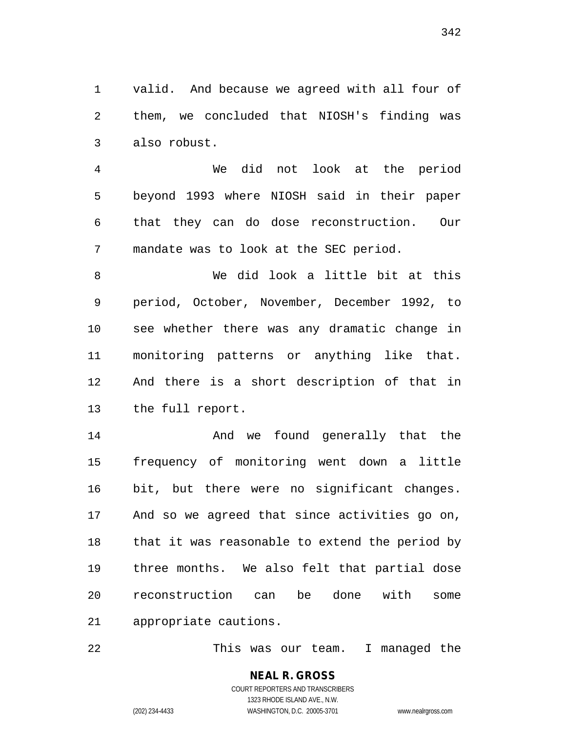valid. And because we agreed with all four of them, we concluded that NIOSH's finding was also robust.

 We did not look at the period beyond 1993 where NIOSH said in their paper that they can do dose reconstruction. Our mandate was to look at the SEC period.

 We did look a little bit at this period, October, November, December 1992, to see whether there was any dramatic change in monitoring patterns or anything like that. And there is a short description of that in the full report.

 And we found generally that the frequency of monitoring went down a little bit, but there were no significant changes. And so we agreed that since activities go on, that it was reasonable to extend the period by three months. We also felt that partial dose reconstruction can be done with some appropriate cautions.

This was our team. I managed the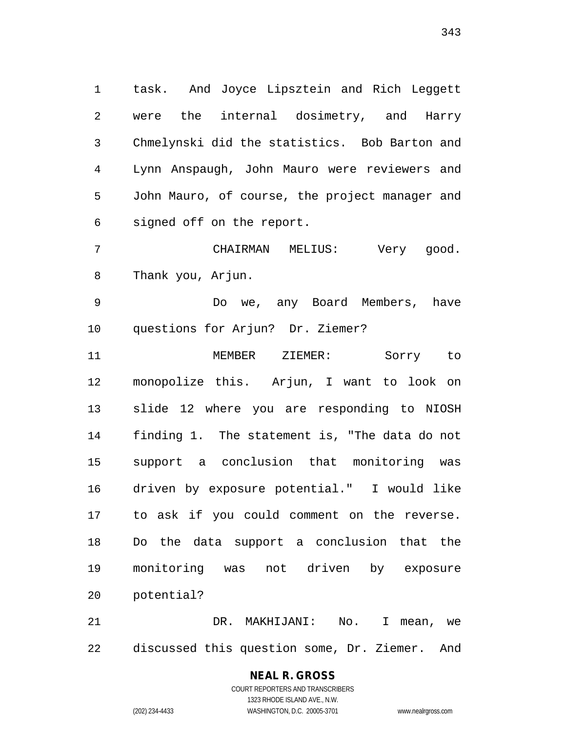task. And Joyce Lipsztein and Rich Leggett were the internal dosimetry, and Harry Chmelynski did the statistics. Bob Barton and Lynn Anspaugh, John Mauro were reviewers and John Mauro, of course, the project manager and signed off on the report.

 CHAIRMAN MELIUS: Very good. Thank you, Arjun.

 Do we, any Board Members, have questions for Arjun? Dr. Ziemer?

 MEMBER ZIEMER: Sorry to monopolize this. Arjun, I want to look on slide 12 where you are responding to NIOSH finding 1. The statement is, "The data do not support a conclusion that monitoring was driven by exposure potential." I would like to ask if you could comment on the reverse. Do the data support a conclusion that the monitoring was not driven by exposure potential?

 DR. MAKHIJANI: No. I mean, we discussed this question some, Dr. Ziemer. And

# **NEAL R. GROSS**

COURT REPORTERS AND TRANSCRIBERS 1323 RHODE ISLAND AVE., N.W. (202) 234-4433 WASHINGTON, D.C. 20005-3701 www.nealrgross.com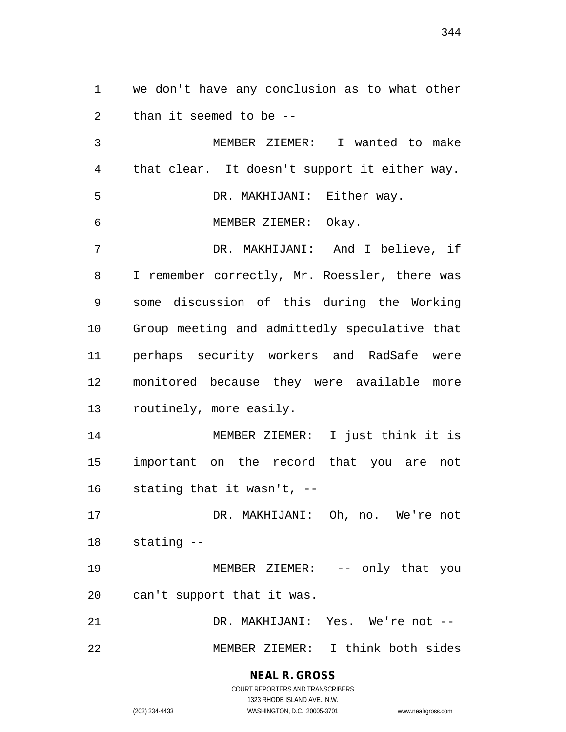we don't have any conclusion as to what other than it seemed to be --

 MEMBER ZIEMER: I wanted to make that clear. It doesn't support it either way. DR. MAKHIJANI: Either way. MEMBER ZIEMER: Okay. DR. MAKHIJANI: And I believe, if I remember correctly, Mr. Roessler, there was some discussion of this during the Working Group meeting and admittedly speculative that perhaps security workers and RadSafe were monitored because they were available more routinely, more easily. MEMBER ZIEMER: I just think it is important on the record that you are not stating that it wasn't, -- DR. MAKHIJANI: Oh, no. We're not stating -- 19 MEMBER ZIEMER: -- only that you can't support that it was.

DR. MAKHIJANI: Yes. We're not --

MEMBER ZIEMER: I think both sides

**NEAL R. GROSS** COURT REPORTERS AND TRANSCRIBERS

1323 RHODE ISLAND AVE., N.W. (202) 234-4433 WASHINGTON, D.C. 20005-3701 www.nealrgross.com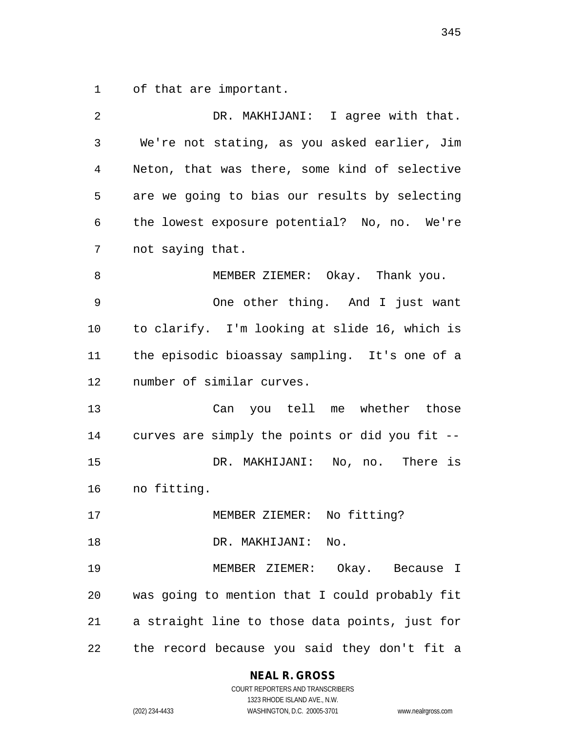of that are important.

| $\overline{2}$ | DR. MAKHIJANI: I agree with that.              |
|----------------|------------------------------------------------|
| 3              | We're not stating, as you asked earlier, Jim   |
| 4              | Neton, that was there, some kind of selective  |
| 5              | are we going to bias our results by selecting  |
| 6              | the lowest exposure potential? No, no. We're   |
| 7              | not saying that.                               |
| 8              | MEMBER ZIEMER: Okay. Thank you.                |
| 9              | One other thing. And I just want               |
| $10$           | to clarify. I'm looking at slide 16, which is  |
| 11             | the episodic bioassay sampling. It's one of a  |
| 12             | number of similar curves.                      |
| 13             | Can you tell me whether those                  |
| 14             | curves are simply the points or did you fit -- |
| 15             | DR. MAKHIJANI: No, no. There is                |
| 16             | no fitting.                                    |
| 17             | MEMBER ZIEMER: No fitting?                     |
| 18             | DR. MAKHIJANI: No.                             |
| 19             | MEMBER ZIEMER: Okay. Because I                 |
| 20             | was going to mention that I could probably fit |
| 21             | a straight line to those data points, just for |
| 22             | the record because you said they don't fit a   |

**NEAL R. GROSS**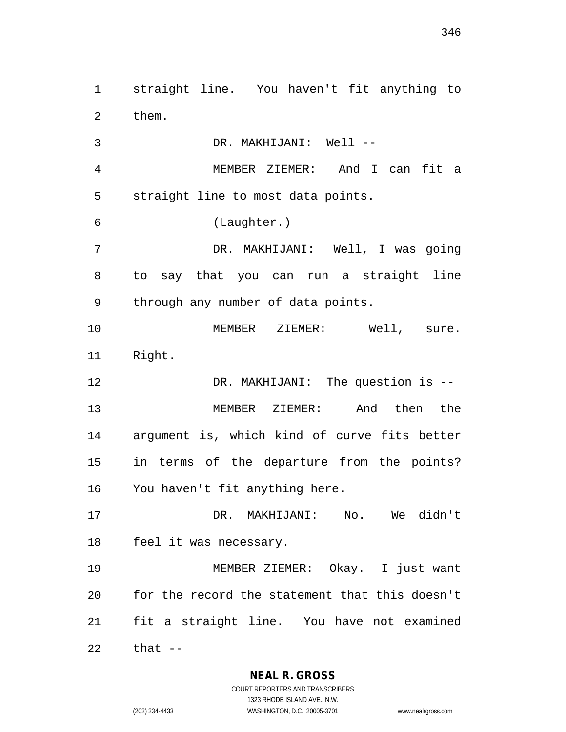straight line. You haven't fit anything to them. DR. MAKHIJANI: Well -- MEMBER ZIEMER: And I can fit a straight line to most data points. (Laughter.) DR. MAKHIJANI: Well, I was going to say that you can run a straight line through any number of data points. 10 MEMBER ZIEMER: Well, sure. Right. DR. MAKHIJANI: The question is -- MEMBER ZIEMER: And then the argument is, which kind of curve fits better in terms of the departure from the points? You haven't fit anything here. DR. MAKHIJANI: No. We didn't feel it was necessary. MEMBER ZIEMER: Okay. I just want for the record the statement that this doesn't fit a straight line. You have not examined that --

> **NEAL R. GROSS** COURT REPORTERS AND TRANSCRIBERS

1323 RHODE ISLAND AVE., N.W. (202) 234-4433 WASHINGTON, D.C. 20005-3701 www.nealrgross.com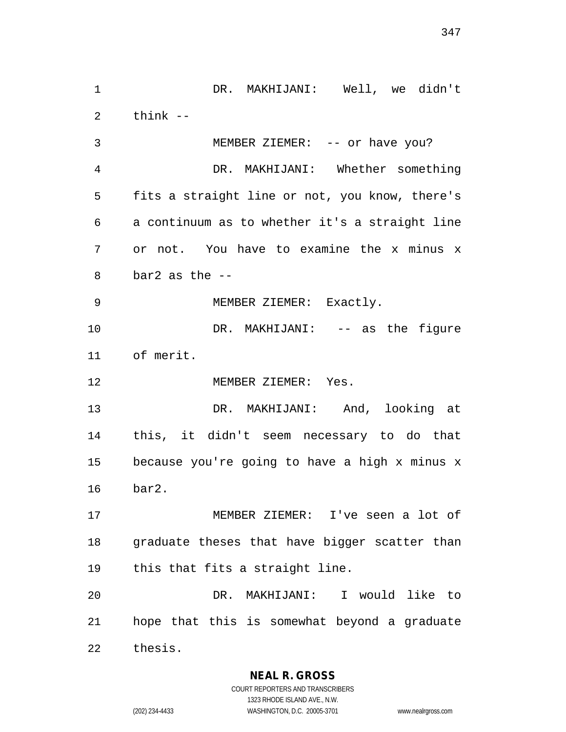DR. MAKHIJANI: Well, we didn't think -- 3 MEMBER ZIEMER: -- or have you? DR. MAKHIJANI: Whether something fits a straight line or not, you know, there's a continuum as to whether it's a straight line or not. You have to examine the x minus x bar2 as the -- MEMBER ZIEMER: Exactly. DR. MAKHIJANI: -- as the figure of merit. MEMBER ZIEMER: Yes. DR. MAKHIJANI: And, looking at this, it didn't seem necessary to do that because you're going to have a high x minus x bar2. MEMBER ZIEMER: I've seen a lot of graduate theses that have bigger scatter than this that fits a straight line. DR. MAKHIJANI: I would like to hope that this is somewhat beyond a graduate thesis.

> **NEAL R. GROSS** COURT REPORTERS AND TRANSCRIBERS

1323 RHODE ISLAND AVE., N.W. (202) 234-4433 WASHINGTON, D.C. 20005-3701 www.nealrgross.com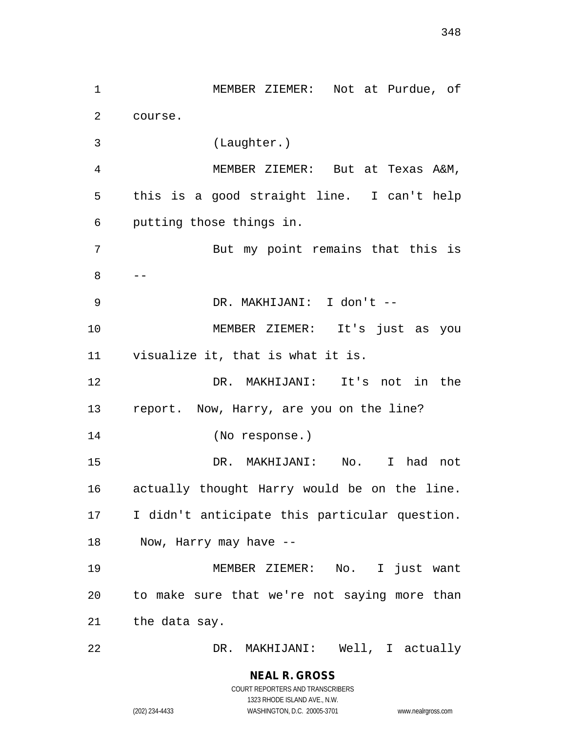MEMBER ZIEMER: Not at Purdue, of course. (Laughter.) MEMBER ZIEMER: But at Texas A&M, this is a good straight line. I can't help putting those things in. But my point remains that this is -- DR. MAKHIJANI: I don't -- MEMBER ZIEMER: It's just as you visualize it, that is what it is. DR. MAKHIJANI: It's not in the report. Now, Harry, are you on the line? (No response.) DR. MAKHIJANI: No. I had not actually thought Harry would be on the line. I didn't anticipate this particular question. Now, Harry may have -- MEMBER ZIEMER: No. I just want to make sure that we're not saying more than the data say. DR. MAKHIJANI: Well, I actually

(202) 234-4433 WASHINGTON, D.C. 20005-3701 www.nealrgross.com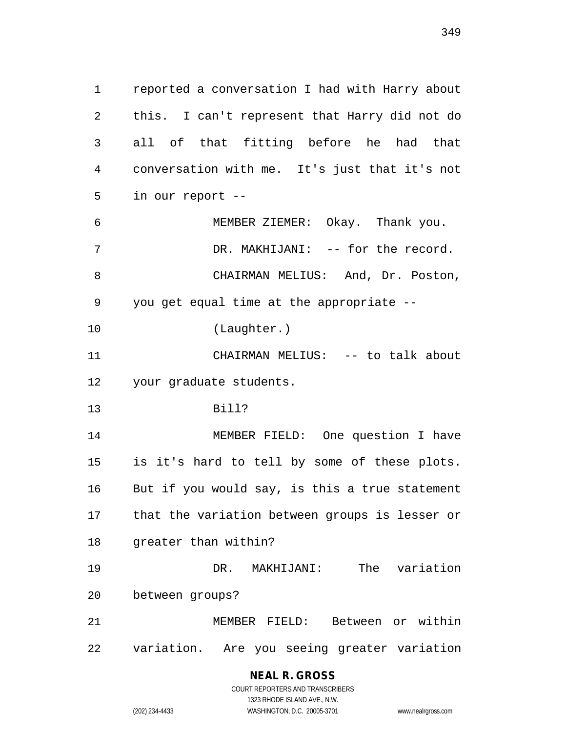reported a conversation I had with Harry about this. I can't represent that Harry did not do all of that fitting before he had that conversation with me. It's just that it's not in our report -- MEMBER ZIEMER: Okay. Thank you. 7 DR. MAKHIJANI: -- for the record. CHAIRMAN MELIUS: And, Dr. Poston, you get equal time at the appropriate -- (Laughter.) 11 CHAIRMAN MELIUS: -- to talk about your graduate students. Bill? MEMBER FIELD: One question I have is it's hard to tell by some of these plots. But if you would say, is this a true statement that the variation between groups is lesser or greater than within? DR. MAKHIJANI: The variation between groups? MEMBER FIELD: Between or within

variation. Are you seeing greater variation

#### **NEAL R. GROSS** COURT REPORTERS AND TRANSCRIBERS

1323 RHODE ISLAND AVE., N.W. (202) 234-4433 WASHINGTON, D.C. 20005-3701 www.nealrgross.com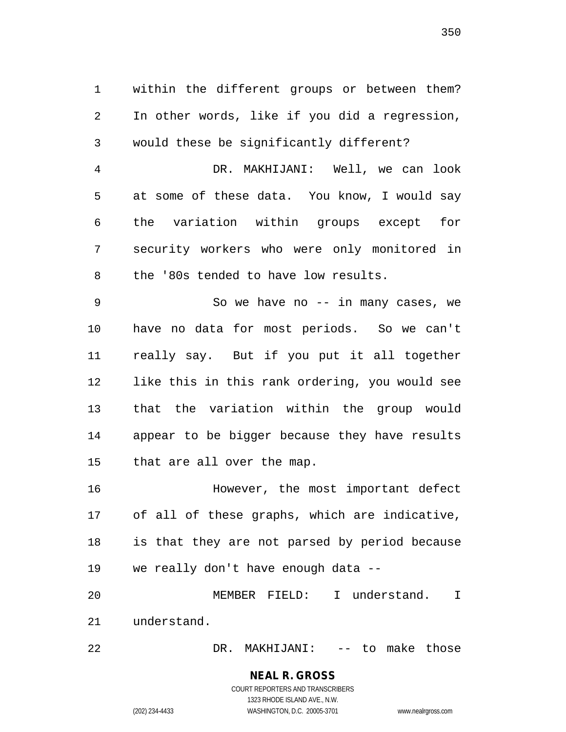within the different groups or between them? In other words, like if you did a regression, would these be significantly different?

 DR. MAKHIJANI: Well, we can look at some of these data. You know, I would say the variation within groups except for security workers who were only monitored in the '80s tended to have low results.

 So we have no -- in many cases, we have no data for most periods. So we can't really say. But if you put it all together like this in this rank ordering, you would see that the variation within the group would appear to be bigger because they have results that are all over the map.

 However, the most important defect of all of these graphs, which are indicative, is that they are not parsed by period because we really don't have enough data --

 MEMBER FIELD: I understand. I understand.

DR. MAKHIJANI: -- to make those

#### **NEAL R. GROSS** COURT REPORTERS AND TRANSCRIBERS 1323 RHODE ISLAND AVE., N.W.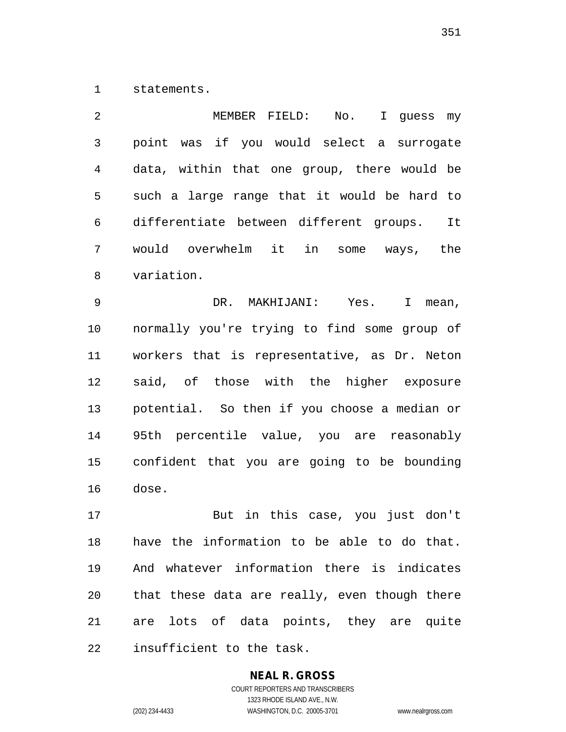statements.

| 2  | MEMBER FIELD: No.<br>I guess my               |
|----|-----------------------------------------------|
| 3  | point was if you would select a surrogate     |
| 4  | data, within that one group, there would be   |
| 5  | such a large range that it would be hard to   |
| 6  | differentiate between different groups.<br>It |
| 7  | would overwhelm it in some ways, the          |
| 8  | variation.                                    |
| 9  | DR. MAKHIJANI: Yes. I mean,                   |
| 10 | normally you're trying to find some group of  |
| 11 | workers that is representative, as Dr. Neton  |
| 12 | said, of those with the higher exposure       |
| 13 | potential. So then if you choose a median or  |
| 14 | 95th percentile value, you are reasonably     |
| 15 | confident that you are going to be bounding   |
| 16 | dose.                                         |
| 17 | But in this case, you just don't              |
|    |                                               |

 have the information to be able to do that. And whatever information there is indicates that these data are really, even though there are lots of data points, they are quite insufficient to the task.

# **NEAL R. GROSS**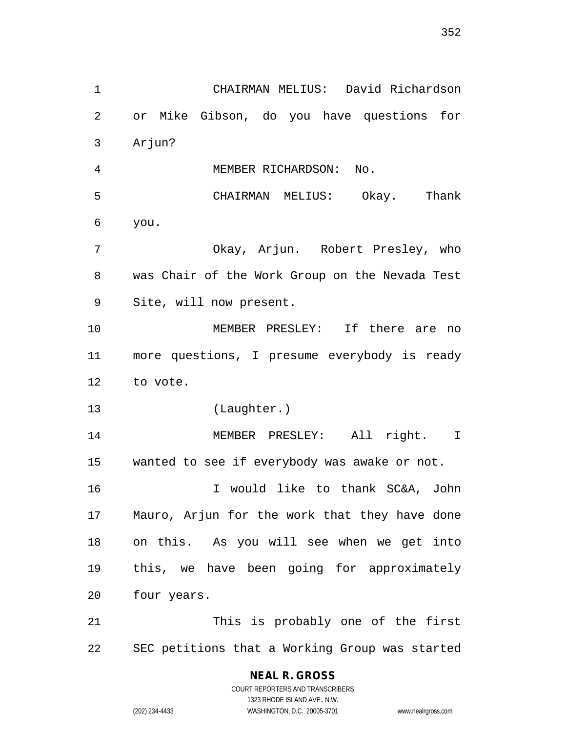CHAIRMAN MELIUS: David Richardson or Mike Gibson, do you have questions for Arjun? MEMBER RICHARDSON: No. CHAIRMAN MELIUS: Okay. Thank you. Okay, Arjun. Robert Presley, who was Chair of the Work Group on the Nevada Test Site, will now present. MEMBER PRESLEY: If there are no more questions, I presume everybody is ready to vote. (Laughter.) MEMBER PRESLEY: All right. I wanted to see if everybody was awake or not. I would like to thank SC&A, John Mauro, Arjun for the work that they have done on this. As you will see when we get into this, we have been going for approximately four years. This is probably one of the first SEC petitions that a Working Group was started

> COURT REPORTERS AND TRANSCRIBERS 1323 RHODE ISLAND AVE., N.W. (202) 234-4433 WASHINGTON, D.C. 20005-3701 www.nealrgross.com

**NEAL R. GROSS**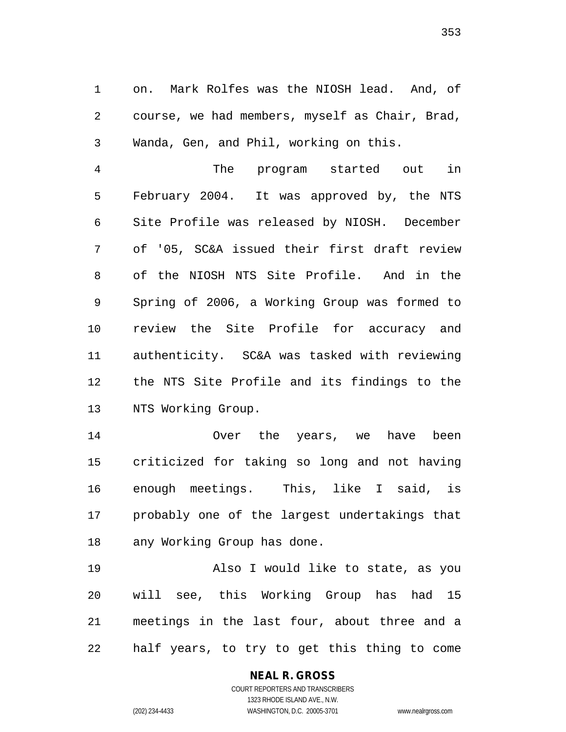on. Mark Rolfes was the NIOSH lead. And, of course, we had members, myself as Chair, Brad, Wanda, Gen, and Phil, working on this.

 The program started out in February 2004. It was approved by, the NTS Site Profile was released by NIOSH. December of '05, SC&A issued their first draft review of the NIOSH NTS Site Profile. And in the Spring of 2006, a Working Group was formed to review the Site Profile for accuracy and authenticity. SC&A was tasked with reviewing the NTS Site Profile and its findings to the NTS Working Group.

 Over the years, we have been criticized for taking so long and not having enough meetings. This, like I said, is probably one of the largest undertakings that any Working Group has done.

 Also I would like to state, as you will see, this Working Group has had 15 meetings in the last four, about three and a half years, to try to get this thing to come

# **NEAL R. GROSS**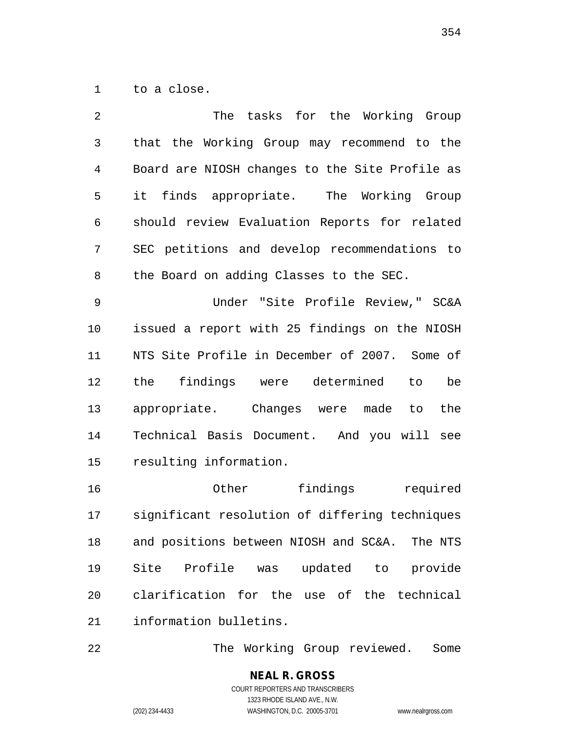to a close.

| 2  | The tasks for the Working Group                |
|----|------------------------------------------------|
| 3  | that the Working Group may recommend to the    |
| 4  | Board are NIOSH changes to the Site Profile as |
| 5  | it finds appropriate. The Working Group        |
| 6  | should review Evaluation Reports for related   |
| 7  | SEC petitions and develop recommendations to   |
| 8  | the Board on adding Classes to the SEC.        |
| 9  | Under "Site Profile Review," SC&A              |
| 10 | issued a report with 25 findings on the NIOSH  |
| 11 | NTS Site Profile in December of 2007. Some of  |
| 12 | findings were determined<br>the<br>be<br>to    |
| 13 | appropriate. Changes were made to<br>the       |
| 14 | Technical Basis Document. And you will see     |
| 15 | resulting information.                         |
| 16 | findings<br>Other<br>required                  |
| 17 | significant resolution of differing techniques |
| 18 | and positions between NIOSH and SC&A. The NTS  |
| 19 | Site<br>Profile<br>was updated to provide      |
| 20 | clarification for the use of the technical     |
| 21 | information bulletins.                         |

The Working Group reviewed. Some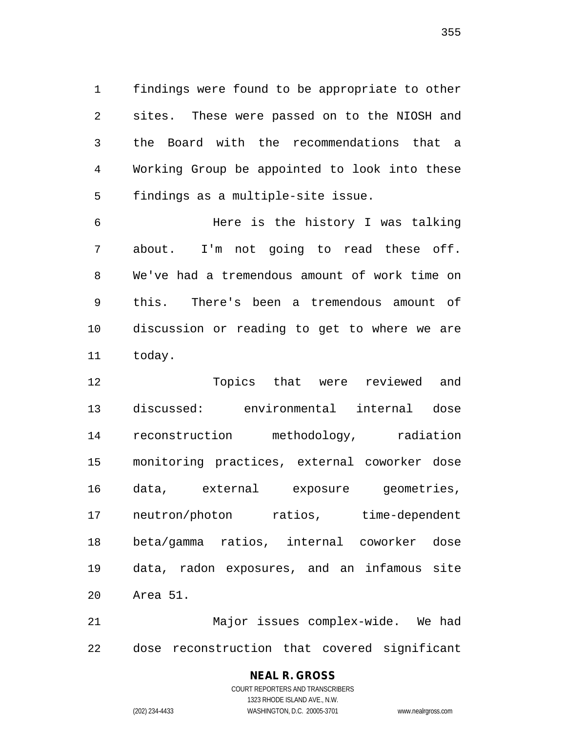findings were found to be appropriate to other sites. These were passed on to the NIOSH and the Board with the recommendations that a Working Group be appointed to look into these findings as a multiple-site issue.

 Here is the history I was talking about. I'm not going to read these off. We've had a tremendous amount of work time on this. There's been a tremendous amount of discussion or reading to get to where we are today.

 Topics that were reviewed and discussed: environmental internal dose reconstruction methodology, radiation monitoring practices, external coworker dose data, external exposure geometries, neutron/photon ratios, time-dependent beta/gamma ratios, internal coworker dose data, radon exposures, and an infamous site Area 51.

 Major issues complex-wide. We had dose reconstruction that covered significant

#### **NEAL R. GROSS** COURT REPORTERS AND TRANSCRIBERS

1323 RHODE ISLAND AVE., N.W. (202) 234-4433 WASHINGTON, D.C. 20005-3701 www.nealrgross.com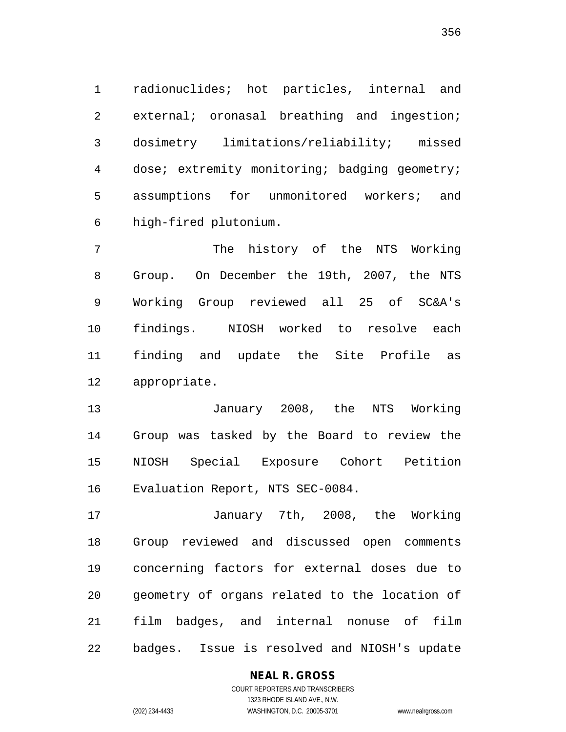radionuclides; hot particles, internal and external; oronasal breathing and ingestion; dosimetry limitations/reliability; missed dose; extremity monitoring; badging geometry; assumptions for unmonitored workers; and high-fired plutonium.

 The history of the NTS Working Group. On December the 19th, 2007, the NTS Working Group reviewed all 25 of SC&A's findings. NIOSH worked to resolve each finding and update the Site Profile as appropriate.

 January 2008, the NTS Working Group was tasked by the Board to review the NIOSH Special Exposure Cohort Petition Evaluation Report, NTS SEC-0084.

 January 7th, 2008, the Working Group reviewed and discussed open comments concerning factors for external doses due to geometry of organs related to the location of film badges, and internal nonuse of film badges. Issue is resolved and NIOSH's update

#### **NEAL R. GROSS**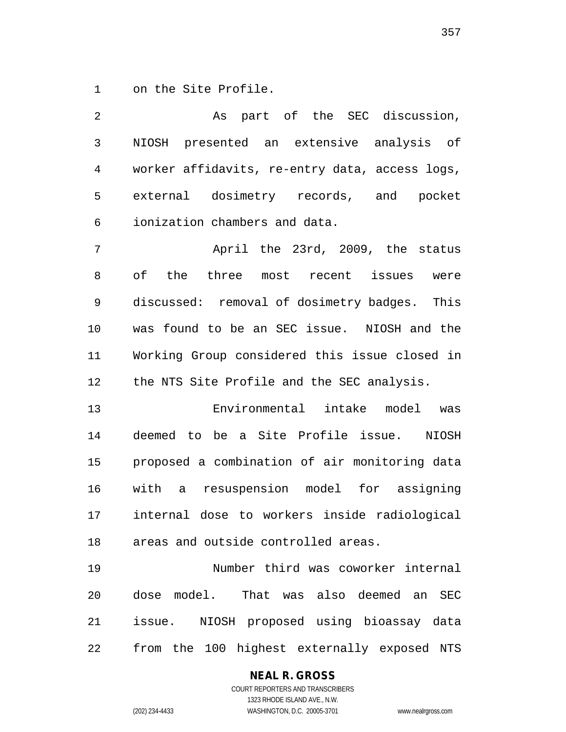on the Site Profile.

 As part of the SEC discussion, NIOSH presented an extensive analysis of worker affidavits, re-entry data, access logs, external dosimetry records, and pocket ionization chambers and data. April the 23rd, 2009, the status of the three most recent issues were discussed: removal of dosimetry badges. This was found to be an SEC issue. NIOSH and the Working Group considered this issue closed in the NTS Site Profile and the SEC analysis. Environmental intake model was deemed to be a Site Profile issue. NIOSH proposed a combination of air monitoring data with a resuspension model for assigning internal dose to workers inside radiological areas and outside controlled areas.

 Number third was coworker internal dose model. That was also deemed an SEC issue. NIOSH proposed using bioassay data from the 100 highest externally exposed NTS

#### **NEAL R. GROSS**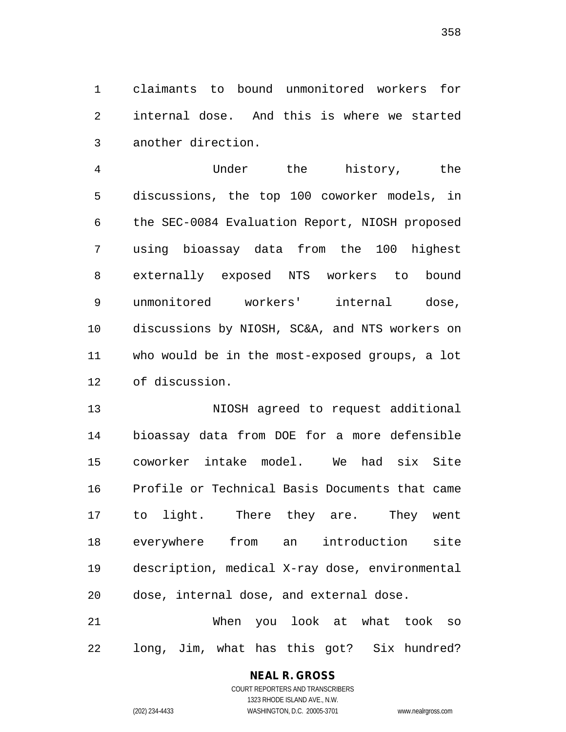claimants to bound unmonitored workers for internal dose. And this is where we started another direction.

 Under the history, the discussions, the top 100 coworker models, in the SEC-0084 Evaluation Report, NIOSH proposed using bioassay data from the 100 highest externally exposed NTS workers to bound unmonitored workers' internal dose, discussions by NIOSH, SC&A, and NTS workers on who would be in the most-exposed groups, a lot of discussion.

 NIOSH agreed to request additional bioassay data from DOE for a more defensible coworker intake model. We had six Site Profile or Technical Basis Documents that came to light. There they are. They went everywhere from an introduction site description, medical X-ray dose, environmental dose, internal dose, and external dose. When you look at what took so

long, Jim, what has this got? Six hundred?

# **NEAL R. GROSS**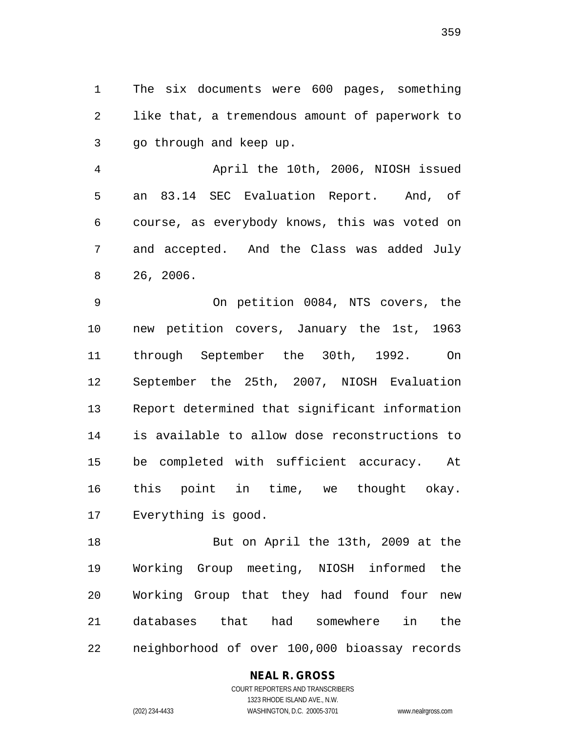The six documents were 600 pages, something like that, a tremendous amount of paperwork to go through and keep up.

 April the 10th, 2006, NIOSH issued an 83.14 SEC Evaluation Report. And, of course, as everybody knows, this was voted on and accepted. And the Class was added July 26, 2006.

 On petition 0084, NTS covers, the new petition covers, January the 1st, 1963 through September the 30th, 1992. On September the 25th, 2007, NIOSH Evaluation Report determined that significant information is available to allow dose reconstructions to be completed with sufficient accuracy. At this point in time, we thought okay. Everything is good.

 But on April the 13th, 2009 at the Working Group meeting, NIOSH informed the Working Group that they had found four new databases that had somewhere in the neighborhood of over 100,000 bioassay records

# **NEAL R. GROSS**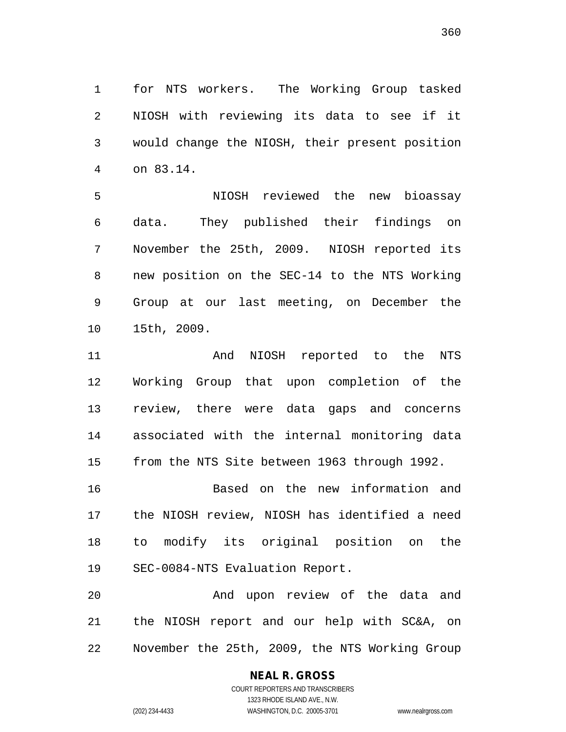for NTS workers. The Working Group tasked NIOSH with reviewing its data to see if it would change the NIOSH, their present position on 83.14.

 NIOSH reviewed the new bioassay data. They published their findings on November the 25th, 2009. NIOSH reported its new position on the SEC-14 to the NTS Working Group at our last meeting, on December the 15th, 2009.

11 And NIOSH reported to the NTS Working Group that upon completion of the review, there were data gaps and concerns associated with the internal monitoring data from the NTS Site between 1963 through 1992.

 Based on the new information and the NIOSH review, NIOSH has identified a need to modify its original position on the SEC-0084-NTS Evaluation Report.

 And upon review of the data and the NIOSH report and our help with SC&A, on November the 25th, 2009, the NTS Working Group

# **NEAL R. GROSS**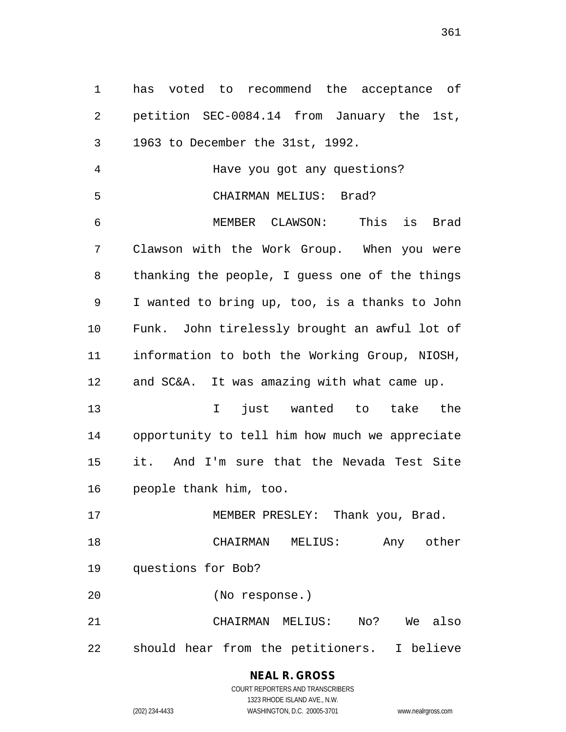has voted to recommend the acceptance of petition SEC-0084.14 from January the 1st, 1963 to December the 31st, 1992. Have you got any questions? CHAIRMAN MELIUS: Brad? MEMBER CLAWSON: This is Brad Clawson with the Work Group. When you were thanking the people, I guess one of the things I wanted to bring up, too, is a thanks to John Funk. John tirelessly brought an awful lot of information to both the Working Group, NIOSH, and SC&A. It was amazing with what came up. I just wanted to take the opportunity to tell him how much we appreciate it. And I'm sure that the Nevada Test Site people thank him, too. 17 MEMBER PRESLEY: Thank you, Brad. CHAIRMAN MELIUS: Any other questions for Bob? (No response.) CHAIRMAN MELIUS: No? We also should hear from the petitioners. I believe

### **NEAL R. GROSS** COURT REPORTERS AND TRANSCRIBERS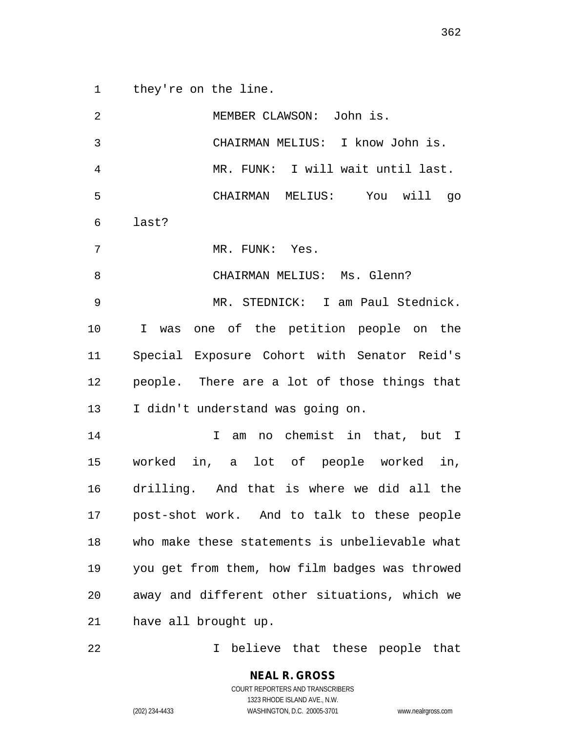they're on the line.

 MEMBER CLAWSON: John is. CHAIRMAN MELIUS: I know John is. MR. FUNK: I will wait until last. CHAIRMAN MELIUS: You will go last? MR. FUNK: Yes. 8 CHAIRMAN MELIUS: Ms. Glenn? MR. STEDNICK: I am Paul Stednick. I was one of the petition people on the Special Exposure Cohort with Senator Reid's people. There are a lot of those things that I didn't understand was going on. I am no chemist in that, but I worked in, a lot of people worked in, drilling. And that is where we did all the post-shot work. And to talk to these people who make these statements is unbelievable what you get from them, how film badges was throwed away and different other situations, which we have all brought up.

I believe that these people that

COURT REPORTERS AND TRANSCRIBERS 1323 RHODE ISLAND AVE., N.W. (202) 234-4433 WASHINGTON, D.C. 20005-3701 www.nealrgross.com

**NEAL R. GROSS**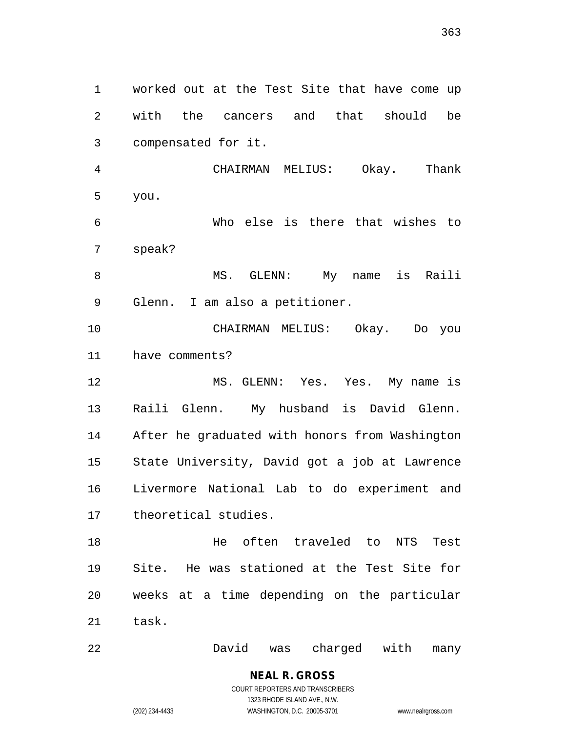worked out at the Test Site that have come up with the cancers and that should be compensated for it.

 CHAIRMAN MELIUS: Okay. Thank you.

 Who else is there that wishes to speak?

 MS. GLENN: My name is Raili Glenn. I am also a petitioner.

 CHAIRMAN MELIUS: Okay. Do you have comments?

 MS. GLENN: Yes. Yes. My name is Raili Glenn. My husband is David Glenn. After he graduated with honors from Washington State University, David got a job at Lawrence Livermore National Lab to do experiment and theoretical studies.

 He often traveled to NTS Test Site. He was stationed at the Test Site for weeks at a time depending on the particular task.

David was charged with many

**NEAL R. GROSS** COURT REPORTERS AND TRANSCRIBERS 1323 RHODE ISLAND AVE., N.W.

(202) 234-4433 WASHINGTON, D.C. 20005-3701 www.nealrgross.com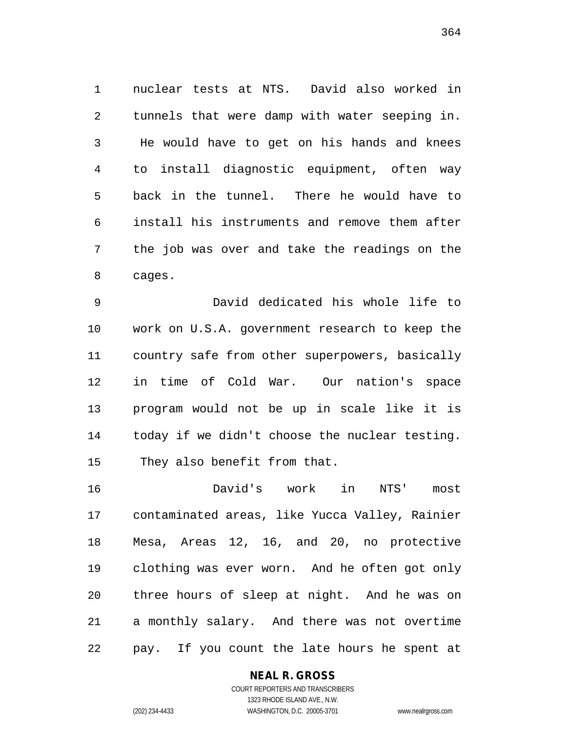nuclear tests at NTS. David also worked in tunnels that were damp with water seeping in. He would have to get on his hands and knees to install diagnostic equipment, often way back in the tunnel. There he would have to install his instruments and remove them after the job was over and take the readings on the cages.

 David dedicated his whole life to work on U.S.A. government research to keep the country safe from other superpowers, basically in time of Cold War. Our nation's space program would not be up in scale like it is today if we didn't choose the nuclear testing. They also benefit from that.

 David's work in NTS' most contaminated areas, like Yucca Valley, Rainier Mesa, Areas 12, 16, and 20, no protective clothing was ever worn. And he often got only three hours of sleep at night. And he was on a monthly salary. And there was not overtime pay. If you count the late hours he spent at

### **NEAL R. GROSS**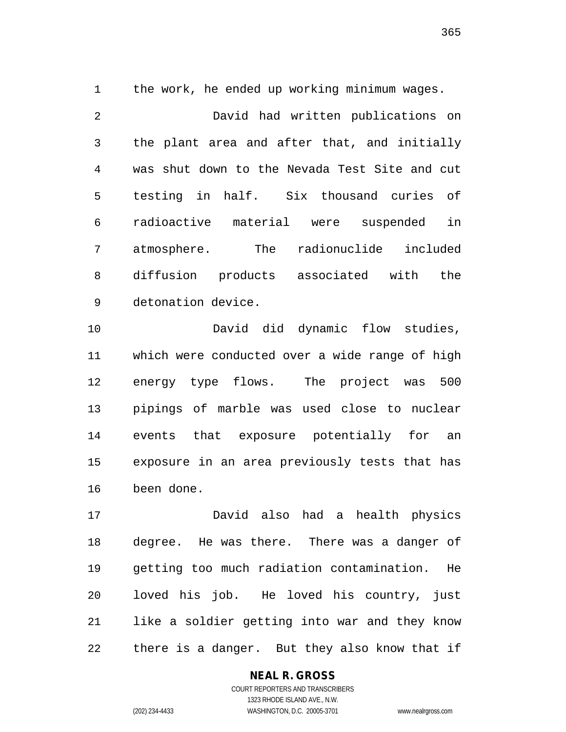the work, he ended up working minimum wages.

 David had written publications on the plant area and after that, and initially was shut down to the Nevada Test Site and cut testing in half. Six thousand curies of radioactive material were suspended in atmosphere. The radionuclide included diffusion products associated with the detonation device.

 David did dynamic flow studies, which were conducted over a wide range of high energy type flows. The project was 500 pipings of marble was used close to nuclear events that exposure potentially for an exposure in an area previously tests that has been done.

 David also had a health physics degree. He was there. There was a danger of getting too much radiation contamination. He loved his job. He loved his country, just like a soldier getting into war and they know there is a danger. But they also know that if

### **NEAL R. GROSS**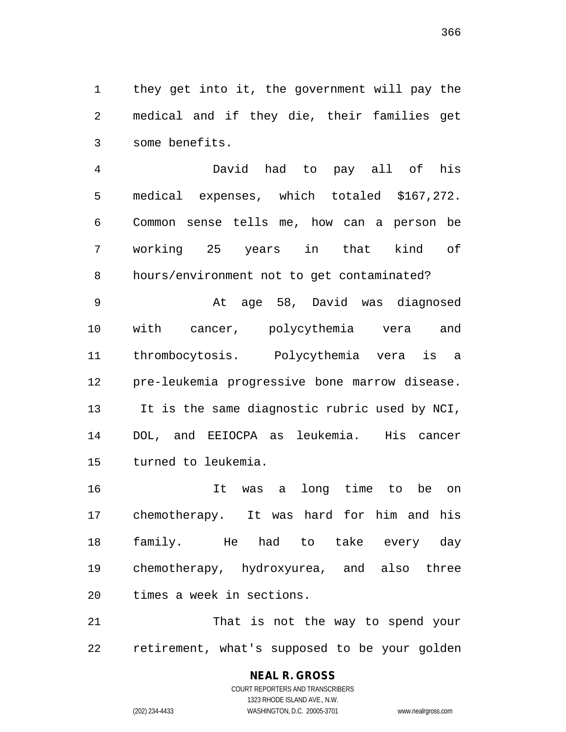they get into it, the government will pay the medical and if they die, their families get some benefits.

 David had to pay all of his medical expenses, which totaled \$167,272. Common sense tells me, how can a person be working 25 years in that kind of hours/environment not to get contaminated?

 At age 58, David was diagnosed with cancer, polycythemia vera and thrombocytosis. Polycythemia vera is a pre-leukemia progressive bone marrow disease. It is the same diagnostic rubric used by NCI, DOL, and EEIOCPA as leukemia. His cancer turned to leukemia.

 It was a long time to be on chemotherapy. It was hard for him and his family. He had to take every day chemotherapy, hydroxyurea, and also three times a week in sections.

21 That is not the way to spend your retirement, what's supposed to be your golden

> **NEAL R. GROSS** COURT REPORTERS AND TRANSCRIBERS

1323 RHODE ISLAND AVE., N.W. (202) 234-4433 WASHINGTON, D.C. 20005-3701 www.nealrgross.com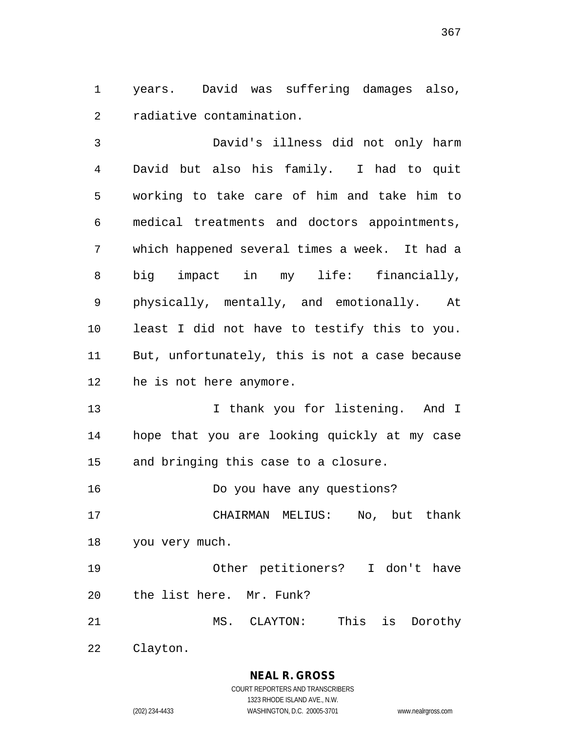years. David was suffering damages also, radiative contamination.

 David's illness did not only harm David but also his family. I had to quit working to take care of him and take him to medical treatments and doctors appointments, which happened several times a week. It had a big impact in my life: financially, physically, mentally, and emotionally. At least I did not have to testify this to you. But, unfortunately, this is not a case because he is not here anymore.

13 13 I thank you for listening. And I hope that you are looking quickly at my case and bringing this case to a closure.

Do you have any questions?

 CHAIRMAN MELIUS: No, but thank you very much.

 Other petitioners? I don't have the list here. Mr. Funk?

MS. CLAYTON: This is Dorothy

Clayton.

**NEAL R. GROSS** COURT REPORTERS AND TRANSCRIBERS

1323 RHODE ISLAND AVE., N.W.

(202) 234-4433 WASHINGTON, D.C. 20005-3701 www.nealrgross.com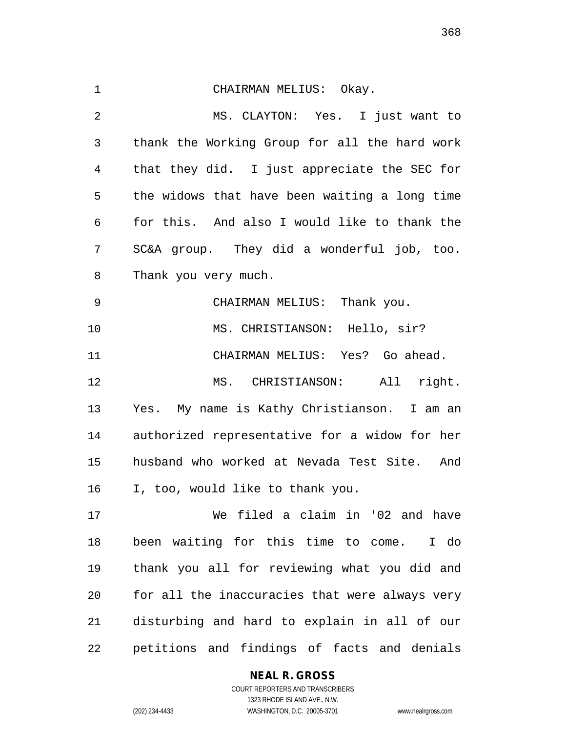CHAIRMAN MELIUS: Okay. MS. CLAYTON: Yes. I just want to thank the Working Group for all the hard work that they did. I just appreciate the SEC for the widows that have been waiting a long time for this. And also I would like to thank the SC&A group. They did a wonderful job, too. Thank you very much. CHAIRMAN MELIUS: Thank you. MS. CHRISTIANSON: Hello, sir? CHAIRMAN MELIUS: Yes? Go ahead. MS. CHRISTIANSON: All right. Yes. My name is Kathy Christianson. I am an authorized representative for a widow for her husband who worked at Nevada Test Site. And I, too, would like to thank you. We filed a claim in '02 and have been waiting for this time to come. I do thank you all for reviewing what you did and for all the inaccuracies that were always very disturbing and hard to explain in all of our petitions and findings of facts and denials

### **NEAL R. GROSS**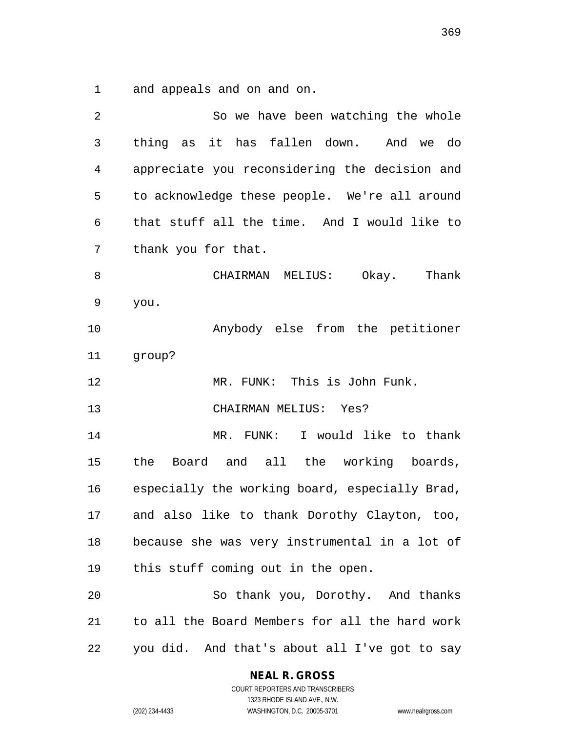and appeals and on and on.

| $\overline{2}$ | So we have been watching the whole             |
|----------------|------------------------------------------------|
| 3              | thing as it has fallen down. And we do         |
| 4              | appreciate you reconsidering the decision and  |
| 5              | to acknowledge these people. We're all around  |
| 6              | that stuff all the time. And I would like to   |
| 7              | thank you for that.                            |
| 8              | CHAIRMAN MELIUS: Okay. Thank                   |
| 9              | you.                                           |
| 10             | Anybody else from the petitioner               |
| 11             | group?                                         |
| 12             | MR. FUNK: This is John Funk.                   |
| 13             | CHAIRMAN MELIUS: Yes?                          |
| 14             | MR. FUNK: I would like to thank                |
| 15             | the<br>Board and all the working boards,       |
| 16             | especially the working board, especially Brad, |
| 17             | and also like to thank Dorothy Clayton, too,   |
| 18             | because she was very instrumental in a lot of  |
| 19             | this stuff coming out in the open.             |
| 20             | So thank you, Dorothy. And thanks              |
| 21             | to all the Board Members for all the hard work |
| 22             | you did. And that's about all I've got to say  |

**NEAL R. GROSS**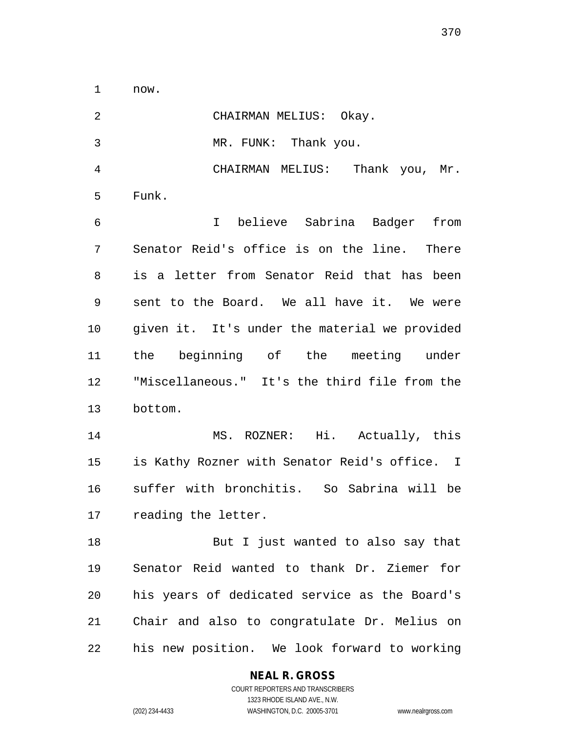now.

| $\overline{2}$ | CHAIRMAN MELIUS: Okay.                        |
|----------------|-----------------------------------------------|
| 3              | MR. FUNK: Thank you.                          |
| 4              | CHAIRMAN MELIUS: Thank you, Mr.               |
| 5              | Funk.                                         |
| 6              | I believe Sabrina Badger from                 |
| 7              | Senator Reid's office is on the line. There   |
| 8              | is a letter from Senator Reid that has been   |
| 9              | sent to the Board. We all have it. We were    |
| 10             | given it. It's under the material we provided |
| 11             | the beginning of the meeting under            |
| 12             | "Miscellaneous." It's the third file from the |
| 13             | bottom.                                       |
| 14             | MS. ROZNER: Hi. Actually, this                |
| 15             | is Kathy Rozner with Senator Reid's office. I |
| 16             | suffer with bronchitis. So Sabrina will be    |
|                | 17 reading the letter.                        |
| 18             | But I just wanted to also say that            |
| 19             | Senator Reid wanted to thank Dr. Ziemer for   |
| 20             | his years of dedicated service as the Board's |
| 21             | Chair and also to congratulate Dr. Melius on  |
| 22             | his new position. We look forward to working  |

**NEAL R. GROSS**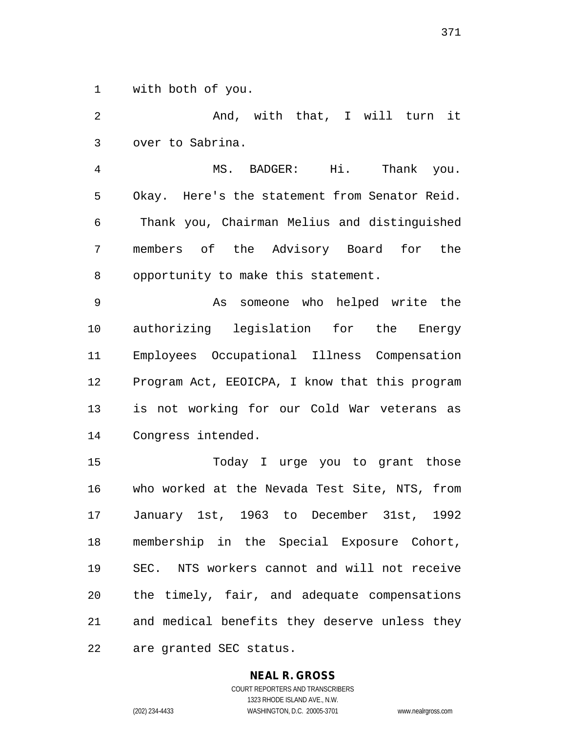with both of you.

2 And, with that, I will turn it over to Sabrina.

 MS. BADGER: Hi. Thank you. Okay. Here's the statement from Senator Reid. Thank you, Chairman Melius and distinguished members of the Advisory Board for the opportunity to make this statement.

 As someone who helped write the authorizing legislation for the Energy Employees Occupational Illness Compensation Program Act, EEOICPA, I know that this program is not working for our Cold War veterans as Congress intended.

 Today I urge you to grant those who worked at the Nevada Test Site, NTS, from January 1st, 1963 to December 31st, 1992 membership in the Special Exposure Cohort, SEC. NTS workers cannot and will not receive the timely, fair, and adequate compensations and medical benefits they deserve unless they are granted SEC status.

### **NEAL R. GROSS**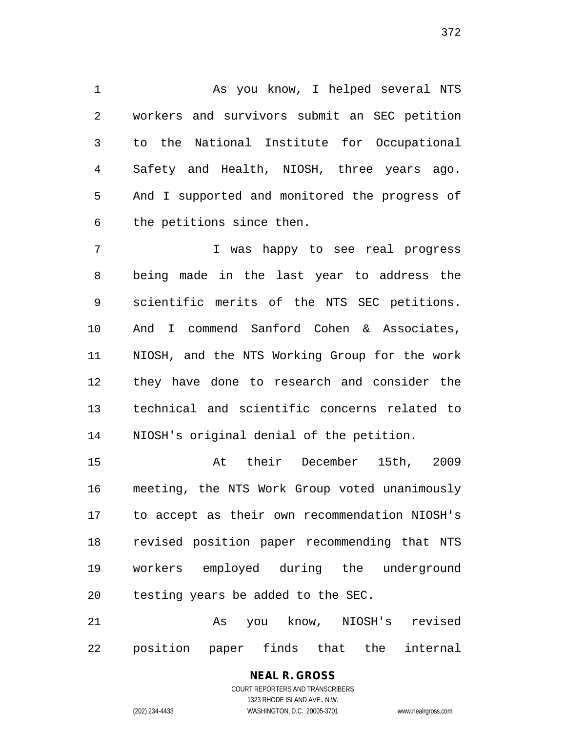1 As you know, I helped several NTS workers and survivors submit an SEC petition to the National Institute for Occupational Safety and Health, NIOSH, three years ago. And I supported and monitored the progress of the petitions since then.

 I was happy to see real progress being made in the last year to address the scientific merits of the NTS SEC petitions. And I commend Sanford Cohen & Associates, NIOSH, and the NTS Working Group for the work they have done to research and consider the technical and scientific concerns related to NIOSH's original denial of the petition.

 At their December 15th, 2009 meeting, the NTS Work Group voted unanimously to accept as their own recommendation NIOSH's revised position paper recommending that NTS workers employed during the underground testing years be added to the SEC.

 As you know, NIOSH's revised position paper finds that the internal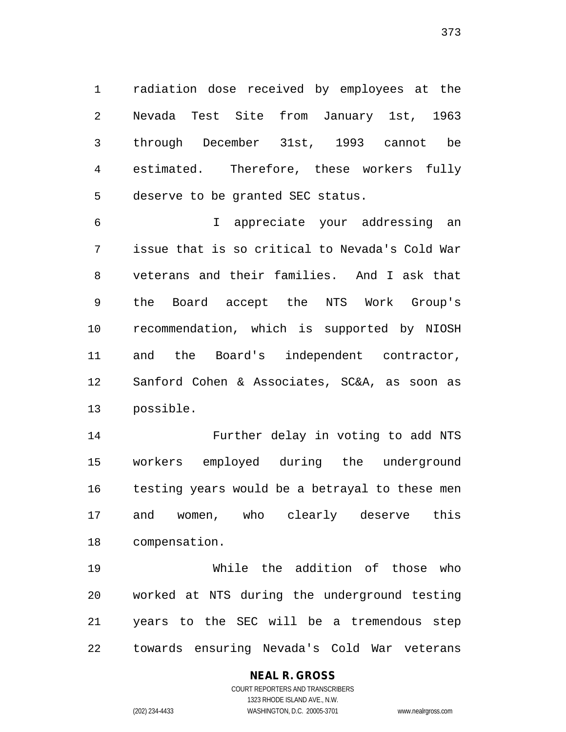radiation dose received by employees at the Nevada Test Site from January 1st, 1963 through December 31st, 1993 cannot be estimated. Therefore, these workers fully deserve to be granted SEC status.

 I appreciate your addressing an issue that is so critical to Nevada's Cold War veterans and their families. And I ask that the Board accept the NTS Work Group's recommendation, which is supported by NIOSH and the Board's independent contractor, Sanford Cohen & Associates, SC&A, as soon as possible.

 Further delay in voting to add NTS workers employed during the underground testing years would be a betrayal to these men and women, who clearly deserve this compensation.

 While the addition of those who worked at NTS during the underground testing years to the SEC will be a tremendous step towards ensuring Nevada's Cold War veterans

# **NEAL R. GROSS**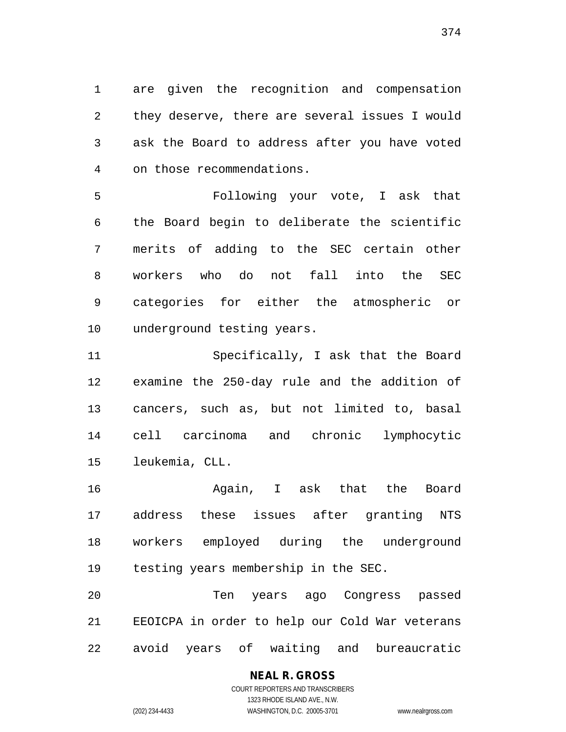are given the recognition and compensation they deserve, there are several issues I would ask the Board to address after you have voted on those recommendations.

 Following your vote, I ask that the Board begin to deliberate the scientific merits of adding to the SEC certain other workers who do not fall into the SEC categories for either the atmospheric or underground testing years.

 Specifically, I ask that the Board examine the 250-day rule and the addition of cancers, such as, but not limited to, basal cell carcinoma and chronic lymphocytic leukemia, CLL.

 Again, I ask that the Board address these issues after granting NTS workers employed during the underground testing years membership in the SEC.

 Ten years ago Congress passed EEOICPA in order to help our Cold War veterans avoid years of waiting and bureaucratic

# **NEAL R. GROSS**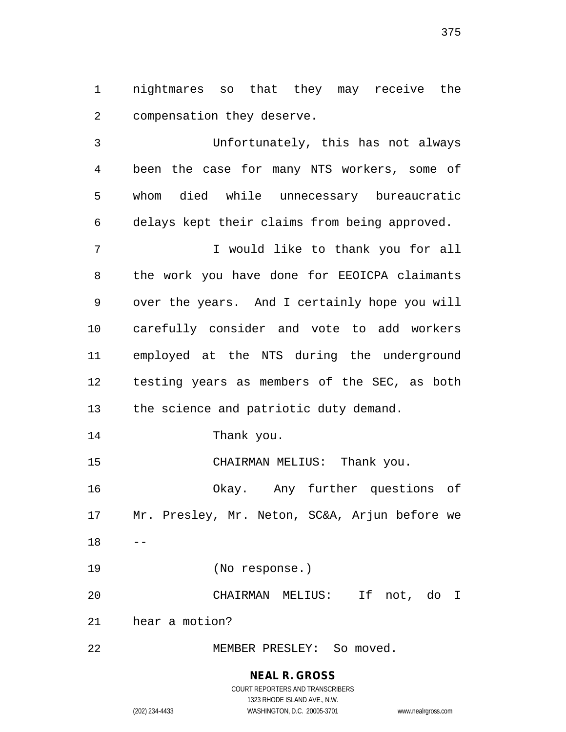nightmares so that they may receive the compensation they deserve.

 Unfortunately, this has not always been the case for many NTS workers, some of whom died while unnecessary bureaucratic delays kept their claims from being approved.

 I would like to thank you for all the work you have done for EEOICPA claimants over the years. And I certainly hope you will carefully consider and vote to add workers employed at the NTS during the underground testing years as members of the SEC, as both the science and patriotic duty demand.

Thank you.

CHAIRMAN MELIUS: Thank you.

 Okay. Any further questions of Mr. Presley, Mr. Neton, SC&A, Arjun before we  $18 - -$ 

(No response.)

CHAIRMAN MELIUS: If not, do I

hear a motion?

MEMBER PRESLEY: So moved.

# **NEAL R. GROSS**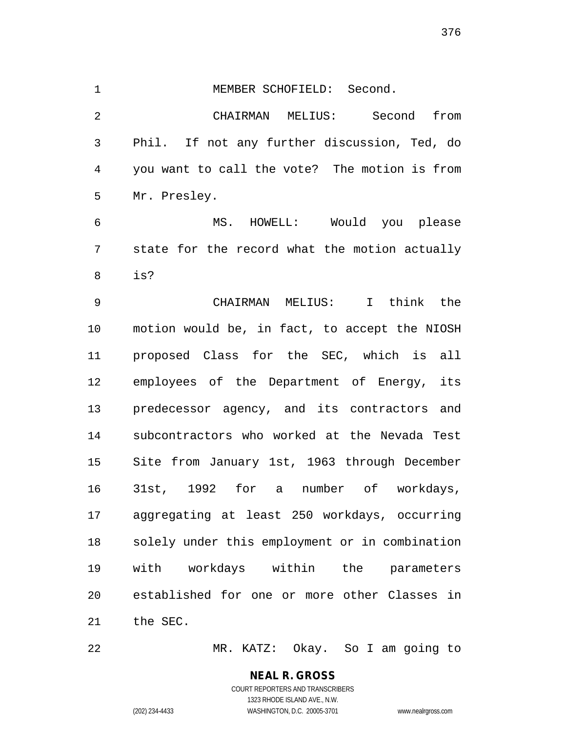MEMBER SCHOFIELD: Second.

 CHAIRMAN MELIUS: Second from Phil. If not any further discussion, Ted, do you want to call the vote? The motion is from Mr. Presley.

 MS. HOWELL: Would you please state for the record what the motion actually is?

 CHAIRMAN MELIUS: I think the motion would be, in fact, to accept the NIOSH proposed Class for the SEC, which is all employees of the Department of Energy, its predecessor agency, and its contractors and subcontractors who worked at the Nevada Test Site from January 1st, 1963 through December 31st, 1992 for a number of workdays, aggregating at least 250 workdays, occurring solely under this employment or in combination with workdays within the parameters established for one or more other Classes in the SEC.

MR. KATZ: Okay. So I am going to

# **NEAL R. GROSS**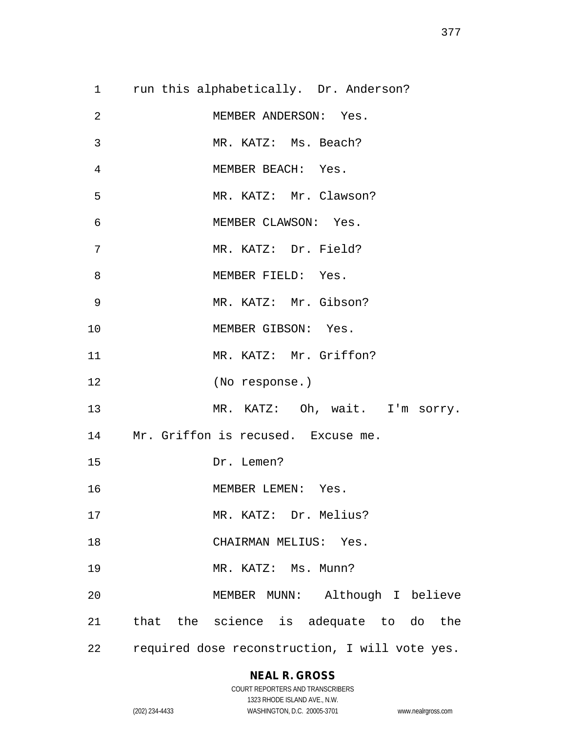|    | 1 run this alphabetically. Dr. Anderson?       |
|----|------------------------------------------------|
| 2  | MEMBER ANDERSON: Yes.                          |
| 3  | MR. KATZ: Ms. Beach?                           |
| 4  | MEMBER BEACH: Yes.                             |
| 5  | MR. KATZ: Mr. Clawson?                         |
| 6  | MEMBER CLAWSON: Yes.                           |
| 7  | MR. KATZ: Dr. Field?                           |
| 8  | MEMBER FIELD: Yes.                             |
| 9  | MR. KATZ: Mr. Gibson?                          |
| 10 | MEMBER GIBSON: Yes.                            |
| 11 | MR. KATZ: Mr. Griffon?                         |
| 12 | (No response.)                                 |
| 13 | MR. KATZ: Oh, wait. I'm sorry.                 |
|    | 14 Mr. Griffon is recused. Excuse me.          |
| 15 | Dr. Lemen?                                     |
| 16 | MEMBER LEMEN: Yes.                             |
| 17 | MR. KATZ: Dr. Melius?                          |
| 18 | CHAIRMAN MELIUS: Yes.                          |
| 19 | MR. KATZ: Ms. Munn?                            |
| 20 | MEMBER MUNN: Although I believe                |
| 21 | that the science is adequate to do the         |
| 22 | required dose reconstruction, I will vote yes. |

# **NEAL R. GROSS**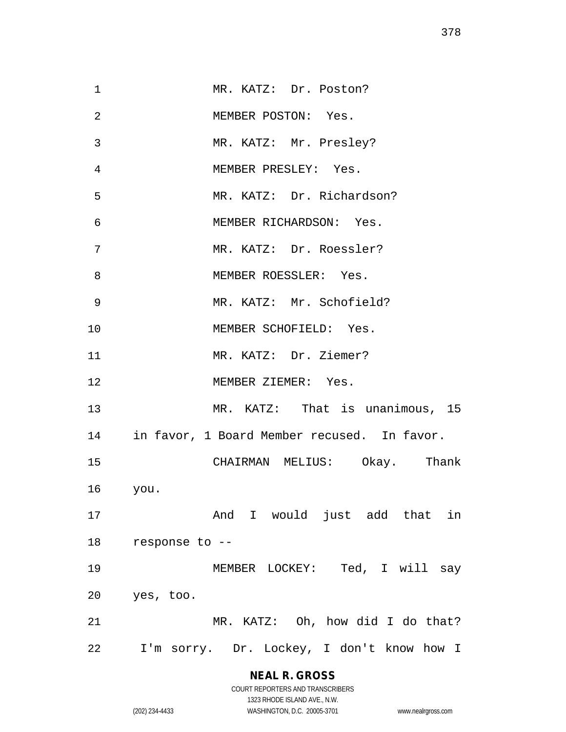| $\mathbf 1$ | MR. KATZ: Dr. Poston?                       |
|-------------|---------------------------------------------|
| 2           | MEMBER POSTON: Yes.                         |
| 3           | MR. KATZ: Mr. Presley?                      |
| 4           | MEMBER PRESLEY: Yes.                        |
| 5           | MR. KATZ: Dr. Richardson?                   |
| 6           | MEMBER RICHARDSON: Yes.                     |
| 7           | MR. KATZ: Dr. Roessler?                     |
| 8           | MEMBER ROESSLER: Yes.                       |
| 9           | MR. KATZ: Mr. Schofield?                    |
| 10          | MEMBER SCHOFIELD: Yes.                      |
| 11          | MR. KATZ: Dr. Ziemer?                       |
| 12          | MEMBER ZIEMER: Yes.                         |
|             |                                             |
| 13          | MR. KATZ: That is unanimous, 15             |
| 14          | in favor, 1 Board Member recused. In favor. |
| 15          | CHAIRMAN MELIUS: Okay. Thank                |
| 16          | you.                                        |
| 17          | And I would just add that in                |
| 18          | response to --                              |
| 19          | MEMBER LOCKEY: Ted, I will say              |
| 20          | yes, too.                                   |
| 21          | MR. KATZ: Oh, how did I do that?            |

### **NEAL R. GROSS**

|                | COURT REPORTERS AND TRANSCRIBERS |                    |
|----------------|----------------------------------|--------------------|
|                | 1323 RHODE ISLAND AVE., N.W.     |                    |
| (202) 234-4433 | WASHINGTON, D.C. 20005-3701      | www.nealrgross.com |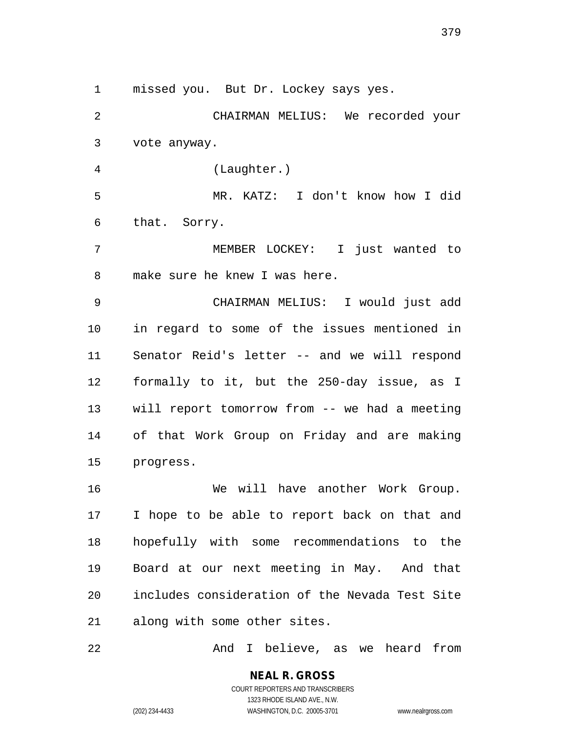missed you. But Dr. Lockey says yes.

 CHAIRMAN MELIUS: We recorded your vote anyway.

(Laughter.)

 MR. KATZ: I don't know how I did that. Sorry.

 MEMBER LOCKEY: I just wanted to make sure he knew I was here.

 CHAIRMAN MELIUS: I would just add in regard to some of the issues mentioned in Senator Reid's letter -- and we will respond formally to it, but the 250-day issue, as I will report tomorrow from -- we had a meeting of that Work Group on Friday and are making progress.

 We will have another Work Group. I hope to be able to report back on that and hopefully with some recommendations to the Board at our next meeting in May. And that includes consideration of the Nevada Test Site along with some other sites.

And I believe, as we heard from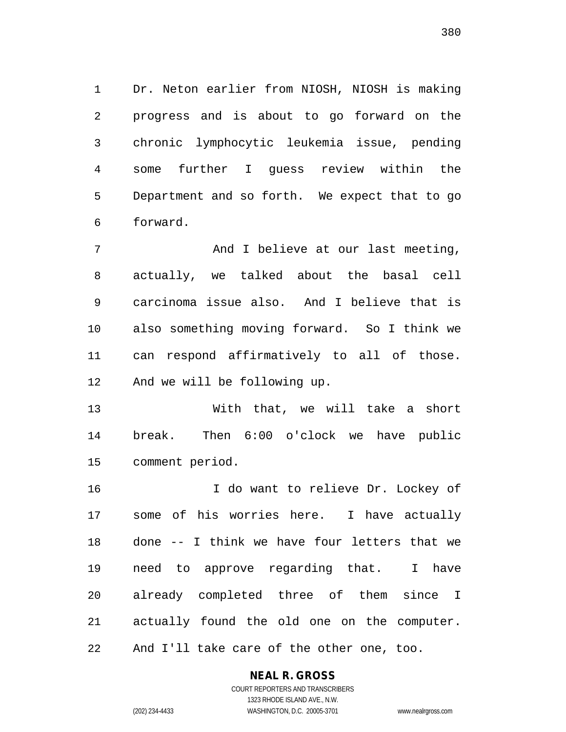Dr. Neton earlier from NIOSH, NIOSH is making progress and is about to go forward on the chronic lymphocytic leukemia issue, pending some further I guess review within the Department and so forth. We expect that to go forward.

7 And I believe at our last meeting, actually, we talked about the basal cell carcinoma issue also. And I believe that is also something moving forward. So I think we can respond affirmatively to all of those. And we will be following up.

 With that, we will take a short break. Then 6:00 o'clock we have public comment period.

 I do want to relieve Dr. Lockey of some of his worries here. I have actually done -- I think we have four letters that we need to approve regarding that. I have already completed three of them since I actually found the old one on the computer. And I'll take care of the other one, too.

### **NEAL R. GROSS**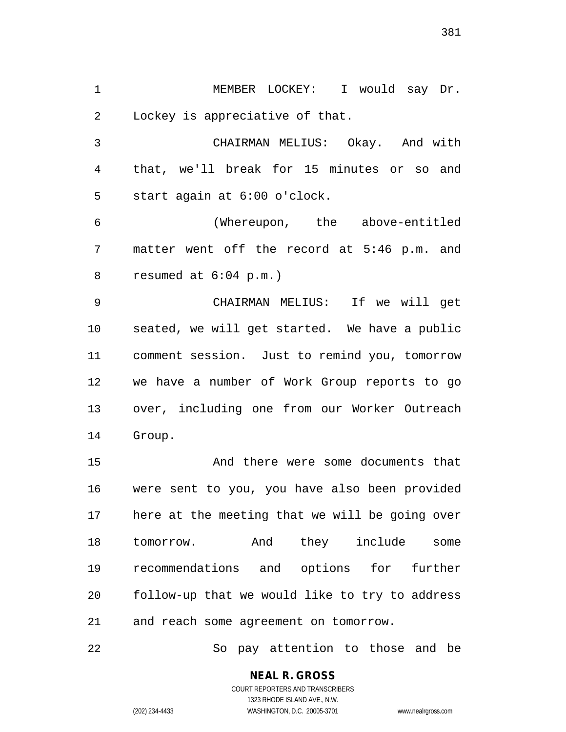MEMBER LOCKEY: I would say Dr. Lockey is appreciative of that.

 CHAIRMAN MELIUS: Okay. And with that, we'll break for 15 minutes or so and start again at 6:00 o'clock.

 (Whereupon, the above-entitled matter went off the record at 5:46 p.m. and resumed at 6:04 p.m.)

 CHAIRMAN MELIUS: If we will get seated, we will get started. We have a public comment session. Just to remind you, tomorrow we have a number of Work Group reports to go over, including one from our Worker Outreach Group.

 And there were some documents that were sent to you, you have also been provided here at the meeting that we will be going over tomorrow. And they include some recommendations and options for further follow-up that we would like to try to address and reach some agreement on tomorrow.

So pay attention to those and be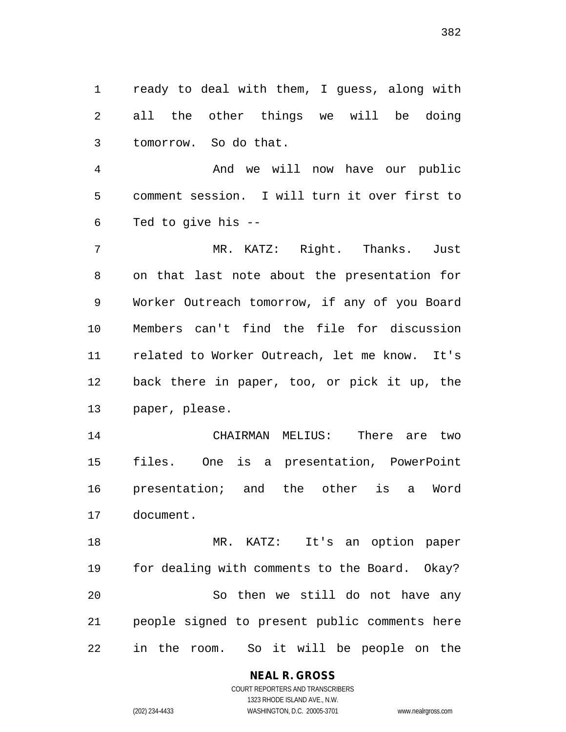ready to deal with them, I guess, along with all the other things we will be doing tomorrow. So do that.

 And we will now have our public comment session. I will turn it over first to Ted to give his --

 MR. KATZ: Right. Thanks. Just on that last note about the presentation for Worker Outreach tomorrow, if any of you Board Members can't find the file for discussion related to Worker Outreach, let me know. It's back there in paper, too, or pick it up, the paper, please.

 CHAIRMAN MELIUS: There are two files. One is a presentation, PowerPoint presentation; and the other is a Word document.

 MR. KATZ: It's an option paper for dealing with comments to the Board. Okay? So then we still do not have any people signed to present public comments here in the room. So it will be people on the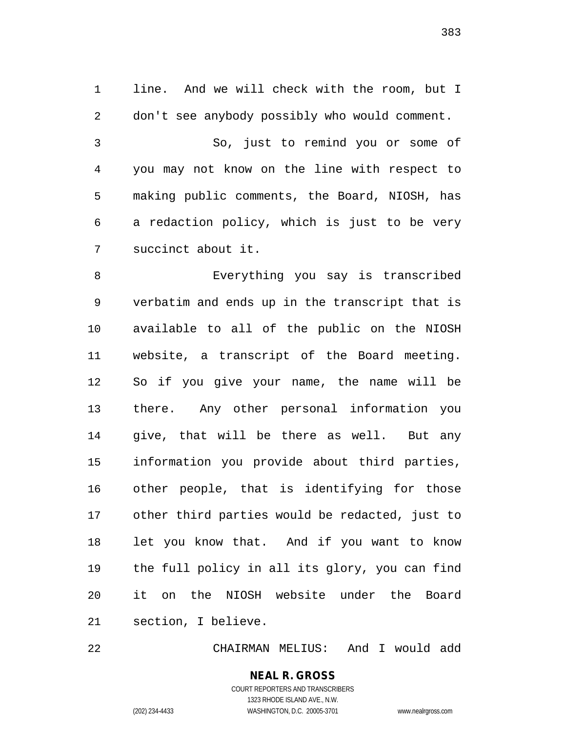line. And we will check with the room, but I don't see anybody possibly who would comment. So, just to remind you or some of you may not know on the line with respect to making public comments, the Board, NIOSH, has a redaction policy, which is just to be very succinct about it.

 Everything you say is transcribed verbatim and ends up in the transcript that is available to all of the public on the NIOSH website, a transcript of the Board meeting. So if you give your name, the name will be there. Any other personal information you give, that will be there as well. But any information you provide about third parties, other people, that is identifying for those other third parties would be redacted, just to let you know that. And if you want to know the full policy in all its glory, you can find it on the NIOSH website under the Board section, I believe.

CHAIRMAN MELIUS: And I would add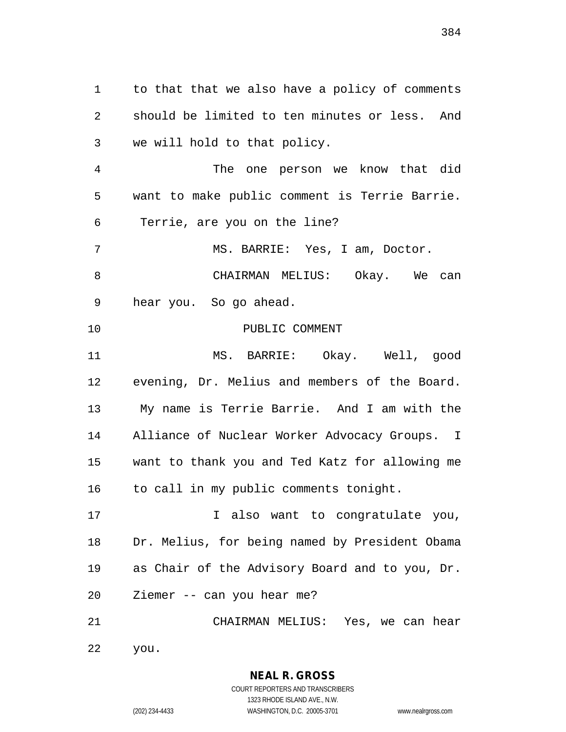to that that we also have a policy of comments should be limited to ten minutes or less. And we will hold to that policy. The one person we know that did want to make public comment is Terrie Barrie. Terrie, are you on the line? MS. BARRIE: Yes, I am, Doctor. CHAIRMAN MELIUS: Okay. We can hear you. So go ahead. 10 PUBLIC COMMENT MS. BARRIE: Okay. Well, good evening, Dr. Melius and members of the Board. My name is Terrie Barrie. And I am with the Alliance of Nuclear Worker Advocacy Groups. I want to thank you and Ted Katz for allowing me to call in my public comments tonight. I also want to congratulate you, Dr. Melius, for being named by President Obama as Chair of the Advisory Board and to you, Dr. Ziemer -- can you hear me? CHAIRMAN MELIUS: Yes, we can hear

you.

**NEAL R. GROSS** COURT REPORTERS AND TRANSCRIBERS

1323 RHODE ISLAND AVE., N.W.

(202) 234-4433 WASHINGTON, D.C. 20005-3701 www.nealrgross.com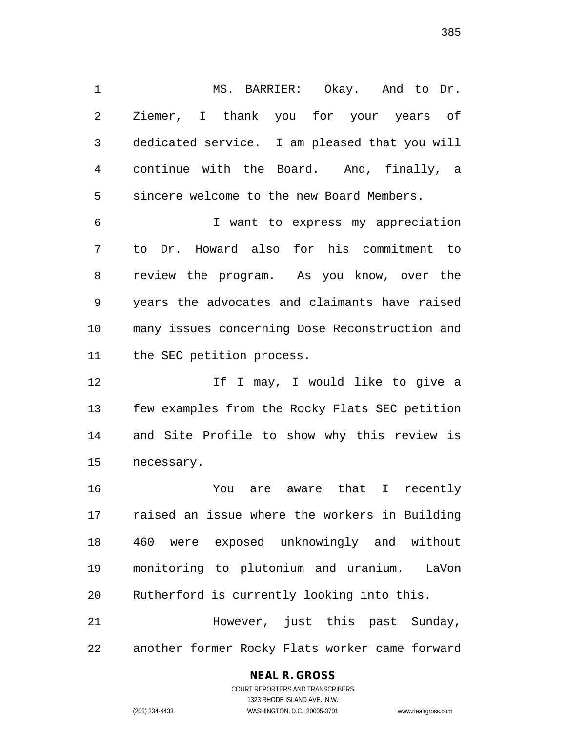MS. BARRIER: Okay. And to Dr. Ziemer, I thank you for your years of dedicated service. I am pleased that you will continue with the Board. And, finally, a sincere welcome to the new Board Members. I want to express my appreciation

 to Dr. Howard also for his commitment to review the program. As you know, over the years the advocates and claimants have raised many issues concerning Dose Reconstruction and the SEC petition process.

12 12 If I may, I would like to give a few examples from the Rocky Flats SEC petition and Site Profile to show why this review is necessary.

 You are aware that I recently raised an issue where the workers in Building 460 were exposed unknowingly and without monitoring to plutonium and uranium. LaVon Rutherford is currently looking into this.

 However, just this past Sunday, another former Rocky Flats worker came forward

#### **NEAL R. GROSS**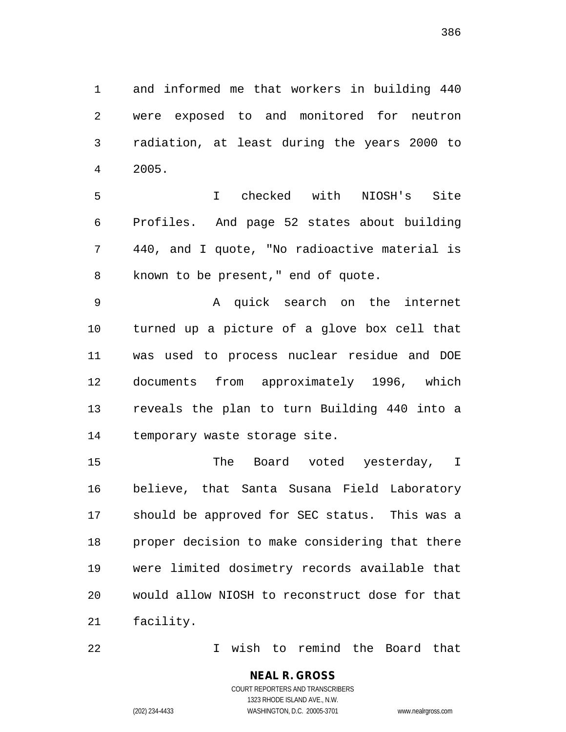and informed me that workers in building 440 were exposed to and monitored for neutron radiation, at least during the years 2000 to 2005.

 I checked with NIOSH's Site Profiles. And page 52 states about building 440, and I quote, "No radioactive material is known to be present," end of quote.

 A quick search on the internet turned up a picture of a glove box cell that was used to process nuclear residue and DOE documents from approximately 1996, which reveals the plan to turn Building 440 into a temporary waste storage site.

15 The Board voted yesterday, I believe, that Santa Susana Field Laboratory should be approved for SEC status. This was a proper decision to make considering that there were limited dosimetry records available that would allow NIOSH to reconstruct dose for that facility.

I wish to remind the Board that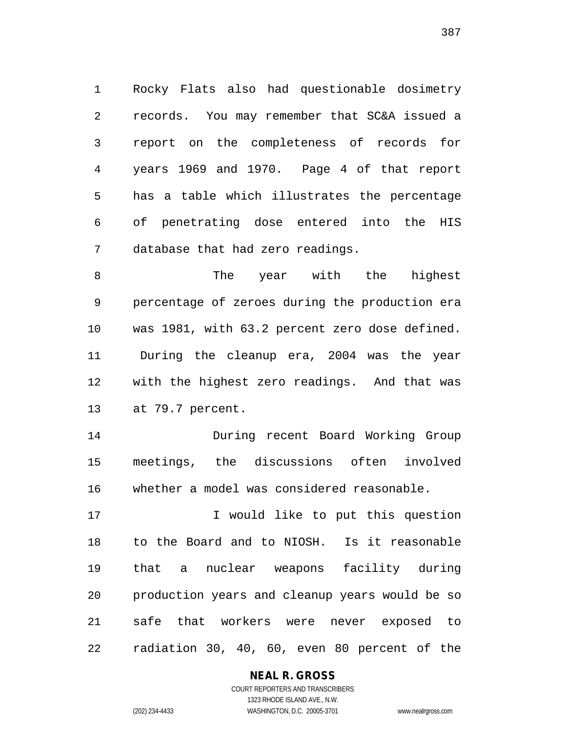Rocky Flats also had questionable dosimetry records. You may remember that SC&A issued a report on the completeness of records for years 1969 and 1970. Page 4 of that report has a table which illustrates the percentage of penetrating dose entered into the HIS database that had zero readings.

 The year with the highest percentage of zeroes during the production era was 1981, with 63.2 percent zero dose defined. During the cleanup era, 2004 was the year with the highest zero readings. And that was at 79.7 percent.

 During recent Board Working Group meetings, the discussions often involved whether a model was considered reasonable.

17 17 I would like to put this question to the Board and to NIOSH. Is it reasonable that a nuclear weapons facility during production years and cleanup years would be so safe that workers were never exposed to radiation 30, 40, 60, even 80 percent of the

### **NEAL R. GROSS**

COURT REPORTERS AND TRANSCRIBERS 1323 RHODE ISLAND AVE., N.W. (202) 234-4433 WASHINGTON, D.C. 20005-3701 www.nealrgross.com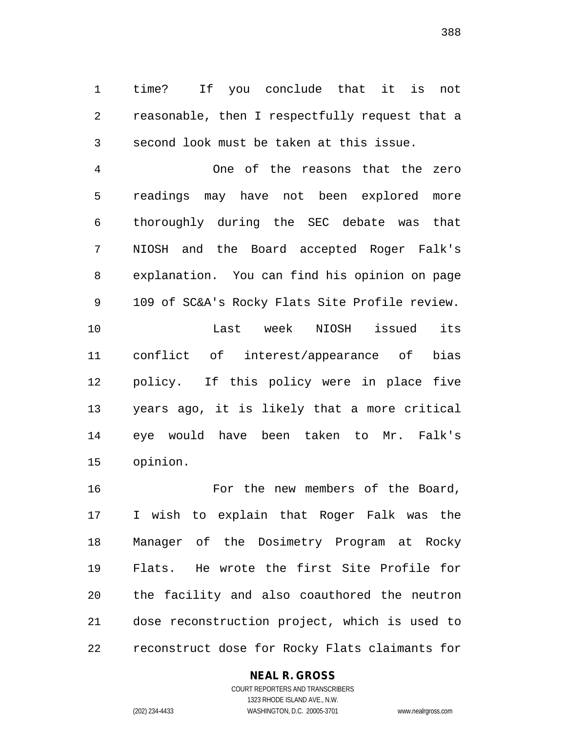time? If you conclude that it is not reasonable, then I respectfully request that a second look must be taken at this issue.

 One of the reasons that the zero readings may have not been explored more thoroughly during the SEC debate was that NIOSH and the Board accepted Roger Falk's explanation. You can find his opinion on page 109 of SC&A's Rocky Flats Site Profile review. Last week NIOSH issued its conflict of interest/appearance of bias policy. If this policy were in place five years ago, it is likely that a more critical eye would have been taken to Mr. Falk's opinion.

 For the new members of the Board, I wish to explain that Roger Falk was the Manager of the Dosimetry Program at Rocky Flats. He wrote the first Site Profile for the facility and also coauthored the neutron dose reconstruction project, which is used to reconstruct dose for Rocky Flats claimants for

### **NEAL R. GROSS**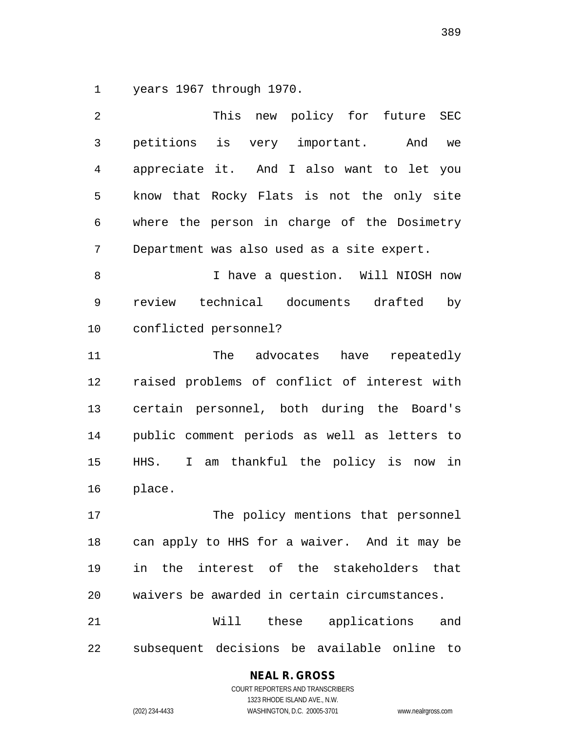years 1967 through 1970.

| 2  | This new policy for future<br>SEC              |
|----|------------------------------------------------|
| 3  | petitions is very important.<br>And<br>we      |
| 4  | appreciate it. And I also want to let you      |
| 5  | know that Rocky Flats is not the only site     |
| 6  | where the person in charge of the Dosimetry    |
| 7  | Department was also used as a site expert.     |
| 8  | I have a question. Will NIOSH now              |
| 9  | technical documents drafted<br>review<br>by    |
| 10 | conflicted personnel?                          |
| 11 | The<br>advocates<br>have<br>repeatedly         |
| 12 | raised problems of conflict of interest with   |
| 13 | certain personnel, both during the Board's     |
| 14 | public comment periods as well as letters to   |
| 15 | am thankful the policy is now in<br>HHS.<br>I. |
| 16 | place.                                         |
| 17 | The policy mentions that personnel             |
| 18 | can apply to HHS for a waiver. And it may be   |
| 19 | in the interest of the stakeholders that       |
| 20 | waivers be awarded in certain circumstances.   |
|    |                                                |

 Will these applications and subsequent decisions be available online to

#### **NEAL R. GROSS**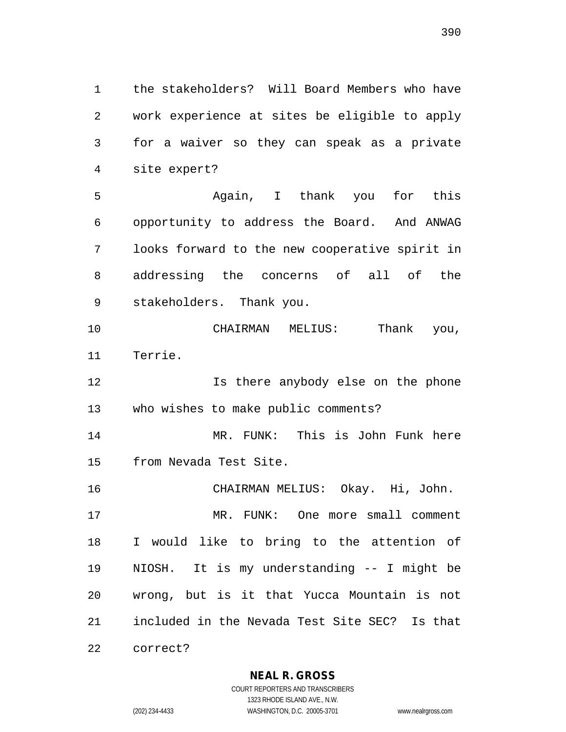the stakeholders? Will Board Members who have work experience at sites be eligible to apply for a waiver so they can speak as a private site expert?

 Again, I thank you for this opportunity to address the Board. And ANWAG looks forward to the new cooperative spirit in addressing the concerns of all of the stakeholders. Thank you.

 CHAIRMAN MELIUS: Thank you, Terrie.

**Is there anybody else on the phone** who wishes to make public comments?

 MR. FUNK: This is John Funk here from Nevada Test Site.

 CHAIRMAN MELIUS: Okay. Hi, John. MR. FUNK: One more small comment I would like to bring to the attention of NIOSH. It is my understanding -- I might be wrong, but is it that Yucca Mountain is not included in the Nevada Test Site SEC? Is that

correct?

**NEAL R. GROSS**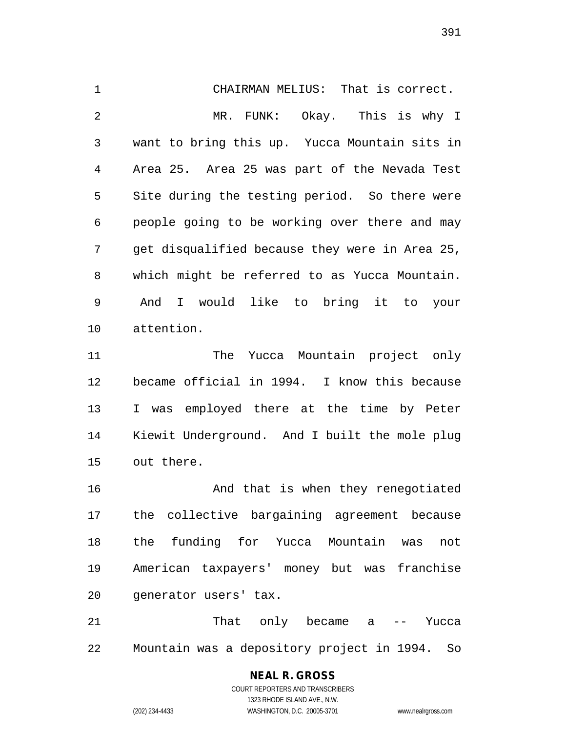CHAIRMAN MELIUS: That is correct. MR. FUNK: Okay. This is why I want to bring this up. Yucca Mountain sits in Area 25. Area 25 was part of the Nevada Test Site during the testing period. So there were people going to be working over there and may get disqualified because they were in Area 25, which might be referred to as Yucca Mountain. And I would like to bring it to your attention. The Yucca Mountain project only became official in 1994. I know this because I was employed there at the time by Peter Kiewit Underground. And I built the mole plug out there.

 And that is when they renegotiated the collective bargaining agreement because the funding for Yucca Mountain was not American taxpayers' money but was franchise generator users' tax.

 That only became a -- Yucca Mountain was a depository project in 1994. So

# **NEAL R. GROSS**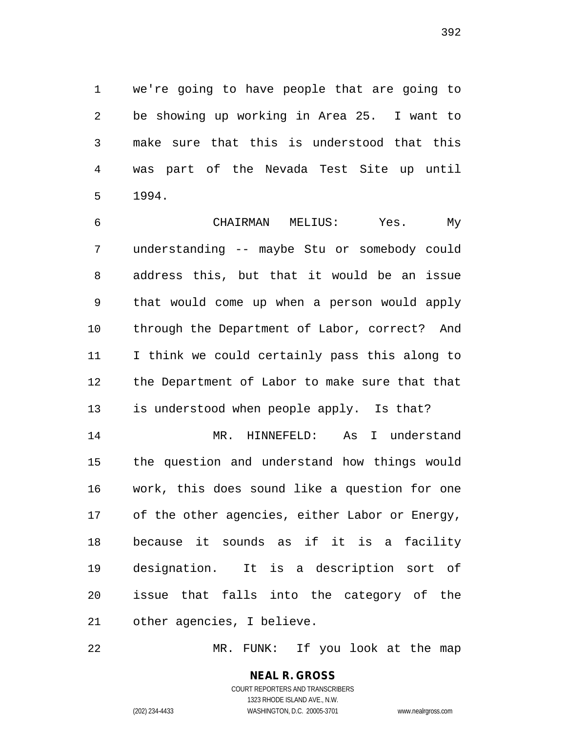we're going to have people that are going to be showing up working in Area 25. I want to make sure that this is understood that this was part of the Nevada Test Site up until 1994.

 CHAIRMAN MELIUS: Yes. My understanding -- maybe Stu or somebody could address this, but that it would be an issue that would come up when a person would apply through the Department of Labor, correct? And I think we could certainly pass this along to the Department of Labor to make sure that that is understood when people apply. Is that?

 MR. HINNEFELD: As I understand the question and understand how things would work, this does sound like a question for one of the other agencies, either Labor or Energy, because it sounds as if it is a facility designation. It is a description sort of issue that falls into the category of the other agencies, I believe.

MR. FUNK: If you look at the map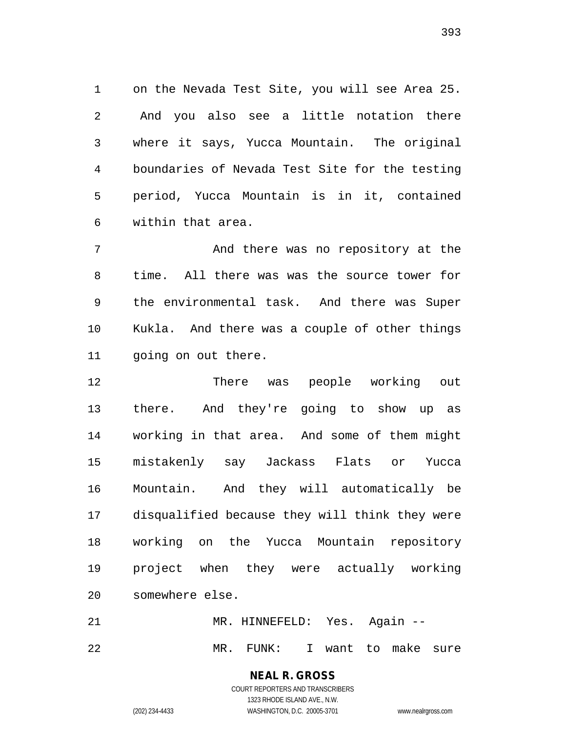on the Nevada Test Site, you will see Area 25. And you also see a little notation there where it says, Yucca Mountain. The original boundaries of Nevada Test Site for the testing period, Yucca Mountain is in it, contained within that area.

 And there was no repository at the time. All there was was the source tower for the environmental task. And there was Super Kukla. And there was a couple of other things going on out there.

 There was people working out there. And they're going to show up as working in that area. And some of them might mistakenly say Jackass Flats or Yucca Mountain. And they will automatically be disqualified because they will think they were working on the Yucca Mountain repository project when they were actually working somewhere else.

 MR. HINNEFELD: Yes. Again -- MR. FUNK: I want to make sure

> **NEAL R. GROSS** COURT REPORTERS AND TRANSCRIBERS

> > 1323 RHODE ISLAND AVE., N.W.

(202) 234-4433 WASHINGTON, D.C. 20005-3701 www.nealrgross.com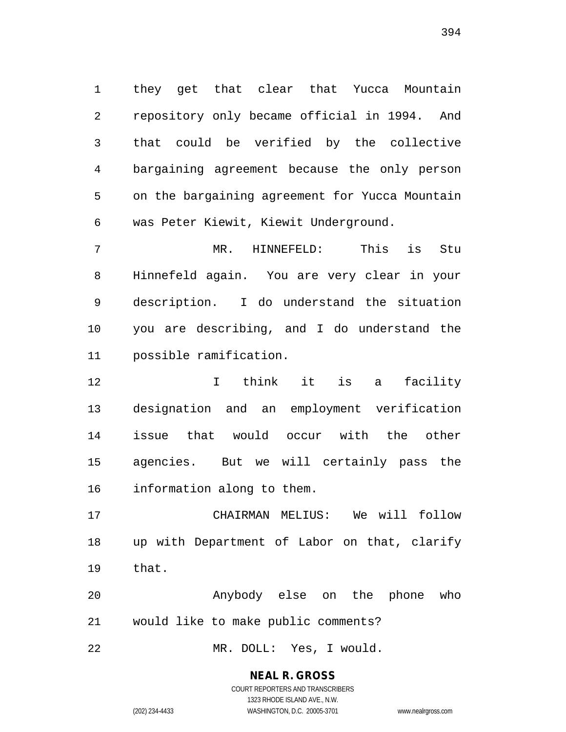they get that clear that Yucca Mountain repository only became official in 1994. And that could be verified by the collective bargaining agreement because the only person on the bargaining agreement for Yucca Mountain was Peter Kiewit, Kiewit Underground.

 MR. HINNEFELD: This is Stu Hinnefeld again. You are very clear in your description. I do understand the situation you are describing, and I do understand the possible ramification.

 I think it is a facility designation and an employment verification issue that would occur with the other agencies. But we will certainly pass the information along to them.

 CHAIRMAN MELIUS: We will follow up with Department of Labor on that, clarify that.

 Anybody else on the phone who would like to make public comments?

MR. DOLL: Yes, I would.

### **NEAL R. GROSS**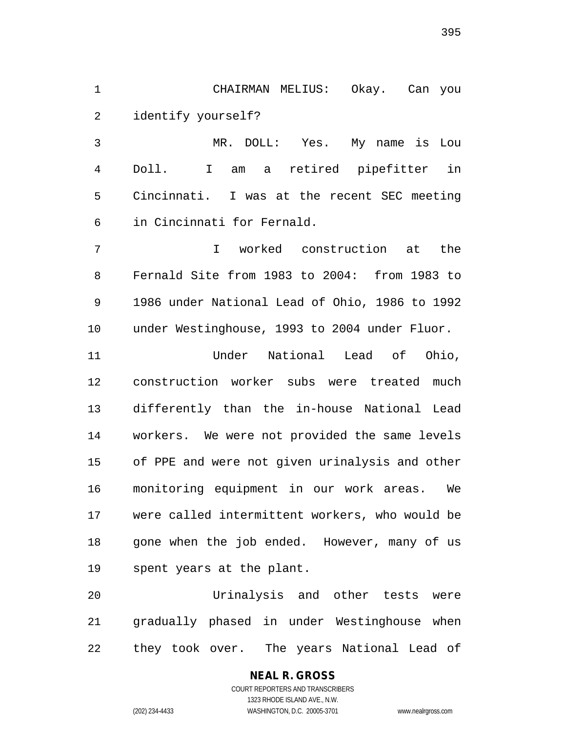CHAIRMAN MELIUS: Okay. Can you identify yourself?

 MR. DOLL: Yes. My name is Lou Doll. I am a retired pipefitter in Cincinnati. I was at the recent SEC meeting in Cincinnati for Fernald.

 I worked construction at the Fernald Site from 1983 to 2004: from 1983 to 1986 under National Lead of Ohio, 1986 to 1992 under Westinghouse, 1993 to 2004 under Fluor.

 Under National Lead of Ohio, construction worker subs were treated much differently than the in-house National Lead workers. We were not provided the same levels of PPE and were not given urinalysis and other monitoring equipment in our work areas. We were called intermittent workers, who would be gone when the job ended. However, many of us spent years at the plant.

 Urinalysis and other tests were gradually phased in under Westinghouse when they took over. The years National Lead of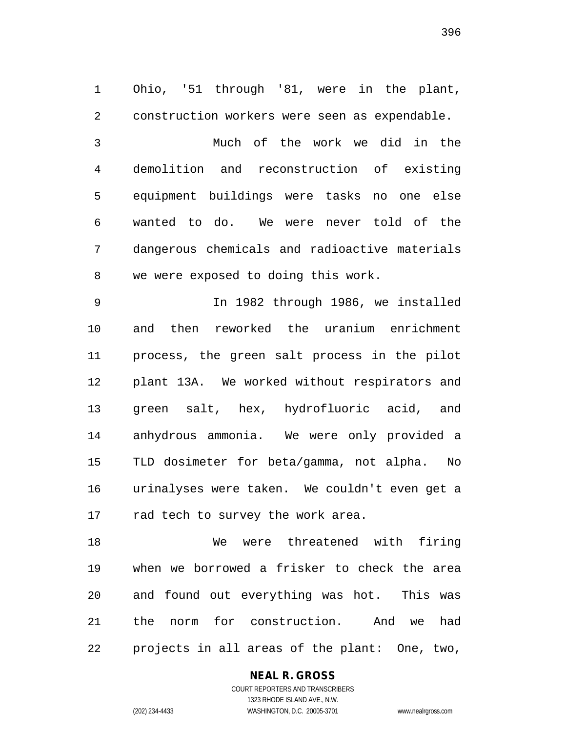Ohio, '51 through '81, were in the plant, construction workers were seen as expendable. Much of the work we did in the demolition and reconstruction of existing equipment buildings were tasks no one else wanted to do. We were never told of the dangerous chemicals and radioactive materials we were exposed to doing this work.

 In 1982 through 1986, we installed and then reworked the uranium enrichment process, the green salt process in the pilot plant 13A. We worked without respirators and green salt, hex, hydrofluoric acid, and anhydrous ammonia. We were only provided a TLD dosimeter for beta/gamma, not alpha. No urinalyses were taken. We couldn't even get a 17 rad tech to survey the work area.

 We were threatened with firing when we borrowed a frisker to check the area and found out everything was hot. This was the norm for construction. And we had projects in all areas of the plant: One, two,

### **NEAL R. GROSS**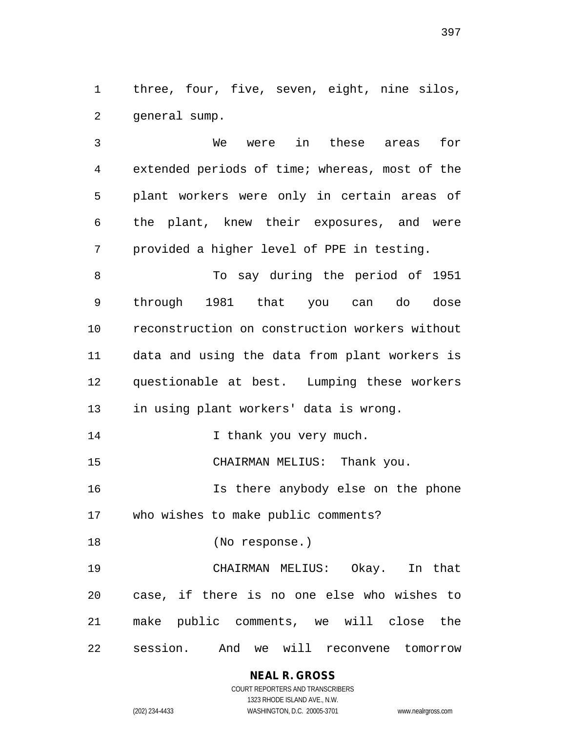three, four, five, seven, eight, nine silos, general sump.

 We were in these areas for extended periods of time; whereas, most of the plant workers were only in certain areas of the plant, knew their exposures, and were provided a higher level of PPE in testing.

 To say during the period of 1951 through 1981 that you can do dose reconstruction on construction workers without data and using the data from plant workers is questionable at best. Lumping these workers in using plant workers' data is wrong.

14 14 I thank you very much.

CHAIRMAN MELIUS: Thank you.

 Is there anybody else on the phone who wishes to make public comments?

(No response.)

 CHAIRMAN MELIUS: Okay. In that case, if there is no one else who wishes to make public comments, we will close the session. And we will reconvene tomorrow

> **NEAL R. GROSS** COURT REPORTERS AND TRANSCRIBERS

1323 RHODE ISLAND AVE., N.W. (202) 234-4433 WASHINGTON, D.C. 20005-3701 www.nealrgross.com